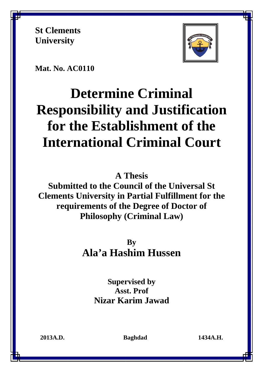**St Clements University** 



**Mat. No. AC0110** 

# **Determine Criminal Responsibility and Justification for the Establishment of the International Criminal Court**

**A Thesis** 

**Submitted to the Council of the Universal St Clements University in Partial Fulfillment for the requirements of the Degree of Doctor of Philosophy (Criminal Law)** 

> **By Ala'a Hashim Hussen**

> > **Supervised by Asst. Prof Nizar Karim Jawad**

**2013A.D. Baghdad 1434A.H.**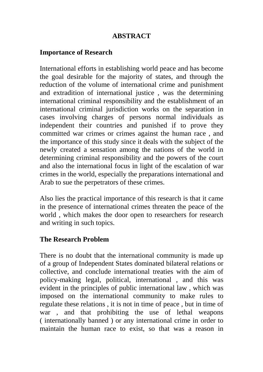### **ABSTRACT**

### **Importance of Research**

International efforts in establishing world peace and has become the goal desirable for the majority of states, and through the reduction of the volume of international crime and punishment and extradition of international justice , was the determining international criminal responsibility and the establishment of an international criminal jurisdiction works on the separation in cases involving charges of persons normal individuals as independent their countries and punished if to prove they committed war crimes or crimes against the human race , and the importance of this study since it deals with the subject of the newly created a sensation among the nations of the world in determining criminal responsibility and the powers of the court and also the international focus in light of the escalation of war crimes in the world, especially the preparations international and Arab to sue the perpetrators of these crimes.

Also lies the practical importance of this research is that it came in the presence of international crimes threaten the peace of the world , which makes the door open to researchers for research and writing in such topics .

### **The Research Problem**

There is no doubt that the international community is made up of a group of Independent States dominated bilateral relations or collective, and conclude international treaties with the aim of policy-making legal, political, international , and this was evident in the principles of public international law , which was imposed on the international community to make rules to regulate these relations , it is not in time of peace , but in time of war , and that prohibiting the use of lethal weapons ( internationally banned ) or any international crime in order to maintain the human race to exist, so that was a reason in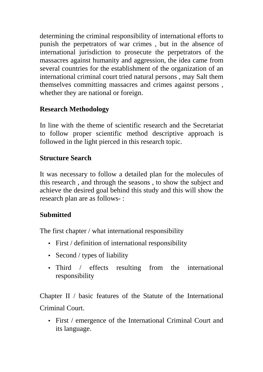determining the criminal responsibility of international efforts to punish the perpetrators of war crimes , but in the absence of international jurisdiction to prosecute the perpetrators of the massacres against humanity and aggression, the idea came from several countries for the establishment of the organization of an international criminal court tried natural persons , may Salt them themselves committing massacres and crimes against persons , whether they are national or foreign.

# **Research Methodology**

In line with the theme of scientific research and the Secretariat to follow proper scientific method descriptive approach is followed in the light pierced in this research topic.

## **Structure Search**

It was necessary to follow a detailed plan for the molecules of this research , and through the seasons , to show the subject and achieve the desired goal behind this study and this will show the research plan are as follows-:

# **Submitted**

The first chapter / what international responsibility

- First / definition of international responsibility
- Second / types of liability
- Third / effects resulting from the international responsibility

Chapter II / basic features of the Statute of the International Criminal Court.

• First / emergence of the International Criminal Court and its language.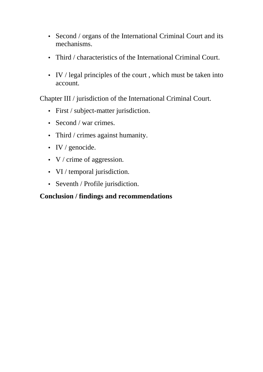- Second / organs of the International Criminal Court and its mechanisms .
- Third / characteristics of the International Criminal Court.
- IV / legal principles of the court, which must be taken into account.

Chapter III / jurisdiction of the International Criminal Court.

- First / subject-matter jurisdiction.
- Second / war crimes.
- Third / crimes against humanity.
- IV / genocide.
- V / crime of aggression.
- VI / temporal jurisdiction.
- Seventh / Profile jurisdiction.

# **Conclusion / findings and recommendations**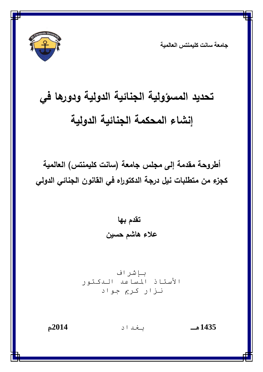

**ج**امعة سانت كليمنتس العالمية

# **تحديد المسؤولية الجنائية الدولية و دورها في إنشاء المحكمة الجنائية الدولية**

**أطروحة مقدمة إلى مجلس جامعة (سانت كليمنتس) العالمية كجزء من متطلبات نيل درجة الدكتوراه في القانون الجنائي الدولي** 

> **تقدم بها علاء هاشم حسين**

باشراف الأستاذ المساعد الىكتور نزار کريم جواد

**1435هـ** اد **2014م**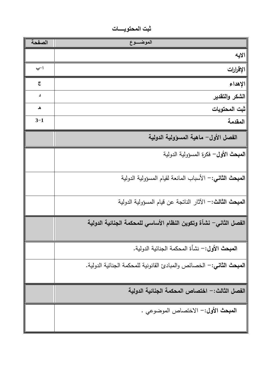**اــــع ا الايه ب-ا الإقرارات ج الإهداء د الشكر والتقدير هـ ثبت المحتويات <sup>3</sup>-<sup>1</sup> المقدمة الفصل الأول - ماهية المسؤولية الدولية المبحث الأول-** فكرة المسؤولية الدولية **المبحث الثاني :-** الأسباب المانعة لقيام المسؤولية الدولية **المبحث الثالث :-** الآثار الناتجة عن قيام المسؤولية الدولية **الفصل الثاني - نشأة وتكوين النظام الأساسي للمحكمة الجنائية الدولية المبحث الأول :-** نشأة المحكمة الجنائية الدولية. **المبحث الثاني :-** الخصائص والمبادئ القانونية للمحكمة الجنائية الدولية. **الفصل الثالث :- اختصاص المحكمة الجنائية الدولية المبحث الأول :-** الاختصاص الموضوعي .

ثبت المحتويــــــــات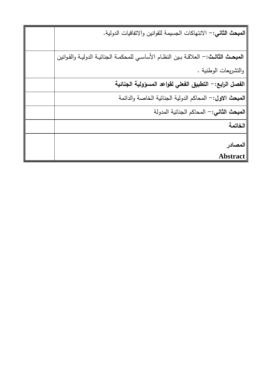| ا <b>لمبحث الثاني:</b> – الانتهاكات الجسيمة للقوانين والاتفاقيات الدولية.      |
|--------------------------------------------------------------------------------|
|                                                                                |
| المبحث الثالث: – العلاقة بين النظام الأساسي للمحكمة الجنائية الدولية والقوانين |
| والتشريعات الوطنية .                                                           |
| الفصل الرابع: – التطبيق الفعلي لقواعد المسؤولية الجنائية                       |
| المبحث الاول: – المحاكم الدولية الجنائية الخاصة والدائمة                       |
| المبحث الثاني: – المحاكم الجنائية المدولة                                      |
| الخاتمة                                                                        |
| المصادر                                                                        |
| <b>Abstract</b>                                                                |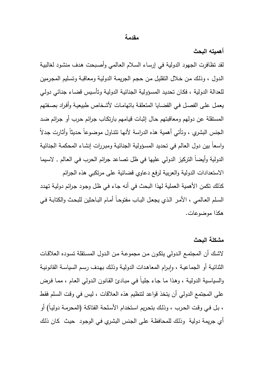#### **مقدمة**

**أهميته البحث**

لقد تظافرت الجهود الدولية في إرسـاء السـلام العـالمي وأصـبحت هـدف منشـود لغالبيـة الـدول ، و ذلـك مـن خـلال التقليـل مـن حجـم الجريمـة الدوليـة ومعاقبـة وتسـليم المجـرمين للعدالة الدولية ، فكـان تحديـد المسـؤولية الجنائيـة الدوليـة وتأسـيس قضـاء جنـائي دولـي يعمـل علـى الفصـل فـي القضـايا المتعلقـة باتهامـات لأشـخاص طبيعيـة وأفـراد بصـفتهم المستقلة عن دولهم ومعاقبتهم حـال إثبـات قيـامهم بارتكـاب جـرائم حـرب أو جـرائم ضـد الجنس البشري ، وتأتي أهمية هذه الدراسة لأنهـا تتنـاول موضـوعاً حـديثاً وأثـارت جـدلاً واسعاً بين دول العالم في تحديد المسـؤولية الجنائيـة ومبـررات إنشـاء المحكمـة الجنائيـة الدولية وأيضاً التركيز الدولي عليها في ظل تصاعد جرائم الحرب في العالم , لاسيما الاستعدادات الدولية والعربية لرفع دعاوي قضائية على مرتكبي هذه الجرائم كذلك تكمن الأهمية العملية لهذا البحث في أنه جـاء فـي ظـل وجـود جـرائم دوليـة تهـدد السـلم العـالمي ، الأمـر الـذي يجعـل البـاب مفتوحـاً أمـام البـاحثين للبحـث والكتابـة فـي هكذا موضوعات .

### **مشكلة البحث**

لاشـك أن المجتمـع الـدولي يتكـون مـن مجموعـة مـن الـدول المسـتقلة تسـوده العلاقـات الثنائيـة او الجماعيـة ، وإبـرام المعاهدات الدوليـة وذلك بـهدف رسم السياسـة القانونيـة والسياسـية الدوليـة ، وهـذا مـا جـاء جليـاً فـي مبـادئ القـانون الـدولي العـام ، ممـا فـرض على المجتمع الدولي أن يتخذ قواعد لتنظيم هذه العلاقات ، ليس في وقـت السـلم فقـط ، بـل فـي وقـت الحـرب ، وذلـك بتحـريم اسـتخدام الأسـلحة الفتاكـة (المحرمـة دوليـاً) أو أي جريمة دولية وذلـك للمحافظـة علـى الجـنس البشـري فـي الوجـود حيـث كـان ذلـك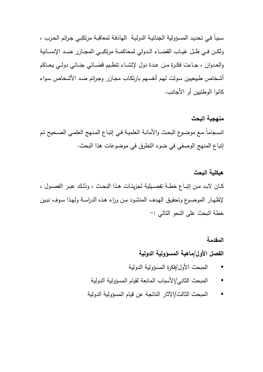سـبباً فـي تحديـد المسـؤولية الجنائيـة الدوليـة الهادفـة لمعاقبـة مرتكبـي جـرائم الحـرب ، ولكــن فــي ظــل غيــاب القضــاء الــدولي لمحاكمــة مرتكبــي المجــازر ضــد الإنســانية والعــدوان ، جــاءت فكــرة مــن عــدة دول لإنشــاء تنظــيم قضــائي جنــائي دولــي يحــاكم أشـخاص طبيعيـين سـولت لهـم أنفسـهم بارتكـاب مجـازر وجـرائم ضـد الأشـخاص سـواء كانوا الوطنيين أو الأجانب .

# **منهجية البحث**  انسـجاماً مـع موضـوع البحـث والأمانـة العلميـة فـي إتبـاع المـنهج العلمـي الصـحيح تـم إتباع المنهج الوصفي في ضوء التطرق في موضوعات هذا البحث .

# **هيكلية البحث**  كــان لابــد مــن إتبــاع خطــة تفصــيلية لجزيئــات هــذا البحــث ، وذلــك عبــر الفصــول ، لإظهـار الموضـوع وتحقيـق الهـدف المنشـود مـن وراء هـذه الدراسـة ولهـذا سـوف نبـين خطة البحث على النحو التالي :-

# **المقدمة الفصل الأول/ماهية المسؤولية الدولية**

- المبحث الأول/فكرة المسؤولية الدولية
- المبحث الثاني/الأسباب المانعة لقيام المسؤولية الدولية
- المبحث الثالث/الآثار الناتجة عن قيام المسؤولية الدولية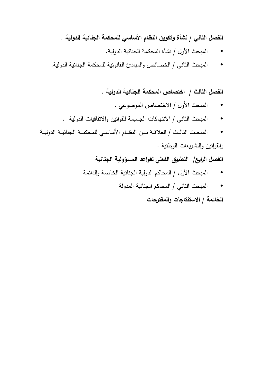الفصل الثان*ي |* نشأة وتكوين النظام الأساس*ي* للمحكمة الجنائية الدولية .

- المبحث الأول / نشأة المحكمة الجنائية الدولية .
- المبحث الثاني / الخصائص و المبادئ القانونية للمحكمة الجنائية الدولية.

**الفصل الثالث / اختصاص المحكمة الجنائية الدولية .**

- المبحث الأول / الاختصاص الموضوعي .
- المبحث الثاني / الانتهاكات الجسيمة للقوانين والاتفاقيات الدولية .
- المبحــث الثالــث / العلاقــة بــين النظــام الأساســي للمحكمــة الجنائيــة الدوليــة والقوانين والتشريعات الوطنية .

الفصل الرابع/ التطبيق الفعلي لقواعد المسؤولية الجنائية

- المبحث الأول / المحاكم الدولية الجنائية الخاصة والدائمة
	- المبحث الثاني / المحاكم الجنائية المدولة

**الخاتمة / الاستنتاجات والمقترحات**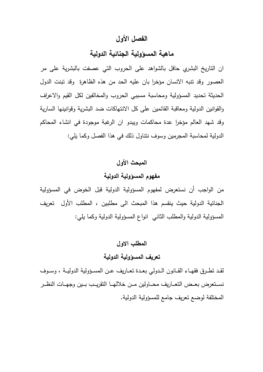## **الفصل الأول**

## **ماهية المسؤولية الجنائية الدولية**

ان التاريخ البشري حافل بالشواهد على الحروب التي عصفت بالبشرية على مر العصور وقد تنبه الانسان مؤخرا بان عليه الحد من هذه الظاهرة وقد تبنت الدول الحديثة تحديد المسؤولية ومحاسبة مسببي الحروب والمخالفين لكل القيم والاعراف والقوانين الدولية ومعاقبة القائمين على كل الانتهاكات ضد البشرية وقوانينها السارية وقد شهد العالم مؤخرا عدة محاكمات ويبدو ان الرغبة موجودة في انشاء المحاكم الدولية لمحاسبة المجرمين وسوف نتناول ذلك في هذا الفصل وكما يلي:

# **المبحث الأول مفهوم المسؤولية الدولية**

من الواجب أن نستعرض لمفهوم المسؤولية الدولية قبل الخوض في المسؤولية الجنائية الدولية حيث ينقسم هذا المبحث الى مطلبين ، المطلب الأول تعريف المسؤولية الدولية والمطلب الثاني انواع المسؤولية الدولية وكما يلي:

#### **المطلب الاول**

### **تعريف المسؤ ولية الدولية**

لقــد تطــرق فقهــاء القــانون الــدولي بعــدة تعــاريف عــن المســؤ ولية الدوليــة ، وســوف نســتعرض بعــض التعــاريف محــاولين مــن خلالهــا التقريــب بــين وجهــات النظــر المختلفة لوضع تعريف جامع للمسؤ ولية الدولية .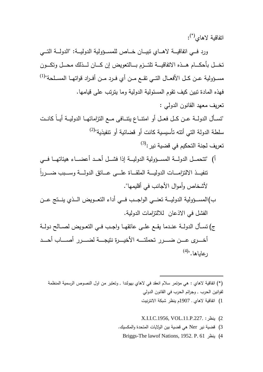اتفاقية لاهاي $\left( ^{\ast }\right) _{z}$ :

ورد فــي اتفاقيـــة لاهـــاي تبيـــان خـــاص للمســـؤولية الدوليــة: "الدولـــة التـــي تخــــل بأحكــــام هــــذه الاتفاقيــــة تلتــــزم بــــالتعويض إن كــــان لــــذلك محــــل وتكــــون مســؤولية عــن كــل الأفعــال التــي تقــع مــن أي فــرد مــن أفــراد قواتهــا المســلحة"<sup>(1)</sup> فهذه المادة تبين كيف تقوم المسئولية الدولية وما يترتب على قيامها . تعريف معهد القانون الدولي : "تســـأل الدولـــة عـــن كـــل فعـــل أو امتنـــاع يتنـــافى مـــع التزاماتهـــا الدوليـــة أيـــاً كانـــت سلطة الدولة التي أنته تأسيسية كانت أو قضائية أو تتفيذية"<sup>(2)</sup>  $^{(3)}$ :تعريف لجنة التحكيم في قضية نير أ) "تتحمــل الدولـــة المســـؤولية الدوليـــة إذا فشـــل أحــد أعضــــاء هيئاتهـــا فـــي ً تنفيـــــذ الالتزامـــــات الدوليـــــة الملقـــــاة علـــــى عـــــاتق الدولـــــة وســـــبب ضـــــررا لأشخاص وأموال الأجانب في أقليمها". ب)المســــؤ ولية الدوليــــة تعنــــي الواجــــب فــــي أداء التعــــويض الــــذي ينــــتج عــــن الفشل في الاذعان للالتزامات الدولية. )ج تســأل الدولــة عنــدما يقــع علــى عاتقهــا واجــب فــي التعــويض لصــالح دولــة أخـــرى عـــن ضــــرر تحملتـــه الأخبـــرة نتبجـــة لضـــرر أصـــاب أحـــد

رعاياها."<sup>(4)</sup>

(\*) اتفاقية لاهاي : هي مؤتمر سلام انعقد في لاهاي بهولندا , وتعتبر من اول النصوص الرسمية المنظمة لقوانين الحرب , وجرائم الحرب في القانون الدولي

1) اتفاقية لاهاي ـ 1907م ينظر شبكة الانترنيت

- X.I.I.C.1956, VOL.11.P.227. :ينظر) 2
- 3) قضية نير Ner هي قضية بين الولايات المتحدة والمكسيك .

 $\overline{a}$ 

Briggs-The lawof Nations, 1952. P. 61 ينظر) 4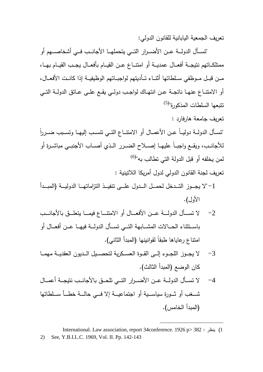تعريف الجمعية اليابانية للقانون الدولي :

 "تســـأل الدولـــة عـــن الأضـــرار التــــي يتحملهـــا الأجانـــب فـــي أشخاصـــهم أو ممتلكــاتهم نتيجــة أفعــال عمديــة أو امتنــاع عــن القيــام بأفعــال يجــب القيــام بهــا، مـــن قبـــل مـــوظفي ســـلطاتها أثنـــاء تـــأديتهم لواجبـــاتهم الوظيفيـــة إذا كانـــت الأفعـــال، أو الامتنــاع عنهــا ناتجــة عــن انتهــاك لواجــب دولــي يقــع علــى عــاتق الدولــة التــي (5) تتبعها السلطات المذكورة"

تعريف جامعة هارفارد :

ً "تســـأل الدولـــة دوليـــاً عـــن الأعمـــال أو الامتنـــاع التـــي تنســـب إليهـــا وتســـبب ضـــررا للأجانـــب، ويقـــع واجبـــاً عليهـــا إصـــلاح الضـــرر الـــذي أصـــاب الأجنبـــي مباشـــرة أو لمن يخلفه أو قبل الدولة التي تطالب به"<sup>(6)</sup>

تعريف لجنة القانون الدولي لدول أمريكا اللاتينية :

- -1"لا يجــــوز التــــدخل لحمــــل الــــدول علــــى تنفيــــذ التزاماتهــــا الدوليــــة (المبــــدأ الأول).
- -2 لا تســــأل الدولــــة عــــن الأفعــــال أو الامتنـــــاع فيمــــا يتعلــــق بالأجانــــب باســـتثناء الحـــالات المشـــابهة التـــي تســـأل الدولـــة فيهـــا عـــن أفعـــال أو امتناع رعاياها طبقاً لقوانينها (المبدأ الثاني).
- -3 لا يجـــوز اللجـــوء إلـــى القـــوة العســـكرية لتحصـــيل الـــديون العقديـــة مهمـــا كان الوضع (المبدأ الثالث).
- -4 لا تســـأل الدولـــة عـــن الأضـــرار التـــي تلحـــق بالأجانـــب نتيجـــة أعمـــال شــــغب أو ثــــورة سياســــية أو اجتماعيــــة إلا فــــي حالــــة خطــــأ ســــلطاتها (المبدأ الخامس).

International. Law association, report 34conference. 1926 p> 382 : ينظر) 1 2) See, Y.B.I.L.C. 1969, Vol. II. Pp. 142-143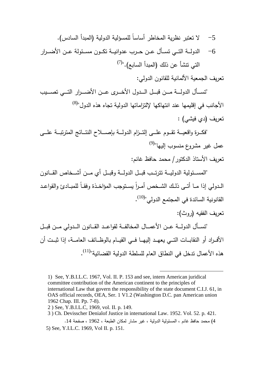-5 لا تعتبر نظرية المخاطر أساساً للمسؤلية الدولية (المبدأ السادس). -6 الدولـــة التـــي تســـأل عـــن حـــرب عدوانيـــة تكـــون مســـئولة عـــن الأضـــرار التي تتشأ عن ذلك (المبدأ السابع)."<sup>(7)</sup>

تعريف الجمعية الألمانية للقانون الدولي :

 "تســــأل الدولــــة مــــن قبــــل الــــدول الأخــــرى عــــن الأضــــرار التــــي تصــــيب الأجانب في إقليمها عند انتهاكها لإلتزاماتها الدولية تجاه هذه الدول"<sup>(8)</sup> تعريف (دي فيشي) :

 "فكـــرة واقعيـــة تقــــوم علـــى إلتــــزام الدولـــة بإصـــلاح النتــــائج المترتبـــة علــــى عمل غير مشروع منسوب إليها"<sup>(9)</sup> تعريف الأستاذ الدكتور/ محمد حافظ غانم :

 "المســـئولية الدوليــــة تترتــــب قبــــل الدولـــة وقبــــل أي مــــن أشــــخاص القــــانون الـدولي إذا مــا أتــي ذلـك الشـخص أمـراً يسـتوجب المؤاخـذة وفقــاً للمبــادئ والقواعـد القانونية السائدة في المجتمع الدولي"<sup>(10)</sup>.

تعريف الفقيه (روث):

 "تســـأل الدولـــة عـــن الأعمـــال المخالفـــة لقواعــــد القـــانون الـــدولي مـــن قبـــل الأفـــراد أو النقابـــات التـــي يعهـــد إليهـــا فـــي القيـــام بالوظـــائف العامـــة، إذا ثبـــت أن هذه الأعمال تدخل في النطاق العام للسلطة الدولية القضائية"<sup>(11)</sup>.

<sup>1)</sup> See, Y.B.I.L.C. 1967, Vol. II. P. 153 and see, intern American juridical committee contribution of the American continent to the principles of international Law that govern the responsibility of the state document C.I.J. 61, in OAS official records, OEA, Ser. 1 V1.2 (Washington D.C. pan American union 1962 Chap. III. Pp. 7-8).

<sup>2 )</sup> See, Y.B.I.L.C, 1969, vol. II. p. 149.

<sup>3 )</sup> Ch. Devisscher Denialof Justice in international Law. 1952. Vol. 52. p. 421.

<sup>4</sup>) محمد حافظ غانم ، المسئولية الدولية ، غير مشار لمكان الطبعة ، 1962 ، صفحة 14 . 5) See, Y.I.L.C. 1969, Vol II. p. 151.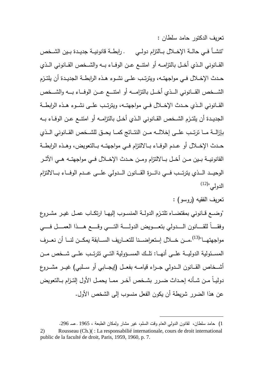تعريف الدكتور حامد سلطان :

"تنشــأ فــي حالــة الإخـــلال بــالتزام دولــي ـ رابطــة قانونيـــة جديــدة بــين الشـــخص القـــانوني الـــذي أخـــل بالتزامـــه أو امتنـــع عـــن الوفـــاء بـــه والشـــخص القـــانوني الـــذي حــدث الإخــلال فــي مواجهتــه، ويترتــب علــى نشــوء هــذه الرابطــة الجديــدة أن يلتــزم الشــــخص القــــانوني الــــذي أخــــل بالتزامــــه أو امتنــــع عــــن الوفــــاء بــــه والشــــخص القـــانوني الـــذي حـــدث الإخـــلال فـــي مواجهتـــه، ويترتـــب علـــى نشـــوء هـــذه الرابطـــة الجديــدة أن يلتــزم الشــخص القــانوني الــذي أخــل بالتزامــه أو امتنــع عــن الوفــاء بــه بإزالـــة مـــا ترتـــب علـــى إخلالـــه مـــن النتـــائج كمــــا يحـــق للشـــخص القـــانوني الـــذي حـدث الإخـــلال أو عــدم الوفــاء بـــالالتزام فــي مواجهتــه بــالتعويض، وهــذه الرابطــة القانونيـــة بـــين مـــن أخـــل بـــالالتزام ومـــن حـــدث الإخـــلال فـــي مواجهتـــه هـــي الأثـــر الوحيــــد الــــذي يترتــــب فــــي دائــــرة القــــانون الــــدولي علــــى عــــدم الوفــــاء بــــالالتزام  $^{(12)^\shortparallel}$ الدولي"

تعريف الفقيه ( روسو) :

"وضــع قــانوني بمقتضــاه تلتــزم الدولــة المنســـوب إليهــا ارتكــاب عمــل غيــر مشــروع وفقــــاً للقـــــانون الـــــدولي بتعـــــويض الدولـــــة التـــــي وقـــــع هــــذا العمــــل فـــــي مواجهتهـــا"<sup>(13)</sup>.مـــن خــــلال إستعراضـــنا للتعـــاريف الســـابقة يمكــن لنــــا أن نعـــرف المســئولية الدوليـــة علـــي أنـهـــا: تلــك المســـؤولية التـــي تترتــب علـــي شـــخص مــن أشـــخاص القـــانون الـــدولي جـــراء قيامـــه بفعـــل (إيجـــابي أو ســـلبي) غيـــر مشـــروع دوليــاً مــن شــأنه إحــداث ضــرر بشــخص آخــر ممــا يحمــل الأول إلتــزام بــالتعويض عن هذا الضرر شريطة أن يكون الفعل منسوب إلى الشخص الأول .

<sup>1</sup>) حامد سلطان، لقانون الدولي العام وقت السلم، غير مشار ولمكان الطبعة ، 1965 ـ صـ 296 . 2) Rousseau (Ch.)( : La responsabilié internationale, cours de droit international public de la faculté de droit, Paris, 1959, 1960, p. 7.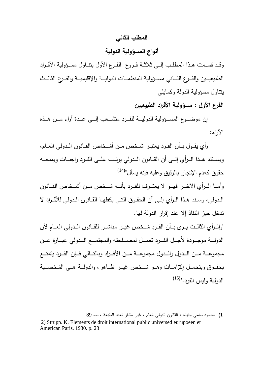#### **المطلب الثاني**

### **أنواع المسؤ ولية الدولية**

وقـد قسـمت هـذا المطلـب إلــى ثلاثــة فـروع الفـرع الأول يتنــاول مســؤولية الأفـراد الطبيعيـــين و الفـــرع الثـــاني مســـؤ ولية المنظمـــات الدوليـــة والإقليميـــة و الفـــرع الثالـــث يتناول مسؤولية الدولة وكمايلي

**الفرع الأول : مسؤ ولية الأفراد الطبيعيين** 

 إن موضــــوع المســــؤ ولية الدوليــــة للفــــرد متشــــعب إلــــى عــــدة آراء مــــن هــــذه الآ : راء

 رأي يقـــول بـــأن الفـــرد يعتبـــر شـــخص مـــن أشـــخاص القـــانون الـــدولي العـــام، ويســـتند هـــذا الـــرأي إلـــى أن القـــانون الـــدولي يرتــــب علـــى الفـــرد واجبـــات ويمنحـــه حقوق كعدم الإتجار بالرقيق وعليه فإنه يسأل"<sup>(14)</sup>

وأمـــا الـــرأي الآخـــر فهـــو لا يعتـــرف للفـــرد بأنـــه شـــخص مـــن أشـــخاص القـــانون الــدولي، وســند هــذا الــرأي إلــى أن الحقــوق التــي يكفلهــا القــانون الــدولي للأفــراد لا تدخل حيز النفاذ إلا عند إقرار الدولة لها .

"والـــرأي الثالـــث يـــرى بـــأن الفـــرد شـــخص غيـــر مباشـــر للقـــانون الـــدولي العـــام لأن الدولـــة موجـــودة لأجـــل الفـــرد تعمــل لمصـــلحته والمجتمـــع الـــدولي عبـــارة عـــن مجموعـــة مـــن الـــدول والـــدول مجموعـــة مـــن الأفـــراد وبالتـــالي فـــإن الفـــرد يتمتـــع بحقـــوق ويتحمـــل إلتزامـــات وهـــو شـــخص غيـــر ظـــاهر، والدولـــة هـــي الشخصـــية الدولية وليس الفرد."<sup>(15)</sup>

<sup>1</sup>) محمود سامي جنينه ، القانون الدولي العام ، غير مشار لعدد الطبعة ، صـ 89

 <sup>2)</sup> Strupp. K. Elements de droit international public universed eurupoeen et American Paris. 1930. p. 23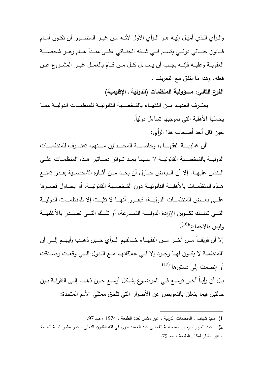والــرأي الــذي أميــل إليــه هــو الــرأي الأول لأنـــه مــن غيــر المتصــور أن نكــون أمــام قـــانون جنـــائي دولـــي يتســـم فـــي شـــقه الجنـــائي علـــى مبـــدأ هـــام وهـــو شخصـــية العقوبـــة وعليـــه فإنـــه يجـــب أن يســـاءل كـــل مـــن قـــام بالعمـــل غيـــر المشـــروع عـــن فعله. وهذا ما يتفق مع التعريف .

**الفرع الثاني: مسؤ ولية المنظمات ( الدولية ـ الإقليمية )**

يعتــرف العديــد مــن الفقهــاء بالشخصــية القانونيــة للمنظمــات الدوليــة ممــا يحملها الأهلية التي بموجبها تساءل دولياً .

حين قال أحد أصحاب هذا الرأي :

"أن غالبيـــــة الفقهـــــاء، وخاصـــــة المحــــدثين مــــنهم، تعتــــرف للمنظمــــات الدوليـــة بالشخصـــية القانونيـــة لا ســـيما بعـــد تـــواتر دســـاتير هـــذه المنظمـــات علـــى الـــنص عليهـــا. إلا أن الـــبعض حـــاول أن يحـــد مــــن آثـــاره الشخصـــية بقـــدر تمتـــع هــــذه المنظمـــات بالأهليـــة القانونيـــة دون الشخصـــية القانونيـــة، أو يحـــاول قصـــرها علــــى بعــــض المنظمــــات الدوليــــة، فيقــــرر أنهــــا لا تثبــــت إلا للمنظمــــات الدوليــــة التــــي تملــــك تكــــوين الإرادة الدوليــــة الشــــارعة، أو تلــــك التــــي تصــــدر بالأغلبيــــة وليس بالإجماع"<sup>(16)</sup>.

إلا أن فريقــــاً مــــن آخــــر مــــن الفقهــــاء خــــالفهم الــــرأي حــــين ذهــــب رأيهــــم إلــــى أن "المنظمـــة لا يكـــون لهـــا وجـــود إلا فـــي علاقاتهـــا مـــع الـــدول التـــي وقعـــت وصـــدقت أو إنضمت إلى دستورها"<sup>(17)</sup>

بــل أن رأيــاً آخــر توســع فــي الموضــوع بشــكل أوســع حــين ذهــب إلــى التفرقــة بــين حالتين فيما يتعلق بالتعويض عن الأضرار التي تلحق ممثلي الأمم المتحدة :

1) مفيد شهاب ، المنظمات الدولية ، غير مشار لعدد الطبعة ، 1974 ، صـ 97 .

<sup>2</sup>) عبد العزيز سرحان ، مساهمة القاضي عبد الحميد بدوي في فقه القانون الدولي ، غير مشار لسنة الطبعة ، غير مشار لمكان الطبعة ، صـ 79 .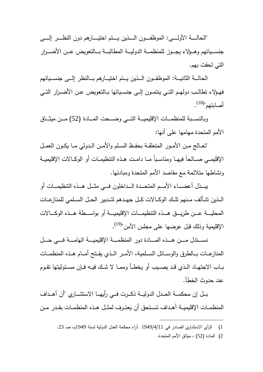"الحالـــــة الأولـــــى: الموظفـــــون الـــــذين يـــــتم اختيـــــارهم دون النظـــــر إلـــــى جنســياتهم وهــؤلاء يجــوز للمنظمـــة الدوليـــة المطالبـــة بـــالتعويض عــن الأضـــرار التي لحقت بهم .

الحالـــة الثانيـــة: الموظفــون الـــذين يــتم اختيـــارهم بـــالنظر إلـــى جنســياتهم فهــؤلاء تطالــب دولهــم التــي ينتمــون إلــى جنســياتها بــالتعويض عــن الأضــرار التــي أصابتهم"<sup>(18)</sup>.

وبالنســبة للمنظمـــات الإقليميـــة التـــي وضــــحت المـــادة (52) مـــن ميثـــاق الأمم المتحدة مهامها على أنها :

 "تعــالج مــن الأمــور المتعلقــة بحفــظ الســـلم والأمــن الــدولي مــا يكــون العمــل الإقليمـــي صـــالحاً فيهـــا ومناســـباً مـــا دامـــت هـــذه التنظيمـــات أو الوكـــالات الإقليميـــة ونشاطها متلائمة مع مقاصد الأمم المتحدة ومبادئها .

 يبــــذل أعضــــاء الأمــــم المتحــــدة الــــداخلون فــــي مثــــل هــــذه التنظيمــــات أو الـــذين تتـــألف مـــنهم تلـــك الوكـــالات كـــل جهـــدهم لتـــدبير الحـــل الســـلمي للمنازعـــات المحليـــــة عـــــن طريـــــق هـــــذه التنظيمـــــات الإقليميـــــة أو بواســـــطة هـــــذه الوكـــــالات الإقليمية وذلك قبل عرضها على مجلس الأمن"<sup>(19)</sup>.

 نســـــتدل مـــــن هـــــذه المـــــادة دور المنظمـــــة الإقليميـــــة الهامـــــة فـــــي حـــــل المنازعـــات بــــالطرق والوســـائل الســـلمية، الأمـــر الــــذي يفـــتح أمـــام هـــذه المنظمـــات بــاب الاجتهــاد الــذي قــد يصــيب أو يخطــأ وممـــا لا شــك فيــه فــإن مســئوليتها تقــوم عند حدوث الخطأ .

 بـــل إن محكمـــة العـــدل الدوليـــة ذكـــرت فـــي رأيهـــا الاستشـــاري "أن أهـــداف المنظمــات الإقليميــة أهـداف تسـتحق أن يعتــرف لمثـل هــذه المنظمــات بقـدر مــن

<sup>1</sup>) الرأي الاستشاري الصادر في 1949/4/11 ـ آراء محكمة العدل الدولية لسنة 1949م، صـ 23 .

<sup>2</sup>) المادة (52 ) ، ميثاق الأمم المتحدة .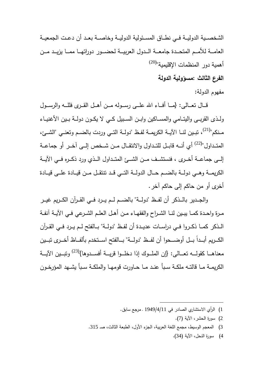الشخصـــية الدوليـــة فـــي نطـــاق المســـئولية الدوليـــة وخاصـــة بعـــد أن دعـــت الجمعيـــة العامـــة للأمـــم المتحـــدة جامعـــة الـــدول العربيـــة لحضـــور دوراتهـــا ممـــا يزيـــد مـــن أهمية دور المنظمات الإقليمية"<sup>(20)</sup>

**الفرع الثالث : مسؤ ولية الدولة**

مفهوم الدولة :

قــال نعــالـي: {مــا أفــاء الله علـــى رســوله مــن أهــل القــرى فللــه والرســول ولــذى القربــى واليتــامي والمســاكين وابــن الســبيل كــي لا يكــون دولــة بــين الأغنيــاء مـنكم"<sup>(21)</sup>، تبـين لنــا الآيــة الكريمــة لفـظ "دولــة التــي وردت بالضــم وتعنــي "الشــئ، المتــداول"<sup>(22)</sup> أي أنـــه قابــل للتــداول والانتقــال مــن شــخص إلـــى آخــر أو جماعــة إلـــى جماعـــة أخــــرى ، فنستشـــف مـــن الشـــئ المتـــداول الـــذي ورد ذكـــره فـــي الآيـــة الكريمـــة وهـــي دولـــة بالضـــم حـــال الدولـــة التـــي قـــد تنتقـــل مـــن قيـــادة علـــى قيـــادة أخرى أو من حاكم إلى حاكم آخر .

 والجـــدير بالـــذكر أن لفـــظ "دولـــة" بالضـــم لـــم يـــرد فـــي القـــرآن الكـــريم غيـــر مــرة واحــدة كمــا يبــين لنــا الشــراح والفقهــاء مــن أهــل العلــم الشــرعي فــي الآيــة آنفــة الــذكر كمــا ذكــروا فــي دراســات عديــدة أن لفــظ "دولــة" بــالفتح لــم يــرد فــي القــرآن الكــريم أبــداً بــل أوضـــحوا أن لفــظ "دولـــة" بـــالفتح اســتخدم بألفــاظ أخــرى تبــين معناهـــا كقولــــه تعـــالـى: {إن الملـــوك إذا دخلـــوا قريـــة أفســـدوها}<sup>(23)</sup> وتبـــين الآيـــة الكريمــة مــا قالتــه ملكــة ســبأ عنــد مــا حــاورت قومهــا والملكــة ســبأ يشــهد المؤرخــون

- 2) سورة الحشر، الآية (7 ).
- 3) المعجم الوسيط، مجمع اللغة العربية، الجزء الأول، الطبعة الثالث، صـ 315 .

 $\overline{a}$ 

4) سورة النحل، الآية (34 ).

<sup>1</sup>) الرأي الاستشاري الصادر في 1949/4/11 ـ مرجع سابق .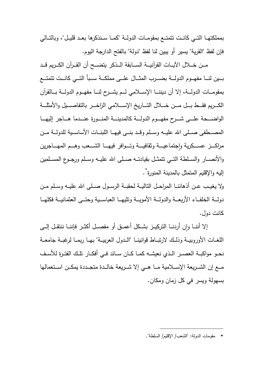بمملكتهــا التــي كانــت تتمتــع بمقومــات الدولــة "كمــا ســنذكرها بعــد قليــل"، وبالتــالي فإن لفظ "القرية" يسير أو يبين لنا لفظ "دولة" بالفتح الدارجة اليوم .

 مـــن خـــلال الآيـــات القرآنيـــة الســـابقة الـــذكر يتضـــح أن القـــرآن الكـــريم قـــد بــــين لنــــا مفهــــوم الدولــــة بضــــرب المثــــال علــــى مملكــــة ســــبأ التــــي كانــــت تتمتــــع بمقومـــات الدولـــة، إلا أن ديننـــا الإســـلامي لـــم يشـــرح لنـــا مفهـــوم الدولـــة بـــالقرآن الكــــريم فقــــط بــــل مــــن خــــلال التــــاريخ الإســــلامي الزاخــــر بالتفاصــــيل والأمثلــــة الواضــــحة علــــى شــــرح مفهــــوم الدولــــة كالمدينــــة المنــــورة عنــــدما هــــاجر إليهــــا المصـــطفى صـــلى االله عليـــه وســـلم وقـــد بنـــى فيهـــا اللبنـــات الأساســـية للدولـــة مـــن مراكــــز عســـكريـة وإجتماعيــــة وثقافيــــة وتـــوافر فيهــــا الشــــعب وهـــم المهــــاجرين والأنصـــار والســلطة التـــي نتمثــل بقيادتــه صــلـي الله عليــه وسـلم ورجــوع المســلمين إليه والإقليم المتمثل بالمدينة المنورة ٌ .

ولا يغيــب عــن أذهاننــا المراحــل التاليــة لحقبــة الرســول صــلى االله عليــه وســلم مــن دولـــة الخلفـــاء الأربعـــة والدولـــة الأمويـــة وتليهـــا العباســـية وحتـــى العثمانيـــة فكلهـــا كانت دول .

إلا أننــا وإن أردنــا التركيــز بشـكل أعمــق أو مفصــل أكثــر فإننــا ننتقـل إلــى اللغـــات الأوروبيـــة وذلـــك لارتبـــاط قوانينـــا "الـــدول العربيـــة" بهـــا ربمـــا لرغبـــة جامعـــة نحــو مواكبـــة العصــر الــذي نعيشــه كمــا كــان ســائد فــي أفكــار تلــك الفتــرة للأســف مـــع إن الشـــريعة الإســـلامية مـــا هـــي إلا شـــريعة خالـــدة متجـــددة يمكـــن اســـتعمالها بسهولة ويسر في كل زمان ومكان .

• مقومات الدولة: "الشعب/ الإقليم/ السلطة ".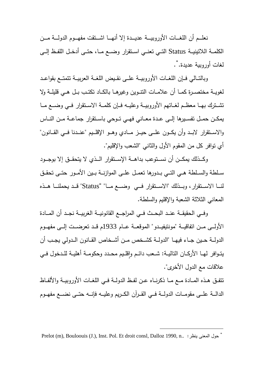نعلــــم أن اللغــــات الأوروبيــــة عديــــدة إلا أنهــــا اشــــتقت مفهــــوم الدولــــة مــــن الكلمــة اللاتينيـــة Status التــي تعنـــي اســـتقرار وضــع مـــا، حتـــى أدخــل اللفـــظ إلـــى لغات أوروبية عديدة. ٌ.

وبالتــالي فــإن اللغــات الأوروبيــة علــى نقـيض اللغــة العربيــة تتمتــع بقواعـد لغويــة مختصــرة كمــا أن علامــات التنــوين وغيرهــا بالكــاد تكتــب بــل هــي قليلــة ولا تشـــترك بهـــا معظـــم لغـــاتهم الأوروبيـــة وعليـــه فـــإن كلمـــة الاســـتقرار فـــي وضـــع مـــا يمكــن حمـــل تفســـيرها إلـــى عــدة معـــاني فهـــي تـــوحي باســتقرار جماعـــة مـــن النـــاس والاســتقرار لابــد وأن يكــون علــي حيــز مـــادي وهــو الإقلــيم "عنــدنا فــي القــانون" أي توافر كل من المقوم الأول والثاني "الشعب والإقليم".

 وكـــذلك يمكـــن أن نســـتوعب بداهـــة الإســـتقرار الـــذي لا يتحقـــق إلا بوجـــود ســلطة والســـلطة هــي التـــي بــدورها تعمــل علــى الموازنـــة بــين الأمــور حتــى تحقـــق لنــــا الاســــتقرار، وبــــذلك "الاســــتقرار فــــي وضــــع مــــا "" Status "قــــد يحملنــــا هــــذه المعاني الثلاثة الشعبة والإقليم والسلطة .

وفــي الحقيقــة عنــد البحـث فــي المراجــع القانونيــة الغربيــة نجــد أن المـــادة الأولـــى مـــن اتفاقيـــة "مونتيفيـــدو" الموقعـــة عـــام 1933م قـــد تعرضـــت إلـــى مفهـــوم الدولـــة حـــين جـــاء فيهـــا "الدولـــة كشـــخص مـــن أشـــخاص القـــانون الـــدولي يجـــب أن يتـوافر لـهــا الأركــان التاليــة: شــعب دائــم وإقلــيم محــدد وحكومــة أهليــة للــدخول فــي  $\frac{1}{2}$ علاقات مع الدول الأخرى".

تتفــق هــذه المــادة مــع مــا ذكرنــاه عــن لفــظ الدولــة فــي اللغــات الأوروبيــة والألفــاظ الدالـــة علـــى مقومـــات الدولـــة فـــي القـــرآن الكـــريم وعليـــه فإنـــه حتـــى نضـــع مفهـــوم

<sup>\*</sup> Prelot (m), Bouloouis (J.), Inst. Pol. Et droit consl, Dalloz 1990, n.. ر : ينظ المعنى حول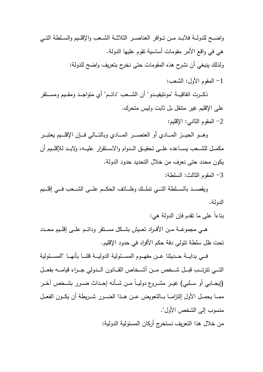واضــح للدولــة فلابـد مــن تــوافر العناصــر الثلاثــة الشــعب والإقلـيم والسـلطة التــي هي في واقع الأمر مقومات أساسية تقوم عليها الدولة . ولذلك ينبغي أن نشرح هذه المقومات حتى نخرج بتعريف واضح للدولة:

1 - المقوم الأول: الشعب :

 ذكـــرت اتفاقيـــة "مونتيفيـــدو" أن الشـــعب "دائـــم" أي متواجـــد ومقـــيم ومســـتقر على الإقليم غير متنقل بل ثابت وليس متحرك . 2 - المقوم الثاني: الإقليم :

وهــو الحيـــز المــــادي أو الـعنصــــر المــــادي وبالتـــالـي فـــإن الإقلـــيم يعتبـــر مكمـــل للشـــعب يســـاعده علـــى تحقيـــق الـــدوام والاســـتقرار عليـــه، ولابـــد للإقلـــيم أن يكون محدد حتى نعرف من خلال التحديد حدود الدولة .

3 - المقوم الثالث: السلطة :

ويقصـــد بالســـلطة التـــي تملــك وظـــائف الـحكــم علـــي الشـــعب فـــي إقلــيم الدولة .

بناءاً على ما تقدم فإن الدولة هي:

 هـــي مجموعـــة مـــن الأفـــراد تعـــيش بشـــكل مســـتقر ودائـــم علـــى إقلـــيم محـــدد تحت ظل سلطة تتولى دفة حكم الأفراد في حدود الإقليم .

 فـــي بدايـــة حـــديثنا عـــن مفهـــوم المســـئولية الدوليـــة قلنـــا بأنهـــا "المســـئولية التــــي تترتــــب قبــــل شــــخص مــــن أشــــخاص القــــانون الــــدولي جــــراء قيامــــه بفعــــل (إيجـــابي أو ســـلبي) غيـــر مشـــروع دوليـــاً مـــن شـــأنه إحـــداث ضـــرر بشـــخص آخـــر ممـــا يحمــل الأول إلتزامـــا بـــالتعويض عــن هــذا الضـــرر شـــريطة أن يكــون الفعــل منسوب إلى الشخص الأول".

من خلال هذا التعريف نستخرج أركان المسئولية الدولية :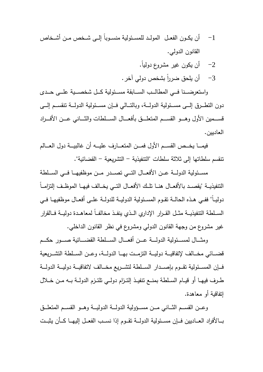- -1 أن يكــون الفعــل المولـــد للمســئولية منســـوباً إلــى شـــخص مــن أشـــخاص القانون الدولي .
	- -2 أن يكون غير مشروع دوليا.ً
	- 3– أن يلحق ضرراً بشخص دولي آخر .

 واستعرضــــنا فــــي المطالــــب الســــابقة مســــئولية كــــل شخصــــية علــــى حــــدى دون التطـــرق إلـــى مســـئولية الدولــــة، وبالتـــالي فـــإن مســــئولية الدولـــة تنقســـم إلــــى قســـمين الأول وهـــو القســـم المتعلـــق بأفعــــال الســـلطات والثــــاني عـــن الأفـــراد العاديين .

 فيمــــا يخــــص القســــم الأول فمــــن المتعــــارف عليــــه أن غالبيــــة دول العــــالم تنقسم سلطاتها إلى ثلاثة سلطات "التنفيذية - التشريعية - القضائية".

 مســــئولية الدولــــة عــــن الأفعــــال التــــي تصــــدر مــــن موظفيهــــا فــــي الســــلطة التتفيذيــة "يقصــد بالأفعــال هنــا تلــك الأفعــال التـــي يخــالف فيهــا الموظــف إلتزامــاً دوليــاً" ففــي هــذه الحالــة تقــوم المســئولية الدوليـــة للدولــة علــى أفعــال موظفيهــا فــي الســلطة النتفيذيـــة مثــل القــرار الإداري الــذي ينفــذ مخالفــاً لمعاهــدة دوليــة فــالقرار غير مشروع من وجهة القانون الدولي ومشروع في نظر القانون الداخلي .

 ومثــــال لمســــئولية الدولـــــة عــــن أفعـــــال الســــلطة القضـــــائية صــــور حكـــــم قضـــائي مخـــالف لإتفاقيـــة دوليـــة التزمـــت بهـــا الدولـــة، وعـــن الســـلطة التشـــريعية فـــإن المســئولية تقــوم بإصـــدار الســلطة لتشـــريع مخـــالف لاتفاقيـــة دوليـــة الدولـــة طــرف فيهــا أو قيــام الســلطة بمنــع تنفيــذ إلتــزام دولــي تلتــزم الدولــة بــه مــن خــلال إتفاقية أو معاهدة .

وعــن القســم الثـــانـي مـــن مســـؤولية الدولـــة الدوليـــة وهــو القســم المتعلـــق بـــالأفراد العـــاديين فـــإن مســـئولية الدولـــة تقـــوم إذا نســـب الفعـــل إليهـــا كـــأن يثبـــت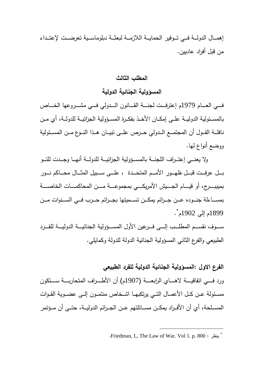إهمـــال الدولـــة فـــي تـــوفير الحمايـــة اللازمـــة لبعثـــة دبلوماســـية تعرضـــت لإعتـــداء من قبل أفراد عاديين .

### **المطلب الثالث**

**المسؤولية الجنائية الدولية**

فـــــي العـــــام 1979م إعترفـــــت لجنـــــة القـــــانون الـــــدولي فـــــي مشـــــروعها الخـــــاص بالمســـئولية الدوليـــة علـــى إمكـــان الأخـــذ بفكـــرة المســـؤ ولية الجزائيـــة للدولـــة، أي مـــن نافلـــة القـــول أن المجتمـــع الـــدولي حـــرص علـــى تبيـــان هـــذا النـــوع مـــن المســـئولية ووضع أنواع لها .

ولا يعنــي إعتــراف اللجنـــة بالمســؤولية الجزائيـــة للدولـــة أنـهـــا وجــدت للتــو بــــل عرفــــت قبــــل ظهـــــور الأمــــم المتحــــدة ، علــــى ســــبيل المثــــال محــــاكم نــــور بميببـــــرج، أو قيـــــام الجـــــيش الأمريكـــــي بمجموعـــــة مـــــن المحاكمـــــات الخاصـــــة بمســــاءلة جنــــوده عــــن جــــرائم يمكــــن تســــميتها بجــــرائم حــــرب فــــي الســــنوات مــــن \* 1899م إلى 1902م .

ســـوف نقســـم المطلـــب إلــــى فـــرعين الأول المســــؤولية الجنائيــــة الدوليــــة للفـــرد الطبيعي و الفرع الثاني المسؤ ولية الجنائية الدولة للدولة وكمايلي .

### **الفرع الاول :المسؤولية الجنائية الدولية للفرد الطبيعي**

ورد فــــي اتفاقيـــــة لاهـــــاي الرابعــــة (1907م) أن الأطـــــراف المتحاربــــة ســــتكون مسـئولة عــن كــل الأعمــال التـــي يرتكبهــا اشــخاص منتمــون إلـــي عضـــوية القــوات المســلحة، أي أن الأفــراد يمكــن مســـائلتهم عــن الجــرائم الدوليـــة، حتـــى أن مــؤتمر

<sup>\*</sup> . Friedman, L, The Law of War. Vol 1. p. 800 : ينظر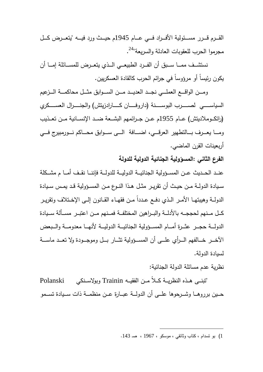القــــرم قــــرر مســــئولية الأفــــراد فــــي عــــام 1945م حيــــث ورد فيــــه "يتعــــرض كــــل مجرموا الحرب للعقوبات العادلة والسريعة"<sup>24</sup>.

نستشــف ممـــا ســـبق أن الفــرد الطبيعـــي الـــذي بتعــرض للمســـائلة إمـــا أن يكون رئيساً أو مرؤوساً في جرائم الحرب كالقادة العسكريين .

 ومــــن الواقــــع العملــــي نجــــد العديــــد مــــن الســــوابق مثــــل محاكمــــة الــــزعيم السياســـــــي لصـــــــرب البوســـــــنة (داروفـــــــان كـــــــارادزيتش) والجنـــــــرال العســـــــكري (راتكـــوملاديتش) عـــام 1955م عـــن جـــرائمهم البشـــعة ضـــد الإنســـانية مـــن تعـــذيب ومــــا يعـــرف بــــالتطهير العرقــــي، اضــــافة الــــي ســـوابق محـــاكم نـــورمبيرج فـــي أربعينات القرن الماضي .

**الفرع الثاني :المسؤ ولية الجنائية الدولية للدولة** 

عنــد الحــديث عــن المســؤولية الجنائيــة الدوليــة للدولــة فإننـــا نقـف أمـــا م مشــكلة ســيادة الدولــة مــن حيــث أن تقريــر مثــل هــذا النــوع مــن المســؤ ولية قــد يمــس ســيادة الدولــة وهيبتهــا الأمــر الـذي دفــع عــددا مــن فقهــاء القــانون إلــى الإخــتلاف وتقريــر كـــل مـــنهم لحججـــه بالأدلـــة والبـــراهين المختلفـــة فمـــنهم مـــن اعتبـــر مســـألة ســـيادة الدولـــة حجــر عثــرة أمـــام المســـؤولية الجنائيـــة الدوليـــة لأنهـــا معدومـــة والـــبعض الآخــر خـــالفهم الـــرأي علـــي أن المســـؤولية تثـــار بــل وموجـــودة ولا تعــد ماســـة لسيادة الدولة .

نظرية عدم مسائلة الدولة الجنائية :

 "تبنـــى هـــذه النظريـــة كـــلاً مـــن الفقيـــه Trainin وبولاســـنكي Polanski حـــين برروهـــا وشـــرحو ها علـــى أن الدولـــة عبـــارة عـــن منظمـــة ذات ســـيادة تســـمو

<sup>1</sup>) بو تسدام ، كتاب وثائقي ، موسكو ، 1967 ، صـ 143 .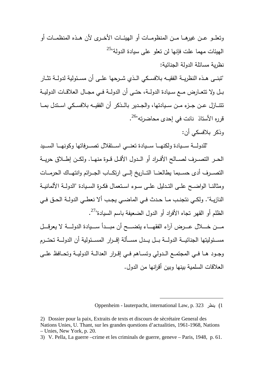وتعلـــو عــــن غيرهـــا مـــن المنظومـــات أو الهيئـــات الأخـــرى لأن هـــذه المنظمـــات أو الهيئات مهما علت فإنها لن تعلو على سيادة الدولة"<sup>25</sup> نظرية مسائلة الدولة الجنائية :

"تبنـــى هـــذه النظريـــة الفقيـــه بلافســـكي الـــذي شـــرحها علـــى أن مســـئولية لدو لـــة تثـــار بــل ولا تتعــارض مــع ســيادة الدولــة، حتــى أن الدولــة فــي مجــال العلاقــات الدوليــة تتنـــازل عـــن جـــزء مـــن ســـيادتها، والجـــدير بالـــذكر أن الفقيـــه بلافســـكي اســـتدل بمـــا قرره الأستاذ نانت في إحدى محاضرته"<sup>26</sup>.

وذكر بلافسكي أن :

"للدولـــة ســيادة ولكنهـــا ســـيادة تعنـــي اســتقلال تصـــرفاتها وكونهــا الســيد الحـــر التصـــرف لصـــالح الأفـــراد أو الـــدول الأقـــل قـــوة منهـــا. ولكـــن إطـــلاق حريـــة التصـــرف أدى حســـبما يطالعنـــا التـــاريخ إلـــى ارتكـــاب الجـــرائم وانتهـــاك الحرمـــات ومثالنــا الواضــح علــى التــدليل علــى ســوء اســتعمال فكــرة الســيادة "الدولــة الألمانيــة النازيــة". ولكــي نتجنــب مــا حــدث فــي الماضــي يجــب ألا نعطــي الدولــة الحــق فــي الظلم أو القهر تجاه الأفراد أو الدول الضعيفة باسم السيادة"<sup>27</sup>. مـــــن خـــــلال عـــــرض آراء الفقهـــــاء يتضـــــح أن مبـــــدأ ســـــيادة الدولـــــة لا يعرقـــــل مســــئوليتها الجنائيــــة الدولــــة بــــل يــــدل مســــألة إقــــرار المســــئولية أن الدولــــة تحتــــرم وجــود هــا فــي المجتمــع الــدولي وتســـاهم فــي إقـــرار العدالــة الدوليــة وتحــافظ علـــى

العلاقات السلمية بينها وبين أقرانها من الدول .

Oppenheim - lauterpacht, international Law, p. 323 ينظر) 1

<sup>2)</sup> Dossier pour la paix, Extraits de texts et discours de sècrétaire General des Nations Unies, U. Thant, sur les grandes questions d'actualities, 1961-1968, Nations – Unies, New York, p. 20.

<sup>3)</sup> V. Pella, La guerre –crime et les criminals de guerre, geneve – Paris, 1948, p. 61.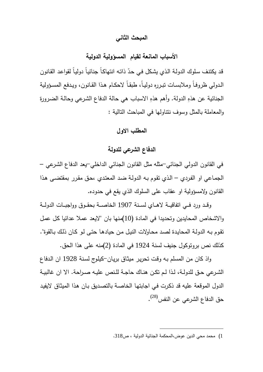### **المبحث الثاني**

### **الأسباب المانعة لقيام المسؤولية الدولية**

قد يكتنف سلوك الدولـة الذي يشكل في حدّ ذاتـه انتهاكـا جنائيـا دوليـا لقواعد القانون الـدولي ظروفـاً وملابسـات تبـرره دوليـاً، طبقـاً لاحكــام هـذا القـانون، ويـدفع المسـؤولية الجنائية عن هذهِ الدولة. وأهم هذهِ الاسباب هي حالة الدفاع الشرعي وحالـة الضرورة والمعاملة بالمثل وسوف نتناولها في المباحث التالية :

### **المطلب الاول**

### **الدفاع الشرعي للدولة**

في القانون الدولي الجنائي-مثله مثل القانون الجنائي الداخلي-يعد الدفاع الشـرعي – الجمـاعي او الفـردي – الـذي تقـوم بـه الدولـة ضـد المعتـدي ،حـق مقـرر بمقتضـى هـذا القانون ولامسؤولية او عقاب على السلوك الذي يقع في حدوده .

وقـــد ورد فـــي اتفاقيـــة لاهـــاي لســـنة 1907 الخاصـــة بحقـــوق وواجبـــات الدولـــة والاشخاص المحايدين وتحديدا في المادة (10)منها بان "لايعد عملا عدائيا كل عمل تقـوم بـه الدولـة المحايـدة لصـد محـاولات النيـل مـن حيادهـا حتـى لـو كـان ذلـك بـالقوة". كذلك نص بروتوكول جنيف لسنة 1924 في المادة (2)منه على هذا الحق .

واذ كان من المسلم بـه وقـت تحريـر ميثـاق بريـان-كيلـوج لسـنة 1928 ان الـدفاع الشــرعي حــق للدولــة، لــذا لــم تكــن هنــاك حاجــة للــنص عليــه صــراحة. الا ان غالبيــة الدول الموقعة عليه قد ذكـرت فـي اجابتهـا الخاصـة بالتصـديق بـان هـذا الميثـاق لايفيـد حق الدفاع الشرعي عن النفس<sup>(28)</sup>.

<sup>1</sup>) محمد محي الدين عوض،المحكمة الجنائية الدولية ، ص318 .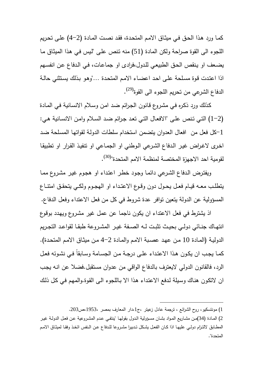كمـا ورد هـذا الحـق فـي ميثـاق الامـم المتحـدة، فقـد نصـت المـادة (4-2) علـى تحـريم اللجوء الى القوة صراحة ولكن المادة (51) منه تـنص علـى "لـيس فـي هـذا الميثـاق مـا يضـعف او يـنقص الحـق الطبيعـي للـدول،فرادى او جماعـات، فـي الـدفاع عـن انفسـهم اذا اعتـدت قـوة مسـلحة علـى احـد اعضـاء الامـم المتحـدة ..."وهـو بـذلك يسـتثني حالـة الدفاع الشرعي من تحريم اللجوء الى القوة<sup>(29)</sup>.

كـذلك ورد ذكـره فـي مشـروع قـانون الجـرائم ضـد امـن وسـلام الانسـانية فـي المـادة (1-2) التـي تـنص علـى "الافعـال التـي تعـد جـرائم ضـد السـلام وامـن الانسـانية هـي: -1كل فعل من افعال العدوان يتضمن استخدام سلطات الدولـة لقواتهـا المسـلحة ضـد اخـرى لاغـراض غيـر الـدفاع الشـرعي الـوطني او الجمـاعي او تنفيـذ القـرار او تطبيقـا لقومية احد الاجهزة المختصة لمنظمة الامم المتحدة"<sup>(30)</sup>.

ويفتـرض الـدفاع الشـرعي دائمـا وجـود خطـر اعتـداء او هجـوم غيـر مشـروع ممـا يتطلــب معــه قيــام فعــل يحــول دون وقــوع الاعتــداء او الهجــوم ولكــي يتحقــق امتنــاع المسؤولية عن الدولة يتعين توافر عدة شروط في كل من فعل الاعتداء وفعل الدفاع .

اذ يشترط في فعل الاعتداء ان يكون ناجما عن عمل غير مشـروع ويهـدد بوقـوع انتهــاك جنــائي دولــي بحيــث تثبــت لــه الصــفة غيــر المشــروعة طبقــا لقواعــد التجــريم الدوليـة (المـادة 10 مـن عهـد عصـبة الامـم والمـادة 4-2 مـن ميثـاق الامـم المتحـدة). كمـا يجـب ان يكـون هــذا الاعتـداء علـى درجــة مـن الجسـامة وســابقاً فـي نشـوئه فعــل الرد، فالقانون الدولي لايعترف بالدفاع الواقي من عدوان مستقبل.فضلا عن انـه يجـب ان لاتكـون هنـاك وسـيلة لـدفع الاعتـداء هـذا الا بـاللجوء الـى القـوة.والمهـم فـي كـل ذلـك

<sup>1</sup>) مونتسكيو، روح الشرائع ، ترجمة عادل زعيتر ج، ،1دار المعارف بمصر ،1953،ص203 .

<sup>2</sup>) المـادة (34)مــن مشــاريع المـواد بشــان مســؤولية الــدول بقولهـا "ينتفــي عــدم المشــروعية عـن فعــل الدولــة غيــر المطــابق لالتــزام دولــي عليهــا اذا كــان الفعــل يشــكل تــدبيرا مشــروعا للــدفاع عــن الــنفس اتخــذ وفقــا لميثــاق الامــم المتحدة ".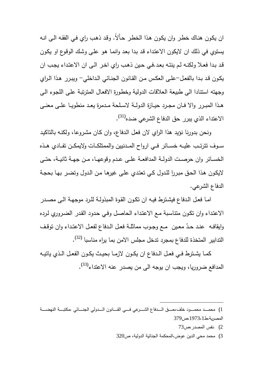ان يكـون هنـاك خطـر وان يكـون هـذا الخطـر حـاّلا.ً وقـد ذهـب راي فـي الفقـه الـى انـه يستوي في ذلك ان لايكون الاعتـداء قـد بـدا بعـد وانمـا هـو علـى وشـك الوقـوع او يكـون قـد بـدا فعـلا ولكنـه لـم ينتـه بعـد.فـي حـين ذهـب راي اخـر الـى ان الاعتـداء يجـب ان يكـون قـد بـدا بالفعـل-علـى العكـس مـن القـانون الجنـائي الـداخلي - ويبـرر هـذا الـراي وجهته استنادا الى طبيعة العلاقات الدولية وخطـورة الافعـال المترتبـة علـى اللجـوء الـى هـذا المبـرر والا فــان مجـرد حيــازة الدولــة لاسـلحة مـدمرة يعـد منطويــا علــى معنــى الاعتداء الذي يبرر حق الدفاع الشرعي ضده<sup>(31)</sup>.

ونحن بدورنا نؤيد هذا الراي لان فعـل الـدفاع، وان كـان مشـروعا، ولكنـه بالتاكيـد ســوف تترتـــب عليـــه خســـائر فـــي ارواح المـــدنيين والممتلكـــات ولايمكـــن تفـــادي هـــذه الخســائر وان حرصــت الدولــة المدافعــة علــى عــدم وقوعهــا، مــن جهــة ثانيــة، حتــى لايكـون هـذا الحـق مبـررا للـدول كـي تعتـدي علـى غيرهـا مـن الـدول وتضـر بهـا بحجـة الدفاع الشرعي .

امـا فعـل الـدفاع فيشـترط فيـه ان تكــون القـوة المبذولـة للـرد موجهـة الـى مصـدر الاعتـداء وان تكـون متناسـبة مـع الاعتـداء الحاصـل وفـي حـدود القـدر الضـروري لـرده وايقافـه عنـد حـدّ معين ً مـع وجـوب مماثلــة فعـل الـدفاع لفعـل الاعتـداء وان توقـف الندابير المتخذة للدفاع بمجرد تدخل مجلس الامن بما يراه مناسبا <sup>(32)</sup>.

كمــا يشــترط فــي فعــل الــدفاع ان يكــون لازمــا بحيــث يكــون الفعــل الــذي ياتيــه المدافع ضروريا، ويجب ان يوجه الى من يصدر عنه الاعتداء<sup>(33)</sup>.

- $73$ ، نفس المصدر، ص $(2)$
- 3) محمد محي الدين عوض،المحكمة الجنائية الدولية، ص320

<sup>1</sup>) محمـــــد محمـــــود خلف،حــــــق الـــــدفاع الشــــــرعي فـــــي القــــــانون الـــــدولي الجنــــــائي ،مكتبـــــة النهضــــــة المصرية ط، ،1973،1ص379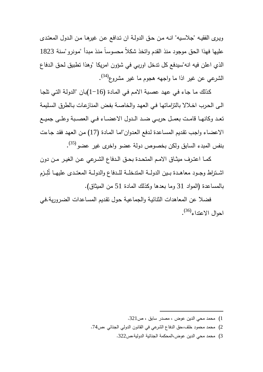ويـرى الفقيـه "جلاسـيه" انـه مـن حـق الدولـة ان تـدافع عـن غيرهـا مـن الـدول المعتـدى عليها فهذا الحق موجود منذ القدم واتخذ شكلاً محسوسـاً منـذ مبـدأ "مـو نرو"سـنة 1823 الذي اعلن فيه انه"سيدفع كل تدخل اوربي في شؤون امريكا "وهذا تطبيق لحـق الـدفاع الشرعي عن غير اذا ما واجهه هجوم ما غير مشروع<sup>(34)</sup>.

كـذلك مـا جـاء فـي عهـد عصـبة الامـم فـي المـادة (1-16)بـان "الدولـة التـي تلجـا الـى الحـرب اخـلالا بالتزاماتهـا فـي العهـد والخاصـة بفـض المنازعـات بـالطرق السـليمة تعــد وكانهــا قامــت بعمــل حربــي ضــد الــدول الاعضــاء فــي العصــبة وعلــى جميــع الاعضـاء واجـب تقـديم المسـاعدة لـدفع العـدوان"امـا المـادة (17) مـن العهـد فقـد جـاءت بنفس المبدء السابق ولكن بخصوص دولة عضو واخرى غير عضو (35) .

كمــا اعتــرف ميثــاق الامــم المتحــدة بحــق الــدفاع الشــرعي عــن الغيــر مــن دون اشــتراط وجــود معاهــدة بــين الدولــة المتدخلــة للــدفاع والدولــة المعتــدى عليهـا تُلِــزم بالمساعدة (المواد 31 وما بعدها وكذلك المادة 51 من الميثاق ).

فضلا عن المعاهدات الثنائيـة والجماعيـة حـول تقـديم المسـاعدات الضـرورية.فـي احوال الاعتداء<sup>(36)</sup>.

2) محمد محمود خلف،حق الدفاع الشرعي في القانون الدولي الجنائي ،ص74 .

 $\overline{a}$ 

3) محمد محي الدين عوض،المحكمة الجنائية الدولية،ص322 .

<sup>1</sup>) محمد محي الدين عوض ، م صدر سابق ، ص321 .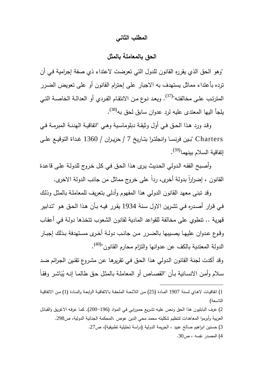#### **المطلب الثاني**

**الحق بالمعاملة بالمثل** 

"وهو الحق الذي يقرره القانون للدول التي تعرضت لاعتداء ذي صفة إجرامية فـي أن ترده بأعتداء مماثل يستهدف به الاجبار على إحترام القانون أو على تعويض الضـرر المترتب علـى مخالفتـه"<sup>(37)</sup>. ويعد نـوع مـن الانتقـام الفـردي أو الـعدالـة الخاصــة التـي يلجأ اليها المعتدى عليه لرد عدوان سابق لحق به<sup>(38)</sup>.

وقـد ورد هـذا الحـق فـي أول وثيقـة دبلوماسـية وهـي "اتفاقيـة الهدنـة المبرمـة فـي Charters " بــين فرنســا وانجلتــرا بتــاريخ 7 / حزيــران / 1360 غــداة التوقيــع علــى إتفاقية السلام بينهما<sup>(39)</sup>.

وأصـبح الفقـه الـدولي الحـديث يـرى هـذا الحـق فـي كـل خـروج للدولـة علـى قاعـدة القانون ، إضرارا بدولة أخرى، ردا على خروج مماثل من جانب الدولة الاخرى.

وقد تبنى معهد القانون الدولي هذا المفهوم وأدلى بتعريف للمعاملـة بالمثـل وذلـك فـي قـرار أصـدره فـي تشـرين الاول سـنة 1934 يقـرر فيـه بـأن هـذا الحـق هـو "تـدابير قهرية .. تنطوي على مخالفة للقواعد المادية لقانون الشعوب تتخـذها دولـة فـي أعقـاب وقوع عـدوان عليهـا يصـيبها بالضـرر مـن جانـب دولــة أخـرى مسـتهدفة بـذلك إجبـار الدولة المعتدية بالكف عن عدوانها والتزام محارم القانون"<sup>(40)</sup>.

وقد أكدت لجنة القانون الـدولي هـذا الحـق فـي تقريرهـا عـن مشـروع تقنـين الجـرائم ضـد سلام وأمن الانسانية بـأن "القصـاص أو المعاملـة بالمثل حق طالمـا إنـه يُبَاشـر وفقـاً

<sup>1</sup>) اتفاقيــات لاهــاي لســنة 1907 المــادة (25) مــن اللائحــة الملحقــة بالاتفاقيــة الرابعــة والمــادة (1) مــن الاتفاقيــة التاسعة )

<sup>2</sup>) عرف البابليون هذا الحق ونـص عليـه تشـريع حمـورابي فـي المـواد (200-196). كمـا عرفـه الاغريـق والقبائـل العربية وأبرموا المعاهدات لتنظيم شكليته محمد محي الدين عوض ،المحكمة الجنائية الدولية، ص298 . 3) حسنين ابراهيم صالح عبيد ، الجريمة الدولية (دراسة تحليلية تطبيقية ،) ص27 .

<sup>4</sup>) المصدر نفسه ، ص30 .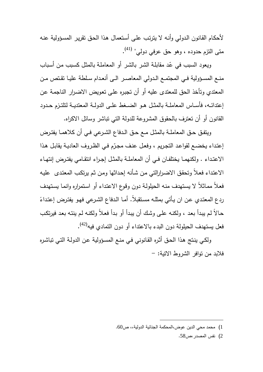لأحكـام القـانون الـدولي وأنـه لا يترتـب علـى أسـتعمال هـذا الحـق تقريـر المسـؤولية عنـه متى التزم حدوده ، وهو حق عرفي دولي" <sup>(41)</sup>.

ويعود السبب في عّد مقابلـة الشـر بالشـر أو المعاملـة بالمثل كسبب من أسباب منــع المســؤولية فــي المجتمــع الــدولي المعاصــر الــى أنعــدام ســلطة عليــا تقــتص مــن المعتدي وتأخذ الحق للمعتدى عليه أو أن تجبـره علـى تعـويض الاضـرار الناجمـة عـن إعتدائــه، فأســاس المعاملــة بالمثــل هــو الضــغط علــى الدولــة المعتديــة لتلتــزم حــدود القانون أو أن تعترف بالحقوق المشروعة للدولة التي تباشر وسائل الاكراه .

ويتفـق حـق المعاملــة بالمثـل مــع حـق الـدفاع الشـرعي فــي أن كلاهمـا يفتـرض إعتداء يخضـع لقواعد التجريم ، وفعل عنف مجرّم فـي الظروف العاديـة يقابل هذا الاعتــداء . ولكنهمــا يختلفــان فــي أن المعاملــة بالمثــل إجــراء انتقــامي يفتــرض إنتهــاء الاعتـداء فعـلاً وتحقـق الاضـرارالتي مـن شـأنه إحـداثها ومـن ثـم يرتكـب المعتـدى عليـه فعـلاً ممـاثلاً لا يسـتهدف منـه الحيلولـة دون وقـوع الاعتـداء أو اسـتمراره وانمـا يسـتهدف ردع المعتدي عن ان يأتي بمثلـه مستقبلا. أمـا الـدفاع الشـرعي فهو يفترض إعتداءً حـالاً لـم يبـدأ بعـد ، ولكنـه علـى وشـك أن يبـدأ أو بـدأ فعـلاً ولكنـه لـم ينتـه بعـد فيرتكـب فعل يستهدف الحيلولة دون البدء بالاعتداء أو دون التمادي فيه<sup>(42)</sup>.

ولكـي ينـتج هـذا الحـق أثـره القـانوني فـي منـع المسـؤولية عـن الدولـة التـي تباشـره فلابد من توافر الشروط الاتية: -

 $\overline{a}$ 

2) نفس المصدر،ص58 .

<sup>1</sup>) محمد محي الدين عوض،المحكمة الجنائية الدولية،، ص60 .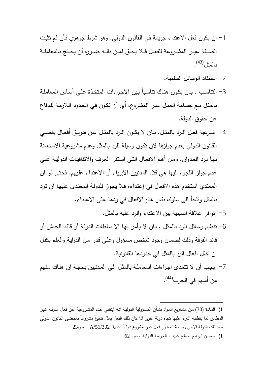- -1 ان يكون فعل الاعتداء جريمة في القانون الدولي. وهو شرط جوهري فـأن لـم تثبـت الصـــفة غيــر المشــروعة للفعــل فــلا يحــق لمــن نالــه ضــرره أن يحــتج بالمعاملــة (43) بالمثل .
	- -2 استنفاذ الوسائل السلمية .
- -3 التناسـب . بـان يكـون هنـاك تناسـباً بـين الاجـراءات المتخـذة علـى أسـاس المعاملـة بالمثـل مـع جسـامة العمـل غيـر المشـروع، أي أن تكـون فـي الحـدود اللازمـة للـدفاع عن حقوق الدولة .
- -4 شــرعية فعــل الــرد بالمثــل. بــان لا يكــون الــرد بالمثــل عــن طريــق أفعــال يقضــي القانون الدولي بعدم جوازها لان تكون وسيلة للرد بالمثل وعدم مشروعية الاسـتعانة بهـا لـرد العـدوان. ومـن أهـم الافعـال التـي اسـتقر العـرف والاتفاقيـات الدوليـة علـى عدم جواز اللجوء اليها هي قتل المدنيين الابرياء أو الاعتـداء علـيهم. فحتـى لـو ان المعتدي استخدم هذه الافعال في إعتـداءه فـلا يجـوز للدولـة المعتـدى عليهـا ان تـرد بالمثل وتلجأ الى سلوك نفس هذه . ِ الافعال في ردها على الاعتداء
	- -5 توافر علاقة السببية بين الاعتداء والرد عليه بالمثل .
- -6 تنظيم وسـائل الـرد بالمثـل . بـان لا يـأمر بهـا الا سـلطات الدولـة أو قائـد الجـيش أو قائد الفرقة وذلك لضمان وجود شخص مسـؤول وعلـى قـدر مـن الدرايـة والعلـم يكفـل ان تظل افعال الرد بالمثل في حدودها القانونية .
- -7 يجـب أن لا تتعـدى اجـراءات المعاملـة بالمثـل الـى المـدنيين بحجـة ان هنـاك مـنهم من أسهم في الحرب<sup>(44)</sup>.

1) المـادة (30) مـن مشـاريع المـواد بشـأن المسـؤولية الدوليـة انـه "ينتفـي عـدم المشـروعية عـن فعـل الدولـة غيـر المطابق لما يتطلبه التزام عليها تجاه دولة اخرى اذا كان ذلك الفعل يمثل تدبيراً مشروعاً بمقتضى القانون الدولي ضد تلك الدولة الاخرى نتيجة لصدور فعل غير مشروع دولياً عنها" /51/332A – ص23 .

1) حسنين ابراهيم صالح عبيد ، الجريمة الدولية ، ص 62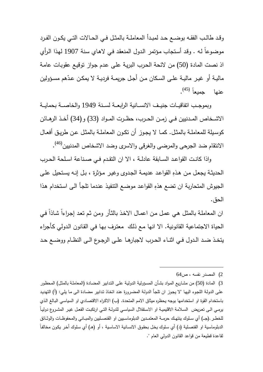وقد طالـب الفقـه بوضــع حـد لمبـدأ المعاملــة بالمثـل فــي الحــالات التــي يكـون الفـرد موضـوعاً لـه . وقـد أسـتجاب مـؤتمر الـدول المنعقـد فـي لاهـاي سـنة 1907 لهـذا الـرأي اذ نصت المادة (50) من لائحة الحـرب البريـة علـى عـدم جـواز توقيـع عقوبـات عامـة ماليـة أو غيـر ماليــة علــى السـكان مـن أجـل جريمــة فرديــة لا يمكـن عـدّهم مسـؤولين (45) عنها جميعاً .

وبموجـب اتفاقيــات جنيـف الانســانية الرابعــة لسـنة 1949 والخاصــة بحمايــة الاشــخاص المــدنيين فــي زمــن الحــرب، حظــرت المــواد (33 (و) 34) أخــذ الرهــائن كوسـيلة للمعاملــة بالمثــل. كمـا لا يجــوز أن تكــون المعاملــة بالمثـل عــن طريــق أفعــال الانتقام ضد الجرحى والمرضى والغرقى والاسرى وضد الاشخاص المدنيين<sup>(46)</sup>.

واذا كانــت القواعــد الســابقة عادلــة ، الا ان التقــدم فــي صــناعة اســلحة الحــرب الحديثـة يجعل مـن هذه القواعد عديمـة الجدوى وغيـر مـؤثرة ، بـل إنـه يستحيل علـى الجيوش المتحاربة ان تضع هذهِ القواعـد موضـع التنفيـذ عنـدما تلجـأ الـى اسـتخدام هـذا الحق .

ان المعاملـة بالمثل هي عمل من اعمـال الاخـذ بالثـأر ومن ثـم تعد إجـراءا شـاذا فـي الحياة الاجتماعية القانونية. الا انها مـع ذلـك معتـرف بهـا فـي القـانون الـدولي كـأجراء يتخــذ ضــد الــدول فــي اثنــاء الحــرب لاجبارهــا علــى الرجــوع الــى النظــام ووضــع حــد

 $64$ المصدر نفسه ، ص $(2)$ 

<sup>3</sup>) المادة (50) من مشـاريع المـواد بشـأن المسـؤولية الدوليـة علـى التـدابير المضـادة (المعاملـة بالمثـل ) المحظـور علـى الدولـة اللجوء اليها "لا يجوز ان تلجأ الدولـة المضـرورة عند اتخـاذ تدابير مضـادة الـى مـا يلـي: (أ) التهديد باستخدام القوة او استخدامها بوجه يحظره ميثاق الامم المتحدة. (ب) الاكراه الاقتصـادي او السياسـي البـالـغ الذي يرمــي الــى تعــريض الســلامة الاقليميــة او الاســتقلال السياســي للدولــة التــي ارتكبــت الفعــل غيــر المشــروع دوليــاً للخطـر .(جــ) أي سـلوك ينتهـك حرمــة المعتمـدين الدبلوماسـبين او القنصــليين والمبــاني والمحفوظـات والوثــائق الدبلوماسية او القنصـلية (د) أي سلوك يخل بحقوق الانسـانية الاساسية ، أو (هـ) أي سلوك أخر يكون مخالفاً لقاعدة قطيعة من قواعد القانون الدولي العام ".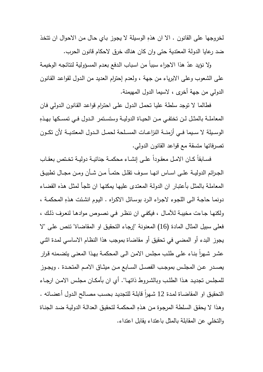لخروجها على القانون . الا ان هذهِ الوسيلة لا يجوز بـاي حـال من الاحوال ان تتخذ ضد رعايا الدولة المعتدية حتى وان كان هناك خرق لاحكام قانون الحرب .

ولا نؤيد عدّ هذا الاجراء سبباً من اسباب الدفع بعدم المسؤولية لنتائجه الوخيمة على الشعوب وعلى الابرياء من جهة ، ولعدم إحترام العديد من الـدول لقواعـد القـانون الدولي من جهة أخرى ، لاسيما الدول المهيمنة .

فطالما لا توجد سلطة عليـا تحمـل الـدول علـى احتـرام قواعـد القـانون الـدولي فـان المعاملــة بالمثـل لـن تختفــي مـن الـحيــاة الدوليــة وستسـتمر الـدول فــي تمسـكها بـهـذهِ الوســيلة لا ســـيما فـــي أزمنـــة النزاعـــات المســـلحة لحمـــل الـــدول المعتديـــة لأن تكـــون تصرفاتها متسقة مع قواعد القانون الدولي .

فســابقا كــان الامـل معقـودا علــى إنشــاء محكمــة جنائيــة دوليــة تخـتص بعقـاب الجـرائم الدوليــة علــى اســاس انـهـا ســوف نقلـل حتمــاً مـن شــأن ومــن مجــال تطبيـق المعاملـة بالمثـل بأعتبـار ان الدولـة المعتـدى عليهـا يمكنهـا ان تلجـأ لمثـل هـذه القضـاء دونمـا حاجـة الـى اللجوء لاجراء الرد بوسـائل الاكـراه . اليوم انشئت هذه المحكمـة ، ولكنهـا جـاءت مخيبـة للآمـال ، فيكفـي ان ننظـر فـي نصـوص موادهـا لنعـرف ذلـك ، فعلى سبيل المثال المادة (16) المعنونة "إرجـاء التحقيـق او المقاضـاة" تـنص علـى "لا يجوز البدء أو المضي في تحقيق أو مقاضاة بموجب هذا النظـام الاساسـي لمـدة اثنـي عشر شـهرا بنـاء علـى طلب مجلس الامن الـى المحكمـة بهذا المعنـى يتضـمنه قرار يصـــدر عــن المجلــس بموجــب الفصــل الســابع مــن ميثــاق الامــم المتحــدة . ويجــوز للمجلــس تجديــد هــذا الطلــب وبالشــروط ذاتهــا". أي ان بأمكــان مجلــس الامــن ارجــاء التحقيق او المقاضـاة لمدة 12 شـهراً قابلـة للتجديد بحسب مصـالح الـدول أعضـائه . وهـذا لا يحقـق السـلطة المرجـوة مـن هـذهِ المحكمـة لتحقيـق العدالـة الدوليـة ضـد الجنـاة والتخلي عن المقابلة بالمثل باعتداء يقابل اعتداء .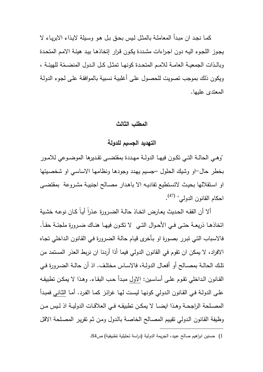كمـا نجـد ان مبـدأ المعاملـة بالمثـل لـيس بحـق بـل هـو وسـيلة لايـذاء الابريـاء لا يجـوز اللجـوء اليـه دون اجـراءات مشـددة يكـون قـرار إتخاذهـا بيـد هيئـة الامـم المتحـدة وبالـذات الجمعيــة الـعامــة للامــم المتحـدة كونـهـا تمثـل كــل الـدول المنضـمّـة للهيئــة ، ويكون ذلك بموجب تصويت للحصـول علـى أغلبيـة نسـبية بالموافقـة علـى لجـوء الدولـة المعتدى عليها .

### **المطلب الثالث**

### **التهديد الجسيم للدولة**

"وهـى الحالــة التــي تكـون فيهـا الدولــة مـهـددة بمقتضــي تقـديرها الموضــوعي للامـور بخطر حال-او وشيك الحلول –جسـيم يهـدد وجودهـا ونظامهـا الاساسـي او شخصـيتها او اسـتقلالها بحيـث لاتسـتطيع تفاديـه الا باهـدار مصـالح اجنبيـة مشـروعة بمقتضـى احكام القانون الدولي" <sup>(47)</sup>.

ألا أن الفقـه الـحديث يعـارض اتخـاذ حالـة الضـرورة عذرا أيـا كـان نوعـه خشـية اتخاذهـا ذريعــة حتــي فــي الأحـوال التــي لا تكـون فيهــا هنــاك ضـرورة ملجئــة حقـاً. فالاسـباب التـي تبـرر بصـورة او بـأخرى قيـام حالـة الضـرورة فـي القـانون الـداخلي تجـاه الافراد، لا يمكن ان تقوم في القانون الدولي فيما أذا أردنا ان نربط العذر المستمد من تلــك الحالــة بمصــالح أو أفعــال الدولــة، فالاســاس مختلــف. اذ أن حالــة الضــرورة فــي القـانون الـداخلي تقوم علـى أساسـين: الاول مبـدأ حـب البقـاء. وهـذا لا يمكـن تطبيقـه علـى الدولـة فـي القـانون الـدولي كونهـا ليسـت لهـا غرائـز كمـا الفـرد. أمـا الثـاني فمبـدأ المصــلحة الراجحــة وهــذا ايضــا لا يمكــن تطبيقــه فــي العلاقــات الدوليــة اذ لــيس مــن وظيفة القـانون الـدولي تقيـيم المصـالح الخاصـة بالـدول ومـن ثـم تقريـر المصـلحة الاقـل  $\overline{a}$ 

<sup>1</sup>) حسنين ابراهيم صالح عبيد، الجريمة الدولية (دراسة تحليلية تطبيقية) ص84 .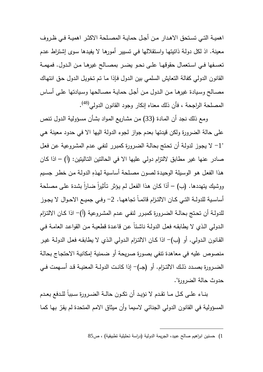اهميــة التــي تســتحق الاهــدار مــن أجــل حمايــة المصــلحة الاكثــر اهميــة فــي ظــروف معينة. اذ لكل دولـة ذاتيتهـا واسـتقلالها فـي تسـيير أمورهـا لا يفيـدها سـوى إشـتراط عـدم تعســفها فــي اســتعمال حقوقهــا علــى نحــو يضــر بمصــالح غيرهــا مــن الــدول. فمهمــة القانون الدولي كفالة التعايش السلمي بين الـدول فـإذا مـا تـم تخويـل الـدول حـق انتهـاك مصـالح وسـيادة غيرهــا مـن الـدول مــن أجـل حمايـة مصــالحها وسـيادتها علـى أســاس المصلحة الراجحة ، فأن ذلك معناه إنكار وجود القانون الدولي<sup>(48)</sup>.

 ومع ذلك نجد أن المـادة (33) مـن مشـاريع المـواد بشـأن مسـؤولية الـدول تـنص على حالة الضرورة ولكن قيدتها بعدم جواز لجوء الدولة اليها الا في حدود معينة هـي "1 - لا يجـوز لدولـة أن تحـتج بحالـة الضـرورة كمبـرر لنفـي عـدم المشـروعية عـن فعـل صادر عنها غير مطابق لالتزام دولي عليها الا في الحالتين التاليتين: (أ) – اذا كـان هذا الفعل هو الوسيلة الوحيدة لصون مصلحة أساسية لهذهِ الدولـة من خطر جسيم ووشيك يتهددها. (ب) – أذا كـان هذا الفعل لـم يؤثر تـأثيرا ضـارا بشدة علـى مصـلحة أساسـية للدولــة التــي كــان الالتــزام قائمــاً تجاههــا. 2– وفــي جميــع الاحــوال لا يجــوز للدولـة أن تحـتج بحالـة الضـرورة كمبـرر لنفـي عـدم المشـروعية -)أ( اذا كـان الالتـزام الـدولي الـذي لا يطابقـه فعـل الدولـة ناشـئاً عـن قاعـدة قطعيـة مـن القواعـد العامـة فـي القـانون الـدولي. أو (ب)– اذا كـان الالتـزام الـدولي الـذي لا يطـابقـه فعـل الدولـة غيـر منصوص عليه في معاهدة تنفي بصـورة صـريحة أو ضـمنية إمكانيـة الاحتجـاج بحالـة الضــرورة بصــدد ذلـك الالتـزام. أو (جـ)– إذا كانـت الدولــة المعنيــة قـد أســهمت فــي حدوث حالة الضرورة ".

 بنــاء علــى كــل مــا تقــدم لا نؤيــد أن تكــون حالــة الضــرورة ســبباً للــدفع بعــدم المسؤولية في القانون الدولي الجنائي لاسيما وأن ميثاق الامم المتحدة لم يقرّ بها كما

<sup>1)</sup> حسنين ابراهيم صالح عبيد، الجريمة الدولية (دراسة تحليلية تطبيقية) ، ص85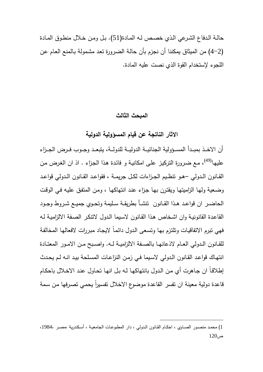حالـة الـدفاع الشـرعي الـذي خصـص لـه المـادة(51). بـل ومـن خـلال منطـوق المـادة (4-2) من الميثاق يمكننا أن نجزم بأن حالـة الضـرورة تعـد مشـمولة بـالمنع العـام عـن اللجوء لإستخدام القوة الذي نصت عليه المادة .

#### **المبحث الثالث**

**الاثار الناتجة عن قيام المسؤولية الدولية** 

أن الاخــذ بمبــدأ المســؤولية الجنائيــة الدوليــة للدولــة، يتبعـد وجــوب فـرض الجــزاء عليها<sup>(49)</sup>، مـع ضـرورة التركيز علـى امكانيـة و فائدة هذا الجزاء . اذ ان الغرض من القــانون الــدولي –هــو تنظــيم الجــزاءات لكــل جريمــة ، فقواعــد القــانون الــدولي قواعــد وضـعية ولهـا الزاميتهـا ويقتـرن بهـا جـزاء عنـد انتهاكهـا ، ومـن المتفـق عليـه فـي الوقـت الحاضــر ان قواعــد هــذا القــانون تنشــأ بطريقــة ســليمة وتحــوي جميــع شــروط وجــود القاعـدة القانونيـة وان اشـخاص هـذا القـانون لاسـيما الـدول لاتنكـر الصـفة الالزاميـة لـه فهي تبرم الاتفاقيـات وتلتـزم بهـا وتسـعى الـدول دائمـاً لايجـاد مبـررات لافعالهـا المخالفـة للقــانون الــدولي العــام لاذعانهــا بالصــفة الالزاميــة لــه. واصــبح مــن الامــور المعتــادة انتهـاك قواعـد القـانون الـدولي لاسـيما فـي زمـن النزاعـات المسـلحة بيـد انـه لـم يحـدث إطلاقـاً ان جـاهرت أي مـن الـدول بانتهاكهـا لـه بـل انهـا تحـاول عنـد الاخـلال باحكـام قاعدة دولية معينة ان تفسر القاعدة موضوع الاخلال تفسيرا يحمي تصرفها من سمة

<sup>1</sup>) محمــد منصــور الصــاوي ، احكــام القــانون الــدولي ، دار المطبوعــات الجامعيــة ، أســكندرية ،مصــر 1984، ،  $120<sub>i</sub>$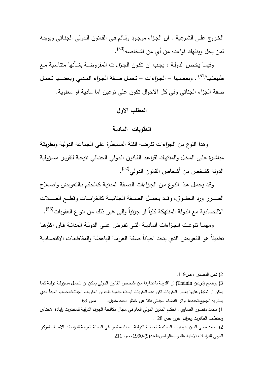الخـروج علـى الشـرعية . ان الجـزاء موجـود وقـائم فـي القـانون الـدولي الجنـائي ويوجـه لمن يخل وينتهك قواعده من أي من اشخاصه<sup>(50)</sup>.

وفيمـا يخـص الدولـة ، يجـب ان تكـون الجـزاءات المفروضـة بشـأنها متناسـبة مـع طبيعتهـا<sup>(51)</sup> . وبعضــها – الجـزاءات – تحمـل صـفة الجـزاء المـدني وبعضــها تحمـل صفة الجزاء الجنائي وفي كل الاحوال تكون على نوعين اما مادية او معنوية .

# **المطلب الاول**

# **العقوبات المادية**

 وهذا النوع من الجزاءات تفرضه الفئة المسيطرة على الجماعة الدولية وبطريقـة مباشـرة علـى المخـل والمنتهـك لقواعـد القـانون الـدولي الجنـائي نتيجـة لتقريـر مسـؤولية الدولة كشخص من أشخاص القانون الدولي<sup>(52)</sup>.

وقـد يحمـل هـذا النـوع مـن الجـزاءات الصـفة المدنيـة كـالحكم بـالتعويض واصـلاح الضـــرر ورد الحقـــوق، وقـــد يحمـــل الصـــفة الجنائيـــة كالغرامـــات وقطـــع الصـــلات الاقتصادية مع الدولة المنتهكة كلياً او جزئياً والى غير ذلك من انواع العقوبات<sup>(53)</sup>.

ومهمــا تنوعــت الجــزاءات الماديــة التــي تفــرض علــى الدولــة المدانــة فــان اكثرهــا تطبيقاً هو التعويض الذي يتخذ احياناً صـفة الغرامـة الباهظـة والمقاطعـات الاقتصـادية

 $\overline{a}$ 

2) محمـد محـي الـدين عـوض ، المحكمـة الجنائيـة الدو ليـة، بحـث منشـور فـي المجلـة العربيـة للدراسـات الامنيـة ،المركـز الغربي للدراسات الامنية والتدريب،الرياض،العدد(9 ،) 1990 ، ص 211

<sup>2</sup>) نفس المصدر ، ص119 .

<sup>3)</sup> يوضـح (ترينين Trainin) ان "الدولـة باعتبارهـا مـن اشـخاص القانون الـدولي يمكـن ان تتحمل مسؤولية دوليـة كمـا يمكن ان تطبق عليها بعض العقوبات لكن هذه العقوبات ليست جنائيـة ذلك ان العقوبات الجنائيـة،بحسب المبدأ الذي يسلم به الجميع،تحددها دوائر القضاء الجنائي نقلا عن .ناظر احمد منديل، ،ص 69

<sup>1</sup>) محمـد منصـور الصـاوي ، احكـام القـانون الـدولي العـام فـي مجـال مكافحـة الجـرائم الدوليـة للمخـدرات وابـادة الاجنـاس واختطاف الطائرات وجرائم اخرى ، ص 128 .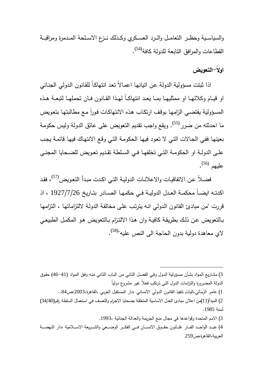والسياسـية وحظـر التعامـل والـرد العسـكري وكــذلك نــزع الاسـلحة المــدمرة ومراقبــة القطاعات والمرافق التابعة للدولة كافة<sup>(54)</sup>.

# **اولا-ًالتعويض**

اذا ثبتت مسؤولية الدولة عـن اتيانهـا اعمـالاً تعـد انتهاكـاً للقـانون الـدولي الجنـائي او قيــام وكلائهــا او ممثليهــا بمــا يعــد انتهاكــاً لهــذا القــانون فــان تحملهــا لتبعــة هــذه المسؤولية يقتضـي الزامها بوقف ارتكاب هذه الانتهاكـات فوراً مـع مطالبتها بتعويض ما احدثته من ضرر <sup>(55)</sup>. ويقع واجب تقديم التعويض على عاتق الدولة وليس حكومة بعينهـا ففـي الحـالات التـي لا تعـود فيهـا الحكومـة التـي وقـع الانتهـاك فيهـا قائمـة يجـب علــى الدولــة او الحكومــة التــي تخلفهــا فــي الســلطة تقــديم تعــويض للضــحايا المجنــى عليهم <sup>(56)</sup>.

فضـلاً عن الاتفاقيـات والاعلانـات الدوليـة التـي اكـدت مبـدأ التعـويض<sup>(57)</sup>، فقد اكدتــه ايضــاً محكمــة العــدل الدوليــة فــي حكمهــا الصــادر بتــاريخ 1927/7/26 ، اذ قررت "من مبادئ القانون الـدولي انـه يترتـب علـى مخالفـة الدولـة لالتزاماتهـا ، التزامهـا بـالتعويض عـن ذلـك بطريقـة كافيـة وان هـذا الالتـزام بـالتعو يض هـو المكمـل الطبيعـي لاي معاهدة دولية بدون الحاجة الى النص عليه"<sup>(58)</sup>.

3) مشـاريع المـواد بشـأن مسـؤولية الـدول وفـي الفصـل الثـاني مـن البـاب الثـاني منـه وفـق المـواد (46-41) حقـوق الدولة المضرورة والتزامات الدول التبي ترتكب فعلاً غير ًمشروع دولياً 1) عامر الزمالي،اليات تنفيذ القانون الدولي الانساني ،دار المستقبل العربي ،القاهرة،2003،ص84 .. 2) المبدأ(11)من اعلان مبادئ العدل الاساسية المتعلقـة بضـحايا الاجـرام والتعسـف فـي اسـتعمال السـلطة رقـم(34/40) لسنة 1985 . 3) الامم المتحدة وقواعدها في مجال منع الجريمة والعدالة الجنائية 1993، . 4) عبــد الواحــد الفــار ،قـــانون حقــوق الانســان فــي الفكــر الوضـــعي والشـــريعة الاســـلامية ،دار النهضـــة

 $\overline{a}$ 

العربية،القاهرة،ص259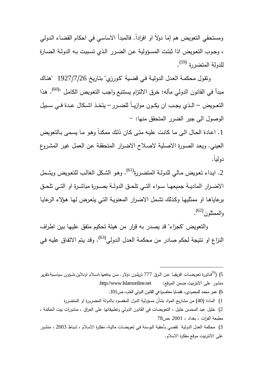ومستحقي التعويض هم إما دولاً او افرادا. فالمبدأ الاساسي في احكام القضـاء الـدولي ً ، وجـوب التعـويض اذا ثبتـت المسـؤولية عـن الضـرر الـذي تسـببت بـه الدولـة الضـارة للدولة المتضررة <sup>(59)</sup>.

وتقـول محكمـة العـدل الدوليـة فـي قضـية "كـورزي" بتـاريخ 1927/7/26 " هنـاك مبدأ في القانون الدولي مآله: خرق الالتزام يستتبع واجب التعويض الكامل "<sup>(60)</sup>. هذا التعـويض – الـذي يجـب ان يكــون موازيــاً للضــرر – يتخــذ اشـكال عـدة فــي ســبيل الوصول الى جبر الضرر المتحقق منها: -

.1 اعـادة الحـال الـى مـا كانـت عليـه متـى كـان ذلـك ممكنـاً وهـو مـا يسـمى بـالتعويض العيني. ويعـد الصـورة الاصـلية لاصـلاح الاضـرار المتحققـة عـن العمـل غيـر المشـروع دولياً .

2. ايداء تعويض مـالـي للدولـة المتضـررة<sup>(61)</sup>. وهو الشكل الغالـب للتعويض ويشمل الاضــرار الماديــة جميعهــا ســواء التــي تلحــق الدولــة بصــورة مباشــرة او التــي تلحــق برعاياهـا او ممثليهـا وكـذلك تشـمل الاضـرار المعنويـة التـي يتعـرض لهـا هـؤلاء الرعايـا (62) والممثلون .

 والتعويض "كجزاء" قد يصدر به قرار من هيئة تحكيم متفق عليهـا بـين اطـراف النزاع او نتيجة لحكم صادر من محكمـة الـعدل الدولي<sup>(63)</sup>. وقد يتم الاتفاق عليـه ف*ي* 

 $\overline{a}$ 

5) (<sup>59</sup>فـاتورة تـعويضــات افريقيــا عـن الـرق 777 تزيلــون دولار ..مـن يدفعـها،اســلام اونـلاين،شــؤون سياسـيـة،تقرير منشور على الانترنيت ضمن الموقع: net.Islamonline.www://http . 6) عمر محمد المحمودي ، ،قضايا معاصرة في القانون الدولي العام،، ص101 . 1) المادة (40) من مشاريع المواد بشأن مسؤولية الدول المقصود بالدولة المضرورة او المتضررة 2) خليل عبد المحسن خليل ، التعويضات في القانون الدولي وتطبيقاتها على العراق ، منشورات بيت الحكمة ، مطبعة الفرات ، بغداد ، 2001 ، ص78 3) محكمة العدل الدولية تقضي بأحقية البوسنة في تعويضـات ماليـة، مفكرة الاسـلام ، شباط 2003 ، منشور على الانترنيت موقع مفكرة الاسلام .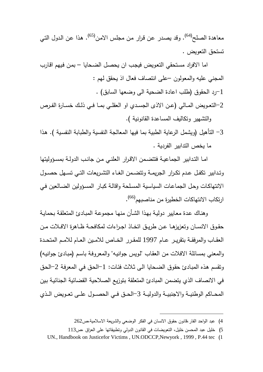معاهدة الصلح<sup>(64)</sup>. وقد يصدر عن قرار من مجلس الامن<sup>(65)</sup>. هذا عن الدول التي تستحق التعويض .

 اما الافراد مسـتحقي التعـويض فيجـب ان يحصـل الضـحايا – بمـن فـيهم اقـارب المجني عليه والمعولون –على انتصاف فعال اذ يحقق لهم : -1رد الحقوق (طلب اعادة الضحية الى وضعها السابق) .

-2التعــويض المــالي (عــن الاذى الجســدي او العقلــي بمــا فــي ذلــك خســارة الفــرص والتشهير وتكاليف المساعدة القانونية ).

3 - التأهيل (ويشمل الرعاية الطبية بما فيها المعالجة النفسية والطبابة النفسـية ). هـذا ما يخص التدابير الفردية .

 امـا التـدابير الجماعيـة فتتضـمن الاقـرار العلنـي مـن جانـب الدولـة بمسـؤوليتها وتــدابير تكفــل عــدم تكــرار الجريمــة وتتضــمن الغــاء التشــريعات التــي تســهل حصــول الانتهاكـات وحـل الجماعـات السياسـية المسـلحة واقالـة كبـار المسـؤولين الضـالعين فـي ارتكاب الانتهاكات الخطيرة من مناصبهم<sup>(66)</sup>.

 وهنـاك عـدة معـايير دوليـة بهـذا الشـأن منهـا مجموعـة المبـادئ المتعلقـة بحمايـة حقوق الانســان وتعزيزهـا عـن طريـق اتخـاذ اجـراءات لمكافحـة ظـاهرة الافـلات مـن العقــاب والمرفقــة بتقريــر عــام 1997 للمقــرر الخــاص للامــين العــام للامــم المتحــدة والمعني بمسائلة الافلات من العقـاب "لـويس جوانيـه" والمعروفـة باسـم (مبـادئ جوانيـه) وتقسم هذه المبادئ حقوق الضحايا المي ثلاث فئات: 1-الحق في المعرفة 2-الحق في الانصاف الذي يتضمن المبادئ المتعلقة بتوزيع الصلاحية القضائية الجنائيـة بـين المحــاكم الوطنيــة والاجنبيــة والدوليــة -3الحــق فــي الحصــول علــى تعــويض الــذي

<sup>4</sup>) عبد الواحد الفار،قانون حقوق الانسان في الفكر الوضعي والشريعة الاسلامية،ص262

<sup>5</sup>) خليل عبد المحسن خليل ، التعويضات في القانون الدولي وتطبيقاتها على العراق ،ص113

UN., Handbook on Justicefor Victims , UN.ODCCP,Newyork , 1999 , P.44 tec (1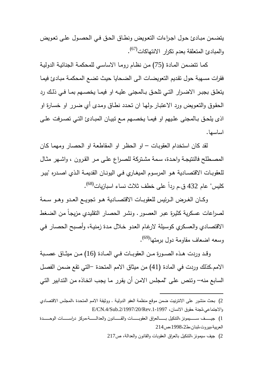يتضـمن مبـادئ حـول اجـراءات التعـويض ونطـاق الحـق فـي الحصـول علـى تعـويض والمبادئ المتعلقة بعدم تكرار الانتهاكات<sup>(67)</sup>.

 كمـا تتضـمن المـادة (75) مـن نظـام رومـا الاساسـي للمحكمـة الجنائيـة الدوليـة فقرات مسهبة حول تقـديم التعويضـات الـى الضـحايا حيـث تضـع المحكمـة مبـادئ فيمـا يتعلــق بجبــر الاضــرار التــي تلحــق بــالمجنى عليــه او فيمــا يخصــهم بمــا فــي ذلــك رد الحقـوق والتعـويض ورد الاعتبـار.ولهـا ان تحـدد نطـاق ومـدى أي ضـرر او خسـارة او اذى يلحـق بـالمجنى علـيهم او فيمـا يخصــهم مــع تبيــان المبــادئ التــي تصـرفت علــي اساسها .

 لقد كان استخدام العقوبـات – او الحظـر او المقاطعـة او الحصـار ومهمـا كـان المصــطلح فالنتيجــة واحــدة، ســمة مشــتركة للصــراع علــى مــر القــرون ، واشــهر مثــال للعقوبــات الاقتصــادية هــو المرســوم الميغــاري فــي اليونــان القديمــة الــذي اصــدره "بيــر كليس" عام 432 ق.م رداً على خطف ثلاث نساء اسبازيات<sup>(68)</sup>.

 وكــان الغــرض الــرئيس للعقوبــات الاقتصــادية هــو تجويــع العــدو وهــو ســمة لصـراعات عسكرية كثيرة عبر العصـور . ونشر الحصـار التقليدي مزيجاً من الضـغط الاقتصـادي والعسـكري كوسـيلة لارغـام العـدو خـلال مـدة زمنيـة، وأصـبح الحصـار فـي وسعه اضعاف مقاومة دول برمتها<sup>(69)</sup>.

وقــد وردت هــذه الصــورة مــن العقوبــات فــي المــادة (16) مــن ميثــاق عصــبة الامم.كذلك وردت في المادة (41) من ميثاق الامم المتحدة -التي تقع ضـمن الفصـل السابع منه – وتـنص علـى "لمجلـس الامـن أن يقـرر مـا يجـب اتخـاذه مـن التـدابير التـي

<sup>2</sup>) بحث منشور على الانترنيت ضمن موقع منظمة العفو الدوليـة . ووثيقـة الامـم المتحـدة ،المجلـس الاقتصـادي  $E/CN.4/Sub.2/1997/20/Rev.1-1997$ ، والاجتماعي،لجنة حقوق الانسان، 1997/20/Rev.1

<sup>1)</sup> جيـــــف ســــــيمونز ،النتكيل بــــــالعراق العقوبــــــات والقـــــانون والعدالــــــة،مركز دراســـــات الوحـــــدة العربية،بيروت،لبنان ط، ،1998،2ص214

<sup>2</sup>) جيف سيمونز،التنكيل بالعراق ا لعقوبات والقانون والعدالة ، ص217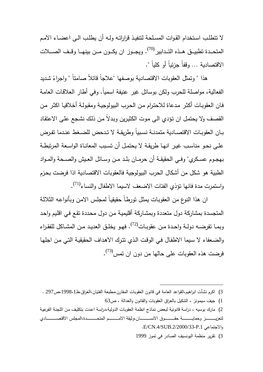لا تتطلـب اسـتخدام القـوات المسـلحة لتنفيـذ قراراتـه ولـه أن يطلـب الـى اعضـاء الامـم المتحــدة تطبيــق هــذه التــدابير <sup>(70)</sup>. ويجــوز ان يكــون مــن بينهــا وقــف الصـــلات الاقتصادية ... وقفاً جزئياً أو كلياً ".

هذا " وتمثّل العقوبات الاقتصادية بوصفها "علاجاً قاتلاً صامتاً " واجراءً شديد الفعالية، مواصلة للحرب ولكن بوسائل غير عنيفة اسميا.ً وفي أطار العلاقـات العامـة فـان العقوبـات أكثـر مـدعاة للاحتـرام مـن الحـرب البيولوجيـة ومقبولـة أخلاقيـا اكثـر مـن القصـف ولا يحتمـل ان تـؤدي الـى مـوت الكثيـرين وبـدلاً مـن ذلـك نشـجع علـى الاعتقـاد بــان العقوبــات الاقتصــادية متمدنــة نســبياً وطريقــة لا تــدحض للضــغط عنــدما تفــرض علــى نحــو مناســب غيــر انهــا طريقــة لا يحتمــل أن تســبب المعانــاة الواســعة المرتبطــة بهجــوم عســكري" وفــي الحقيقــة أن حرمــان بلــد مــن وســائل العــيش والصــحة والمــواد الطبية هو شكل من أشكال الحرب البيولوجية فالعقوبات الاقتصادية اذا فرضت بحـزم واستمرت مدة فانها تؤذي الفئات الاضعف لاسيما الاطفال والنساء<sup>(71)</sup>.

 ان هذا النوع من العقوبـات يمثـل تورطـاً حقيقيـاً لمجلـس الامـن وبأنواعـه الثلاثـة المتجسدة بمشاركة دول متعددة وبمشـاركة أقليميـة مـن دول محـددة تقـع فـي اقلـيم واحـد وبمــا تقرضــه دولــة واحـدة مـن عقوبــات<sup>(72)</sup>. فهـو يخلـق الـعديـد مـن المشــاكل للفقـراء والضـعفاء لا سـيما الاطفـال فـي الوقـت الـذي تتـرك الاهـداف الحقيقيـة التـي مـن اجلهـا فرضت هذه العقوبات على حالها من دون ان تمس<sup>(73)</sup>.

 $\overline{a}$ 

3) تقرير منظمة اليونسيف الصادر في تموز 1999

<sup>3)</sup> اكرم نشأت ابراهيم،القواعد العامة في قانون العقوبات المقارن،مطبعة الفتيان،العراق،ط،1998،1ص297 .

<sup>1</sup>) جيف سيمونز ، التنكيل بالعراق ا لعقوبات والقانون والعدالة ، ص63

<sup>2</sup>) مارك بوسيه ، دراسة قانونية لبعض نماذج انظمة العقوبات الدولية،دراسـة اعـدت بتكليـف مـن اللجنـة الفرعيـة لتعزيــــــــــــــز وحمايــــــــــــــة حقــــــــــــــوق الانســــــــــــــان،وثيقة الامــــــــــــــم المتحــــــــــــــدة،المجلس الاقتصــــــــــــــادي . E/CN.4/SUB.2/2000/33-P.1 والاجتماعي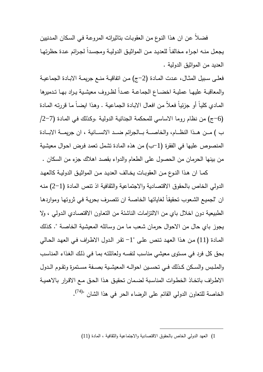فضـلاً عـن ان هـذا النـوع مـن العقوبـات بتاثيراتـه المروعـة فـي السـكان المـدنيين يجعل منـه اجـراء مخالفـا للعديد مـن المواثيـق الدوليـة ومجسدا لجـرائم عدة حظرتهـا العديد من المواثيق الدولية .

فعلـى سـبيل المثـال، عـدت المـادة (2–ج) مـن اتفاقيــة منــع جريمــة الابـادة الجماعيــة والمعاقبــة عليهــا عمليــة اخضــاع الـجماعــة عمـدا لظـروف معيشـيـة يـراد بـهـا تـدميرها المـادي كليـاً أو جزئيـاً فعـلاً من افعـال الابـادة الجماعيـة . وهذا ايضـاً مـا قررتـه المـادة (-6ج) من نظام روما الاساسي للمحكمة الجنائيـة الدوليـة .وكـذلك فـي المـادة (/2-7 ) ب مـــن هـــذا النظـــام، والخاصـــة بـــالجرائم ضـــد الانســـانية ، ان جريمـــة الابـــادة المنصوص عليها في الفقرة (-1ب) من هذه المادة تشمل تعمد فـرض احـوال معيشـية من بينها الحرمان من الحصول على الطعام والدواء بقصد اهلاك جزء من السكان .

كمــا ان هـذا النــوع مـن الـعقوبــات يخــالف الـعديـد مـن المواثيـق الدوليــة كالـعهـد الدولي الخاص بالحقوق الاقتصادية والاجتماعية والثقافية اذ تنص المادة (2-1) منـه ان "لجميـع الشـعوب تحقيقاً لغاياتها الخاصـة ان تتصـرف بحريـة فـي ثروتها ومواردها الطبيعية دون اخلال باي من الالتزامات الناشئة من التعـاون الاقتصـادي الـدولي ، ولا يجوز باي حال من الاحوال حرمان شـعب مـا مـن وسـائله المعيشـية الخاصـة ". كـذلك المـادة (11) مـن هـذا العهـد تـنص علـى "1 - تقـر الـدول الاطـراف فـي العهـد الحـالي بحق كل فرد في مستوى معيشي مناسب لنفسـه ولعائلتـه بمـا فـي ذلـك الغـذاء المناسـب والملـبس والسـكن كـذلك فــي تحسـين احوالــه المعيشـية بصــفة مسـتمرة وتقـوم الـدول الاطـراف باتخـاذ الخطـوات المناسـبة لضـمان تحقيـق هـذا الحـق مـع الاقـرار بالاهميـة الخاصــة للتعاون الدولي القائم على الرضـاء الحر في هذا الشان "<sup>(74)</sup>.

<sup>1</sup>) العهد الدولي الخاص بالحقوق الاقتصادية والاجتماعية والثقافية ، المادة (11 )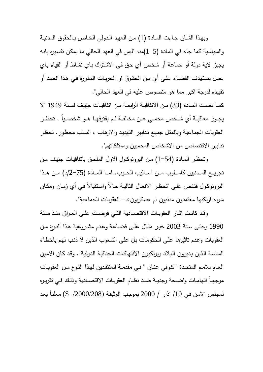وبهــذا الشــان جــاءت المــادة (1) مــن العهــد الــدولي الخــاص بــالحقوق المدنيــة والسياسية كما جاء في المادة (1-5)منه "ليس في العهد الحالي ما يمكـن تفسـيره بانـه يجيز لاية دولة أو جماعة أو شخص أي حـق فـي الاشـتراك بـاي نشـاط أو القيـام بـاي عمـل يسـتهدف القضـاء علـى أي مـن الحقـوق او الحريـات المقـررة فـي هـذا العهـد أو تقييده لدرجة اكبر مما هو منصوص عليه في العهد الحالي".

كمــا نصــت المــادة (33) مــن الاتفاقيــة الرابعــة مــن اتفاقيــات جنيــف لســنة 1949 " لا يجــوز معاقبــة أي شــخص محمــي عــن مخالفــة لــم يقترفهــا هــو شخصــياً . تحظــر العقوبات الجماعيـة وبالمثـل جميـع تـدابير التهديـد والارهـاب ، السـلب محظـور. تحظـر تدابير الاقتصاص من الاشخاص المحميين وممتلكاتهم ".

 وتحظـر المـادة (1-54) مـن البروتوكـول الاول الملحـق باتفاقيـات جنيـف مـن تجويـــع المـــدنيين كاســـلوب مـــن اســـاليب الحـــرب. امـــا المـــادة (2-75 ) د/ مـــن هـــذا البروتوكـول فتنص علـى "تحظـر الافعـال التاليـة حـالاً واسـتقبالاً فـي أي زمـان ومكـان سواء ارتكبها معتمدون مدنيون ام عسكريون -د: العقوبات الجماعية ".

 وقــد كانــت اثــار العقوبــات الاقتصــادية التــي فرضــت علــى العــراق منــذ ســنة 1990 وحتــى ســنة 2003 خيــر مثــال علــى فضــاعة وعــدم مشــروعية هــذا النــوع مــن العقوبـات وعـدم تاثيرهـا علـى الحكومـات بـل علـى الشـعوب الـذين لا ذنـب لهـم باخطـاء الساسـة الـذين يـديرون الـبلاد ويرتكبـون الانتهاكـات الجنائيـة الدوليـة . وقـد كـان الامـين العـام للامـم المتحـدة " كـوفي عنــان " فـي مقدمــة المنتقـدين لـهـذا النـوع مـن الـعقوبــات موجهــاً اتهامــات واضــحة وجديــة ضــد نظــام العقوبــات الاقتصــادية وذلــك فــي تقريــره معلنـاً لمجلـس الامـن فـي /10 اذار / 2000 بموجـب الوثيقـة (/2000/208 S (بعـد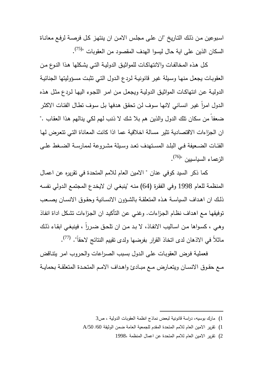اسـبوعين مـن ذلـك التـار يخ "ان علـى مجلـس الامـن ان ينتهـز كـل فرصـة لرفـع معانـاة السكان الذين على اية حال ليسوا الهدف المقصود من العقوبات "<sup>(75)</sup>.

 كـل هـذه المخالفـات والانتهاكـات للمواثيـق الدوليـة التـي يشـكلها هـذا النـوع مـن العقوبـات يجعـل منهـا وسـيلة غيـر قانونيـة لـردع الـدول التـي تثبـت مسـؤوليتها الجنائيـة الدوليـة عـن انتهاكـات المواثيـق الدوليـة ويجعـل مـن امـر اللجـوء اليهـا لـردع مثـل هـذه الدول امرا غير انساني لانها سوف لن تحقق هدفها بل سوف تطال الفئات الاكثر ضعفا من سكان تلك الدول والذين هم بلا شك لا ذنب لهم لكي ينالهم هذا العقاب ." ان الجزاءات الاقتصادية تثير مسالة اخلاقية عما اذا كانت المعاناة التـي تتعـرض لهـا الفئــات الضــعيفة فــي البلــد المســتهدف تعــد وســيلة مشــروعة لممارســة الضــغط علــى الزعماء السياسيين "<sup>(76)</sup>.

 كما ذكر السيد كوفي عنان " الامين العام للامم المتحدة في تقريره عن اعمـال المنظمة للعام 1998 وفي الفقـرة (64) منـه "ينبغـي ان لايخـدع المجتمـع الـدولي نفسـه ذلــك ان اهــداف السياســة هــذه المتعلقــة بالشــؤون الانســانية وحقــوق الانســان يصــعب توفيقهـا مـع اهـداف نظـام الجـزاءات. وغنـي عـن التأكيـد ان الجـزاءات تشـكل اداة انفـاذ وهـي ، كسواها مـن اسـاليب الانفـاذ، لا بـد مـن ان تلحـق ضـرراً ، فينبغـي ابقـاء ذلك ماثلاً في الاذهان لدى اتخاذ القرار بفرضها ولدى تقييم النتائج لاحقاً". <sup>(77)</sup>.

 فعمليـة فـرض العقوبـات علـى الـدول بسـبب الصـراعات والحـروب امـر يتنـاقض مـع حقـوق الانســان ويتعــارض مــع مبــادئ واهـداف الامـم المتحدة المتعلقـة بحمايــة

 $\overline{a}$ 1) مارك بوسيه ، دراسة قانونية لبعض نماذج انظمة العقوبات الدولية ، ص3

<sup>1</sup>) تقرير الامين العام للامم المتحدة المقدم للجمعية العامة ضمن الوثيقة /60 /50A

<sup>2</sup>) تقرير الامين العام للامم المتحدة عن اعمال المنظمة 1998،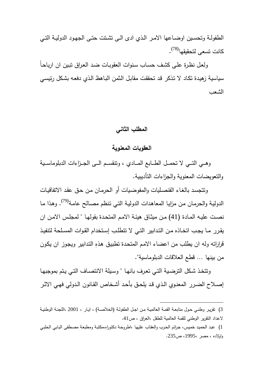الطفولــة وتحسـين اوضــاعـها الامـر الـذي ادى الــى تشـتت حتــى الجـهـود الدوليــة التــى كانت تسعى لتحقيقها<sup>(78)</sup>.

 ولعـل نظـرة علـى كشـف حسـاب سـنوات العقوبـات ضـد العـراق تبـين ان ارباحـاً سياسية زهيـدة تكـاد لا تـذكر قـد تحققـت مقابـل الـثمن البـاهظ الـذي دفعـه بشـكل رئيسـي الشعب

# **المطلب الثاني**

### **العقوبات المعنوية**

وهـــي التـــي لا تحمـــل الطـــابع المـــادي ، وتنقســـم الـــى الجـــزاءات الدبلوماســـية والتعويضات المعنوية والجزاءات التأديبية .

 وتتجسـد بالغـاء القنصـليات والمفوضـيات أو الحرمـان مـن حـق عقـد الاتفاقيـات الدوليـة والـحرمـان مـن مزايـا المعاهدات الدوليـة التـي تنظم مصــالـح عامـة<sup>(79)</sup>. وهذا مـا نصـت عليـه المـادة (41) مـن ميثـاق هيئـة الامـم المتحـدة بقولهـا " لمجلـس الامـن ان يقرر مـا يجب اتخـاذه مـن التدابير التـي لا تتطلب إسـتخدام القـوات المسـلحة لتتفيـذ قراراته وله ان يطلب من اعضاء الامـم المتحـدة تطبيـق هـذهِ التـدابير ويجـوز ان يكـون من بينها ... قطع العلاقات الدبلوماسية ".

وتتخـذ شـكل الترضـية التـي تعـرف بانهـا " وسـيلة الانتصـاف التـي يـتم بموجبهـا إصـلاح الضـرر المعنـوي الـذي قـد يلحــق بأحـد أشـخاص القـانون الـدولي فهـي الاثــر

<sup>3</sup>) تقريــر وطنــي حــول متابعــة القمــة العالميــة مــن اجــل الطفولــة (الخلاصــة ،) ايــار ، 2001 ، اللجنــة الوطنيــة لاعداد التقرير الوطني للقمة العالمية للطفل ،العراق ، ص41 .

<sup>1</sup>) عبـد الحميـد خمـيس ، جـرائم الحـرب والعقـاب عليهـا ،اطروحـة دكتوراه،مكتبـة ومطبعـة مصـطفى البـابي الحلبـي واولاده ، مصر 1995، ، ص235 .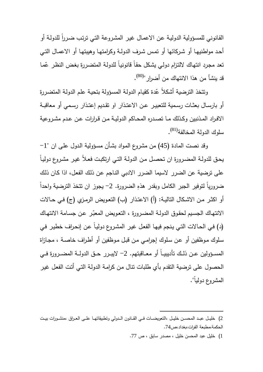القانوني للمسؤولية الدولية عن الاعمال غير المشروعة التي ترتب ضـررا للدولـة أو أحـد مواطنيهـا أو شـركائها أو تمـس شـرف الدولـة وكرامتهـا وهيبتهـا أو الاعمـال التـي ّمـا تعد مجـرد انتهـاك لالتـزام دولـي يشـكل حقـاً قانونيـاً للدولـة المتضـررة بغـض النظـر ع قد ينشأ من هذا الانتهاك من أضرار "<sup>(80)</sup>.

ونتخذ الترضية أشكلا عّدة كقيام الدولة المسؤولة بتحية علم الدولة المتضررة أو بارســال بعثــات رســمية للتعبيــر عــن الاعتــذار او تقــديم إعتــذار رســمي أو معاقبــة الافــراد المــذنبين وكــذلك مــا تصــدره المحــاكم الدوليــة مــن قــرارات عــن عــدم مشــروعية سلوك الدولة المخالفة<sup>(81)</sup>.

 وقد نصت المادة (45) من مشروع المـواد بشـأن مسـؤولية الـدول علـى ان "1 - يحـق للدولـة المضـرورة ان تحصـل مـن الدولـة التـي ارتكبـت فعـلاً غيـر مشـرو ع دوليـاً على ترضية عن الضرر لاسيما الضرر الادبي النـاجم عـن ذلـك الفعـل، اذا كـان ذلـك ضرورياً لتوفير الجبر الكامل وبقدر هذهِ الضرورة. 2– يجوز ان تتخذ الترضية واحداً أو اكثـر مـن الاشـكال التاليـة: (أ) الاعتذار (ب) التعـويض الرمـزي (ج) فـي حــالات الانتهاك الجسيم لحقوق الدولـة المضـرورة ، التعويض المعبّر عن جسـامة الانتهـاك ) د( فـي الحـالات التـي يـنجم فيهـا الفعـل غيـر المشـروع دوليـاً عـن إنحـراف خطيـر فـي سـلوك مـوظفين أو عـن سـلوك إجرامـي مـن قبـل مـوظفين أو أطـراف خاصـة ، مجـازاة المســؤولين عــن ذلــك تأديبيــاً أو معــاقبتهم. 2 - لايبــرر حــق الدولــة المضــرو رة فــي الحصول على ترضية التقدم بأي طلبات تنال مـن كرامـة الدولـة التـي أتـت الفعـل غيـر المشروع دولياً ".

<sup>2</sup>) خليــل عبـــد المحســن خليـــل ،التعويضـــات فــي القـــانون الــدولي وتطبيقاتهـــا علـــى العــراق ،منشـــورات بيـــت الحكمة،مطبعة الفرات،بغداد،ص74 .

<sup>1</sup>) خليل عبد المحسن خليل ، مصدر سابق ، ص 77 .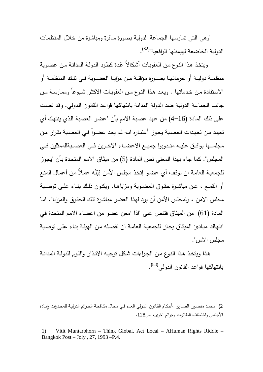"وهي التي تمارسها الجماعة الدولية بصورة سافرة ومباشرة من خلال المنظمـات الدولية الخاضعة لهيمنتها الواقعية"<sup>(82)</sup>.

ويتخذ هذا النوع من العقوبات أشكالاً عّدة كطرد الدولـة المدانـة من عضـويـة منظمــة دوليــة أو حرمانهــا بصــورة مؤقتــة مــن مزايــا العضــوية فــي تلــك المنظمــة أو الاستفادة مـن خـدماتها . ويعد هذا النـوع مـن العقوبـات الاكثـر شـيوعاً وممارسـة مـن جانب الجماعة الدولية ضد الدولة المدانة بانتهاكها قواعد القانون الـدولي. وقـد نصـت على ذلك المادة (4-16) من عهد عصبة الامم بأن "عضو العصبة الـذي ينتهـك أي تعهد من تعهدات العصـبة يجوز أعتبـاره انـه لـم يعد عضـوا فـي العصـبـة بقرار من مجلســها يوافــق عليــه منــدوبوا جميـــع الاعضـــاء الاخــرين فــي العصــبةالممثلين فـــي المجلس". كما جاء بهذا المعنى نص المادة (5) من ميثـاق الامـم المتحـدة بـأن "يجـوز للجمعية العامـة ان توقف أي عضـو إتخذ مجلس الأمن قِبَلَه عمـلاً من أعمـال المنـع أو القمــع ، عــن مباشــرة حقــوق العضــوية ومزاياهــا. ويكــون ذلــك بنــاء علــى توصــية مجلس الامن ، ولمجلس الأمن أن يرد لهذا العضو مباشـرة تلـك الحقـوق والمزايـا". امـا المادة (61) من الميثاق فتنص على "اذا امعن عضو من اعضاء الامم المتحدة فـي انتهـاك مبـادئ الميثـاق يجـاز للجمعيـة العامـة ان تفصـله مـن الهيئـة بنـاء علـى توصـية مجلس الامن ".

هـذا ويتخـذ هـذا النـوع مـن الجـزاءات شـكل توجيـه الانـذار واللـوم للدولـة المدانـة بانتهاكها قواعد القانون الدولي<sup>(83)</sup>.

<sup>2)</sup> محمد منصــور الصــاوي ،أحكـام القـانون الـدولي العـام فـي مجـال مكافحــة الجـرائم الدوليـة للمخـدرات وإبـادة الأجناس واختطاف الطائرات وجرائم اخرى، ص128 .

<sup>1)</sup> Vitit Muntarbhorn – Think Global. Act Local – AHuman Rights Riddle – Bangkok Post – Joly , 27, 1993 –P.4.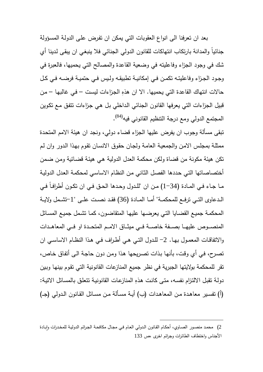ب عد ان تعرفنا الى انواع العقوبات التي يمكن ان تفـرض علـى الدولـة المسـؤولة جنائياً والمدانة بارتكاب انتهاكات للقانون الدولي الجنائي فلا ينبغـي ان يبقـى لـدينا أي شك في وجود الجزاء وفاعليته في وضعية القاعدة والمصالح التي يحميها، فالعبرة في وجـود الجـزاء وفاعليتــه تكمـن فــي إمكانيــة تطبيقــه ولـيس فــي حتميــة فرضــه فــي كـل حالات انتهاك القاعدة التي يحميها. ِ الا ان هذه الجـزاءات ليسـت – فـي غالبهـا – مـن قبيل الجزاءات التي يعرفها القانون الجنائي الـداخلي بـل هـي جـزاءات تتفـق مـع تكـوين المجتمع الدولي ومع درجة النتظيم القانوني فيه<sup>(84)</sup>.

تبقى مسألة وجوب ان يفرض عليها الجزاء قضاء دولي، ونجد ان هيئة الامم المتحـدة ممثلـة بمجلـس الامـن والجمعيـة العامـة ولجـان حقـوق الانسـان تقـوم بهـذا الـدور وان لـم تكن هيئة مكونة من قضاة ولكن محكمة العدل الدولية هـي هيئـة قضـائية ومـن ضـمن أختصاصاتها التـي حـددها الفصـل الثـاني مـن النظـام الاساسـي لمحكمـة العـدل الدوليـة مــا جــاء فــي المــادة (1-34) مــن ان "للــدول وحــدها الحــق فــي ان تكــون أطرافــاً فــي الــدعاوى التــي ترفــع للمحكمــة" أمــا المــادة (36) فقــد نصــت علــى "-1تشــمل ولايــة المحكمـة جميـع القضـايا التـي يعرضـها عليهـا المتقاضـون، كمـا تشـمل جميـع المسـائل المنصــوص عليهــا بصــفة خاصـــة فــي ميثــاق الامــم المتحــدة او فــي المعاهــدات والاتفاقــات المعمــول بهــا. 2 - للــدول التــي هــي أطــراف فــي هــذا النظــام الاساســي ان تصـرح، فـي أي وقـت، بأنهـا بـذات تصـريحها هـذا ومـن دون حاجـة الـى أتفـاق خـاص، تقر للمحكمة بولايتها الجبرية في نظر جميع المنازعات القانونية التي تقـوم بينهـا وبـين دولـة نقبل الالتزام نفسـه، متـى كانت هذه المنازعـات القانونيـة تتعلق بالمسـائل الاتيـة: (أ) تفسير معاهدة من المعاهدات (ب) أيـة مسـألة مـن مسـائل القـانون الـدولي (جـ)

<sup>2)</sup> محمـد منصـور الصـاوي، أحكـام القـانون الـدولي العـام فـي مجـال مكافحـة الجرائم الدوليـة للمخـدرات وإبـادة الأجناس واختطاف الطائرات وجرائم اخرى ،ص 133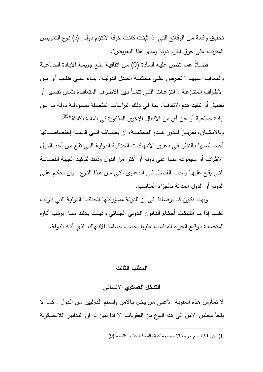تحقيـق واقعـة مـن الوقـائع التـي اذا ثبتـت كانـت خرقـاً لالتـزام دولـي ) د( نـوع التعـويض المترتب على خرق التزام دولة ومدى هذا التعويض ".

 فضـلاً عمـا تـنص عليـه المـادة (9) مـن اتفاقيـة منـع جريمـة الابـادة الجماعيـة والمعاقبــة عليهــا " تعــرض علــى محكمــة العــدل الدوليــة، بنــاء علــى طلــب أي مــن الاطــراف المتنازعــة ، النزاعــات التــي تنشــأ بــين الاطــراف المتعاقــدة بشــأن تفســير أو تطبيق أو تتفيذ هذهِ الاتفاقيـة، بمـا فـي ذلك النزاعـات المتصـلـة بمسـؤوليـة دولـة مـا عن ابادة جماعية أو عن أي من الافعال الاخرى المذكورة في المادة الثالثة"<sup>(85)</sup>. وبالامكــان، تعزيـــزاً لـــدور هــذهِ المحكمـــة، ان يضـــاف الـــى قائمـــة إختصـاصـــاتها أختصاصـها بـالنظر فـي دعـوى الانتهاكـات الجنائيـة الدوليـة التـي تقـع مـن أحـد الـدول الاطراف أو مجموعة منها على دولة أو أكثر من الدول وذلـك لتأكيـد الجهـة القضـائية التــي يقــع عليهــا واجــب الفصــل فــي الــدعاوى التــي مــن هــذا النــوع . وان تحكــم علــى الدولة أو الدول المدانة بالجزاء المناسب .

 وبهـذا نكـون قـد توصـلنا الـى أن للدولـة مسـؤوليتها الجنائيـة الدوليـة التـي تترتـب عليهـا إذا مـا أنتهكــت أحكـام القــانون الـدولي الجنـائي وادينــت بـذلك ممــا يرتـب أثــاره المتجسدة بتوقيع الجزاء المناسب عليها بحسب جسامة الانتهاك الذي أتته الدولة .

### **المطلب الثالث**

### **التدخل العسكري الانساني**

لا تمـارس هـذه العقوبـة الاعلـى مـن يخـل بـالامن والسـلم الـدوليين مـن الـدول . كمـا لا يلجأ مجلس الامن الى هذا النوع من العقوبات الا اذا تبين له ان التـدابير اللاعسـكرية

<sup>1</sup>) من اتفاقية منع جريمة الابادة الجماعية والمعاقبة عليها ؛المادة (9 )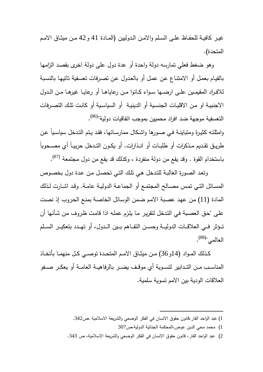غيـر كافيــة للحفـاظ علــي السـلم والامـن الـدوليين (المــادة 41 و 42 مـن ميثـاق الامـم المتحدة ).

و هو ضغط فعلي تمارسه دولة واحدة أو عدة دول على دولة اخرى بقصـد الزامهـا بالقيـام بعمـل أو الامتنـاع عـن عمـل أو بالعـدول عـن تصـرفات تعسـفية تاتيهـا بالنسـبة للافــراد المقيمــين علــى ارضــها ســواء كــانوا مــن رعاياهــا أو رعايــا غيرهــا مــن الــدول الاجنبيـة او مـن الاقليـات الجنسـية أو الدينيـة أو السياسـية أو كانـت تلـك التصـرفات التعسفية موجهة ضد افراد محميين بموجب انفاقيات دولية"<sup>(86)</sup>.

وامثلتـه كثيـرة ومتباينــة فـي صـورها واشــكال ممارسـاتها، فقـد يــتم التـدخل سياسـياً عــن طريــق تقــديم مــذكرات أو طلبــات أو انــذارات. أو يكــون التــدخل حربيــاً أي مصــحوباً باستخدام القوة . وقد يقع من دولة منفردة ، وكذلك قد يقع من دول مجتمعة <sup>(87)</sup>.

 وتعـد الصـورة الغالبـة للتـدخل هـي تلـك التـي تحصـل مـن عـدة دول بخصـوص المســائل التــي تمــس مصــالح المجتمــع أو الجماعــة الدوليــة عامــة. وقــد اشــارت لــذلك المادة (11) مـن عهـد عصـبة الامـم ضـمن الوسـائل الخاصـة بمنـع الحـروب إذ نصـت علـى "حـق العصـبة فـي التـدخل لتقريـر مـا يلـزم عملـه اذا قامـت ظـروف مـن شـأنها أن تـــؤثر فـــي العلاقـــات الدوليـــة وحســـن التفـــاهم بـــين الـــدول، أو تهـــدد بتعكيـــر الســـلم العالمي"<sup>(88)</sup>.

كــذلك المــواد (14و36) مــن ميثــاق الامــم المتحــدة توصــي كــل منهمــا بأتخــاذ المناســب مــن التــدابير لتســوية أي موقــف يضــر بالرفاهيــة العامــة أو يعكــر صــفو العلاقات الودية بين الامم تسوية سلمية .

1) محمد محي الدين عوض،المحكمة الجنائية الدولية،ص307

 $\overline{a}$ 

2) عبد الواحد الفار، قانون حقوق الانسان في الفكر الوضعي والشريعة الاسلامية، ص 343 .

<sup>1</sup>) عبد الواحد الفار،قانون حقوق الانسان في الفكر الوضعي والشريعة الاسلامية ،ص342 .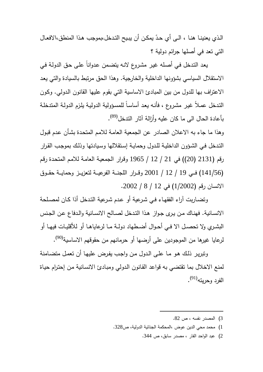الذي يعنينــا هنــا ، الــى أي حدّ يمكـن أن يبـيح التـدخل،بموجب هـذا المنطق،الافعــال التي تعد في أصلها جرائم دولية ؟

 يعـد التـدخل فـي أصـله غيـر مشـروع لانـه يتضـمن عـدواناً علـى حـق الدولـة فـي الاستقلال السياسي بشؤونها الداخلية والخارجية . وهذا الحق مرتبط بالسيادة والتي يعـد الاعتراف بها للدول من بين المبادئ الاساسية التي بقوم عليها القانون الـدولي. وكـون التـدخل عمـلاً غيـر مشـروع ، فأنـه يعـد أساسـاً للمسـؤولية الدوليـة يلـزم الدولـة المتدخلـة بأعادة الحال ال<sub>ى</sub> ما كان عليه وأزالة آثار الندخل<sup>(89)</sup>.

وهذا ما جاء به الاعلان الصادر عن الجمعية العامـة للامـم المتحـدة بشـأن عـدم قبـول التـدخل فـي الشـؤون الداخليـة للـدول وحمايـة إسـتقلالها وسـيادتها وذلـك بموجـب القـرار رقم (2131 ( 20)) في 21 / 12 / 1965 وقـرار الجمعيـة العامـة للامـم المتحـدة رقـم (141/56) فـــي 19 / 12 / 2001 وقـــرار اللجنـــة الفرعيـــة لتعزيـــز وحمايـــة حقـــوق الانسان رقم (1/2002) في 12 / 8 / 2002 .

 وتضـاربت آراء الفقهـاء فـي شـرعية أو عـدم شـرعية التـدخل أذا كـان لمصـلحة الانسـانية. فهنـاك مـن يـرى جـواز هـذا التـدخل لصـالح الانسـانية والـدفاع عـن الجـنس البشــري ولا تحصــل الا فــي أحــوال أضــطهاد دولــة مــا لرعاياهــا أو للأقليــات فيهــا أو لرعايا غيرها من الموجودين على أرضها أو حرمانهم من حقوقهم الاساسية<sup>(90)</sup>.

 وتبريـر ذلـك هـو مـا علـى الـدول مـن واجـب يفـرض عليهـا أن تعمـل متضـامنة لمنع الاخلال بما تقتضي به قواعد القـانون الـدولي ومبـادئ الانسـانية مـن إحتـرام حيـاة الفرد وحريته<sup>(91)</sup>.

1) محمد محي الدين عوض ،المحكمة الجنائية الدولية، ص328 .

 $\overline{a}$ 

2) عبد الواحد الفار ، مصدر سابق، ص 344 .

<sup>3</sup>) المصدر نفسه ، ص 82 .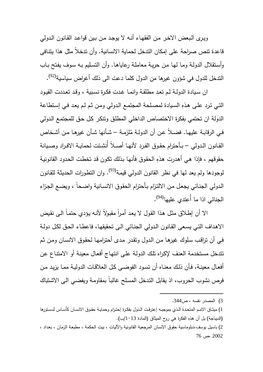ويـرى الـبعض الاخـر مـن الفقهـاء أنـه لا يوجـد مـن بـين قواعـد القـانون الـدولي قاعدة تنص صراحة على إمكان التدخل لحماية الانسانية. وأن تدخلاً مثل هذا يتنـافى وأسـتقلال الدولـة ومـا لهـا مـن حريـة معاملـة رعاياهـا. وأن التسـليم بـه سـوف يفـتح بـاب الندخل للدول في شؤون غيرها من الدول كلما دعت الى ذلك أغراض سياسية<sup>(92)</sup>.

 ان سـيادة الدولـة لـم تعـد مطلقـة وانمـا غـدت فكـرة نسـبية ، وقـد تعـددت القيـود التـي تـرد علـى هـذهِ السـيادة لمصـلحة المجتمـع الـدولي ومـن ثـم لـم يعـد فـي إسـتطاعة الدولة ان تحتمي بفكرة الاختصاص الداخلي المطلـق وتنكـر كـل حـق للمجتمـع الـدولي فـي الرقابـة عليهـا. فضــلا عن أن الدولـة مُلزَمـة – شـأنـها شـأن غيرهـا مـن أشـخاص القـانون الـدولي – بـأحترام حقوق الفرد لأنهـا أصــلاً أُنشِئت لحمايـة الافـراد وصـيانة حقوقهم ، فإذا هي أهدرت هذهِ الحقوق فأنها بذلك تكون قد تخطت الحدود القانونية لوجودها ولم يعد لمها في نظر القانون الدولي قيمـة<sup>(93)</sup>. وان التطورات الحديثـة للقانون الـدولي الجنـائي يجعـل مـن الالتـزام بـأحترام الحقـوق الانسـانية واضـحاً ، ويضـع الجـزاء الجنائي اذا ما أُعتدي عليها<sup>(94)</sup>.

الاً أن إطـلاق مثل هذا القول لا يعد أمـرا مقبولاً لأنـه يؤدي حتمـاً الـى نقيض الاهـداف التـي يسـعى القـانو ن الـدولي الجنـائي الـى تحقيقهـا، فاعطـاء الحـق لكـل دولـة فـي أن تراقـب سـلوك غيرهـا مـن الـدول وتقـدر مـدى أحترامهـا لحقـوق الانسـان ومـن ثـم تتدخل مسـتخدمة العنـف لإكـراه تلـك الدولـة علـى انتهـاج أفعـال معينـة أو الامتنـاع عـن أفعـال معينـة، فـأن ذلـك معنـاه أن تسـود الفوضـى كـل العلاقـات الدوليـة ممـا يزيـد مـن فرص نشوب الحروب، اذ يقابل التـدخل المسـلح غالبـاً بمقاومـة ويفضـي الـى الاشـتباك

<sup>3</sup>) المصدر نفسه ، ص344 .

<sup>1</sup>) ميثــاق الامــم المتحــدة الــذي بموجبــه إعترفــت الــدول بفكــرة إحتــرام وحمايــة حقــوق الانســان كأســاس لدســتورها (الديباجة) بل أن هذهِ الفكرة هي روح الميثاق (المادة 13−1|ب).

<sup>2</sup>) باسيل يوسف،دبلوماسية حقوق الانسان المرجعية القانونية والآليات ، بيت الحكمة ، مطبعـة الزمـان ، بغـداد ، 2002 ، ص 76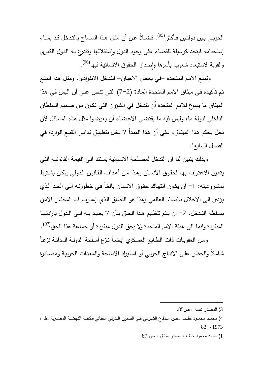الحربــي بـين دولتـين فـأكثر <sup>(95)</sup>. فضــلاً عن أن مثـل هـذا السـماح بالتـدخل قـد يسـاء إستخدامه فيتخذ كوسيلة للقضاء على وجود الدول وإستقلالها ونتذرع بـه الدول الكبرى والقوية لاستبعاد شعوب بأسرها وإصدار الحقوق الانسانية فيها<sup>(96)</sup>.

وتمنع الامـم المتحـدة –فـي بعـض الاحيـان – التـدخل الانفـرادي، ومثـل هـذا المنـع تـم تأكيـده فـي ميثـاق الامـم المتحـدة المـادة (7-2) التـي تـنص علـى أن "لـيس فـي هـذا الميثاق ما يسوغ للامم المتحدة أن تتدخل في الشؤون التي تكـون مـن صـميم السـلطان الداخلي لدولة ما، وليس فيه ما يقتضـي الاعضـاء أن يعرضـوا مثـل هـذهِ المسـائل لأن تخل بحكم هـذا الميثـاق، علـى أن هـذا المبـدأ لا يخـل بتطبيـق تـدابير القمـع الـواردة فـي الفصل السابع ".

 وبذلك يتبين لنا ان التدخل لمصـلحة الانسـانية يسـتند الـى القيمـة القانونيـة التـي يتعـين الاعتـراف بهـا لحقـوق الانسـان وهـذا مـن أهـداف القـانون الـدولي ولكـن يشـترط لمشروعيته: 1– ان يكون انتهاك حقوق الانسـان بالغـاً فـي خطورتـه الـي الحد الـذي يؤدي الى الاخلال بالسلام العالمي وهذا هو النطـاق الـذي إعتـرف فيـه لمجلـس الامـن بســلطة التــدخل. 2 - ان يــتم تنظــيم هــذا الحــق بــأن لا يعهــد بــه الــى الــدول بارادتهــا المنفردة وانما الى هيئة الامم المتحدة ولا يحق للدول منفردة أو جماعة هذا الحق<sup>(97)</sup>.

 ومــن العقوبــات ذات الطــابع العســكري ايضــاً نــزع أســلحة الدولــة المدانــة نزعــاً شـاملاً والحظـر علـى الانتـاج الحربـي أو اسـتيراد الاسـلحة والمعـدات الحربيـة ومصـادرة

1) محمد محمود خلف ، مصدر سابق ، ص 87 .

<sup>3</sup>) المصدر نفسه ، ص85 .

<sup>4</sup>) محمــد محمــود خلــف ،حــق الــدفاع الشــرعي فــي القــانون الــدولي الجنائي،مكتبــة النهضــة المصــرية ،ط1 ،  $.82 \, \text{m}$ ص $.973$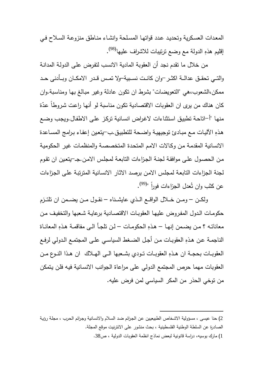المعـدات العسـكرية وتحديـد عـدد قواتهـا المسـلحة وانشـاء منـاطق منزوعـة السـلاح فـي (98) إقليم هذهِ الدولة مع وضع ترتيبات للاشراف عليها .

 من خلال ما تقدم نجد أن العقوبة المادية الانسـب لتفـرض علـى الدولـة المدانـة والتــي تحقـــق عدالــة اكثـــر-وان كانـــت نســبية–ولا تمـــس قـــدر الامكــان وبـــأدنى حـــد ممكن،الشعوب،هي "التعويضات" بشرط ان تكون عادلة وغير مبـالغ بهـا ومناسـبة.وان كان هناك من يرى ان العقوبات الاقتصادية تكون مناسبة لو أنها راعت شروطاً عدّة منها "أ–اتاحـة تطبيق استثناءات لاغراض انسـانية تركـز علـى الاطفال.ويجب وضـع هذه الآليـات مـع مبـادئ توجيهيـة واضـحة للتطبيـق.ب-يتعين إعفـاء بـرامج المسـاعدة الانسانية المقدمـة مـن وكـالات الامـم المتحـدة المتخصصـة والمنظمـات غيـر الحكوميـة مـن الحصـول علـى موافقـة لجنـة الجـزاءات التابعـة لمجلـس الامـن -جــ. يتعـين ان تقـوم لجنة الجزاءات التابعـة لمجلـس الامـن برصـد الاثـار الانسـانية المترتبـة علـى الجـزاءات عن كثب وان تُعدل الجزاءات فوراً "<sup>(99)</sup>.

 ولكـــن – ومـــن خـــلال الواقـــع الـــذي عايشـــناه – نقـــول مـــن يضـــمن ان تلتـــزم حكومـات الـدول المفـروض عليهـا العقوبـات الاقتصـادية برعايـة شـعبها والتخفيـف مـن معاناتـه ؟ مـن يضـمن إنهـا – هذهِ الحكومـات – لـن تلجـأ الـي مفاقمـة هذهِ المعانـاة الناجمــة عــن هــذهِ العقوبــات مــن أجــل الضــغط السياســي علــى المجتمــع الــدولي لرفــع العقوبــات بحجــة ان هــذهِ العقوبــات تــودي بشــعبها الــى الهــلاك ان هــذا النــوع مــن العقوبات مهما حرص المجتمع الدولي على مراعاة الجوانب الانسـانية فيـه فلـن يـتمكن من توخي الحذر من المكر السياسي لمن فرض عليه .

<sup>2</sup>) حنا عيسى ، مسؤولية الاشـخاص الطبيعيـين عـن الجـرائم ضـد السـلام والانسـانية وجـرائم الحـرب ، مجلـة رؤيـة الصادرة عن السلطة الوطنية الفلسطينية ، بحث منشور على الانترنيت موقع المجلة .

<sup>1</sup>) مارك بوسيه ، دراسة قانونية لبعض نماذج انظمة العقوبات الدولية ، ص38 .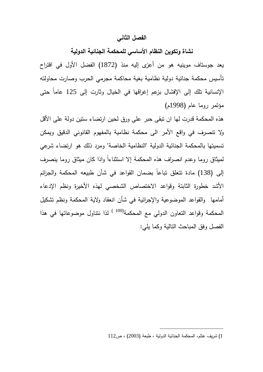#### **الفصل الثاني**

**نشاة وتكوين النظام الأساسي للمحكمة الجنائية الدولية** 

يعد جوستاف موينيه هو من أ عزى إليه منذ (1872) الفضل الأول في اقتراح تأسيس محكمة جنائية دولية نظامية بغية محاكمة مجرمي الحرب وصارت محاولته الإنسانية تلك إلى الإفشال بزعم إغراقها في الخيال وثارت إلى 125 عاماً حتى مؤتمر روما عام (1998 ) م

هذه المحكمة قدرت لها ان تبقى حبر على ورق لحين ارتضاء ستين دولة على الأقل ولا تنصرف في واقع الأمر الى محكمة نظامية بالمفهوم القانوني الدقيق ويمكن تسميتها بالمحكمة الجنائية الدولية "النظامية الخاصة" ومرد ذلك هو ارتضاء شرعي لميثاق روما وعدم انصراف هذه المحكمة إلا استثناءا واذا كان ميثاق روما بنصرف مادة تتعلق تباعاً إلى (138) بضمان القواعد في شأن طبيعه المحكمة والجرائم الأشد خطورة الثابتة وقواعد الاختصاص الشخصي لهذه الأخيرة ونظم الإدعاء أمامها و القواعد الموضوعية والإجرائية في شأن انعقاد ولاية المحكمة ونظم تشكيل المحكمة وقواعد التعاون الدولي مع المحكمة<sup>(100 )</sup> لذا ننتاول موضوعاتها في هذا الفصل وفق المباحث التالية وكما يلي :

<sup>1</sup>) شريف عتلم ، المحكمة الجنائية الدولية ، طبعة (2003) ، ص112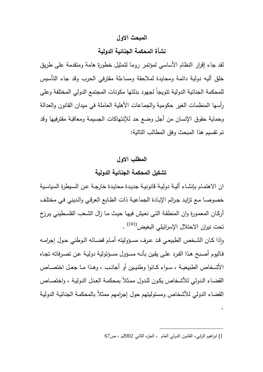### **المبحث الاول**

### **نشأة المحكمة الجنائية الدولية**

لقد جاء إقرار النظام الأساسي لمؤتمر روما لتمثيل خطورة هامة ومتقدمة على طريق خلق أليه دولية دائمة ومحايدة لملاحقة ومساءلة مقترفي الحرب وقد جاء التأسيس للمحكمة الجنائية الدولية تتويجاً لجهود بذلتها مكونات المجتمع الدولي المختلفة وعلى رأسها المنظمات الغير حكومية والجماعات الأهلية العاملة في ميدان القانون والعدالة وحماية حقوق الإنسان من أجل وضع حد للإنتهاكات الجسيمة ومعاقبة مقترفيها وقد تم تقسيم هذا المبحث وفق المطالب التالية :

**المطلب الاول تشكيل المحكمة الجنائية الدولية** 

ان الاهتمـام بإنشـاء أليـة دوليـة قانونيـة جديـدة محايـدة خارجـة عـن السـيطرة السياسـية خصوصـا مـع تزايـد جـرائم الإبـادة الجماعيـة ذات الطـابع العرقـي والـديني فـي مختلـف أركـان المعمـورة وان المنطقـة التـى نعـيش فيهـا حيـث مـا زال الشـعب الفلسـطيني يـرزخ تحت نيران الاحتلال الإسرائيلي البغيض<sup>(101)</sup> .

وإذا كـان الشـخص الطبيعـي قد عرف مسـؤوليته أمـام قضـائه الـوطني حـول إجرامــه فـاليوم أصـبح هـذا الفـرد علـى يقـين بأنـه مسـؤ ول مسـؤ ئولية دوليـة عـن تصـرفاته تجـاه الأشــخاص الطبيعيــة ، ســواء كــانوا وطنيــين أو أجانــب ، وهــذا مــا جعــل اختصــاص القضـاء الـدولي للأشـخاص يكـون للـدول ممـثلاً بمحكمـة العـدل الدوليـة ، واختصـاص القضاء الدولي للأشخاص ومسئوليتهم حول إجرامهم ممثلاً بالمحكمـة الجنائيـة الدوليـة

 $\overline{a}$ 

.

<sup>1</sup>) ابراهيم الرابي ، القانون الدولي العام ، الجزء الثاني 2002م ، ص67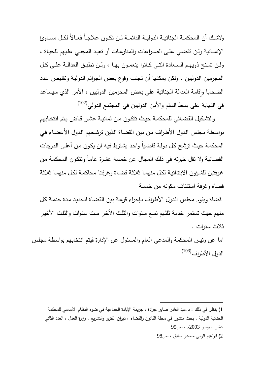ولاشــك أن المحكمــة الجنائيـــة الدوليــة الدائمــة لــن تكــون علاجــاً فعــالاً لكــل مســاوئ الإنسـانية ولـن تقضـي علـى الصـراعات والمنازعـات أو تعيـد المجنـي علـيهم للحيـاة ، ولــن تمــنح ذويهــم الســعادة التــي كــانوا ينعمــون بهــا ، ولــن تطبــق العدالــة علــى كــل المجرمين الدوليين ، ولكن يمكنها أن تجنب وقوع بعض الجـرائم الدوليـة وتقلـيص عـدد الضحايا وإقامة العدالة الجنائية على بعض المحرمين الدوليين ، الأمر الذي سيساعد ٕ (102) في النهاية على بسط السلم والأمن الدوليين في المجتمع الدولي

والتشكيل القضـائـي للمحكمــة حيـث تتكـون مـن ثمانيــة عشـر قـاض يـتم انتخـابهم بواسـطة مجلـس الـدول الأطـراف مـن بـين القضـاة الـذين ترشـحهم الـدول الأعضـاء فـي المحكمـة حيـث ترشـح كـل دولـة قاضـياً واحـد يشـترط فيـه ان يكـون مـن أعلـى الـدرجات القضائية ولا تقل خبرته في ذلك المجال عن خمسة عشـرة عامـاً وتتكـون المحكمـة مـن غـرفتين للشـؤون الابتدائيـة لكـل منهمـا ثلاثـة قضـاة وغرفتـا محاكمـة لكـل منهمـا ثلاثـة قضاة وغرفة استئناف مكونه من خمسة

قضاة ويقوم مجلـس الـدول الأطـراف بـإجراء قرعـة بـين القضـاة لتحديـد مـدة خدمـة كـل منهم حيث تستمر خدمة ثلثهم تسع سـنوات والثلـث الأخـر سـت سـنوات والثلـث الأخيـر ثلاث سنوات .

اما عن رئيس المحكمة والمدعي العام والمسئول عن الإدارة فيتم انتخابهم بواسطة مجلـس الدول الأطراف<sup>(103)</sup>

<sup>1</sup>) ينظر في ذلك .د: عبد القادر صابر جرادة ، جريمة الإبادة الجماعية في ضوء النظام الأساسي للمحكمة الجنائية الدولية ، بحث منشور في مجلة القانون والقضاء ، ديوان الفتوى والتشريع ، وزارة العدل ، العدد الثاني عشر ، يونيو 2003م ، ص95 2) ابراهيم الرابي مصدر سابق ، ص98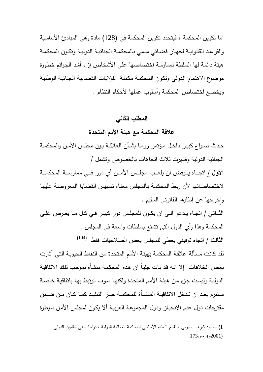اما تكوين المحكمة ، فيتحدد تكوين المحكمة في (128) مادة وهي المبادئ الأساسـية والقواعد القانونيــة لجهـاز قضــائـي سـمي بالمحكمــة الجنائيــة الدوليــة وتكـون المحكمــة هيئة دائمة لها السلطة لممارسة اختصاصها على الأشخاص إزاء أشد الجـرائم خطـورة موضوع الاهتمام الـدولي وتكـون المحكمـة مكملـة للولايـات القضـائية الجنائيـة الوطنيـة ويخضع اختصاص المحكمة وأسلوب عملها لأحكام النظام .

### **المطلب الثاني**

**علاقة المحكمة مع هيئة الأمم المتحدة** 

حــدث صــراع كبيــر داخــل مــؤتمر رومــا بشــأن العلاقــة بــين مجلــس الأمــن والمحكمــة الجنائية الدولية وظهرت ثلاث اتجاهات بالخصوص وتشمل /

**الأول** / اتجــــاه يــــرفض ان يلعــــب مجلــــس الأمــــن أي دور فــــي ممارســــة المحكمــــة لاختصاصـاتها لأن ربـط المحكمـة بـالمجلس معنـاه تسـييس القضـايا المعروضـة عليهـا وإخراجها عن إطارها القانوني السليم .

**الثـــاني /** اتجــاه يــدعو الــى ان يكــون للمجلــس دور كبيــر فــي كــل مــا يعــرض علــى المحكمة وهذا رأي الدول التى تتمتع بسلطات واسعة في المجلس . (104) **الثالث /** اتجاه توفيقي يعطي للمجلس بعض الصلاحيات فقط

لقد كانـت مسـألة علاقـة المحكمـة بهيئـة الأمـم المتحـدة مـن النقـاط الحيويـة التـي أثـارت بعـض الخلافـات إلا انـه قـد بـات جليـاً ان هـذه المحكمـة منشـأة بموجـب تلـك الاتفاقيـة الدوليـة وليسـت جـزء مـن هيئـة الأمـم المتحـدة ولكنهـا سـوف تـرتبط بهـا باتفاقيـة خاصـة ســتبرم بعــد ان تــدخل الاتفاقيــة المنشــأة للمحكمــة حيــز التنفيــذ كمــا كــان مــن ضــمن مقترحات دول عدم الانحيـاز ودول المجموعـة العربيـة ألا يكـون لمجلـس الأمـن سـيطرة

<sup>1</sup>) محمود شريف بسيوني ، تقييم النظام الأساسي للمحكمة الجنائية الدولية ، دراسات في القانون الدولي  $(2001)$  م)، ص $(2001)$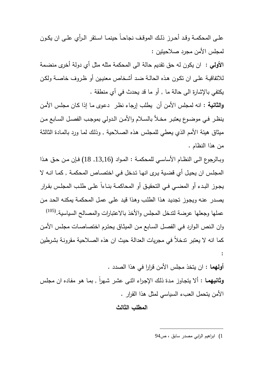علــى المحكمــة وقــد أحــرز ذلــك الموقــف نجاحــاً حينمــا اســتقر الــرأي علــى ان يكــون لمجلس الأمن مجرد صلاحيتين :

**الأولي** : ان يكون له حق تقديم حالة الى المحكمة مثله مثل أي دولة أخرى منضـمة للاتفاقيـة علـى ان تكـون هـذه الحالـة ضـد أشـخاص معنيـي ن أو ظـروف خاصـة ولكـن يكتفي بالإشارة الى حالة ما , أو ما قد يحدث في أي منطقة .

**والثانية** : انه لمجلس الأمن أن يطلب إرجاء نظـر دعـوى مـا إذا كـان مجلـس الأمـن ينظـر فـي موضـوع يعتبـر مخــلأ بالســلام والأمـن الـدولي بموجـب الفصـل السـابع مــن ميثاق هيئة الأمم الذي يعطي للمجلـس هـذه الصـلاحية , وذلـك لمـا ورد بالمـادة الثالثـة من هذا النظام .

وبــالرجوع الــى النظــام الأساســي للمحكمــة : المــواد (,13,16 18) فــإن مــن حــق هــذا المجلـس ان يحيـل أي قضـية يـرى انهـا تـدخل فـي اختصـاص المحكمـة , كمـا انـه لا يجوز البدء أو المضــي فـي التحقيـق أو المحاكمــة بنــاءا علــى طلـب المجلس بقـرار يصـدر عنـه ويجـوز تجديـد هـذا الطلـب وهـذا قيـد علـى عمـل المحكمـة يمكنـه الحـد مـن (105) عملها وجعلها عرضة لتدخل المجلس والأخذ بالاعتبارات والمصالح السياسية. وان الـنص الـوارد فـي الفصـل السـابع مـن الميثـاق يحتـرم اختصاصـات مجلـس الأمـن كما انه لا يعتبر تدخلاً في مجريات العدالة حيث ان هذه الصـلاحية مقرونـة بشـرطين :

**أولهما** : ان يتخذ مجلس الأمن قرارا في هذا الصدد . **وثانيهمـا** : ألا يتجاوز مدة ذلك الإجراء اثنـى عشر شـهراً , بمـا هو مفاده ان مجلس الأمن يتحمل العبء السياسي لمثل هذا القرار .

# **المطلب الثالث**

1) ابراهيم الرابي مصدر سابق ، ص 94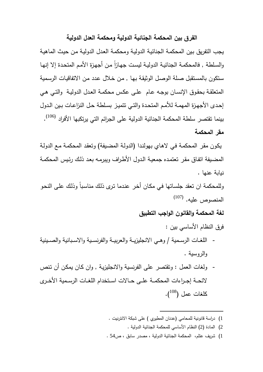### **الفرق بين المحكمة الجنائية الدولية ومحكمة العدل الدولية**

يجب التفريق بـين المحكمـة الجنائيـة الدوليـة ومحكمـة العـدل الدوليـة مـن حيـث الماهيـة والسلطة , فالمحكمـة الجنائيـة الدوليـة ليست جهـازا مـن أجهزة الأمم المتحدة إلا إنـهـا سـتكون بالمسـتقبل صـلة الوصـل الوثيقـة بهـا , مـن خـلال عـدد مـن الاتفاقيـات الرسـمية المتعلقـة بحقـوق الإنسـان بوجـه عـام علـى عكـس محكمـة العـدل الدوليـة والتـي هـي إحـدى الأجهـزة المهمـة للأمـم المتحـدة والتـي تتميـز بسـلطة حـل النزاعـات بـين الـدول بينما تقتصر سلطة المحكمة الجنائية الدولية على الجرائم التي يرتكبها الأفراد <sup>(106)</sup>. **مقر المحكمة**

يكـون مقـر المحكمـة فـي لاهـاي بهولنـدا (الدولـة المضـيفة) وتعقـد المحكمـة مـع الدولـة المضـيفة اتفـاق مقـر تعتمـده جمعيـة الـدول الأطـراف ويبرمـه بعـد ذلـك رئـيس المحكمـة نيابة عنها .

وللمحكمة ان تعقد جلسـاتها فـي مكـان أخـر عنـدما تـرى ذلـك مناسـباً وذلـك علـى النحـو المنصوص عليه. <sup>(107)</sup>

**لغة المحكمة والقانون الواجب التطبيق** 

فرق النظام الأساسي بين : - اللغــات الرســمية / وهــي الانجليزيــة والعربيــة والفرنســية والاســبانية والصــينية والروسية .

- ولغات العمل : وتقتصر على الفرنسية والانجليزيـة , وان كـان يمكـن أن تـنص لائحــة إجــراءات المحكمــة علــى حــالات اســتخدام اللغــات الرســمية الأخــرى  $\left( \begin{matrix} 108 \ 109 \end{matrix} \right)$  كلغات عمل
	- 1) دراسة قانونية للمحامي (عدنان المطيري ) على شبكة الانترنيت .

- 2) المادة (2) النظام الأساسي للمحكمة الجنائية الدولية .
- 1) شريف عتلم ، المحكمة الجنائية الدولية ، مصدر سابق ، ص54 .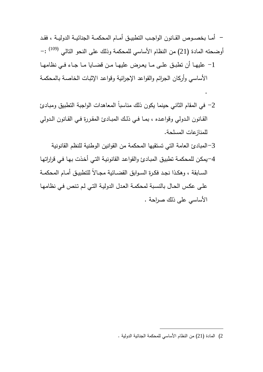**-** أمــا بخصــوص القــانون الواجــب التطبيــق أمـــام المحكمــة الجنائيــة الدوليــة ، فقــد أوضحته المادة (21) من النظام الأساسي للمحكمة وذلك على النحو التالي <sup>(109)</sup> :– -1 عليهــا أن تطبــق علــى مــا يعــرض عليهــا مــن قضــايا مــا جــاء فــي نظامهــا الأساسي وأركان الجرائم والقواعد الإجرائية وقواعـد الإثبـات الخاصـة بالمحكمـة

.

- -2 في المقام الثاني حينما يكون ذلك مناسباً المعاهدات الواجبة التطبيق ومبـادئ القــانون الــدولي وقواعــده ، بمــا فــي ذلــك المبــادئ المقــررة فــي القــانون الــدولي للمنازعات المسلحة.
	- -3المبادئ العامة التي تستقيها المحكمة من القوانين الوطنية للنظم القانونية
- -4يمكـن للمحكمـة تطبيـق المبـادئ والقواعـد القانونيـة التـي أخـذت بهـا فـي قراراتهـا الســابقة ، وهكــذا نجــد فكــرة الســوابق القضــائية مجــالاً للتطبيــق أمــام المحكمــة علـى عكـس الحـال بالنسـبة لمحكمـة العـدل الدوليـة التـي لـم تـنص فـي نظامهـا الأساسي على ذلك صراحة .

<sup>2</sup>) المادة (21) من النظام الأساسي للمحكمة الجنائية الدولية .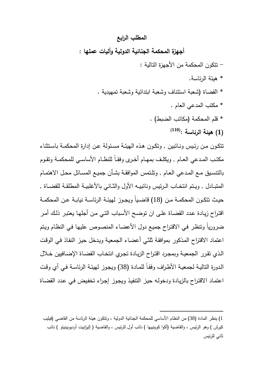# **المطلب الرابع**

**أجهزة المحكمة الجنائية الدولية وأليات عملها** :

- تتكون المحكمة من الأجهزة التالية :

- \* هيئة الرئاسة .
- \* القضاة (شعبة استئناف وشعبة ابتدائية وشعبة تمهيدية .
	- \* مكتب المدعي العام . \* قلم المحكمة (مكاتب الضبط) . **(1) هيئة الرئاسة : (110)**

تتكــون مــن رئــيس ونــائبين , وتكــون هــذه الهيئــة مســئولة عــن إدارة المحكمــة باســتثناء مكتــب المــدعي العــام , ويكلــف بمهــام أخــرى وفقــاً للنظــام الأساســي للمحكمــة وتقــوم بالتنسـيق مـع المــدعي العـام , وتلـتمس الموافقــة بشـأن جميـع المســائل محـل الاهتمــام المتبــادل , ويـتم انتخــاب الـرئيس ونائبيــه الأول والثــاني بـالأغلبيــة المطلقــة للقضــاة , حيــث تتكــون المحكمــة مــن (18) قاضــياً ويجــوز لهيئــة الرئاســة نيابــة عــن المحكمــة اقتـراح زيـادة عـدد القضـاة علـى ان توضـح الأسـباب التـي مـن أجلهـا يعتبـر ذلـك أمـر ضرورياً وتنظـر فـي الاقتـراح جميـع دول الأعضـاء المنصـوص عليهـا فـي النظـام ويـتم اعتماد الاقتراح المـذكور بموافقـة ثلثـي أعضـاء الجمعيـة ويـدخل حيـز النفـاذ فـي الوقـت الـذي تقـرر الجمعيـة وبمجـرد اقتـراح الزيـادة تجـري انتخـاب القضـاة الإضـافيين خـلال الـدورة التاليـة لجمعيـة الأطـراف وفقـاً للمـادة (38) ويجـوز لهيئـة الرئاسـة فـي أي وقـت اعتمـاد الاقتـراح بالزيـادة ودخولـه حيـز التنفيـذ ويجـوز إجـراء تخفـيض فـي عـدد القضـاة

<sup>1</sup>) ينظر المادة (38) من النظام الأساسي للمحكمة الجنائية الدولية ، وتتكون هيئة الرئاسة من القاضي (فيليب كيرش ) وهو الرئيس ، والقاضية (أكوا كوينييها ) نائب أول للرئيس ، والقاضية ( إليزابيت أوديوبينيتو ) نائب ثاني للرئيس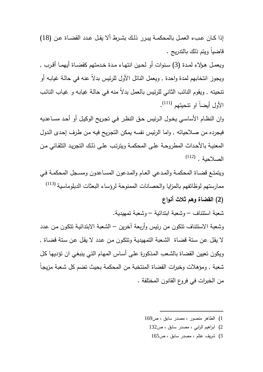إذا كــان عــبء العمــل بالمحكمــة يبــرر ذلــك بشــرط ألا يقــل عــدد القضــاة عــن (18) قاضياً ويتم ذلك بالتدريج .

ويعمــل هــؤلاء لمــدة (3) ســنوات أو لحــين انتهــاء مــدة خــدمتهم كقضــاة أيهمــا أقــرب , ويجوز انتخابهم لمدة واحدة , ويعمل النائل الأول للرئيس بدلاً عنه في حالـة غيابـه أو تنحيته , ويقوم النائب الثاني للرئيس بالعمل بدلاً منه فـي حالـة غيابـه و غيـاب النائـب الأول أيضاً او تتحيتهم <sup>(111)</sup>.

وان النظـام الأساسـي يخـول الـرئيس حـق النظـر فـي تجـريح الوكيـل أو أحـد مسـاعديه فيجرده من صلاحياته , واما الرئيس نفسه يمكن التجـريح فيـه مـن طـرف إحـدى الـدول المعنيـة بالأحـداث المطروحـة علـى المحكمـة ويترتـب علـى ذلـك التجريـد التلقـائي مـن  $\left( 112\right)$  . الصلاحية

ويتمتـع قضـاة المحكمـة والمـدعي العـام والمـدعون المسـاعدون ومسـجل المحكمـة فـي ممارستهم لوظائفهم بالمزايا والحصانات الممنوحة لرؤساء البعثات الدبلوماسية <sup>(113)</sup>

**(2) القضاة وهم ثلاث أنواع**

شعبة استئناف – وشعبة ابتدائية – وشعبة تمهيدية .

وشعبة الاستئناف تتكون من رئيس وأربعة آخرين – الشعبة الابتدائيـة تتكـون مـن عـدد لا يقـل عـن سـتة قضـاة الشـعبة التمهيديـة وتتكـون مـن عـدد لا يقـل عـن سـتة قضـاة , ويكون تعيين القضاة بالشـعب المـذكورة علـى أسـاس المهـام التـي ينبغـي ان تؤديهـا كـل شعبة , ومؤهلات وخبرات القضاة المنتخبة من المحكمة بحيث تضم كل شـعبة مزيجـاً من الخبرات في فروع القانون المختلفة .

1) الطاهر منصور ، مصدر سابق ، ص169

- 2) ابراهيم الرابي ، مصدر سابق ، ص132
	- 3) شريف عتلم ، مصدر سابق ، ص165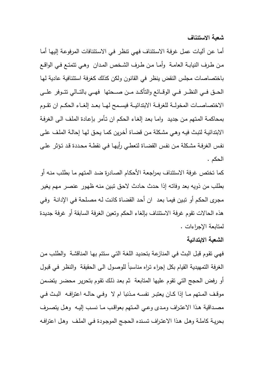**شعبة الاستئناف**

أمـا عـن آليـات عمـل غرفـة الاسـتئناف فهـي تنظـر فـي الاسـتئنافات المرفوعـة إليهـا أمـا مـن طــرف النيابــة العامــة وأمــا مــن طــرف الشــخص المــدان وهــي تتمتــع فــي الواقــع باختصاصات مجلس النقض ينظر في القانون ولكن كذلك كغرفة استئنافية عادية لهـا الحـــق فـــي النظــــر فـــي الوقـــائع والتأكـــد مـــن صـــحتها فهـــي بالتـــالي تتـــوفر علـــى الاختصاصـــات المخولـــة للغرفـــة الابتدائيـــة فيســـمح لهـــا بعـــد إلغـــاء الحكـــم ان تقـــوم بمحاكمـة المـتهم مـن جديـد وامـا بعـد إلغـاء الحكـم ان تـأمر بإعـادة الملـف الـى الغرفـة الابتدائيـة لتبـث فيـه وهـي مشـكلة مـن قضـاة أخـرين كمـا يحـق لهـا إحالـة الملـف علـى نفـس الغرفـة مشـكلة مـن نفـس القضـاة لتعطـي رأيهـا فـي نقطـة محـددة قـد تـؤثر علـى الحكم .

كما تختص غرفة الاستئناف بمراجعـة الأحكـام الصـادرة ضـد المـتهم مـا بطلـب منـه أو بطلب من ذويه بعد وفاتـه إذا حـدث حـادث لاحـق تبـين منـه ظهـور عنصـر مهـم يغيـر مجـرى الحكـم أو تبـين فيمـا بعـد ان أحـد القضـاة كانـت لـه مصـلحة فـي الإدانـة وفـي هذه الحالات تقوم غرفة الاستئناف بإلغاء الحكم وتعين الغرفة السابقة أو غرفة جديـدة لمتابعة الإجراءات .

**الشعبة الابتدائية**

فهـي تقـوم قبـل البـث فـي المنازعـة بتحديـد اللغـة التـي سـتتم بهـا المناقشـة والطلـب مـن الغرفة التمهيدية القيام بكل إجراء تـراه مناسـباً للوصـول الـى الحقيقـة والنظـر فـي قبـول أو رفض الحجج التي تقوم عليها المتابعة ثم بعـد ذلـك تقـوم بتحريـر محضـر يتضـمن موقــف المــتهم مــا إذا كــان يعتبــر نفســه مــذنبا ام لا وفــي حالــه اعترافــه البــث فــي مصــداقية هــذا الاعتــراف ومــدى وعــي المــتهم بعواقــب مــا نســب إليــه وهــل يتصــرف بحريـة كاملـة وهـل هـذا الاعتـراف تسنده الـحجـج الموجـودة فـي الملـف وهـل اعترافـه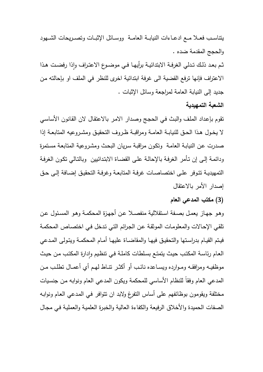يتناســب فعــلا مــع ادعــاءات النيابــة العامــة ووســائل الإثبــات وتصــريحات الشــهود والحجج المقدمة ضده .

ثم بعد ذلك تـدلي الغرفـة الابتدائيـة برأيهـا فـي موضـوع الاعتـراف وإذا رفضـت هـذا الاعتراف فإنها ترفع القضية الى غرفة ابتدائية اخرى للنظر في الملف او بإحالته مـن جديد إلى النيابة العامة لمراجعة وسائل الإثبات .

### **الشعبة التمهيدية**

تقوم بإعـداد الملـف والبـث فـي الحجـج وصـدار الامـر بالاعتقـال لان القـانون الأساسـي لا يخــول هــذا الحــق للنيابــة العامــة ومراقبــة ظــروف التحقيــق ومشــروعيه المتابعــة إذا صـدرت عـن النيابـة العامـة وتكـون مراقبـة سـريان البحـث ومشـروعية المتابعـة مسـتمرة ودائمـة إلـى إن تـأمر الغرفـة بالإحالـة علـى القضـاة الابتـدائيين وبالتـالي تكـون الغرفـة التمهيديـة تتــوفر علــى اختصاصـات غرفــة المتابعــة وغرفــة التحقيـق إضــافة إلــى حــق إصدار الأمر بالاعتقال

# **(3) مكتب المدعي العام**

وهـو جهـاز يعمـل بصـفة اسـتقلالية منفصـلا عـن أجهـزة المحكمـة وهـو المسـئول عـن تلقـي الإحـالات والمعلومـات الموثقـة عـن الجـرائم التـي تـدخل فـي اختصـاص المحكمـة فيتم القيـام بدراسـتها والتحقيـق فيهـا والمقاضــاة عليهـا أمــام المحكمــة ويتـولـى المـدعي العـام رئاسـة المكتب حيث يتمتـع بسلطات كاملـة فـي تتظـيم وإدارة المكتب مـن حيث موظفيــه ومرافقــه ومــوارده ويســاعده نائــب أو أكثــر تنــاط لهــم أي أعمــال تطلــب مــن المدعي العام وفقاً للنظام الأساسي للمحكمة ويكون المدعي العام ونوابه مـن جنسـيات مختلفة ويقومون بوظائفهم على أساس التفرغ ولابد ان تتوافر فـي المـدعي العـام ونوابـه الصفات الحميدة والأخلاق الرفيعة والكفاءة العالية والخبـرة العلميـة والعمليـة فـي مجـال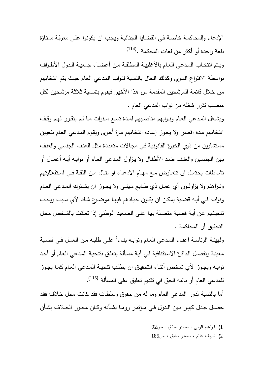الإدعاء والمحاكمـة خاصـة فـي القضـايا الجنائيـة ويجـب ان يكونـوا علـى معرفـة ممتـازة (114) بلغة واحدة أو أكثر من لغات المحكمة .

ويــتم انتخــاب المــدعي العــام بالأغلبيــة المطلقــة مــن أعضــاء جمعيــة الــدول الأطــراف بواسطة الاقتراع السري وكذلك الحال بالنسـبة لنـواب المـدعي العـام حيـث يـتم انتخـابهم من خلال قائمة المرشحين المقدمة من هـذا الأخيـر فيقـوم بتسـمية ثلاثـة مرشـحين لكـل منصب تقرر شغله من نواب المدعي العام .

ويشــغل المــدعي العــام ونــوابهم مناصــبهم لمــدة تســع ســنوات مــا لــم يتقــرر لهــم وقــف انتخـابهم مـدة اقصـر ولا يجـوز إعـادة انتخـابهم مـرة أخـرى ويقـوم المـدعي العـام بتعيـين مستشارين من ذوي الخبـرة القانونيـة فـي مجـالات متعـددة مثـل العنـف الجنسـي والعنـف بـين الجنسـين والعنـف ضــد الأطفـال ولا يـزاول المـدعي العــام أو نوابـه أيـه أعمــال أو نشــاطات يحتمــل ان تتعــارض مــع مهــام الادعــاء او تنــال مــن الثقــة فــي اســتقلاليتهم ونــزاهتم ولا يزاولــون أي عمــل ذي طــابع مهنــي ولا يجــوز ان يشــترك المــدعي العــام ونوابـه فـي أيـه قضـية يمكـن ان يكـون حيـادهم فيهـا موضـوع شك لأي سـبب ويجـب تنحيـتهم عـن أيـة قضـية متصـلة بهـا علـى الصـعيد الـوطني إذا تعلقـت بالشـخص محـل التحقيق أو المحاكمة .

ولهيئـة الرئاســة اعفـاء المدعي العـام ونوابــه بنــاءا علــى طلبـه مـن العمـل فـي قضـيـة معينـة وتفصـل الـدائرة الاسـتئنافية فـي أيـة مسـألة يتعلـق بتنحيـة المـدعي العـام أو أحـد نوابــه ويجــوز لأي شــخص أثنــاء التحقيــق ان يطلــب تنحيــة المــدعي العــام كمــا يجــوز للمدعي العام أو نائبه الحق في تقديم تعليق على المسألة <sup>(115</sup>).

أما بالنسبة لدور المدعي العام وما له من حقوق وسلطات فقد كانت محل خـلاف فقـد حصــل جــدل كبيــر بــين الــدول فــي مــؤتمر رومــا بشــأنه وكــان محــور الخــلاف بشــأن

1) ابراهيم الرابي ، مصدر سابق ، ص92

 $\overline{a}$ 

2) شريف عتلم ، مصدر سابق ، ص185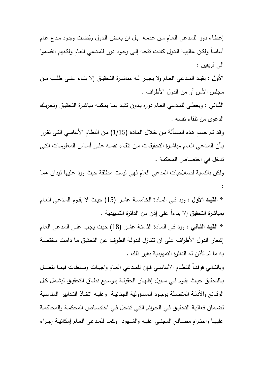إعطـاء دور للمـدعي العـام مـن عدمـه بـل ان بعـض الـدول رفضـت وجـود مـدع عـام أساسـاً ولكـن غالبيـة الـدول كانـت تتجـه إلـى وجـود دور للمـدعي العـام ولكـنهم انقسـموا الى فريقين :

**الأول** : يقيــد المــدعي العــام ولا يجيــز لــه مباشــرة التحقيــق إلا بنــاء علــى طلــب مــن مجلس الأمن أو من الدول الأطراف .

**الثــاني** : ويعطـي للمـدعي العـام دوره بـدون تقيـد بمـا يمكنـه مباشـرة التحقيـق وتحريـك الدعوى من تلقاء نفسه .

وقـد تـم حسـم هـذه المسـألة مـن خـلال المـادة (1/15) مـن النظـام الأساسـي التـى تقـرر بــأن المــدعي العــام مباشــرة التحقيقــات مــن تلقــاء نفســه علــى أســاس المعلومــات التــى تدخل في اختصاص المحكمة .

ولكن بالنسبة لصلاحيات المدعي العام فهي ليست مطلقة حيث ورد عليها قيدان همـا :

\* **القيــد الأول** : ورد فــي المــادة الخامســة عشــر (15) حيــث لا يقــوم المــدعي العــام بمباشرة التحقيق إلا بناءاً على إذن من الدائرة التمهيدية .

\* **القيـد الثـاني** : ورد فـي المـادة الثامنـة عشـر (18) حيـث يجـب علـى المـدعي العـام إشعار الدول الأطراف على ان تتنازل للدولـة الطـرف عـن التحقيـق مـا دامـت مختصـة به ما لم تأذن له الدائرة التمهيدية بغير ذلك .

وبالتـالي فوفقـاً للنظـام الأساســي فـإن للمـدعي العـام واجبــات وسـلطات فيمــا يتصـل بــالتحقيق حيــث يقــوم فــي ســبيل إظهــار الحقيقــة بتوســيع نطــاق التحقيــق ليشــمل كــل الوقـائـع والأدلــة المتصــلـة بوجـود المســؤوليـة الـجنائيــة وعليــه اتـخـاذ التـدابير المناسـبـة لضـمان فعاليـة التحقيـق فـي الجـرائم التـي تـدخل فـي اختصـاص المحكمـة والمحاكمـة عليهــا واحتــرام مصــالح المجنــي عليــه والشــهود وكمــا للمــدعي العــام إمكانيــة إجــراء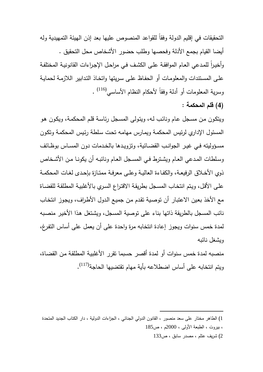التحقيقات في إقليم الدولة وفقاً للقواعد المنصوص عليها بعد إذ ن الهيئة التمهيدية وله أيضا القيام بجمع الأدلة وفحصها وطلب حضور الأشخاص محل التحقيق . وأخيرا للمدعي العـام الموافقـة علـى الكشف فـي مراحـل الإجـراءات القانونيـة المختلفـة علـى المسـتندات والمعلومـات أو الحفـاظ علـى سـريتها واتخـاذ التـدابير اللازمـة لحمايـة (116) وسرية المعلومات أو أدلة وفقاً لأحكام النظام الأساسي .

**(4) قلم المحكمة :**

ويتكـون مـن مسـجل عـام ونائـب لـه، ويتـولى المسـجل رئاسـة قلـم المحكمـة، ويكـون هـو المسئول الإداري لرئيس المحكمـة ويمـارس مهامـه تحـت سـلطة رئـيس المحكمـة وتكـون مسـؤوليته فـي غيـر الجوانـب القضــائية، وتزويـدها بالخـدمات دون المسـاس بوظـائف وسـلطات المـدعي العـام ويشـترط فـي المسـجل العـام ونائبـه أن يكونـا مـن الأشـخاص ذوي الأخــلاق الرفيعــة، والكفــاءة العاليــة وعلــى معرفــة ممتــازة بإحــدى لغــات المحكمــ ة علـى الأقـل، ويـتم انتخـاب المسـجل بطريقـة الاقتـراع السـري بالأغلبيـة المطلقـة للقضـاة مع الأخذ بعـين الاعتبـار أن توصـية تقـدم مـن جميـع الـدول الأطـراف، ويجـوز انتخـاب نائب المسجل بالطريقة ذاتها بناء على توصية المسجل، ويشـتغل هـذا الأخيـر منصـبه لمدة خمس سنوات ويجوز إعادة انتخابه مرة واحدة على أن يعمل على أساس التفـرغ، ويشغل نائبه

منصبه لمدة خمس سنوات أو لمدة أقصر حسبما تقرر الأغلبيـة المطلقـة مـن القضـاة، ويتم انتخابه على أساس اضطلاعه بأية مهام تقتضيها الحاجة (117) .

<sup>1</sup>) الطاهر مختار على سعد منصور ، القانون الدولي الجنائي ، الجزاءات الدولية ، دار الكتاب الجديد المتحدة ، بيروت ، الطبعة الأولى ، 2000م ، ص185

<sup>2</sup>) شريف عتلم ، مصدر سابق ، ص133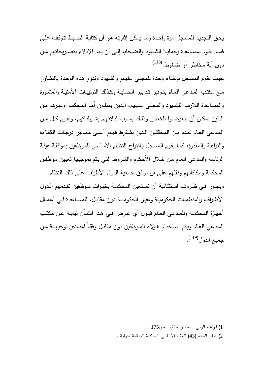يحـق التجديـد للمسـجل مـرة واحـدة ومـا يمكـن إثارتـه هـو أن كتابـة الضـبط تتوقـف علـى قسـم يقـوم بمســاعدة وحمايــة الشــهود والضــحايا إلــى أن يـتم الإدلاء بتصــريحاتهم مـن (118) دون أية مخاطر أو ضغوط

حيـث يقـوم المسـجل بإنشـاء وحـدة للمجنـي علـيهم والشـهود وتقـوم هـذه الوحـدة بالتشـاور مــع مكتــب المــدعي العــام بتــوفير تــدابير الحمايــة وكــذلك الترتيبــات الأمنيــة والمشــورة والمسـاعدة اللازمـة للشـهود والمجنـي علـيهم، الـذين يمثلـون أمـا المحكمـة وغيـر هم مـن الــذين يمكــن أن يتعرضــوا للخطــر وذلــك بســبب إدلائهــم بشــهاداتهم، ويقــوم كــل مــن المــدعي العــام لعــدد مــن المحققــين الــذين يشــترط فــيهم أعلــى معــايير درجــات الكفــاءة والنزاهـة والمقـدرة، كمـا يقـوم المسـجل بـاقتراح النظـام الأساسـي للمـوظفين بموافقـة هيئـة الرئاسة والمدعي العـام مـن خـلال الأحكـام والشـروط التـي يـتم بموجبهـا تعيـين مـوظفين المحكمة ومكافأتهم ونقلهم على أن توافق جمعية الدول الأطراف على ذلك النظام . ويجــوز فــي ظــروف اســتثنائية أن تســتعين المحكمــة بخبــرات مــوظفين تقــدمهم الــدول الأطــراف والمنظمــات الحكوميــة وغيــر الحكوميــة دون مقابــل، للمســاعدة فــي أعمــال

أجهــزة المحكمــة وللمــدعي العــام قبــول أي عــرض فــي هــذا الشــأن نيابــة عــن مكتــب المــدعي العــام ويــتم اســتخدام هــؤلاء المــوظفين دون مقابــل وفقــاً لمبــادئ توجيهيــة مــن جميع الدول<sup>(119)</sup>.

<sup>1</sup>) ابراهيم الرابي ، مصدر سابق ، ص175

<sup>2</sup>) ينظر المادة (43) النظام الأساسي للمحكمة الجنائية الدولية .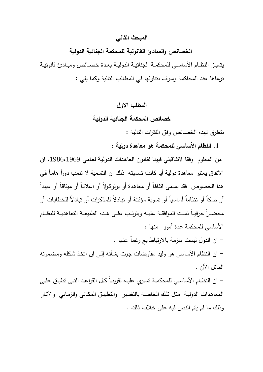#### **المبحث الثاني**

# **ا لخصائص والمبادئ القانونية للمحكمة الجنائية الدولية**

يتميــز النظــام الأساســي للمحكمــة الجنائيــة الدوليــة بعــدة خصــائص ومبــادئ قانونيــة ترعاها عند المحاكمة وسوف نتناولها في المطالب التالية وكما يلي :

# **المطلب الاول**

# **خصائص ا لمحكمة الجنائية الدولية**

نتطرق لهذه الخصائص وفق الفقرات التالية :

**.1 النظام الأساسي للمحكمة هو معاهدة دولية** :

من المعلوم وفقا لاتفاقيتي فيينا لقانون العاهدات الدولية لعامي 1986،1969، ان الاتفاق يعتبر معاهدة دولية أيا كانت تسميته ذلك ان التسمية لا تلعب دورا هاما في ً هذا الخصوص فقد يسـمى اتفاقـاً أو معاهـدة أو برتوكـولاً أو اعلانـاً أو ميثاقـاً أو عهـدا أو صكاً أو نظاماً أساسياً أو تسوية مؤقتة أو تبادلاً للمذكرات أو تبـادلاً للخطابـات أو محضــرا حرفيــا تمـت الموافقــة عليــه ويترتــب علــى هـذه الطبيعــة التعاهديــة للنظــام الأساسي للمحكمة عدة أمور منها :

- ان الدول ليست ملزمة بالارتباط بع رغماً عنها .

 - ان النظام الأساسي هو وليد مفاوضات جرت بشـأنه إلـى ان اتخـذ شـكله ومضـمونه الماثل الأن .

 - ان النظــام الأساســي للمحكمــة تســري عليــه تقريبــاً كــل القواعــد التــى تطبــق علــى المعاهـدات الدوليـة مثـل تلـك الخاصـة بالتفسـير والتطبيـق المكـاني والزمـاني والآثـار وذلك ما لم يتم النص فيه على خلاف ذلك .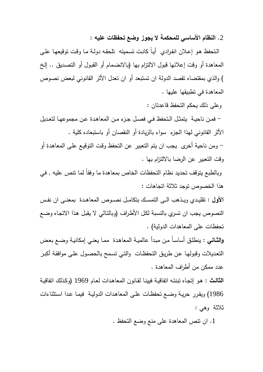**.**2 **النظام الأساسي للمحكمة لا يجوز وضع تحفظات عليه :**

 الـتحفظ هـو إعـلان انفـرادي أيـاً كانـت تسـميته تلحقـه دولـة مـا وقـت توقيعهـا علـى المعاهدة أو وقت إعلانها قبول الالتزام بها (بالانضـمام أو القبـول أو التصـديق .. إلـخ ) والذي بمقتضاه تقصد الدولة ان تستبعد أو ان تعدل الأثر القانوني لبعض نصـوص المعاهدة في تطبيقها عليها .

وعلى ذلك يحكم التحفظ قاعدتان :

 - فمــن ناحيــة يتمثــل الــتحفظ فــي فصــل جــزء مــن المعاهــدة عــن مجموعهــا لتعــديل الأثر القانوني لهذا الجزء سواء بالزيادة أو النقصان أو باستبعاده كلية .

 - ومن ناحية أخرى يجب ان يتم التعبير عن التحفظ وقـت التوقيـع علـى المعاهـدة أو وقت التعبير عن الرضا بالالتزام بها .

وبالطبع يتوقف تحديد نظام التحفظات الخاص بمعاهدة ما وفقاً لما تنص عليه , فـي هذا الخصوص توجد ثلاثة اتجاهات :

**الأول :** تقليــدي ويــذهب الــى التمســك بتكامــل نصــوص المعاهــدة بمعنــى ان نفــس النصوص يجب ان تسري بالنسبة لكـل الأطـراف (وبالتـالي لا يقبـل هـذا الاتجـاه وضـع تحفظات على المعاهدات الدولية) .

**والثـاني** : ينطلـق أساسـاً مـن مبـدأ عالميـة المعاهـدة ممـا يعنـي إمكانيـة وضـع بعـض التعـديلات وقبولهـا عـن طريـق التحفظـات والتـي تسـمح بالحصـول علـى موافقـة أكبـر عدد ممكن من أطراف المعاهدة .

**الثالـث :** هـو إتجـاه تبنتـه اتفاقيـة فيينـا لقـانون المعاهـدات لعـام 1969 ( وكـذلك اتفاقيـة 1986) ويقـرر حريـة وضـع تحفظـات علـى المعاهـدات الدوليـة فيمـا عـدا اسـتثناءات ثلاثة وهي :

.1 ان تنص المعاهدة على منع وضع التحفظ .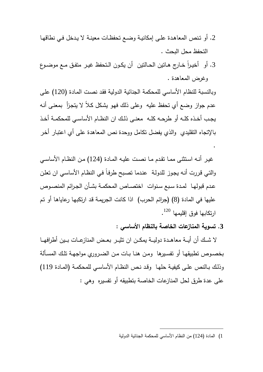- .2 أو تـنص المعاهـدة علـى إمكانيـة وضـع تحفظـات معينـة لا يـدخل فـي نطاقهـا التحفظ محل البحث .
- 3. أو أخيـراً خـارج هـانين الحـالنين أن يكـون الـتحفظ غيـر متفـق مــع موضـوع وغرض المعاهدة .

وبالنسبة للنظام الأساسي للمحكمة الجنائية الدولية فقـد نصـت المـادة (120) علـى عدم جواز وضع أي تحفظ عليه وعلى ذلك فهـو يشـكل كـلاً لا يتجـزأ بمعنـى أنـه يجــب أخــذه كلــه أو طرحــه كلــه معنــى ذلــك ان النظــام الأساســي للمحكمــة أخــذ بالإتجاه التقليدي والذي يفضل تكامل ووحدة نص المعاهدة على أي اعتبـار أخـر

غيـر أنـه اسـتثنى ممـا تقـدم مـا نصـت عليـه المـادة (124) مـن النظـام الأساسـي والتـي قـررت أنـه يجـوز للدولـة عنـدما تصـبح طرفـاً فـي النظـام الأساسـي ان تعلـن عدم قبولهـا لمـدة سـبع سنوات اختصــاص المحكمـة بشـأن الجـرائم المنصــوص عليها في المادة (8) (جرائم الحرب) اذا كانت الجريمـة قـد ارتكبهـا رعاياهـا أو تـم ارتكابها فوق إقليمها <sup>120</sup>.

**.3 تسوية المنازعات الخاصة بالنظام الأساسي :**

.

 لا شـــك أن أيـــة معاهـــدة دوليـــة يمكـــن ان تثيـــر بعـــض المنازعـــات بـــين أطرافهـــا بخصـوص تطبيقهـا أو تفسـيرها ومـن هنـا بــات مـن الضـروري مواجهـة تلـك المســألة وذلـك بـالنص علـى كيفيـة حلهـا وقـد نـص النظـام الأساسـي للمحكمـة (المـادة 119) على عدة طرق لحل المنازعات الخاصة بتطبيقه أو تفسيره وهي :

<sup>1</sup>) المادة (124) من النظام الأساسي للمحكمة الجنائية الدولية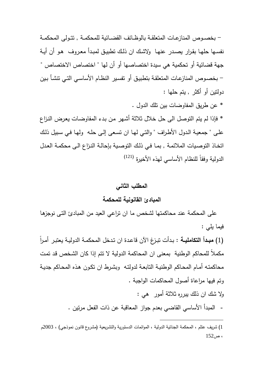- بخصــوص المنازعــات المتعلقــة بالوظــائف القضــائية للمحكمــة , تتــولى المحكمــة نفسـها حلهـا بقـرار يصـدر عنهـا ولاشك ان ذلك تطبيـق لمبـدأ معـروف هـو أن أيــة جهة قضائية أو تحكمية هي سيدة اختصاصها أو أن لها " اختصاص الاختصاص " - بخصـوص المنازعـات المتعلقـة بتطبيـق أو تفسـير النظـام الأساسـي التـي تنشـأ بـين دولتين أو أكثر , يتم حلها :

\* عن طريق المفاوضات بين تلك الدول .

\* فإذا لم يتم التوصل الى حل خلال ثلاثة أشـهر مـن بـدء المفاوضـات يعـرض النـزاع علـى " جمعيـة الـدول الأطـراف " والتـي لهـا ان تسـعى إلـى حلـه ولهـا فـي سـبيل ذلـك اتخـاذ التوصـيات الملائمـة , بمـا فـي ذلـك التوصـية بإحالـة النـزاع الـى محكمـة العـدل الدولية وفقاً للنظام الأساسي لهذه الأخيرة <sup>(121)</sup>

## **المطلب الثاني**

# **المبادئ القانونية للمحكمة**

 على المحكمة عند محاكمتها لشخص ما ان تراعي العيد من المبادئ التـى نوجزهـا فيما يلي :

ً (1) **مبــدأ التكامليــة** : بـدأت تبـزغ الآن قاعـدة ان تـدخل المحكمـة الدوليـة يعتبـر أمـرا مكملاً للمحاكم الوطنية بمعنى ان المحاكمة الدولية لا تتم إذا كان الشـخص قـد تمـت محاكمتـه أمـام المحـاكم الوطنيـة التابعـة لدولتـه وبشـرط ان تكـون هـذه المحـاكم جديـة وتم فيها مراعاة أصول المحاكمات الواجبة . ولا شك ان ذلك يبرره ثلاثة أمور هي :

- المبدأ الأساسي القاضي بعدم جواز المعاقبة عن ذات الفعل مرتين .

<sup>1</sup>) شريف عتلم ، المحكمة الجنائية الدولية ، الموائمات الدستورية والتشريعية (مشروع قانون نموذجي ، ) 2003م  $152<sub>i</sub>$  مر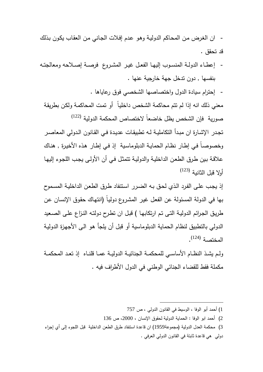- ان الغـرض مـن المحـاكم الدوليـة وهـو عـدم إفـلات الجـاني مـن العقـاب يكـون بـذلك قد تحقق .

- إعطــاء الدولــة المنســوب إليهــا الفعــل غيــر المشــروع فرصــة إصــلاحه ومعالجتــه بنفسها , دون تدخل جهة خارجية عنها .
	- إحترام سيادة الدول واختصاصها الشخصي فوق رعاياها .

معني ذلك انه إذا لم تتم محاكمة الشخص داخليـاً أو تمـت المحاكمـة ولكـن بطريقـة (122) صورية فإن الشخص يظل خاضعاً لاختصاص المحكمة الدولية تجـدر الإشـارة ان مبـدأ التكامليـة لـه تطبيقـات عديـدة فـي القـانون الـدولي المعاصـر وخصوصـاً فـي إطـار نظـام الحمايـة الدبلوماسـية إذ فـي إطـار هـذه الأخيـرة , هنـاك علاقـة بـين طـرق الطعـن الداخليـة والدوليـة تتمثـل فـي أن الأولـى يجـب اللجـوء إليهـا

(123) أولا قبل الثانية

إذ يجـب علـى الفـرد الـذي لحـق بـه الضـرر اسـتنفاد طـرق الطعـن الداخليـة المسـموح بها في الدولة المسئولة عن الفعـل غيـر المشـروع دوليـاً (انتهـاك حقـوق الإنسـان عـن طريـق الجـرائم الدوليـة التـى تـم ارتكابهـا ) قبـل ان تطـرح دولتـه النـزاع علـى الصـعيد الدولي بالتطبيق لنظام الحماية الدبلوماسية أو قبل أن يلجأ هـو الـى الأجهـزة الدوليـة المختصة <sup>(124)</sup>.

ولــم يشــذ النظــام الأساســي للمحكمــة الجنائيــة الدوليــة عمــا قلنــاه إذ تعــد المحكمــة مكملة فقط للقضاء الجنائي الوطني في الدول الأطراف فيه .

2) أحمد ابو الوفا : الحماية الدولية لحقوق الإنسان ، 2000 ، ص 136

 $\overline{a}$ 

3) محكمة العدل الدولية (مجموعة1959) ان قاعدة استنفاد طرق الطعن الداخلية قبل اللجوء إلى أي إجراء دولي هي قاعدة ثابتة في القانون الدولي العرفي .

<sup>1</sup>) أحمد أبو الوفا ، الوسيط في القانون الدولي ، ص 757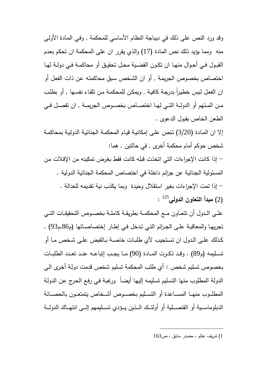وقد ورد النص على ذلك في ديباجة النظام الأساسي للمحكمة , وفـي المـادة الأولـى منه ومما يؤيد ذلك نص المادة (17) والذي يقرر ان على المحكمة ان تحكم بعـدم القبــول فــي أحــوال منهــا ان تكــون القضــية محــل تحقيــق أو محاكمــة فــي دولــة لهــا اختصاص بخصوص الجريمـة , أو ان الشـخص سـبق محاكمتـه عـن ذات الفعـل أو ان الفعل لـيس خطيراً بدرجـة كافيـة , ويمكن للمحكمـة مـن تلقـاء نفسـها , أو بطلب مــن المــتهم أو الدولــة التــي لهــا اختصــاص بخصــوص الجريمــة , ان تفصــل فــي الطعن الخاص بقبول الدعوى .

إلا ان المـادة (3/20) تـنص علـى إمكانيـة قيـام المحكمـة الجنائيـة الدوليـة بمحاكمـة شخص حوكم أمام محكمة أخرى , في حالتين , هما :

 - إذا كانت الإجراءات التي اتخذت قبله كانت فقط بغرض تمكينه من الإفـلات مـن المسئولية الجنائية عن جرائم داخلة في اختصاص المحكمة الجنائية الدولية . - إذا تمت الإجراءات بغير استقلال وحيدة وبما يكذب نية تقديمه للعدالة . (2) **مبدأ التعاون الدولي** 125 :

علــى الــدول أن تتعــاون مــع المحكمــة بطريقــة كاملــة بخصــوص التحقيقــات التــي تجريهـا والمعاقبـة علـى الجـرائم التـي تـدخل فـي إطـار إختصاصــاتها م( 86 م, 93) . كــذلك علــى الــدول ان تســتجيب لأي طلبــات خاصــة بــالقبض علــى شــخص مــا أو تســليمه م( 89) . وقــد ذكــرت المــادة (90) مـــا يجــب إتباعــه عنــد تعــدد الطلبــات بخصوص تسليم شخص : أي طلب المحكمة تسليم شخص قدمت دولـة أخـرى الـى الدولة المطلوب منها التسليم تسليمه إليها أيضـاً ورغبـة فـي رفـع الحرج عن الدولـة المطلـــوب منهـــا المســـاعدة أو التســـليم بخصـــوص أشـــخاص يتمتعـــون بالحصـــانة الدبلوماســـية أو القنصـــلية أو أولئـــك الـــذين يـــؤدي تســـليمهم إلـــى انتهـــاك الدولـــة

1) شريف عتلم ، مصدر سابق ، ص163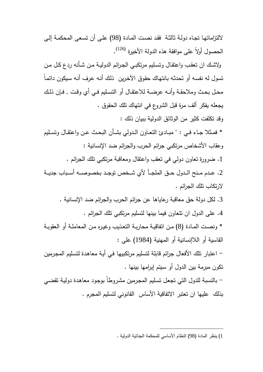لالتزاماتهـا تجـاه دولـة ثالثـة فقـد نصـت المـادة (98) علـى أن تسـعى المحكمـة إلـى الحصول أولاً على موافقة هذه الدولة الأخيرة <sup>(126)</sup>. ولاشـك ان تعقـب واعتقـال وتسـليم مرتكبـي الجـرائم الدوليـة مـن شـأنه ردع كـل مـن تسول له نفسـه أو تحدثـه بانتهـاك حقـوق الآخـرين ذلـك أنـه عـرف أنـه سـيكون دائمـاً محــل بحــث وملاحقــة وأنــه عرضــة للاعتقــال أو التســليم فــي أي وقــت , فــإن ذلــك يجعله يفكر ألف مرة قبل الشروع في انتهاك تلك الحقوق . وقد تكلفت كثير من الوثائق الدولية ببيان ذلك : \* فمــثلا جــاء فــي : " مبــادئ التعــاون الــدولي بشــأن البحــث عــن واعتقــال وتســليم وعقاب الأشخاص مرتكبي جرائم الحرب والجرائم ضد الإنسانية : .1 ضرورة تعاون دولي في تعقب واعتقال ومعاقبة مرتكبي تلك الجرائم . .2 عـــدم مـــنح الـــدول حـــق الملجـــأ لأي شـــخص توجـــد بخصوصـــه أســـباب جديـــة لارتكاب تلك الجرائم . .3 لكل دولة حق معاقبة رعاياها عن جرائم الحرب والجرائم ضد الإنسانية . .4 على الدول ان تتعاون فيما بينها لتسليم مرتكبي تلك الجرائم . \* ونصـت المـادة (8) مـن اتفاقيـة محاربـة التعـذيب وغيـره مـن المعاملـة أو العقوبـة القاسية أو اللاإنسانية أو المهنية (1984) على : - اعتبار تلك الأفعال جرائم قابلة لتسليم مرتكبيهـا فـي أيـة معاهـدة لتسـليم المجـرمين تكون مبرمة بين الدول أو سيتم إبرامها بينها . - بالنسبة للدول التي تجعـل تسـليم المجـرمين مشـروطاً بوجـود معاهـدة دوليـة تقضـي بذلك عليها ان تعتبر الاتفاقية الأساس القانوني لتسليم المجرم .

<sup>1</sup>) ينظر المادة (98) النظام الأساسي للمحكمة الجنائية الدولية .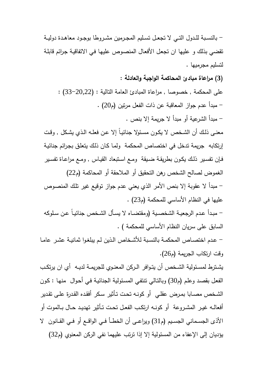- بالنســبة للــدول التــي لا تجعــل تســليم المجــرمين مشــروطا بوجــود معاهــدة دوليــة تقضي بذلك و عليها ان تجعـل الأفعـال المنصـوص عليهـا فـي الاتفاقيـة جـرائم قابلـة لتسليم مجرميها .

**(3) مراعاة مبادئ المحاكمة الواجبة والعادلة :** 

على المحكمة , خصوصا , مراعاة المبادئ العامة التالية : (33-20,22) : - مبدأ عدم جواز المعاقبة عن ذات الفعل مرتين م( 20) . - مبدأ الشرعية أو مبدأ لا جريمة إلا بنص .

معنـى ذلـك أن الشـخص لا يكـون مسـئولا جنائيـاً إلا عـن فعلـه الـذي يشـكل , وقــت إرتكابه جريمة تدخل في اختصاص المحكمة ولمـا كـان ذلـك يتعلـق بجـرائم جنائيـة فـإن تفسـير ذلـك يكـون بطريقـة ضـيقة ومـع اسـتبعاد القيـاس , ومـع مراعـاة تفسـير الغموض لصالح الشخص رهن التحقيق أو الملاحقة أو المحاكمة م( 22 ) - مبدأ لا عقوبة إلا بنص الأمر الذي يعني عدم جواز توقيع غير تلـك المنصـوص

عليها في النظام الأساسي للمحكمة م( 23) .

 - مبــدأ عــدم الرجعيــة الشخصــية (ومقتضــاه لا يســأل الشــخص جنائيــاً عــن ســلوكه السابق على سريان النظام الأساسي للمحكمة ) .

 - عـدم اختصـاص المحكمـة بالنسـبة للأشـخاص الـذين لـم يبلغـوا ثمانيـة عشـر عامــا وقت ارتكاب الجريمة (265).

يشــترط لمســئولية الشــخص أن يتــوافر الــركن المعنــوي للجريمــة لديــه أي ان يرتكــب الفعـل بقصـد وعلـم م( 30) وبالتـالي تنتفـي المسـئولية الجنائيـة فـي أحـوال منهـا : كـون الشـخص مصـابا بمـرض عقلـي أو كونـه تحـت تـأثير سـكر أفقـده القـدرة علـى تقـدير أفعالــه غيــر المشــروعة أو كونــه ارتكــب الفعــل تحــت تــأثير تهديــد حــال بــالموت أو الأذى الجســماني الجســيم م( 31) ويراعــى أن الخطــأ فــي الواقــع أو فــي القــانون لا يؤديان إلى الإعفاء من المسئولية إلا إذا ترتب عليهما نفي الركن المعنوي م( 32 )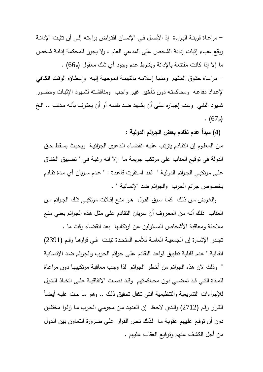- مراعـاة قرينـة البـراءة إذ الأصـل فـي الإنسـان افتـراض براءتـه إلـى أن تثبـت الإدانـة ويقع عبء إثبات إدانة الشخص على المدعي العام ، ولا يجوز للمحكمة إدانـة شـخص ما إلا إذا كانت مقتنعة بالإدانة وبشرط عدم وجود أي شك معقول م( 66) . – مراعـاة حقوق المـتهم ومنـهـا إعلامـه بالتهمـة الموجهـة إليـه وإعطـاؤه الوقت الكـافي لإعـداد دفاعـه ومحاكمتـه دون تـأخير غيـر واجـب ومناقشـته لشـهود الإثبـات وحضـور شـهود النفـي وعـدم إجبـاره علـى أن يشـهد ضـد نفسـه أو أن يعتـرف بأنـه مـذنب .. الـخ  $(67)$ .

**( 4) مبدأ عدم تقادم بعض الجرائم الدولية :**

مـن المعلـوم إن التقـادم يترتـب عليـه انقضـاء الـدعوى الجزائيـة وبحيـث يسـقط حـق الدولة في توقيع العقاب على مرتكب جريمة مـا إلا انـه رغبـة فـي " تضـييق الخنـاق علـى مرتكبـي الجـرائم الدوليـة " فقـد اسـتقرت قاعـدة : " عـدم سـريان أي مـدة تقـادم بخصوص جرائم الحرب والجرائم ضد الإنسانية " .

 والغـرض مـن ذلـك كمـا سـبق القـول هـو منـع إفـلات مرتكبـي تلـك الجـرائم مـن العقاب ذلك أنـه مـن المعـروف أن سـريان التقـادم علـى مثـل هـذه الجـرائم يعنـي منـع ملاحقة ومعاقبة الأشخاص المسئولين عن ارتكابها بعد انقضاء وقت ما . تجــدر الإشــارة إن الجمعيــة العامــة للأمــم المتحــدة تبنــت فــي قرارهــا رقــم (2391) اتفاقية " عدم قابلية تطبيق قواعد التقادم علـى جـرائم الحـرب والجـرائم ضـد الإنسـانية " وذلك لان هذه الجرائم من أخطر الجرائم لذا وجـب معاقبـة مرتكبيهـا دون مراعـاة للمــدة التــي قــد تمضــي دون محــاكمتهم وقــد نصــت الاتفاقيــة علــى اتخــاذ الــدول للإجراءات التشريعية والتنظيمية التي تكفل تحقيق ذلك .. وهو مـا حث عليـه أيضـاً القـرار رقـم (2712) والـذي لاحـظ إن العديـد مـن مجرمـي الحـرب مـا زالـوا مختفـين

دون أن توقـع علـيهم عقوبـة مـا لـذلك نـص القـرار علـى ضـرورة التعـاون بـين الـدول من أجل الكشف عنهم وتوقيع العقاب عليهم .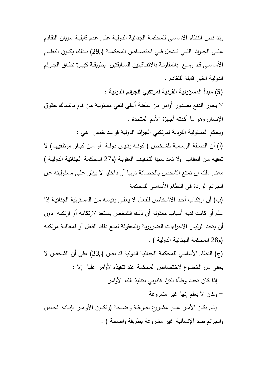وقد نص النظام الأساسـي للمحكمـة الجنائيـة الدوليـة علـى عـدم قابليـة سـريان التقـادم علــي الجــرائم التــي تــدخل فــي اختصـــاص المحكمــة (م29) بــذلك يكــون النظــام الأساســي قــد وســع بالمقارنــة بالاتفــاقيتين الســابقتين بطريقــة كبيــرة نطــاق الجــرائم الدولية الغير قابلة للتقادم .

**(5) مبدأ المسؤولية الفردية لمرتكبي الجرائم الدولية :** 

لا يجوز الدفع بصدور أوامر من سلطة أعلى لنفي مسئولية من قام بانتهاك حقوق الإنسان وهو ما أكدته أجهزة الأمم المتحدة .

ويحكم المسئولية الفردية لمرتكبي الجرائم الدولية قواعد خمس هي :

) أ( أن الصــفة الرســمية للشــخص ( كونــه رئــيس دولــة أو مــن كبــار موظفيهــا) لا تعفيـه مـن العقـاب ولا تعـد سـببا لتخفيـف العقوبـة م( 27 المحكمـة الجنائيـة الدوليـة ) معنى ذلك إن تمتع الشخص بالحصانة دوليا أو داخليا لا يـؤثر علـى مسـئوليته عـن الجرائم الواردة في النظام الأساسي للمحكمة

(ب) أن ارتكـاب أحـد الأشـخاص للفعـل لا يعفـي رئيسـه مـن المسـئولية الجنائيـة إذا علم أو كانت لديه أسباب معقولة أن ذلـك الشـخص يسـتعد لارتكابـه أو ارتكبـه دون أن يتخذ الرئيس الإجراءات الضرورية والمعقولة لمنع ذلـك الفعـل أو لمعاقبـة مرتكبـه م( 28 المحكمة الجنائية الدولية ) .

(ج) النظام الأساسي للمحكمة الجنائية الدولية قد نص (م33) على أن الشخص لا يعفى من الخضوع لاختصاص المحكمة عند تنفيذه لأوامر عليا إلا : - إذا كان تحت وطأة التزام قانوني بتنفيذ تلك الأوامر - وكان لا يعلم إنها غير مشروعة - ولــم يكــن الأمــر غيــر مشــروع بطريقــة واضــحة (وتكــون الأوامــر بإبــادة الجــنس والجرائم ضد الإنسانية غير مشروعة بطريقة واضحة . )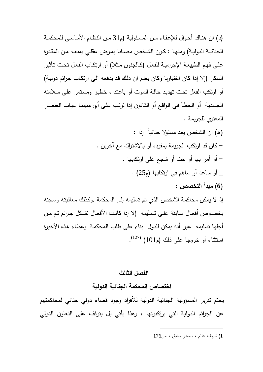) د( ان هنــاك أحــوال للإعفــاء مــن المســئولية م( 31 مــن النظــام الأساســي للمحكمــة الجنائيـة الدوليـة) ومنهـا : كـون الشـخص مصـابا بمـرض عقلـي يمنعـه مـن المقـدرة علـى فهـم الطبيعـة الإجراميـة للفعـل (كـالجنون مـثلا) أو ارتكـاب الفعـل تحـت تـأثير السكر (إلا إذا كان اختياريا وكان يعلـم ان ذلـك قـد يدفعـه الـى ارتكـاب جـرائم دوليـة) أو ارتكب الفعل تحـت تهديـد حالـة المـوت أو باعتـداء خطيـر ومسـتمر علـى سـلامته الجسـدية أو الخطـأ فـي الواقـع أو القـانون إذا ترتـب علـى أي منهمـا غيـاب العنصـر المعنوي للجريمة .

) هـ( ان الشخص يعد مسئولا جنائياً إذا : - كان قد ارتكب الجريمة بمفرده أو بالاشتراك مع آخرين . - أو أمر بها أو حث أو شجع على ارتكابها . \_ أو ساعد أو ساهم في ارتكابها م( 25) . **(6) مبدأ التخصص** : إذ لا يمكن محاكمة الشخص الذي تم تسليمه إلى المحكمة ,وكـذلك معاقبتـه وسـجنه بخصــوص أفعــال ســابقة علــى تســليمه إلا إذا كانــت الأفعــال تشــكل جــرائم تــم مــن أجلها تسليمه غير أنه يمكن للدول بناء على طلب المحكمـة إعطـاء هـذه الأخيـرة استثناء أو خروجا على ذلك (م101) <sup>(127)</sup>.

#### **الفصل الثالث**

**اختصاص المحكمة الجنائية الدولية** 

يحتم تقرير المسؤ ولية الجنائية الدولية للأفراد وجود قضاء دولي جنائي لمحاكمتهم عن الجرائم الدولية التي يرتكبونها ، وهذا يأتي بل يتوقف على التعاون الدولي

<sup>1</sup>) شريف عتلم ، مصدر سابق ، ص176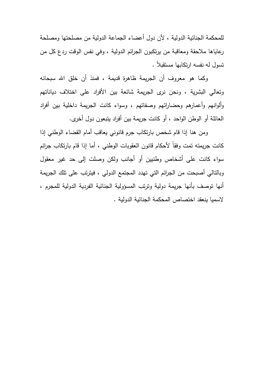للمحكمة الجنائية الدولية ، لأن دول أعضاء الجماعة الدولية من مصلحتها ومصلحة رعاياها ملاحقة ومعاقبة من يرتكبون الجرائم الدولية ، وفي نفس الوقت ردع كل من تسول له نفسه ارتكابها مستقبلاً .

 وكما هو معروف أن الجريمة ظاهرة قديمة ، فمنذ أن خلق االله سبحانه وتعالي البشرية ، ونحن نرى الجريمة شائعة بين الأفراد على اختلاف دياناتهم وألوانهم وأعمارهم وحضاراتهم وصفاتهم ، وسواء كانت الجريمة داخلية بين أفراد العائلة أو الوطن الواحد ، أو كانت جريمة بين أفراد يتبعون دول أخرى .

 ومن هنا إذا قام شخص بارتكاب جرم قانوني يعاقب أمام القضاء الوطني إذا كانت جريمته تمت وفقاً لأحكام قانون العقوبات الوطني ، أما إذا قام بارتكاب جرائم سواء كانت على أشخاص وطنيين أو أجانب ولكن وصلت إلى حد غير معقول وبالتالي أصبحت من الجرائم التي تهدد المجتمع الدولي ، فيترتب على تلك الجريمة أنها توصف بأنها جريمة دولية وترتب المسؤولية الجنائية الفردية الدولية للمجرم ، لاسميا ينعقد اختصاص المحكمة الجنائية الدولية .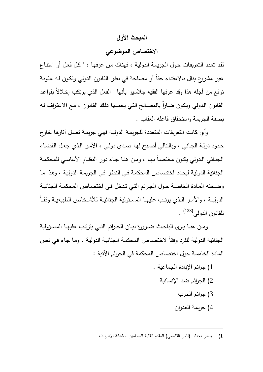# **المبحث الأول**

# **الاختصاص الموضوعي**

لقـد تعـدد التعريفـات حـول الجريمـة الدو ليـة ، فهنـاك مـن عرفهـا : " كـل فعـل أو امتنـاع غير مشروع ينال بالاعتداء حقاً أو مصلحة في نظر القانون الدولي وتكـون لـه عقوبـة توقع من أجله هذا وقد عرفها الفقيه جلاسير بأنها " الفعل الذي يرتكب إخـلالاً بقواعـد القانون الدولي ويكون ضـاراً بالمصـالح التـي يحميها ذلك القانون ، مـع الاعتراف لـه بصفة الجريمة واستحقاق فاعله العقاب .

 وأي كانت التعريفات المتعددة للجريمـة الدوليـة فهـي جريمـة تصـل آثارهـا خـارج حـدود دولـة الجـاني ، وبالتـالي أصـبح لهـا صـدى دولـي ، الأمـر الـذي جعـل القضـاء الجنــائي الــدولي يكــون مختصــاً بهــا ، ومــن هنــا جــاء دور النظــام الأساســي للمحكمــة الجنائية الدوليـة ليحـدد اختصـاص المحكمـة فـي النظـر فـي الجريمـة الدوليـة ، وهـذا مـا وضـحته المـادة الخاصـة حـول الجـرائم التـي تـدخل فـي اختصـاص المحكمـة الجنائيـة الدوليـــة ، والأمــر الــذي يرتــب عليهــا المســئولية الجنائيــة للأشــخاص الطبيعيــة وفقــاً للقانون الدولي<sup>(128)</sup> .

 و مــن هنــا يــرى الباحــث ضــرورة بيــان الجــرائم التــي يترتــب عليهــا المســؤ ولية الجنائية الدولية للفرد وفقـاً لاختصـاص المحكمـة الجنائيـة الدوليـة ، ومـا جـاء فـي نـص المادة الخامسة حول اختصاص المحكمة في الجرائم الآتية :

- 1) جرائم الإبادة الجماعية .
	- 2) الجرائم ضد الإنسانية
		- 3) جرائم الحرب
		- 4) جريمة العدوان

 $\overline{a}$ 1) ي نظر بحث (تامر القاضي) المقدم لنقابة المحامين ، شبكة الانترنيت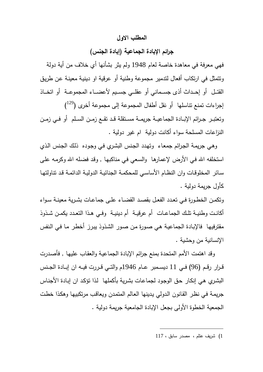## **المطلب الاول**

# **جرائم الإبادة الجماعية (إبادة الجنس )**

فهي معرفة في معاهدة خاصة لعام 1948 ولم يثر بشأنها أي خلاف من أية دولة وتتمثل في ارتكاب أفعال لتدمير مجموعة وطنية أو عرقية او دينيـة معينـة عـن طريـق القتـــل أو إحـــداث أذى جســـماني أو عقلـــي جســـيم لأعضـــاء المجموعـــة أو اتخـــاذ ) <sup>129</sup> إجراءات تمنع تناسلها أو نقل أطفال المجموعة إلى مجموعة أخرى ( وتعتبــر جــرائم الإبــادة الجماعيــة جريمــة مســتقلة قــد تقــع زمــن الســلم أو فــي زمــن النزاعات المسلحة سواء أكانت دولية ام غير دولية .

 وهـي جريمـة الجـرائم جمعـاء وتهـدد الجـنس البشـري فـي وجـوده ذلـك الجـنس الـذي استخلفه الله فـي الأرض لإعمارها ۖ والسـعي فـي مناكبـهـا , وقد فضـلـه الله وكرمـه علـي سـائر المخلوقـات وان النظـام الأساسـي للمحكمـة الجنائيـة الدوليـة الدائمـة قـد تناولتهـا كأول جريمة دولية .

وتكمـن الخطـورة فــي تعـدد الفعـل بقصـد القضــاء علــي جماعـات بشـرية معينــة سـواء أكانــت وطنيــة تلــك الجماعــات أم عرقيــة أم دينيــة وفــي هــذا التعــدد يكمــن شــذوذ مقترفيهـا فالإبـادة الجماعيـة هـي صـورة مـن صـور الشـذوذ يبـرز أخطـر مـا فـي الـنفس الإنسانية من وحشية .

 وقد اهتمت الأمم المتحدة بمنع جرائم الإبادة الجماعيـة والعقـاب عليهـا , فأصـدرت قــرار رقــم (96) فــي 11 ديســمبر عــام 1946م والتــي قــررت فيــه ان إبــادة الجــنس البشـري هـي إنكـار حـق الوجـود لجماعـات بشـرية بأكملهـا لـذا تؤكـد ان إبـادة الأجنـاس جريمـة فـي نظـر القـانون الـدولي يـدينها العـالم المتمـدن ويعاقـب مرتكبيهـا وهكـذا خطـت الجمعية الخطوة الأولى بجعل الإبادة الجامعية جريمة دولية .

1) شريف عتلم ، مصدر سابق ، 117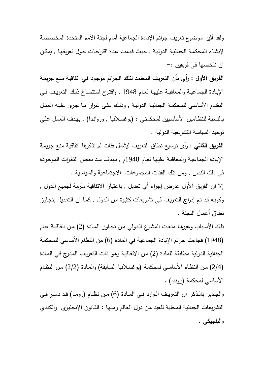ولقد أثير موضوع تعريف جرائم الإبادة الجماعية أمام لجنة الأمم المتحدة المخصصـة لإنشـاء المحكمـة الجنائيـة الدوليـة , حيـث قـدمت عـدة اقتراحـات حـول تعريفهـا , يمكـن ان نلخصها في فريقين :-

**الفريق الأول :** رأي بأن التعريف المعتمد لتلك الجـرائم موجـود فـي اتفاقيـة منـع جريمـة الإبــادة الجماعيــة والمعاقبــة عليهــا لعــام 1948 , واقتــرح استنســاخ ذلــك التعريــف فــي النظـام الأساسـي للمحكمـة الجنائيـة الدوليـة , وذلـك علـى غـرار مـا جـرى عليـه العمـل بالنسـبة للنظـامين الأساسـيين لمحكمتـي : (يوغسـلافيا , وروانـدا , ) بهـدف العمـل علـى توحيد السياسة التشريعية الدولية .

**الفريق الثاني :** رأى توسيع نطاق التعريف ليشمل فئات لم تذكرها اتفاقيـة منـع جريمـة الإبـادة الجماعيـة والمعاقبـة عليهـا لعـام 1948 , م بهـدف سـد بعـض الثغـرات الموجـودة في ذلك النص , ومن تلك الفئات المجموعات :الاجتماعية والسياسية .

إلا ان الفريق الأول عارض إجراء أي تعديل , باعتبار الاتفاقية ملزمة لجميع الـدول , وكونـه قـد تـم إدراج التعريـف فـي تشـريعات كثيـرة مـن الـدول , كمـا ان التعـديل يتجـاوز نطاق أعمال اللجنة .

تلـك الأسـباب وغيرهـا منعـت المشـرع الـدولي مـن تجـاوز المـادة (2) مـن اتفاقيـة عـام (1948) فجاءت جرائم الإبادة الجماعية في المادة (6) من النظام الأساسي للمحكمـة الجنائية الدولية مطابقة للمادة (2) مـن الاتفاقيـة وهـو ذات التعريـف المـدرج فـي المـادة (2/4) مـن النظـام الأساسـي لمحكمـة (يوغسـلافيا السـابقة) والمـادة (2/2) مـن النظـام الأساسي لمحكمة (روندا) .

والجــدير بالــذكر ان التعريــف الــوارد فــي المــادة (6) مــن نظــام (رومــا) قــد دمــج فــي التشريعات الجنائية المحلية للعيد مـن دول العـالم ومنهـا : القـانون الإنجليـزي والكنـدي والبلجيكي .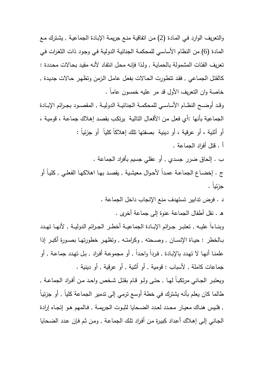والتعريف الوارد فـي المـادة (2) مـن اتفاقيـة منـع جريمـة الإبـادة الجماعيـة , يشـترك مـع المادة (6) من النظام الأساسـي للمحكمـة الجنائيـة الدوليـة فـي وجـود ذات الثغـرات فـي تعريف الفئات المشمولة بالحمايـة , ولـذا فإنـه محـل انتقـاد لأنـه مقيـد بحـالات محـددة : كالقتـل الجمـاعي , فقـد تتطـورت الحـالات بفعـل عامـل الـزمن وتظهـر حـالات جديـدة , خاصة وان التعريف الأول قد مر عليه خمسون عاماً . وقــد أوضــح النظــام الأساســي للمحكمــة الجنائيــة الدوليــة , المقصــود بجــرائم الإبــادة

الجماعية بأنها :أي فعـل مـن الأفعـال التاليـة يرتكـب بقصـد إهـلاك جماعـة ، قوميـة ، أو أثنية ، أو عرقية ، أو دينية بصفتها تلك إهلاكاً كلياً أو جزئياً : . أ قتل أفراد الجماعة .

. ب إلحاق ضرر جسدي , أو عقلي جسيم بأفراد الجماعة . ج . إخضـاع الجماعـة عمـدا لأحـوال معيشـية , يقصـد بـهـا اهلاكـهـا الفعلـي , كليـا أو جزئياً .

. د فرض تدابير تستهدف منع الإنجاب داخل الجماعة .

. هـ نقل أطفال الجماعة عنوة إلى جماعة أخرى .

وبنــاءاً عليــه , تعتبــر جــرائم الإبــادة الجماعيــة أخطــر الجــرائم الدوليــة , لأنهــا تهـدد بــالخطر : حيــاة الإنســان , وصــحته , وكرامتــه , وتظهــر خطورتهــا بصــورة أكبــر إذا علمنـا أنـهـا لا تـهـدد بالإبـادة , فردا واحـدا , أو مجموعـة أفراد , بـل تـهـدد جماعـة , أو جماعات كاملة , لأسباب : قومية , أو أثنية , أو عرقية , أو دينية .

ويعتبـر الجـاني مرتكبـاً لـهـا , حتـي ولـو قـام بقتـل شـخص واحـد مـن أفـراد الجماعـة , طالما كان يعلم بأنه يشترك في خطة أوسع ترمي إلى تدمير الجماعة كلياً , أو جزئيـاً , فلــيس هنــاك معيــار محــدد لعــدد الضــحايا لثبــوت الجريمــة , فــالمهم هــو إتجــاه إرادة الجـاني إلـى إهـلاك أعـداد كبيـرة مـن أفـراد تلـك الجماعـة , ومـن ثـم فـإن عـدد الضـحايا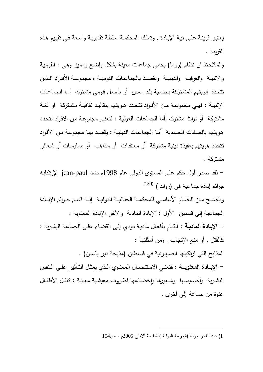يعتبـر قرينـة علـى نيـة الإبـادة , وتملـك المحكمـة سـلطة تقديريـة واسـعة فـي تقيـيم هـذه القرينة .

والملاحظ ان نظام (روما) يحمي جماعات معينة بشكل واضح ومميز وهـي : القوميـة والاثنيــة والعرقيــة والدينيــة ويقصــد بالجماعــات القوميــة ، مجموعــة الأفــراد الــذين تتحـدد هـويتهم المشـتركة بجنسـية بلـد معـين أو بأصـل قـومي مشـترك أمـا الجماعـات الإثنيــة : فهــي مجموعــة مــن الأفــراد تتحــدد هــويتهم بتقاليــد ثقافيــة مشــتركة او لغــة مشتركة ۖ أو تراث مشترك ,أما الجماعات العرقية : فتعنـي مجموعـة من الأفراد تتحدد ۖ هـويتهم بالصـفات الجسـدية أمـا الجماعـات الدينيـة : يقصـد بهـا مجموعـة مـن الأفـراد تتحدد هويتهم بعقيدة دينية مشتركة أو معتقدات أو مـذاهب أو ممارسـات أو شـعائر مشتركة .

 - فقد صدر أول حكم على المستوى الدولي عام 1998م ضد paul-jean لإرتكابـه (130) جرائم إبادة جماعية في (رواندا) ويتضــح مــن النظــام الأساســي للمحكمــة الجنائيــة الدوليــة إنــه قســم جــرائم الإبــادة الجماعية إلى قسمين الأول : الإبادة المادية والأخر الإبادة المعنوية .  **- الإبـادة الماديـة :** القيـام بأفعـال ماديـة تـؤدي إلـى القضـاء علـى الجماعـة البشـرية : كالقتل , أو منع الإنجاب , ومن أمثلتها : المذابح التي ارتكبتها الصهيونية في فلسطين (مذبحة دير ياسين) .  **- الإبـــادة المعنويـــة :** فتعنــي الاستئصــال المعنــوي الــذي يمثــل التــأثير علــى الــنفس البشـريـة واحاسيسـها وشـعورها وإخضـاعها لظـروف معيشـية معينـة : كنقل الأطفـال عنوة من جماعة إلى أخرى .

 $\overline{a}$ 1) عبد القادر جرادة (الجريمة الدولية ) الطبعة الاولى 2005م ، ص154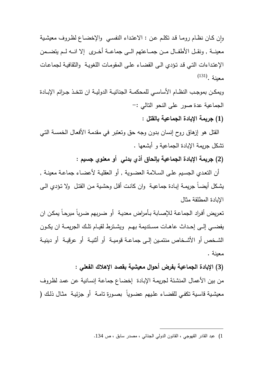وإن كـان نظـام رومـا قـد تكلـم عـن : الاعتـداء النفســي والإخضــاع لظـروف معيشـية معينــة , ونقــل الأطفــال مــن جمــاعتهم الــى جماعــة أخــرى إلا انـــه لــم يتضـــمن الإعتـداءات التـي قـد تـؤدي الـى القضـاء علـى المقومـات اللغويـة والثقافيـة لجماعـات (131) معينة .

ويمكــن بموجــب النظــام الأساســي للمحكمــة الجنائيــة الدوليــة ان تتخــذ جــرائم الإبــادة الجماعية عدة صور على النحو التالي :-

**(1) جريمة الإبادة الجماعية بالقتل :**

 القتل هو إزهاق روح إنسان بدون وجه حق وتعتبر في مقدمـة الأفعـال الخمسـة التـي تشكل جريمة الإبادة الجماعية و أبشعها .

**(2) جريمة الإبادة الجماعية بإلحاق أذي بدني أو معنو ي جسيم :** 

 أن التعـدي الجسـيم علـى السـلامة العضـوية , أو العقليـة لأعضـاء جماعـة معينـة , يشـكل أيضـاً جريمـة إبـادة جماعيـة وان كانـت أقـل وحشـية مـن القتـل ولا تـؤدي الـى الإبادة المطلقة مثال

تعـريض أفـراد الجماعـة للإصـابة بـأمراض معديـة أو ضـربهم ضـرباً مبرحـاً يمكـن ان يفضــي إلــي إحـداث عاهـات مسـتديمة بهـم ويشــترط لقيــام تلـك الجريمــة ان يكـون الشــخص أو الأشــخاص منتمــين إلــى جماعــة قوميــة أو أثنيــة أو عرقيــة أو دينيــة معينة .

**(3) الإبادة الجماعية بفرض أحوال معيشية بقصد الإهلاك الفعلي :** 

من بين الأعمال المنشـئة لجريمـة الإبـادة إخضـاع جماعـة إنسـانية عـن عمـد لظـروف معيشـية قاسـية تكفـي للقضـاء علـيهم عضـوياً بصـورة تامـة أو جزئيـة مثـال ذلــك (

<sup>1</sup>) عبد القادر القهوجي ، القانون الدولي الجنائي ، مصدر سابق ، ص .134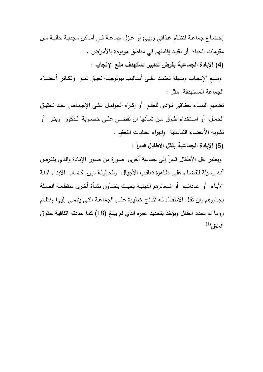إخضــاع جماعــة لنظــام غــذائي رديــئ أو عــزل جماعــة فــي أمــاكن مجدبــة خاليــة مــن مقومات الحياة أو تقييد إقامتهم في مناطق موبوءة بالأمراض .

**(4) الإبادة الجماعية بفرض تدابير تستهدف منع الإنجاب :**

ومنــع الإنجــاب وســيلة تعتمــد علــى أســاليب بيولوجيــة تعيــق نمــو وتكــاثر أعضــاء الجماعة المستهدفة مثل :

تطعيم النسـاء بعقـاقير تـؤدي للعقم أو إكـراه الحوامـل علـى الإجهـاض عنـد تحقيـق الحمــل أو اســتخدام طــرق مــن شــأنها ان تقضــي علــى خصــوبة الــذكور وبتــر أو نشويه الأعضاء النتاسلية وإجراء عمليات التعقيم . ٕ

**(5) الإبادة الجماعية بنقل الأطفال قسراً :** 

ويعتبر نقل الأطفال قسرا إلى جماعة أخرى صورة من صور الإبـادة والذي يفترض أنـه وسـيلة للقضـاء علـى ظـاهرة تعاقـب الأجيـال والحيلولـة دون اكتسـاب الأبنـاء للغـة الأبــاء أو عــاداتهم أو شــعائرهم الدينيــة بحيــث ينشــأون نشــأة أخــرى منقطعــة الصــلة بجـذورهم وان نقـل الأطفــال لـه نتــائج خطيـرة علـى الجماعــة التـي ينتمــي إليهـا ونظــام روما لم يحدد الطفل ويؤخذ بتحديد عمره الذي لم يبلغ (18) كما حددته اتفاقيـة حقـوق  $^{(1)}$ الطفل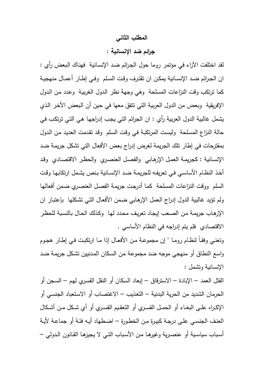#### **المطلب الثاني**

# **جرائم ضد الإنسانية :**

لقد اختلفت الآراء في مؤتمر روما حول الجـرائم ضـد الإنسـانية فهنـاك الـبعض رأي : ان الجــرائم ضــد الإنســانية يمكــن ان تقتــرف وقــت الســلم وفــي إطــار أعمــال منهجيــة كما ترتكب وقت النزاعات المسلحة وهي وجهة نظر الـدول الغربيـة وعـدد مـن الـدول الإفريقية وبعض من الدول العربية التي تتفق معها في حين أن البعض الأخر الذي يشمل غالبية الدول العربية رأي : ان الجرائم التي يجـب إدراجهـا هـي التـي ترتكـب فـي حالة النزاع المسـلحة وليسـت المرتكبـة فـي وقـت السـلم وقـد تقـدمت العديـد مـن الـدول بمقترحات في إطار تلك الجريمة لغرض إدراج بعض الأفعال التي تشكل جريمـة ضـد الإنسـانية : كجريمـة العمـل الإرهـابي والفصـل العنصـري والحظـر الاقتصـادي وقـد أخـذ النظـام الأساسـي فـي تعريفـه للجريمـة ضـد الإنسـانية بـنص يشـمل ارتكابهـا وقـت السلم ووقت النزاعات المسلحة كمـا أدرجـت جريمـة الفصـل العنصـري ضـمن أفعالهـا ولم تؤيد غالبية الدول إدراج العمـل الإرهـابي ضـمن الأفعـال التـي تشـكلها بإعتبـار ان الإرهـاب جريمـة مـن الصـعب إيجـاد تعريـف محـدد لهـا وكـذلك الحـال بالنسـبة للحظـر الاقتصادي فلم يتم إدراجه في النظام الأساسي .

وتعنـي وفقـاً لنظـام رومـا " إن مجموعـة مـن الأفعـال إذا مـا ارتكبـت فـي إطـار هجـوم واسع النطاق أو منهجي موجه ضد مجموعـة مـن السـكان المـدنيين تشـكل جريمـة ضـد الإنسانية وتشمل :

القتل العمد – الإبادة – الاسترقاق – إبعاد السكان أو النقل القسـري لهـم – السـجن أو الحرمان الشديد من الحرية البدنية – التعـذيب – الاغتصـاب أو الاسـتعباد الجنسـي أو الإكــراه علــى البغــاء أو الحمــل القســري أو التعقــيم القســري أو أي شــكل مــن أشــكال العنـف الجنسـي علـى درجـة كبيـرة مـن الخطـورة – اضـطهاد أيـه فئـة أو جماعـة لأيـة أسـباب سياسـية أو عنصـرية وغيرهــا مــن الأسـباب التــي لا يجيزهـا القـانون الــدولي –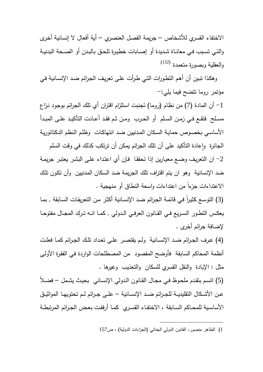الاختفاء القسري للأشخاص – جريمة الفصل العنصري – أية أفعال لا إنسانية أخـرى والتــي تسـبب فــي معانــاة شـديدة أو إصــابات خطيـرة تلحـق بالبـدن أو الصـحة البدنيـة (132) والعقلية وبصورة متعمدة

 وهكـذا تبـين أن أهـم التطـورات التـي طـرأت علـى تعريـف الجـرائم ضـد الإنسـانية فـي مؤتمر روما تتضح فيما يلي :-

1– أن المادة (7) من نظام (روما) تجنبت استلزام اقتران أي تلك الجرائم بوجود نـزاع مســلح فتقــع فــي زمــن الســلم أو الحــرب ومــن ثــم فقــد أعــادت التأكيــد علــى المبــدأ الأساسـي بخصـوص حمايـة السـكان المـدنيين ضـد انتهاكـات وظلـم الـنظم الدكتاتوريـة

الجائرة وإعادة التأكيد على أن تلك الجرائم يمكن أن ترتكب كذلك في وقت السلم 2 - ان التعريـف وضـع معيـارين إذا تحققـا فـإن أي اعتـداء علـى البشـر يعتبـر جريمـة ضد الإنسانية وهو ان يتم اقتراف تلك الجريمة ضد السكان المدنيين وأن تكـون تلـك الاعتداءات جزءاً من اعتداءات واسعة النطاق أو منهجية .

(3) التوسـع كثيراً في قائمـة الجرائم ضـد الإنسـانية أكثـر من التعريفات السـابقة , بمـا يعكــس التطــور الســريع فــي القــانون العرفــي الــدولي , كمــا انــه تــرك المجــال مفتوحــا لإضافة جرائم أخرى .

(4) عــرف الجــرائم ضــد الإنســانية ولــم يقتصــر علــى تعــداد تلــك الجــرائم كمــا فعلــت أنظمة المحاكم السابقة فأوضح المقصود من المصطلحات الواردة فـي الفقرة الأولـي مثل : الإبادة والنقل القسري للسكان والتعذيب وغيرها .

(5) اتسـم بتقـدم ملحـوظ فـي مجـال القـانون الـدولي الإنسـاني بحيـث يشـمل – فضـلاً عــن الأشـــكال التقليديــة للجــرائم ضــد الإنســانية – علــى جــرائم لــم تحتويهــا المواثيــق الأساســية للمحــاكم الســابقة ، الاختفــاء القســري كمــا أرفقــت بعــض الجــرائم المرتبطــة

 $\overline{a}$ 1) الطاهر منصور ، القانون الدولي الجنائي (الجزاءات الدولية ) ، ص157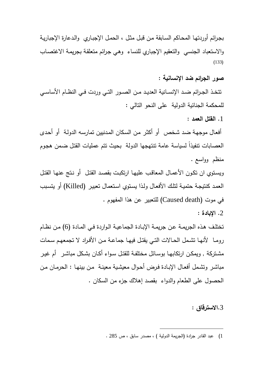بجـرائم أوردتهـا المحـاكم السـابقة مـن قبـل مثـل ، الحمـل الإجبـاري والـدعارة الإجباريـة والاستعباد الجنسي والتعقيم الإجباري للنساء وهـي جـرائم متعلقـة بجريمـة الاغتصـاب  $(133)$ 

**صور الجرائم ضد الإنسانية :** 

تتخــذ الجــرائم ضــد الإنســانية العديــد مــن الصــور التــي وردت فــي النظــام الأساســي للمحكمة الجنائية الدولية على النحو التالي :

.1 **القتل العمد :**

أفعـال موجهـة ضـد شـخص أو أكثـر مـن السـكان المـدنيين تمارسـه الدولـة أو أحـدى العصابات تنفيذاً لسياسة عامة تتتهجها الدولة بحيث نتم عمليات القتل ضمن هجوم منظم وواسع .

ويسـتوي ان تكـون الأعمـال المعاقـب عليهـا ارتكبـت بقصـد القتـل أو نـتج عنهـا القتـل العمـد كنتيجـة حتميـة لتلـك الأفعـال ولـذا يسـتوي اسـتعمال تعبيـر (Killed (أو يتسـبب في موت (death Caused (للتعبير عن هذا المفهوم .

.2 **الإبادة :**

تختلـف هـذه الجريمـة عـن جريمـة الإبـادة الجماعيـة الـواردة فـي المـادة (6) مـن نظـام رومــا لأنهــا تشــمل الحــالات التــي يقتــل فيهــا جماعــة مــن الأفــراد لا تجمعهــم ســمات مشـتركة , ويمكـن ارتكابهــا بوسـائل مختلفــة للقتـل ســواء أكـان بشــكل مباشـر أم غيــر مباشـر وتشـمل أفعـال الإبـادة فـرض أحـوال معيشـية معينـة مـن بينهـا : الحرمـان مـن الحصول على الطعام والدواء بقصد إهلاك جزء من السكان .

.3**الاسترقاق :**

1) عبد القادر جرادة (الجريمة الدولية ) ، مصدر سابق ، ص 285 .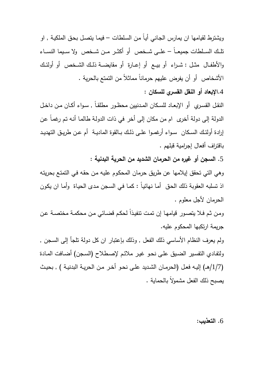ويشترط لقيامها ان يمارس الجـاني أيـاً مـن السـلطات – فيمـا يتصـل بحـق الملكيـة , او تلـــك الســـلطات جميعـــاً – علـــى شـــخص أو أكثـــر مـــن شـــخص ولا ســـيما النســـاء والأطفــال مثــل : شــراء أو بيــع أو إعــارة أو مقايضــة ذلــك الشــخص أو أولئــك الأشخاص أو أن يفرض عليهم حرماناً مماثلاً من التمتع بالحرية .

.4**الإبعاد أو النقل القسري للسكان** :

النقــل القســري أو الإبعــاد للســكان المــدنيين محظــور مطلقــاً , ســواء أكــان مــن داخــل الدولة إلى دولة أخرى ام من مكان إلى أخر في ذات الدولة طالمـا أنـه تم رغمـاً عن إرادة أولئــك الســكان ســواء أرغمــوا علــى ذلــك بــالقوة الماديــة أم عــن طريــق التهديــد باقتراف أفعال إجرامية قبلهم .

.5 **السجن أو غيره من الحرمان الشديد من الحرية البدنية :** 

وهي التي تحقق إيلامها عن طريق حرمان المحكـوم عليـه مـن حقـه فـي التمتـع بحريتـه اذ تسلبه العقوبة ذلك الحـق أمـا نهائيـاً : كمـا فـي السـجن مـدى الحيـاة وأمـا ان يكـون الحرمان لأجل معلوم .

ومن ثم فـلا يتصـور قيامهـا إن تمت تنفيذا لحكم قضـائي من محكمـة مختصـة عن جريمة ارتكبها المحكوم عليه .

ولم يعرف النظام الأساسي ذلك الفعل , وذلك بإعتبار ان كل دولة تلجأ إلى السـجن , ولتفـادي التفسـير الضـيق علـى نحـو غيـر ملائـم لإصـطلاح (السـجن) أضـافت المـادة (1/7 ) هــ/ إليـه فعـل (الحرمـان الشـديد علـى نحـو أخـر مـن الحريـة البدنيـة , ) بحيـث يصبح ذلك الفعل مشمولاً بالحماية .

.6 **التعذيب:**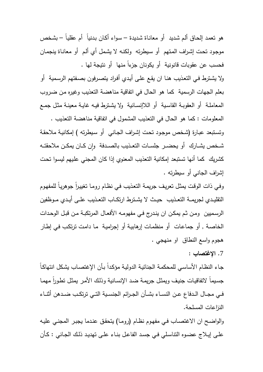هو تعمـد إلحـاق ألـم شـديد أو معانـاة شـديدة – سـواء أكـان بـدنياً أم عقليـاً – بشـخص موجـود تحـت إشـراف المـتهم أو سـيطرته ولكنـه لا يشـمل أي ألـم أو معانـاة ينجمـان فحسب عن عقوبات قانونية أو يكونان جزءا . ً منها أو نتيجة لها

ولا يشـترط فـي التعـذيب هنـا ان يقـع علـى أيـدي أفـراد يتصـرفون بصـفتهم الرسـمية أو بعلم الجهات الرسمية كما هو الحال في اتفاقية مناهضة التعذيب وغيره مـن ضـروب المعاملـة أو العقوبـة القاسـية أو اللاإنســانية ولا يشـترط فيـه غايـة معينـة مثـل جمـع المعلومات : كما هو الحال في التعذيب المشمول في اتفاقية مناهضة التعذيب .

وتسـتبعد عبـارة (شـخص موجـو د تحـت إشـراف الجـاني أو سـيطرته ) إمكانيـة ملاحقـة شـخص يشــارك أو يحضـر جلسـات التعـذيب بالصـدفة وإن كــان يمكـن ملاحقتــه كشريك كما أنها تستبعد إمكانية التعذيب المعنوي إذا كان المجني علـيهم ليسـوا تحـت إشراف الجاني أو سيطرته .

وفي ذات الوقت يمثل تعريف جريمـة التعذيب في نظـام رومـا تغييرا جوهريـا للمفهوم التقليــدي لجريمــة التعــذيب حيــث لا يشــترط ارتكــاب التعــذيب علــى أيــدي مــوظفين الرسـميين ومـن ثـم يمكـن ان ينـدرج فـي مفهومـه الأفعـال المرتكبـة مـن قبـل الوحـدات الخاصـة , أو جماعـات أو منظمـات إرهابيـة أو إجراميـة مـا دامـت ترتكـب فـي إطـار هجوم واسع النطاق او منهجي .

.7 **الإغتصاب :**

جـاء النظـام الأساسـي للمحكمـة الجنائيـة الدوليـة مؤكدا بـأن الإغتصـاب يشكل انتهاكـا جسيماً لاتفاقيات جنيف ويمثل جريمـة ضـد الإنسـانيـة وذلك الأمـر يمثل تطـورا مـهمـا فــي مجــال الــدفاع عــن النســاء بشــأن الجــرائم الجنســية التــي ترتكــب ضــدهن أثنــاء النزاعات المسلحة .

والواضـح ان الاغتصـاب فـي مفهـوم نظـام (رومـا) يتحقـق عنـدما يجبـر المجنـي عليـه علـى إيـلاج عضـوه التناسـلي فـي جسـد الفاعـل بنـاء علـى تهديـد ذلـك الجـاني : كـأن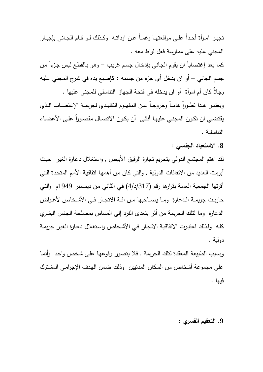تجبـر امـرأة أحـدا علــى مواقعتهـا رغمــا عـن ارداتــه ۖ وكـذلك لــو قـام الـجـانـي بإجبــار المجني عليه على ممارسة فعل لواط معه . كما يعد إغتصـاباً ان يقوم الـجـانـي بإدخـال جسم غريب – وهو بـالقطـع ليس جزءا من جسم الجاني – أو ان يدخل أي جزء من جسمه : كإصبع يده في شـرج المجنـي عليـه رجلاُ كان أم امرأة أو ان يدخله في فتحة الجهاز التناسلي للمجني عليها . ويعتبــر هـذا تطـوراً هامــاً وخروجـاً عـن المفهـوم التقليـدي لـجريمــة الإغتصــاب الـذي يقتضــي ان تكـون المجنــي عليهـا انشّـى ان يكـون الاتصــال مقصــورا علــى الأعضــاء التناسلية .

**.8 الاستعباد الجنسي :** 

لقد اهتم المجتمع الدولي بتحريم تجارة الرقيق الأبيض , واستغلال دعـارة الغيـر حيـث أبرمت العديد من الاتفاقات الدولية , والتي كان مـن أهمهـا اتفاقيـة الأمـم المتحـدة التـي أقرتها الجمعية العامة بقرارها رقم (317 /د/ 4) فـي الثـاني مـن ديسـمبر 1949م والتـي حاربــت جريمــة الــدعارة ومــا يصــاحبها مــن افــة الاتجــار فــي الأشــخاص لأغــراض الدعارة وما لتلك الجريمة من أثر يتعدى الفرد إلى المساس بمصلحة الجـنس البشـري كلـه ولـذلك اعتبـرت الاتفاقيـة الاتجـار فـي الأشـخاص واسـتغلال دعـارة الغيـر جريمـة دولية .

وبسبب الطبيعة المعقدة لتلك الجريمة , فلا يتصور وقوعهـا علـى شـخص واحـد وأنمـا على مجموعة أشخاص من السكان المدنيين وذلك ضمن الهـدف الإجرامـي المشـترك فيها .

**.9 التعقيم القسري :**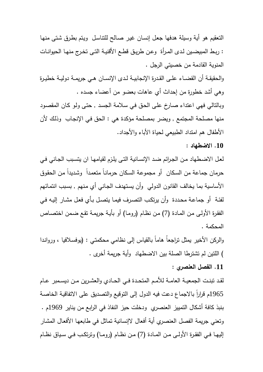التعقيم هو أية وسيلة هدفها جعـل إنسـان غيـر صـالح للتناسـل ويـتم بطـرق شـتى منهـا : ربـط المبيضـين لـدى المـرأة وعـن طريــق قطـع الأقنيـة التـى تخـرج منهـا الحيوانـات المنوية القادمة من خصيتي الرجل .

والحقيقــة أن القضــاء علــى القــدرة الإنجابيــة لــدى الإنســان هــي جريمــة دوليــة خطيــرة وهي أشد خطورة من إحداث أي عاهات بعضو من أعضاء جسده .

وبالتالي فهي اعتداء صـارخ علـى الحـق فـي سـلامة الجسـد , حتـى ولـو كـان المقصـود منها مصلحة المجتمع , ويضر بمصلحة مؤكدة هي : الحق فـي الإنجـاب وذلـك لأن الأطفال هم امتداد الطبيعي لحياة الأباء والأجداد .

## **.10 الاضطهاد :**

لعـل الاضـطهاد مـن الجـرائم ضـد الإنسـانية التـى يلـزم لقيامهـا ان يتسـبب الجـاني فـي حرمان جماعة من السكان أو مجموعة السكان حرمانـا متعمدا وشديدا من الحقوق الأساسية بما يخالف القانون الدولي وأن يسـتهدف الجـاني أي مـنهم , بسـبب انتمـائهم لفئـة أو جماعـة محـددة وأن يرتكـب التصـرف فيمـا يتصـل بـأي فعـل مشـار إليـه فـي الفقـرة الأولـى مـن المـادة (7) مـن نظـام (رومـا) أو بأيـة جريمـة تقـع ضـمن اختصـاص المحكمة .

والركن الأخير يمثل تراجعاُ هاماً بالقياس إلى نظامي محكمتـي : (يوفسـلافيا ، وروانـدا ) اللتين لم تشترطا الصلة بين الاضطهاد وأية جريمة أخرى .

# **.11 الفصل العنصري :**

لقـد تبنـت الجمعيــة العامــة للأمـم المتحـدة فـي الحــادي والعشـرين مـن ديسـمبر عـام ً بالاجماع دعت فيه الدول إلى التوقيع والتصديق على الاتفاقيـة الخاصـة 1965م قرارا بنبذ كافة أشكال التمييز العنصري ودخلت حيز النفاذ في الرابع من يناير 1969 . م وتعني جريمة الفصل العنصري أية أفعال لاإنسانية تماثل في طابعهـا الأفعـال المشـار إليهــا فــي الفقــرة الأولــى مــن المــادة (7) مــن نظــام (رومــا) وترتكــب فــي ســياق نظــام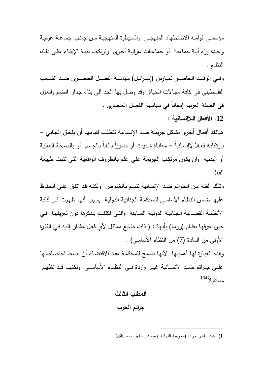مؤسســي قوامــه الاضــطهاد المنهجــي والســيطرة المنهجيــة مــن جانــب جماعــة عرقيــة واحــدة إزاء أيــة جماعــة أو جماعــات عرقيــة أخــرى وترتكــب بنيــة الإبقــاء علــى ذلــك النظام .

وفـــي الوقـــت الحاضـــر تمـــارس (إســـرائيل) سياســـة الفصـــل العنصـــري ضـــد الشـــعب الفلسطيني في كافة مجالات الحياة وقد وصل بها الحد الى بناء جـدار الضـم والعـزل في الضفة الغربية إمعاناً في سياسية الفصل العنصري .

**.12 الأفعال اللاإنسانية :** 

هنالـك أفعـال أخـرى تشـكل جريمـة ضـد الإنسـانية تتطلـب لقيامهـا أن يلحـق الجـاني – بارتكابـه فعـلاً لاإنسـانياً – معانـاة شديدة ۖ أو ضـررا بالغـا بالـجسم ۖ أو بالصـحة الـعقليـة أو البدنية وان يكون مرتكـب الجريمـة علـى علـم بـالظروف الواقعيـة التـي تثبـت طبيعـة الفعل

وتلـك الفئـة مـن الجـرائم ضـد الإنسـانية تتسـم بـالغموض ولكنـه قـد اتفـق علـى الحفـاظ عليها ضـمن النظـام الأساسـي للمحكمـة الجنائيـة الدوليـة بسـبب أنهـا ظهـرت فـي كافـة الأنظمــة القضــائية الجنائيــة الدوليــة الســابقة والتــي اكتفــت بــذكرها دون تعريفهــا فــي حـين عرفهـا نظـام (رومـا) بأنهـا : ( ذات طـابع ممائـل لأي فعـل مشـار إليـه فـي الفقـرة الأولى من المادة (7) من النظام الأساسي) .

وهذه العبـارة لهـا أهميتهـا لأنهـا تسـمح للمحكمـة عنـد الاقتضـاء أن تبسـط اختصاصـها علــي جــرائم ضــد الانســانية غيــر واردة فــي النظــام الأساســي ولكنهــا قــد تظهــر مستقبلاً<sup>134</sup>

> المطلب الثالث **جرائم الحرب**

<sup>1</sup>) عبد القادر جرادة (الجريمة الدولية ) مصدر سابق ، ص186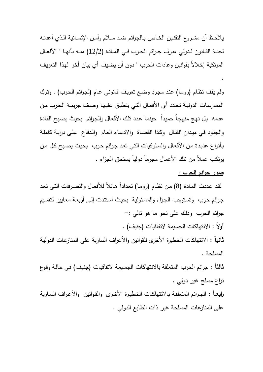يلاحـظ أن مشــروع التقنــين الخــاص بــالجرائم ضــد ســلام وأمــن الإنســانية الــذي أعدتــه لجنــة القــانون لــدولي عــرف جــرائم الحــرب فــي المــادة (12/2) منــه بأنهــا " الأفعــال المرتكبة إخلالاً بقوانين وعادات الحرب " دون أن يضيف أي بيان أخر لهـذا التعريـف .

ولم يقف نظام (روما) عند مجرد وضـع تعريف قانوني عام (لجرائم الحرب) , وترك الممارسـات الدوليـة تحـدد أي الأفعـال التـي ينطبـق عليهـا وصـف جريمـة الحـرب مـن عدمه بل نهج منهجا حميدا حينما عدد نلك الأفعال والجرائم بحيث يصبح القادة والجنـود فـي ميـدان القتـال وكـذا القضـاة والادعـاء العـام والـدفاع علـى درايـة كاملـة بـأنواع عديـدة مـن الأفعـال والسـلوكيات التـي تعـد جـرائم حـرب بحيـث يصـبح كـل مـن يرتكب عملاً من تلك الأعمال مجرماً دولياً يستحق الجزاء .

# **صور جرائم الحرب :**

لقد عددت المـادة (8) من نظـام (رومـا) تعداداً هـائلاً للأفعـال والتصـرفات التـى تعد جـرائم حـرب وتسـتوجب الجـزاء والمسـئولية بحيـث اسـتندت إلـى أربعـة معـايير لتقسـيم جرائم الحرب وذلك على نحو ما هو تالي :-

**أولاً :** الانتهاكات الجسيمة لاتفاقيات (جنيف) .

**ثانياً :** الانتهاكات الخطيرة الأخرى للقوانين والأعراف السارية على المنازعـات الدوليـة المسلحة .

**ثالثاً :** جرائم الحرب المتعلقة بالانتهاكات الجسـيمة لاتفاقيـات (جنيـف) فـي حالـة وقـوع نزاع مسلح غير دولي .

**رابعــاً :** الجـرائم المتعلقـة بالانتهاكـات الخطيـرة الأخـرى والقـوانين والأعـراف السـارية على المنازعات المسلحة غير ذات الطابع الدولي .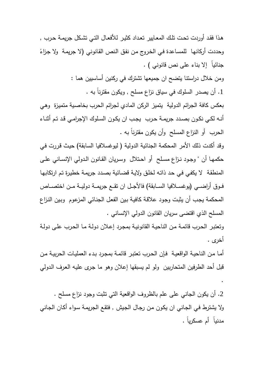هـذا فقـد أوردت تحـت تلـك المعـايير تعـداد كثيـر للأفعـال التـي تشـكل جريمـة حـرب , وحددت أركانها للمساعدة في الخروج من نفق النص القانوني (لا جريمة ولا جزاءً جنائياً إلا بناء على نص قانوني ) .

ومن خلال دراستنا يتضح ان جميعها تشترك في ركنين أساسيين هما :

.1 أن يصدر السلوك في سياق نزاع مسلح , ويكون مقترناً به .

بعكس كافة الجرائم الدولية يتميز الركن المادي لجرائم الحرب بخاصـية متميـزة وهـي أنـه لكـي نكـون بصـدد جريمـة حـرب يجــب ان يكـون السـلوك الإجرامـي قـد تـم أثنــاء الحرب أو النزاع المسلح وأن يكون مقترناً به .

وقد أكدت ذلك الأمر المحكمة الجنائية الدولية ( ليوغسلافيا السابقة) حيث قررت في حكمهــا أن " وجــود نــزاع مســلح أو احــتلال وســريان القــانون الــدولي الإنســاني علــى المنطقـة لا يكفـي فـي حـد ذاتـه لخلـق ولايـة قضـائية بصـدد جريمـة خطيـرة تـم ارتكابهـا فــوق أراضــي (يوغســلافيا الســابقة) فالأجــل ان تقــع جريمــة دوليــة مــن اختصــاص المحكمة يجـب أن يثبـت وجـود علاقـة كافيـة بـين الفعـل الجنـائي المزعـوم وبـين النـزاع المسلح الذي اقتضى سريان القانون الدولي الإنساني .

وتعتبـر الحـرب قائمـة مـن الناحيـة القانونيـة بمجـرد إعـلان دولـة مـا الحـرب علـى دولـة أخرى .

أمـا مـن الناحيـة الواقعيـة فـإن الحـرب تعتبـر قائمـة بمجـرد بـدء العمليـات الحربيـة مـن قبل أحد الطرفين المتحاربين ولو لم يسبقها إعلان وهو ما جـرى عليـه العـرف الـدولي

.

.2 أن يكون الجاني على علم بالظروف الواقعية التي تثبت وجود نزاع مسلح . ولا يشترط فـي الجـاني ان يكـون مـن رجـال الجـيش , فتقـع الجريمـة سـواء أكـان الجـاني مدنياً أم عسكرياً .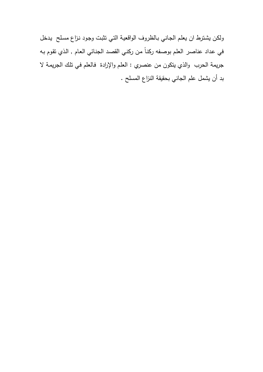ولكـن يشـترط ان يعلـم الجـاني بـالظروف الواقعيـة التـي تثبـت وجـود نـزاع مسـلح يـدخل في عـداد عناصـر العلـم بوصـفه ركنـاً مـن ركنـي القصـد الجنـائي العـام , الـذي تقـوم بـه جريمة الحرب والذي يتكون من عنصري : العلـم والإرادة فـالعلم فـي تلـك الجريمـة لا بد أن يشمل علم الجاني بحقيقة النزاع المسلح .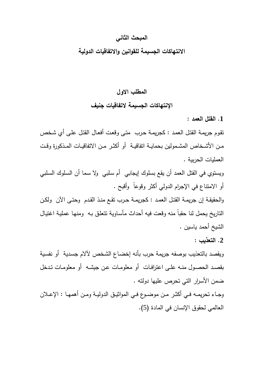# **المبحث الثاني**

## **الانتهاكات الجسيمة للقوانين والاتفاقيات الدولية**

# **المطلب الاول الإنتهاكات الجسيمة لاتفاقيات جنيف**

**.1 القتل العمد :**

تقـوم جريمـة القتـل العمـد : كجريمـة حـرب متـى وقعـت أفعـال القتـل علـى أي شـخص مــن الأشــخاص المشــمولين بحمايــة اتفاقيــة أو أكثــر مــن الاتفاقيــات المــذكورة وقــت العمليات الحربية .

ويستوي في القتل العمد أن يقع بسلوك إيجابي أم سـلبي ولا سـما أن السـلوك السـلبي أو الامتناع في الإجرام الدولي أكثر وقوعاً وأقبح .

والحقيقـة إن جريمـة القتـل العمـد : كجريمـة حــرب تقـع منـذ القـدم وحتـى الآن ولكــن التاريخ يحمل لنا حقباً منه وقعت فيه أحداث مأسـاوية تتعلـق بـه ومنهـا عمليـة اغتيـال الشيخ أحمد ياسين .

**.2 التعذيب :** 

ويقصد بالتعذيب بوصفه جريمة حرب بأنه إخضـاع الشـخص لآلام جسـدية أو نفسـية بقصــد الحصــول منــه علــى اعترافــات أو معلومــات عــن جيشــه أو معلومــات تــدخل ضمن الأسرار التي تحرص عليها دولته .

وجــاء تحريمــه فــي أكثــر مــن موضــوع فــي المواثيــق الدوليــة ومــن أهمهــا : الإعــلان العالمي لحقوق الإنسان في المادة (5 ).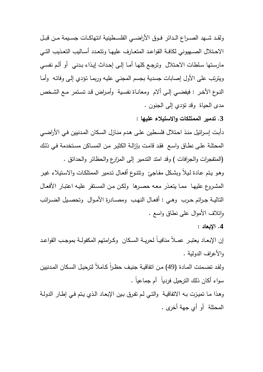ولقــد شــهد الصــراع الــدائر فــوق الأراضــي الفلســطينية انتهاكــات جســيمة مــن قبــل الاحــتلال الصــهيوني لكافــة القواعــد المتعــارف عليهــا وتتعــدد أســاليب التعــذيب التــي مارسـتها سـلطات الاحـتلال وترجـع كلهـا أمـا إلـى إحـداث إيـذاء بـدني أو ألـم نفسـي ويترتب على الأول إصابات جسدية بجسم المجنـي عليـه وربمـا تـؤدي إلـى وفاتـه وأمـا النــوع الأخــر : فيفضــي إلــى ألام ومعانــاة نفســية وأمــراض قــد تســتمر مــع الشــخص مدى الحياة وقد تؤدي إلى الجنون .

**.3 تدمير الممتلكات والاستيلاء عليها :** 

دأبـت إسـرائيل منـذ احـتلال فلسـطين علـى هـدم منـازل السـكان المـدنيين فـي الأراضـي المحتلـة علـى نطـاق واسـع فقـد قامـت بإزالـة الكثيـر مـن المسـاكن مسـتخدمة فـي ذلـك (المتفجرات والجرافات ) وقد امتد التدمير إلى المزارع والحظائر والحدائق .

وهـو يـتم عـادة لـيلاً وبشـكل مفـاجئ وتتنـوع أفعـال تـدمير الممتلكـات والاسـتيلاء غيـر المشـروع عليهـا ممـا يتعـذر معـه حصـرها ولكـن مـن المسـتقر عليـه اعتبـار الأفعـال التاليــة جــرائم حــرب وهــي : أفعــال النهــب ومصــادرة الأمــوال وتحصــيل الضــرائب وإِتلاف الأموال على نطاق واسع .

**.4 الإبعاد :**

إن الإبعــاد يعتبــر عمــلاً منافيــاً لحريــة الســكان وكــرامتهم المكفولــة بموجــب القواعــد والأعراف الدولية .

ولقد تضـمنت المـادة (49) مـن اتفاقيـة جنيف حظـراً كـاملاً لترحيل السكان المـدنيين سواء أكان ذلك الترحيل فردياً أم جماعياً .

وهـذا مـا تميـزت بـه الاتفاقيـة والتـي لـم تفـرق بـين الإبعـاد الـذي يـتم فـي إطـار الدولـة المحتلة أو أي جهة أخرى .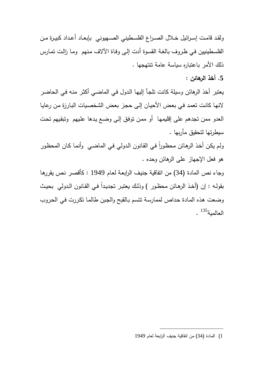ولقد قامـت إسـرائيل خــلال الصــراع الفلسـطيني الصــهيوني بإبعــاد أعـداد كبيـرة مـن الفلسطينيين فـي ظروف بالغـة القسوة أدت إلـى وفـاة الآلاف منـهم ومـا زالت تمـارس ذلك الأمر باعتباره سياسة عامة تنتهجها .

**.5 أخذ الرهائن :** 

يعتبر أخذ الرهائن وسيلة كانت تلجـأ إليهـا الـدول فـي الماضـي أكثـر منـه فـي الحاضـر لانهـا كانـت تعمـد فـي بعـض الأحيـان إلـى حجـز بعـض الشخصـيات البـارزة مـن رعايـا العدو ممن تجدهم على إقليمهـا أو ممـن توفـق إلـى وضـع يـدها علـيهم وتبقـيهم تحـت سيطرتها لتحقيق مأربها .

ولم يكن اخذ الرهائن محظورا في القانون الدولي في الماضـي وانمـا كـان المحظور هو فعل الإجهاز على الرهائن وحده .

وجاء نص المادة (34) من اتفاقية جنيـف الرابعـة لعـام 1949 : كأقصـر نـص يقررهـا بقولـه : إن (أخذ الرهـائن محظـور ) وذلك يعتبـر تجديـدا فـي القـانون الـدولي بحيث وضعت هـذه المـادة حـداص لممارسـة تتسـم بـالقبح والجـبن طالمـا تكـررت فـي الحـروب العالمية<sup>135</sup> .

<sup>1</sup>) المادة (34) من اتفاقية جنيف الرابعة لعام 1949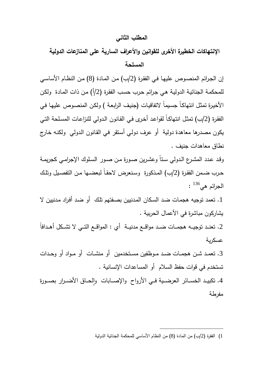# **المطلب الثاني**

**الإنتهاكات الخطيرة الأخرى للقوانين والأعراف السارية على المنازعات الدولية** 

#### **المسلحة**

إن الجـرائم المنصـوص عليهـا فـي الفقـرة (/2ب) مـن المـادة (8) مـن النظـام الأساسـي للمحكمـة الجنائيـة الدوليـة هـي جـرائم حـرب حسـب الفقـرة (2 ) أ/ مـن ذات المـادة ولكـن الأخيـرة تمثـل انتهاكـاً جسـيماً لاتفاقيـات (جنيـف الرابعـة ) ولكـن المنصـوص عليهـا فـي الفقرة (2/ب) تمثل انتهاكـاً لقواعد أخرى فـي القـانون الدولـي للنزاعـات المسلحة التـي يكون مصدرها معاهدة دولية أو عرف دولـي أسـتقر فـي القـانون الـدولي ولكنـه خـارج نطاق معاهدات جنيف .

وقـد عـدد المشـرع الـدولي سـتاً وعشـرين صـورة مـن صـور السـلوك الإجرامـي كجريمـة حرب ضـمن الفقرة (2/ب) المـذكورة وسـنعرض لاحقـاً لبعضــها مـن التفصـيل وتلك الجرائم هي $^{136}$  :

.1 تعمد توجيه هجمـات ضـد السـكان المـدنيين بصـفتهم تلـك أو ضـد أفـراد مـدنيين لا يشاركون مباشرة في الأعمال الحربية .

.2 تعنــد توجيــه هجمـــات ضــد مواقـــع مدنيــة أي : المواقــع التـــي لا تشــكل أهـــدافاً عسكرية

.3 تعمــد شــن هجمــات ضــد مــوظفين مســتخدمين أو منشــات أو مــواد أو وحــدات تستخدم في قوات حفظ السلام أو المساعدات الإنسانية .

4. تكبيـد الخســائر العرضـيـة فــي الأرواح والإصـــابات وإلحــاق الأضــرار بصــورة مفرطة

> $\overline{a}$ 1) الفقرة (2 ) ب/ من المادة (8) من النظام الأساسي للمحكمة الجنائية الدولية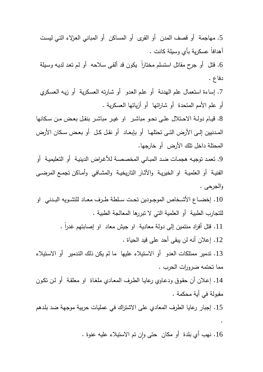.5 مهاجمة أو قصف المدن أو القرى أو المساكن أو المباني العـزلاء التـي ليسـت أهدافاً عسكرية بأي وسيلة كانت . 6. قتل أو جرح مقاتل استسلم مختاراً يكون قد ألقى سـلاحه أو لـم تعد لديـه وسـيلة دفاع . .7 إساءة استعمال علم الهدنـة أو علـم العـدو أو شـارته العسـكرية أو زيـه العسـكري أو علم الأمم المتحدة أو شاراتها أو أزياتها العسكرية . .8 قيــام دولــة الاحــتلال علــى نحــو مباشــر او غيــر مباشــر بنقــل بعــض مــن ســكانها المــدنيين إلــى الأرض التــى تحتلهــا أو بإبعــاد أو نقــل كــل أو بعــض ســكان الأرض المحتلة داخل تلك الأرض أو خارجها. .9 تعمـد توجيـه هجمـات ضـد المبـاني المخصصـة للأغـراض الدينيـة أو التعليميـة أو الفنيـة أو العلميـة او الخيريــة والآثـار التاريخيــة والمشـافي وأمــاكن تجمـع المرضــى والجرحى . .10 إخضــاع الأشــخاص الموجــودين تحــت ســلطة طــرف معــاد للتشــويه البــدني او للتجارب الطبية أو العلمية التي لا تبررها المعالجة الطبية . . ً .11 قتل أفراد منتمين إلى دولة معادية او جيش معاد او إصابتهم غدرا .12 إعلان أنه لن يبقى أحد على قيد الحياة . .13 تدمير ممتلكات العدو أو الاستيلاء عليها ما لم يكن ذلك التـدمير أو الاسـتيلاء مما تحتمه ضرورات الحرب . .14 إعـلان أن حقـوق ودعـاوي رعايـا الطـرف المعـادي ملغـاة او معلقـة أو لـن تكـون مقبولة في أية محكمة . .15 إجبار رعايا الطرف المعادي على الاشتراك في عمليات حربية موجهة ضد بلـدهم . 16. نهب أي بلدة أو مكان حتى وإن تم الاستيلاء عليه عنوة .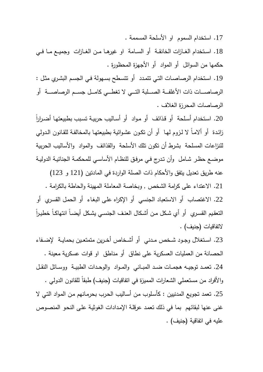.17 استخدام السموم او الأسلحة المسممة .

.18 اســتخدام الغــازات الخانقــة أو الســامة او غيرهــا مــن الغــازات وجميــع مــا فــي حكمها من السوائل أو المواد أو الأجهزة المحظورة .

.19 اسـتخدام الرصاصـات التـي تتمـدد أو تتسـطح بسـهولة فـي الجسـم البشـري مثـل : الرصاصــــات ذات الأغلفــــة الصــــلبة التــــي لا تغطــــي كامــــل جســــم الرصاصــــة أو الرصاصات المحرزة الغلاف .

ً .20 اسـتخدام أسـلحة أو قـذائف أو مـواد أو أسـاليب حربيـة تسـبب بطبيعتهـا أضـرارا زائـدة أو ألامـاً لا لـزوم لـهـا أو أن تكـون عشـوائيـة بطبيعتهـا بالمخالفـة للقـانون الـدولـي للنزاعات المسلحة بشرط أن تكون تلك الأسلحة والقذائف والمواد والأساليب الحربية موضـع حظـر شـامل وأن تـدرج فـي مرفـق للنظـام الأساسـي للمحكمـة الجنائيـة الدوليـة

عنه طريق تعديل يتفق والأحكام ذات الصلة الواردة في المادتين (121 و 123) .21 الاعتداء على كرامة الشخص , وبخاصة المعاملة المهينة والحاطة بالكرامة . .22 الاغتصاب أو الاستعباد الجنسي أو الإكراه علـى البغـاء أو الحمـل القسـري أو التعقيم القسـري أو أي شـكل مـن أشـكال العنـف الـجنســي يشـكل أيضــا انتهاكـا خطيـراً لاتفاقيات (جنيف) .

.23 اســتغلال وجــود شــخص مــدني أو أشــخاص أخــرين متمتعــين بحمايــة لإضــفاء الحصانة من العمليات العسكرية على نطاق أو مناطق او قوات عسكرية معينة . .24 تعمــد توجيــه هجمــات ضــد المبــاني والمــواد والوحــدات الطبيــة ووســائل النقــل والأفراد من مستعملي الشعارات المميزة في اتفاقيات (جنيف) طبقاً للقانون الدولي . .25 تعمد تجويع المدنيين : كأسـلوب مـن أسـاليب الحـرب بحرمـانهم مـن المـواد التـي لا غنى عنها لبقائهم بما في ذلك تعمـد عرقلـة الإمـدادات الغوثيـة علـى النحـو المنصـوص عليه في اتفاقية (جنيف) .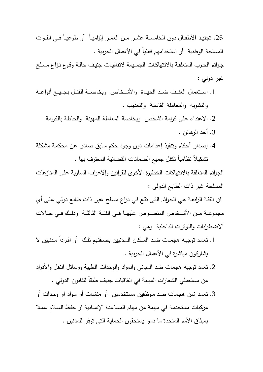.26 تجنيــد الأطفــال دون الخامســة عشــر مــن العمــر إلزاميــاً أو طوعيــاً فــي القــوات المسلحة الوطنية أو استخدامهم فعلياً في الأعمال الحربية .

جـرائم الحـرب المتعلقـة بالانتهاكـات الجســيمة لاتفاقيـات جنيـف حالـة وقـوع نـزاع مسـلح غير دولي :

- .1 اســـتعمال العنـــف ضـــد الحيـــاة والأشـــخاص وبخاصـــة القتـــل بجميـــع أنواعـــه والتشويه والمعاملة القاسية والتعذيب .
	- .2 الاعتداء على كرامة الشخص وبخاصة المعاملة المهينة والحاطة بالكرامة
		- .3 أخذ الرهائن .
- .4 إصدار أحكام وتنفيذ إعدامات دون وجود حكم سابق صادر عـن محكمـة مشـكلة تشكيلاً نظامياً تكفل جميع الضمانات القضائية المعترف بها .

الجرائم المتعلقة بالانتهاكات الخطيرة الأخرى للقوانين والاعراف السارية على المنازعات المسلحة غير ذات الطابع الدولي :

ان الفئـة الرابعـة هـي الجـرائم التـى تقـع فـي نـزاع مسـلح غيـر ذات طـابع دولـي علـى أي مجموعــة مــن الأشــخاص المنصــوص عليهــا فــي الفئــة الثالثــة وذلـك فــي حــالات الاضطرابات والتوترات الداخلية وهي :

- 1. تعمد توجيـه هجمـات ضـد السكان المـدنيين بصــفتهم تلك أو افـراداً مـدنيين لا يشاركون مباشرة في الأعمال الحربية .
- .2 تعمد توجيه هجمات ضد المباني والمواد والوحدات الطبية ووسائل النقـل والأفـراد من مستعملي الشعارات المبينة في اتفاقيات جنيف طبقاً للقانون الدولي .
- .3 تعمـد شـن هجمـات ضـد مـوظفين مسـتخدمين أو منشـات أو مـواد او وحـدات أو مركبات مستخدمة في مهمة من مهام المساعدة الإنسـانية او حفـظ السـلام عمـلا بميثاق الأمم المتحدة ما دموا يستحقون الحماية التى توفر للمدنين .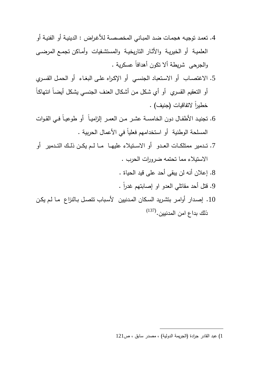- .4 تعمـد توجيـه هجمـات ضـد المبـاني المخصصـة للأغـراض : الدينيـة أو الفنيـة أو العلميـة أو الخيريـة والأثـار التاريخيـة والمستشـفيات وأمـاكن تجمـع المرضـى والجرحى شريطة ألا تكون أهدافاً عسكرية .
- .5 الاغتصـاب أو الاسـتعباد الجنسـي أو الإكـراه علـى البغـاء أو الحمـل القسـري أو التعقيم القسري أو أي شـكل مـن أشـكال العنـف الجنسـي يشـكل أيضـاً انتهاكـاً خطيراً لاتفاقيات (جنيف) .
- .6 تجنيــد الأطفــال دون الخامســة عشــر مــن العمــر إلزاميــاً أو طوعيــاً فــي القــوات المسلحة الوطنية أو استخدامهم فعلياً في الأعمال الحربية .
- 7. تـدمير ممتلكــات العـدو أو الاســتيلاء عليهــا مــا لــم يكــن ذلـك التــدمير أو ــــــــــــــــــــــ الاستيلاء مما تحتمه ضرورات الحرب .
	- .8 إعلان أنه لن يبقى أحد على قيد الحياة .
	- . ً .9 قتل أحد مقاتلي العدو او إصابتهم غدرا
- .10 إصـدار أوامـر بتشـريد السـكان المـدنيين لأسـباب تتصـل بـالنزاع مـا لـم يكـن (137) ذلك بداع امن المدنيين.

<sup>1</sup>) عبد القادر جرادة (الجريمة الدولية ،) مصدر سابق ، ص121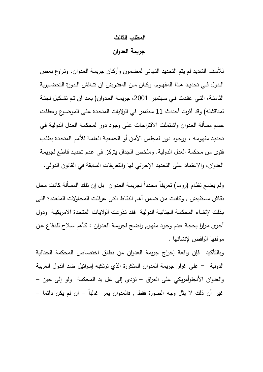#### **المطلب الثالث**

**جريمة العدوان** 

للأسف الشديد لم يتم التحديد النهائي لمضمون وأركـان جريمـة العـدوان، وتـراوغ بعـض الــدول فــي تحديــد هــذا المفهــوم. وكــان مــن المفتــرض ان تنــاقش الــدورة التحضــيرية الثامنــة، التــي عقــدت فــي ســبتمبر ،2001 جريمــة العــدوان( بعــد ان تــم تشــكيل لجنــة لمناقشته) وقد آثرت أحداث 11 سبتمبر في الولايات المتحـدة علـى الموضـوع وعطلـت حسم مسـألة العـدوان واشـتملت الاقتراحـات علـى وجـود دور لمحكمـة العـدل الدوليـة فـي تحديـد مفهومـه ، ووجـود دور لمجلـس الأمـن أو الجمعيـة العامـة للأمـم المتحـدة بطلـب فتوى من محكمة العدل الدولية. وملخص الجدال يتركز في عـدم تحديـد قـاطع لجريمـة العدوان، والاعتماد على التحديد الإجرائي لها والتعريفات السابقة في القانون الدولي .

ولم يضـع نظـام (رومـا) تعريفا محددا لجريمـة العدوان بـل إن نلك المسـألـة كانت محل نقـاش مسـتفيض , وكانـت مـن ضـمن أهـم النقـاط التـى عرقلـت المحـاولات المتعـددة التـى بـذلت لإنشـاء المحكمـة الجنائيـة الدوليـة فقـد تـذرعت الولايـات المتحـدة الامريكيـة ودول أخـرى مـرارا بحجـة عـدم وجـود مفهـوم واضـح لجريمـة العـدوان : كـأهم سـلاح للـدفاع عـن موقفها الرافض لإنشائها .

وبالتأكيد فإن واقعة إخراج جريمة العدوان من نطاق اختصاص المحكمة الجنائية الدولية - على غرار جريمة العدوان المتكررة الذي ترتكبه إسرائيل ضد الدول العربية والعدوان الأنجلوأمريكي على العراق – تؤدي إلى غل يد المحكمة ولو إلى حين – غير أن ذلك لا يثل وجه الصورة فقط , فالعدوان يمر غالباً – ان لم يكن دائما –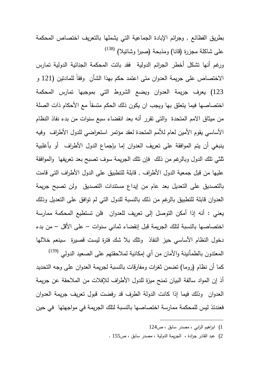بطريق الفظائع , وجرائم الإبادة الجماعية التي يشملها بالتعريف اختصاص المحكمة (138) على شاكلة مجزرة (قانا) ومذبحة (صبرا وشاتيلا)

ورغم أنها تشكل أخطر الجرائم الدولية فقد باتت المحكمة الجنائية الدولية تمارس الاختصاص على جريمة العدوان متى اعتمد حكم بهذا الشأن وفقاً للمادتين (121 و 123) يعرف جريمة العدوان ويضع الشروط التي بموجبها تمارس المحكمة اختصاصها فيما يتعلق بها ويجب ان يكون ذلك الحكم متسقاً مع الأحكام ذات الصلة من ميثاق الامم المتحدة والتى تقرر أنه بعد انقضاء سبع سنوات من بدء نفاذ النظام الأساسي يقوم الأمين لعام للأمم المتحدة لعقد مؤتمر استعراضي للدول الأطراف وفيه ينبغي أن يتم الموافقة على تعريف العدوان إما بإجماع الدول الأطراف أو بأغلبية ثلثي تلك الدول وبالرغم من ذلك فإن تلك الجريمة سوف تصبح بعد تعريفها والموافقة عليها من قبل جمعية الدول الأطراف , قابلة للتطبيق على الدول الأطراف التى قامت بالتصديق على التعديل بعد عام من إيداع مستندات التصديق ولن تصبح جريمة العدوان قابلة للتطبيق بالرغم من ذلك بالنسبة للدول التي لم توافق على التعديل وذلك يعني : أنه إذا أمكن التوصل إلى تعريف للعدوان فلن تستطيع المحكمة ممارسة اختصاصها بالنسبة لتلك الجريمة قبل إنقضاء ثماني سنوات – على الأقل – من بدء دخول النظام الأساسي حيز النفاذ وتلك بلا شك فترة ليست قصيرة سينعم خلالها المعتدون بالطمأنينة والأمان من أي إمكانية لملاحقتهم على الصعيد الدولي <sup>(139)</sup> كما أن نظام (روما) تضمن ثغرات ومفارقات بالنسبة لجريمة العدوان على وجه التحديد

أذ إن المواد سالفة البيان تمنح ميزة للدول الأطراف للإفلات من الملاحقة عن جريمة العدوان وذلك فيما إذا كانت الدولة الطرف قد رفضت قبول تعريف جريمة العدوان فعندئذ ليس للمحكمة ممارسة اختصاصها بالنسبة لتلك الجريمة في مواجهتها في حين

- 1) ابراهيم الرابي ، مصدر سابق ، ص124
- 2) عبد القادر جرادة ، الجريمة الدولية ، مصدر سابق ، ص155 .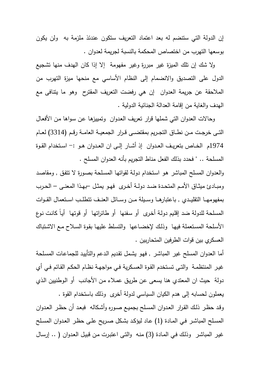إن الدولة التي ستنضم له بعد اعتماد التعريف ستكون عندئذ ملزمة به ولن يكون بوسعها التهرب من اختصاص المحكمة بالنسبة لجريمة لعدوان .

 ولا شك إن تلك الميزة غير مبررة وغير مفهومة إلا إذا كان الهدف منها تشجيع الدول على التصديق والانضمام إلى النظام الأساسي مع منحها ميزة التهرب من الملاحقة عن جريمة العدوان إن هي رفضت التعريف المقترح وهو ما يتنافى مع الهدف والغاية من إقامة العدالة الجنائية الدولية .

 و حالات العدوان التي شملها قرار تعريف العـدوان وتمييزهـا عـن سـواها مـن الأفعـال التــى خرجــت مــن نطــاق التجــريم بمقتضــى قــرار الجمعيــة العامــة رقــم (3314) لعــام 1974م الخــاص بتعريــف العــدوان إذ أشــار إلــى ان العــدوان هــو :- اســتخدام القــوة المسلحة .. " فحدد بذلك الفعل مناط التجريم بأنه العدوان المسلح .

والعدوان المسلح المباشر هـو اسـتخدام دولـة لقواتهـا المسـلحة بصـورة لا تتفـق , ومقاصـد ومبــادئ ميثــاق الأمــم المتحــدة ضــد دولــة أخــرى فهــو يمثــل –بهــذا المعنــى – الحــرب بمفهومهـــا التقليـــدي , باعتبارهـــا وســـيلة مـــن وســـائل العنـــف تتطلـــب اســـتعمال القـــوات المسلحة للدولة ضد إقلـيم دولـة أخـرى أو سـفنها أو طائراتهـا أو قوتهـا أيـاً كانـت نـوع الأسـلحة المسـتعملة فيهـا وذلـك لإخضـاعها والتسـلط عليهـا بقـوة السـلاح مـع الاشـتباك العسكري بين قوات الطرفين المتحاربين .

أما العدوان المسلح غير المباشر , فهو يشمل تقديم الدعم والتأييد للجماعات المسلحة غيـر المنتظمـة والتـى تسـتخدم القـوة العسـكرية فـي مواجهـة نظـام الحكـم القـائم فـي أي دولة حيث ان المعتدي هنا يسعى عـن طريـق عمـلاء مـن الأجانـب أو الـوطنيين الـذي يعملون لحسابه إلى هدم الكيان السياسي لدولة أخرى وذلك باستخدام القوة .

وقـد حظـر ذلـك القـرار العـدوان المسـلح بجميـع صـوره وأشـكاله فبعـد أن حظـر العـدوان المسـلح المباشـر فـي المـادة (1) عـاد ليؤكـد بشـكل صـريح علـى حظـر العـدوان المسـلح غيـر المباشـر وذلـك فـي المـادة (3) منـه والتـى اعتبـرت مـن قبيـل العـدوان ( .. إرسـال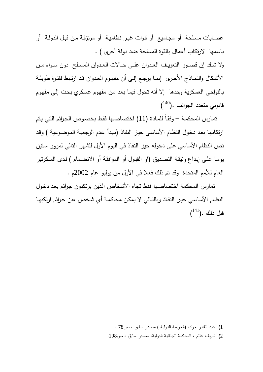عصـابات مسـلحة أو مجـاميع أو قـوات غيـر نظاميـة أو مرتزقـة مـن قبـل الدولـة أو باسمها لارتكاب أعمال بالقوة المسلحة ضد دولة أخرى ) .

ولا شــك إن قصــور التعريــف العــدوان علــى حــالات العــدوان المســلح دون ســواه مــن الأشكال والنمــاذج الأخـرى إنمــا يرجـع إلـى أن مفهـوم العـدوان قـد ارتـبط لفتـرة طويلـة بالنواحي العسكرية وحدها إلا أنه تحول فيما بعـد مـن مفهـوم عسـكري بحـت إلـى مفهـوم  $(140)$ . قانوني متعدد الجوانب

 تمـارس المحكمـة – وفقـاً للمـادة (11) اختصاصـها فقـط بخصـوص الجـرائم التـي يـتم ارتكابهـا بعـد دخـول النظـام الأساسـي حيـز النفـاذ (مبـدأ عـدم الرجعيـة الموضـوعية ) وقـد نص النظام الأساسي على دخوله حيز النفاذ في اليوم الأول للشهر التالي لمرور سـتين يومـا علـى إيـداع وثيقـة التصـديق (او القبـول أو الموافقـة أو الانضـمام ) لـدى السـكرتير العام للأمم المتحدة وقد تم ذلك فعلا في الأول من يوليو عام 2002 .م

 تمارس المحكمة اختصاصها فقط تجاه الأشـخاص الـذين يرتكبـون جـرائم بعـد دخـول النظـام الأساسـي حيـز النفـاذ وبالتـالي لا يمكـن محاكمـة أي شـخص عـن جـرائم ارتكبهـا  $($ أبل ذلك . $($ 

<sup>1</sup>) عبد القادر جرادة (الجر يمة الدولية ) مصدر سابق ، ص78 .

<sup>2</sup>) شريف عتلم ، المحكمة الجنائية الدولية، مصدر سابق ، ص198 .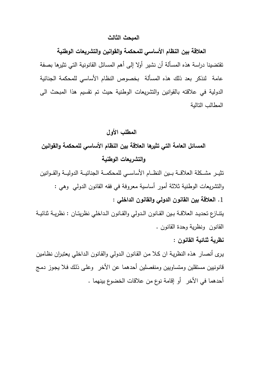#### **المبحث الثالث**

**العلاقة بين النظام الأساسي للمحكمة والقوانين والتشريعات الوطنية** تقتضينا دراسة هذه المسألة أن نشير أولا إلى أهم المسائل القانونية التي تثيرها بصفة عامة لنذكر بعد ذلك هذه المسألة بخصوص النظام الأساسي للمحكمة الجنائية الدولية في علاقته بالقوانين والتشريعات الوطنية حيث تم تقسيم هذا المبحث الى المطالب التالية

## **المطلب الأول**

# **المسائل العامة التي تثيرها العلاقة بين النظام الأساسي للمحكمة والقوانين والتشريعات الوطنية**

تثيـــر مشـــكلة العلاقـــة بـــين النظـــام الأساســـي للمحكمـــة الجنائيـــة الدوليـــة والقـــوانين والتشريعات الوطنية ثلاثة أمور أساسية معروفة في فقه القانون الدولي وهي : **.**1 **العلاقة بين القانون الدولي والقانون الداخلي :**  يتنــازع تحديــد العلاقــة بــين القــانون الــدولي والقــانون الــداخلي نظريتــان : نظريــة ثنائيــة

القانون ونظرية وحدة القانون .

**نظرية ثنائية القانون :** 

يـرى أنصـار هـذه النظريـة ان كـلا مـن القـانون الـدولي والقـانون الـداخلي يعتبـران نظـامين قانونيين مستقلين ومتساويين ومنفصلين أحدهما عن الأخر وعلـى ذلـك فـلا يجـوز دمـج أحدهما في الأخر أو إقامة نوع من علاقات الخضوع بينهما .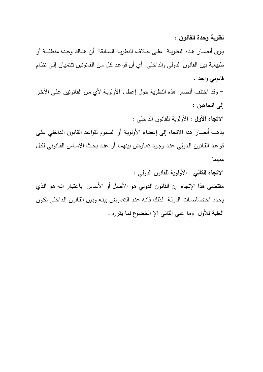**نظرية وحدة القانون :**

يــرى أنصــار هــذه النظريــة علــى خــلاف النظريــة الســابقة أن هنــاك وحــدة منطقيــة أو طبيعية بين القانون الدولي والداخلي أي أن قواعـد كـل مـن القـانونين تنتميـان إلـى نظـام قانوني واحد .

 - وقد اختلف أنصار هذه النظرية حول إعطاء الأولويـة لأي مـن القـانونين علـى الأخـر إلى اتجاهين :

**الاتجاه الأول** : الأولوية للقانون الداخلي :

يذهب أنصار هذا الاتجاه إلى إعطـاء الأولويـة أو السـموم لقواعـد القـانون الـداخلي علـى قواعـد القـانون الـدولي عنـد وجـود تعـارض بينهمـا أو عنـد بحـث الأسـاس القـانوني لكـل منهما

**الاتجاه الثاني** : الأولوية للقانون الدولي :

مقتضى هذا الإتجاه إن القانون الدولي هـو الأصـل أو الأسـاس باعتبـار انـه هـو الـذي يحدد اختصـاصـات الدولـة لذلك فانـه عند التعـارض بينـه وبـين القانون الداخلي تكون الغلبة للأول وما على التاني الإ الخضوع لما يقرره .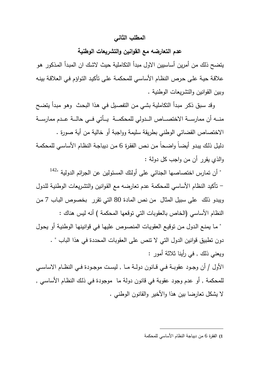#### **المطلب الثاني**

## **عدم التعارضه مع القوانين والتشريعات الوطنية**

يتضح ذلك من أمرين أساسيين الاول مبدأ التكاملية حيث لاشـك ان المبـدأ المـذكور هـو علاقـة حيـة علـى حـرص النظـام الأساسـي للمحكمـة علـى تأكيـد التـواؤم فـي العلاقـة بينـه وبين القوانين والتشريعات الوطنية .

 وقد سـبق ذكـر مبـدأ التكامليـة بشـي مـن التفصـيل فـي هـذا البحـث وهـو مبـدأ يتضـح منـــه أن ممارســـة الاختصـــاص الـــدولي للمحكمـــة يـــأتي فـــي حالـــة عـــدم ممارســـة الاختصاص القضائي الوطني بطريقة سليمة وواجبة أو خالية من أية صورة . دليـل ذلـك يبـدو أيضـاً واضـحاً مـن نـص الفقـرة 6 مـن ديباجـة النظـام الأساسـي للمحكمـة والذي يقرر أن من واجب كل دولة :

" أن تمارس اختصاصها الجنائي على أولئك المسئولين عن الجرائم الدولية " 142 - تأكيد النظام الأساسي للمحكمة عدم تعارضه مع القـوانين والتشـريعات الوطنيـة للـدول ويبدو ذلك على سبيل المثال من نص المادة 80 التي تقرر بخصوص البـاب 7 مـن النظام الأساسي (الخاص بالعقوبات التي توقعها المحكمة ) أنه ليس هناك :

" مـا يمنـع الـدول مـن توقيـع العقويـات المنصـوص عليهـا فـي قوانينهـا الوطنيـة أو يحـول دون تطبيق قوانين الدول التي لا تنص على العقوبات المحددة في هذا الباب " . ويعني ذلك , في رأينا ثلاثة أمور :

الأول / أن وجــود عقوبــة فــي قــانون دولــة مــا , ليســت موجــودة فــي النظــام الاساســي للمحكمة , أو عدم وجود عقوبة في قانون دولة ما موجودة فـي ذلـك النظـام الأساسـي , لا يشكل تعارضا بين هذا والأخير والقانون الوطني .

**)1** الفقرة 6 من ديباجة النظام الأساسي للمحكمة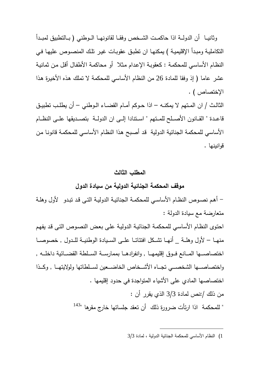وثانيـــا أن الدولـــة اذا حاكمــت الشــخص وفقــا لقانونهــا الــوطني ( بــالتطبيق لمبــدأ التكامليـة ومبـدأ الإقليميـة ) يمكنهـا ان تطبـق عقوبـات غيـر تلـك المنصـوص عليهـا فـي النظـام الأساسـي للمحكمـة : كعقوبـة الإعـدام مـثلا أو محاكمـة الأطفـال أقـل مـن ثمانيـة عشر عاما ( إذ وفقا للمادة 26 من النظام الأساسي للمحكمة لا تملك هـذه الأخيـرة هـذا الإختصاص ) .

الثالــث / ان المــتهم لا يمكنــه – اذا حــوكم أمــام القضــاء الــوطني – أن يطلــب تطبيــق قاعـــدة " القـــانون الأصـــلح للمـــتهم " اســـتنادا إلـــى ان الدولـــة بتصـــديقها علـــى النظـــام الأساسي للمحكمة الجنائية الدولية قـد أصـبح هـذا النظـام الأساسـي للمحكمـة قانونـا مـن قوانينها .

## **المطلب الثالث**

## **موقف المحكمة الجنائية الدولية من سيادة الدول**

 - أهـم نصـوص النظـام الأساسـي للمحكمـة الجنائيـة الدوليـة التـى قـد تبـدو لأول وهلـة متعارضة مع سيادة الدولة :

احتـوى النظـام الأساسـي للمحكمـة الجنائيـة الدوليـة علـى بعـض النصـوص التـى قـد يفهـم منهــا – لأول وهلــة \_ أنهــا تشــكل افتئاتــا علـــى الســيادة الوطنيــة للــدول , خصوصــا اختصاصـــها المــانـع فــوق إقليمهــا , وانفرادهــا بممارســة الســلطـة القضــائية داخلــه , واختصاصـــها الشخصـــي تجـــاه الأشـــخاص الخاضـــعين لســـلطاتها ولولايتهـــا , وكـــذا اختصاصها المادي على الأشياء المتواجدة في حدود إقليمها . من ذلك :/نص لمادة 3/3 الذي يقرر أن : " للمحكمة اذا ارتأت ضرورة ذلك أن تعقد جلساتها خارج مقرها "<sup>143</sup>

<sup>1</sup>) النظام الأساسي للمحكمة الجنائية الدولية ، لمادة 3/3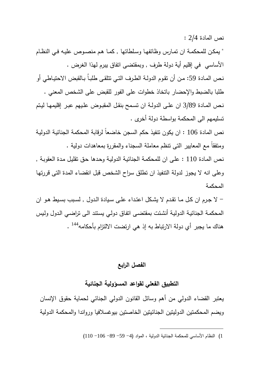نص المادة 2/4 :

" يمكـن للمحكمـة ان تمـارس وظائفهـا وسـلطاتها , كمـا هـم منصـوص عليـه فـي النظـام الأساسي في إقليم أية دولة طرف , وبمقتضى اتفاق يبرم لهذا الغرض . نـص المـادة 59: مـن أن تقوم الدولـة الطـرف التـي تتلقـى طلبـاُ بـالقبض الاحتيـاطي أو طلبا بالضبط والإحضار باتخاذ خطوات على الفور للقبض على الشخص المعني . نـص المـادة 3/89 ان علــى الدولـة ان تسـمح بنقـل المقبـوض علـيهم عبـر إقليمهـا ليـتم تسليمهم الى المحكمة بواسطة دولة أخرى .

نص المادة 106 : ان يكون تنفيذ حكم السجن خاضعاً لرقابة المحكمة الجنائيـة الدوليـة ومتفقاً مع المعايير التى تنظم معاملة السجناء والمقررة بمعاهدات دولية .

نـص المـادة 110 : علـى ان للمحكمـة الجنائيـة الدوليـة وحـدها حـق تقليـل مـدة العقوبـة , وعلى انه لا يجوز لدولة التنفيذ ان تطلق سراح الشخص قبل انقضاء المدة التى قررتهـا المحكمة

 - لا جـرم ان كـل مــا تقـدم لا يشـكل اعتــداء علـى سـيادة الـدول , لسـبب بسـيط هــو ان المحكمـة الجنائيـة الدوليـة أنشئت بمقتضـى اتفـاق دولـي يسنتد الـى تراضـي الدول ولبس هناك ما يجبر أي دولة الارتباط به إذ هي ارتضت الالتزام بأحكامه<sup>144</sup> .

# **الفصل الرابع**

**التطبيق الفعلي لقواعد المسؤولية الجنائية** 

يعتبر القضاء الدولي من أهم وسائل القانون الدولي الجنائي لحماية حقوق الإنسان ويضم المحكمتين الدوليتين الجنائيتين الخاصتين بيوغسلافيا ورواندا والمحكمة الدولية

<sup>1</sup>) النظام الأساسي للمحكمة الجنائية الدولية ، المواد (4 - 59 - 89 - 106 - 110)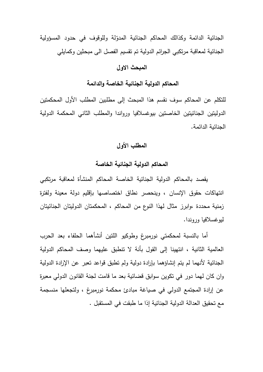الجنائية الدائمة وكذالك المحاكم الجنائية المدوّلة وللوقوف في حدود المسؤولية الجنائية لمعاقبة مرتكبي الجرائم الدولية تم تقسيم الفصل الى مبحثين وكمايلي

### **المبحث الاول**

## **المحاكم الدولية الجنائية الخاصة والدائمة**

للتكلم عن المحاكم سوف نقسم هذا المبحث إلى مطلبين المطلب الأول المحكمتين الدوليتين الجنائيتين الخاصتين بيوغسلافيا ورواندا و المطلب الثاني المحكمة الدولية الجنائية الدائمة .

# **المطلب الأول**

## **المحاكم الدولية الجنائية الخاصة**

 يقصد بالمحاكم الدولية الجنائية الخاصة المحاكم المنشأة لمعاقبة مرتكبي انتهاكات حقوق الإنسان ، وينحصر نطاق اختصاصها بإقليم دولة معينة ولفترة زمنية محددة ،وابرز مثال لهذا النوع من المحاكم ، المحكمتان الدوليتان الجنائيتان ليوغسلافيا وروندا .

 أما بالنسبة لمحكمتي نورمبرغ وطوكيو اللتين أنشأهما الحلفاء بعد الحرب العالمية الثانية ، انتهينا إلى القول بأنة لا تنطبق عليهما وصف المحاكم الدولية الجنائية لأنهما لم يتم إنشاؤهما بإرادة دولية ولم تطبق قواعد تعبر عن الإرادة الدولية وان كان لهما دور في تكوين سوابق قضائية بعد ما قامت لجنة القانون الدولي معبرة عن إرادة المجتمع الدولي في صياغة مبادئ محكمة نورمبرغ ، ولتجعلها منسجمة مع تحقيق العدالة الدولية الجنائية إذا ما طبقت في المستقبل .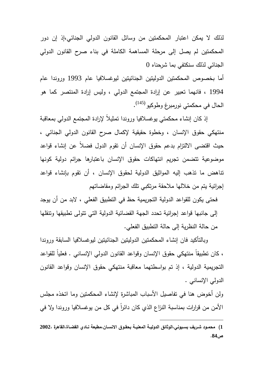لذلك لا يمكن اعتبار المحكمتين من وسائل القانون الدولي الجنائي،إذ إن دور المحكمتين لم يصل إلى مرحلة المساهمة الكاملة في بناء صرح القانون الدولي الجنائي لذلك سنكتفي بما شرحناه 0

أما بخصوص المحكمتين الدوليتين الجنائيتين ليوغسلافيا عام 1993 وروندا عام 1994 ، فانهما تعبير عن إرادة المجتمع الدولي ، وليس إرادة المنتصر كما هو الحال في محكمتي نورمبرغ وطوكيو <sup>(145)</sup>.

 إذ كان إنشاء محكمتي يوغسلافيا وروندا تمثيلاً لإرادة المجتمع الدولي بمعاقبة منتهكي حقوق الإنسان ، وخطوة حقيقية لإكمال صرح القانون الدولي الجنائي ، حيث اقتضى الالتزام بدعم حقوق الإنسان أن تقوم الدول فضلاً عن إنشاء قواعد موضوعية تتضمن تجريم انتهاكات حقوق الإنسان باعتبارها جرائم دولية كونها تناهض ما تذهب إليه المواثيق الدولية لحقوق الإنسان ، أن تقوم بإنشاء قواعد إجرائية يتم من خلالها ملاحقة مرتكبي تلك الجرائم ومقاضاتهم

فحتى يكون للقواعد الدولية التجريمية حظ في التطبيق الفعلي ، لابد من أن يوجد إلى جانبها قواعد إجرائية تحدد الجهة القضائية الدولية التي تتولى تطبيقها وتنقلها من حالة النظرية إلى حالة التطبيق الفعلي .

وبالتأكيد فان إنشاء المحكمتين الدوليتين الجنائيتين ليوغسلافيا السابقة وروندا ، كان تطبيقاً منتهكي حقوق الإنسان وقواعد القانون الدولي الإنساني . فعلياً للقواعد التجريمية الدولية ، إذ تم بواسطتهما معاقبة منتهكي حقوق الإنسان وقواعد القانون الدولي الإنساني .

ولن أخوض هنا في تفاصيل الأسباب المباشرة لإنشاء المحكمتين وما اتخذه مجلس الأمن من قرارات بمناسبة النزاع الذي كان دائرا في كل من بوغسلافيا وروندا ولا في

**<sup>1</sup>) محمــود شــريف بســيوني،الوثائق الدوليــة المعنيــة بحقــوق الانســان،مطبعة نــادي القضــاة،القاهرة 2002، ص84 .**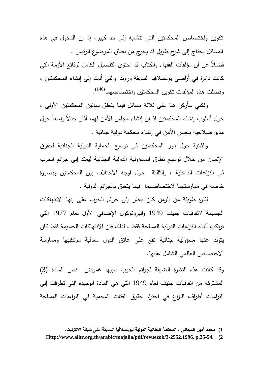تكوين واختصاص المحكمتين التي تتشابه إلى حد كبير، إذ إن الدخول في هذه المسائل يحتاج إلى شرح طويل قد يخرج من نطاق الموضوع الرئيس . فضلاً عن أن مؤلفات الفقهاء والكتاب قد احتوى التفصيل الكامل لوقائع الأزمة التي كانت دائرة في أراضي يوغسلافيا السابقة وروندا والتي أدت إلى إنشاء المحكمتين ، وفصلت هذه المؤلفات تكوين المحكمتين واختصاصهما<sup>(146)</sup>.

ولكني سأركز هنا على ثلاثة مسائل فيما يتعلق بهاتين المحكمتين الأولى ، حول أسلوب إنشاء المحكمتين إذ إن إنشاء مجلس الأمن لهما أثار جدلاً واسعاً حول مدى صلاحية مجلس الأمن في إنشاء محكمة دولية جنائية .

والثانية حول دور المحكمتين في تو سيع الحماية الدولية الجنائية لحقوق الإنسان من خلال توسيع نطاق المسؤولية الدولية الجنائية ليمتد إلى جرائم الحرب في النزاعات الداخلية ، والثالثة حول اوجه الاختلاف بين المحكمتين وبصورة خاصة في ممارستهما لاختصاصهما فيما يتعلق بالجرائم الدولية .

لفترة طويلة من الزمن كان ينظر إلى جرائم الحرب على إنها الانتهاكات الجسيمة لاتفاقيات جنيف 1949 والبروتوكول الإضافي الأول لعام 1977 التي ترتكب أثناء النزاعات الدولية المسلحة فقط ، لذلك فان الانتهاكات الجسيمة فقط كان يتولد عنها مسؤولية جنائية تقع على عاتق الدول معاقبة مرتكبيها وممارسة الاختصاص العالمي الشامل عليها .

وقد كانت هذه النظرة الضيقة لجرائم الحرب سببها غموض نص المادة (3) المشتركة من اتفاقيات جنيف لعام 1949 التي هي المادة الوحيدة التي تطرقت إلى التزامات أطراف النزاع في احترام حقوق الفئات المحمية في النزاعات المسلحة

**<sup>1</sup>) محمد أمين الميداني ، المحكمة الجنائية الدولية ليوغسلافيا السابقة على شبكة الانترنيت .** 

**Http://www.aihr.org.th/arabic/majalla/pdf/revuezok/3-2552.1996, p.25-54. (2**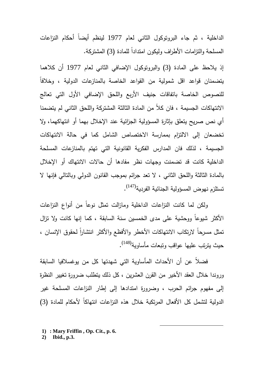الداخلية ، ثم جاء البروتوكول الثاني لعام 1977 لينظم أيضاً أحكام النزاعات المسلحة والنزامات الأطراف وليكون امتداداً للمادة (3) المشتركة.

إذ يلاحظ على المادة (3) والبروتوكول الإضافي الثاني لعام 1977 أن كلاهما يتضمنان قواعد اقل شمولية من القواعد الخاصة بالمنازعات الدولية ، وخلافاً للنصوص الخاصة باتفاقات جنيف الأربع واللحق الإضافي الأول التي تعالج الانتهاكات الجسيمة ، فان كلاً من المادة الثالثة المشتركة واللحق الثاني لم يتضمنا أي نص صريح يتعلق بإثارة المسؤولية الجزائية عند الإخلال بهما أو انتهاكهما، ولا تخضعان إلى الالتزام بممارسة الاختصاص الشامل كما في حالة الانتهاكات الجسيمة ، لذلك فان المدارس الفكرية القانونية التي تهتم بالمنازعات المسلحة الداخلية كانت قد تضمنت وجهات نظر مفادها أن حالات الانتهاك أو الإخلال بالمادة الثالثة واللحق الثاني ، لا تعد جرائم بموجب القانون الدولي وبالتالي فإنها لا تستلزم نهوض المسؤولية الجنائية الفردية<sup>(147)</sup>.

 ولكن لما كانت النزاعات الداخلية ومازالت تمثل نوعاً من أنواع النزاعات الأكثر شيوعاً ووحشية على مدى الخمسين سنة السابقة ، كما إنها كانت ولا تزال تمثل مسرحاً لارتكاب الانتهاكات الأخطر والأفظع والأكثر انتشارا لحقوق الإنسان ، حيث يترتب عليها عواقب وتبعات مأساوية<sup>(148)</sup>.

 فضلاً عن أن الأحداث المأساوية التي شهدتها كل من يوغسلافيا السابقة وروندا خلال العقد الأخير من القرن العشرين ، كل ذلك يتطلب ضرورة تغيير النظرة إلى مفهوم جرائم الحرب ، وضرو رة امتدادها إلى إطار النزاعات المسلحة غير الدولية لتشمل كل الأفعال المرتكبة خلال هذه النزاعات انتهاكاً لأحكام للمادة (3)

- **1) : Mary Friffin , Op. Cit., p. 6.**
- **2) Ibid., p.3.**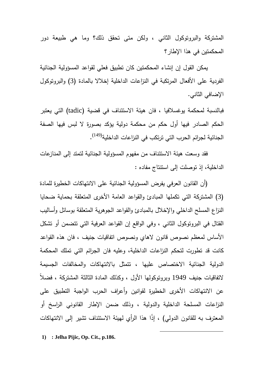المشتركة والبروتوكول الثاني ، ولكن متى تحقق ذلك؟ وما هي طبيعة دور المحكمتين في هذا الإطار؟

 يمكن القول إن إنشاء المحكمتين كان تطبيق فعلي لقواعد المسؤولية الجنائية الفردية على الأفعال المرتكبة في النزاعات الداخلية إخلالا بالمادة (3) والبروتوكول الإضافي الثاني .

فبالنسبة لمحكمة يوغسلافيا ، فان هيئة الاستئناف في قضية (tadic (التي يعتبر الحكم الصادر فيها أول حكم من محكمة دولية يؤكد بصورة لا لبس فيها الصفة الجنائية لجرائم الحرب التي ترتكب في النزاعات الداخلية<sup>(149</sup>).

 فقد وسعت هيئة الاستئناف من مفهوم المسؤولية الجنائية لتمتد إلى المنازعات الداخلية، إذ توصلت إلى استنتاج مفاده :

 (أن القانون العرفي يفرض المسؤولية الجنائية على الانتهاكات الخطيرة للمادة (3) المشتركة التي تكملها المبادئ والقواعد العامة الأخرى المتعلقة بحماية ضحايا النزاع المسلح الداخلي والإخلال بالمبادئ والقواعد الجوهرية المتعلقة بوسائل وأساليب القتال في البروتوكول الثاني ، وفي الواقع إن القواعد العرفية التي تتضمن أو تشكل الأساس لمعظم نصوص قانون لاهاي ونصوص اتفاقيات جنيف ، فان هذه القواعد كانت قد تطورت لتحكم النزاعات الداخلية، وعليه فان الجرائم التي تملك المحكمة الدولية الجنائية الاختصاص عليها ، تتمثل بالانتهاكات والمخالفات الجسيمة لاتفاقيات جنيف 1949 وبروتوكولها الأول ، وكذلك المادة الثالثة المشتركة ، فضلاً عن الانتهاكات الأخرى الخطيرة لقوانين وأعراف الحرب الواجبة التطبيق على النزاعات المسلحة الداخلية والدولية ، وذلك ضمن الإطار القانوني الراسخ أو المعترف به للقانون الدولي) ، إذًا هذا الرأي لهيئة الاستئناف تشير إلى الانتهاكات

 $\overline{a}$ 

**1) : Jelha Pijic, Op. Cit., p.186.**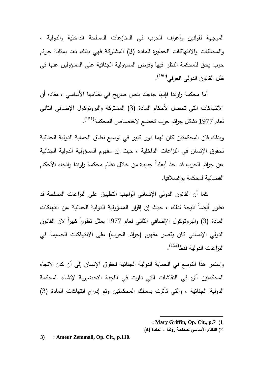الموجهة لقو انين وأعراف الحرب في المنازعات المسلحة الداخلية والدولية ، والمخالفات والانتهاكات الخطيرة للمادة (3) المشتركة فهي بذلك تعد بمثابة جرائم حرب يحق للمحكمة النظر فيها وفرض المسؤولية الجنائية على المسؤولين عنها في ظل القانون الدولي العرفي<sup>(150)</sup>.

 أما محكمة راوندا فإنها جاءت بنص صريح في نظامها الأساسي ، مفاده أن الانتهاكات التي تحصل لأحكام المادة (3) المشتركة والبروتوكول الإضافي الثاني لعام 1977 تشكل جرائم حرب تخضع لاختصاص المحكمة<sup>(151)</sup>.

وبذلك فان المحكمتين كان لهما دور كبير في توسيع نطاق الحماية الدولية الجنائية لحقوق الإنسان في النزاعات الداخلية ، حيث إن مفهوم المسؤولية الدولية الجنائية عن جرائم الحرب قد اخذ أبعادا جديدة من خلال نظام محكمة راوندا واتجاه الأحكام القضائية لمحكمة يوغسلافيا .

 كما أن القانون الدولي الإنساني الواجب التطبيق على النزاعات المسلحة قد تطور أيضاً نتيجة لذلك ، حيث إن إقرار المسؤولية الدولية الجنائية عن انتهاكات المادة (3) والبروتوكول الإضافي الثاني لعام 1977 بمثل تطوراً كبيراً لان القانون الدولي الإنساني كان يقصر مفهوم (جرائم الحرب) على الانتهاكات الجسيمة في النزاعات الدولية فقط<sup>(152)</sup>.

واستمر هذا التوسع في الحماية الدولية الجنائية لحقوق الإنسان إلى أن كان لاتجاه المحكمتين أثره في النقاشات التي دارت في اللجنة التحضيرية لإنشاء المحكمة الدولية الجنائية ، والتي تأثرت بمسلك المحكمتين وتم إدراج انتهاكات المادة (3)

 **: Mary Griffin, Op. Cit., p.7 (1**

**2) النظام الأساسي لمحكمة روندا ، المادة (4 )**

 $\overline{a}$ 

**3) : Ameur Zemmali, Op. Cit., p.110.**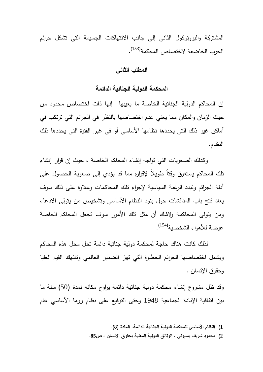المشتركة والبروتوكول الثاني إلى جانب الانتهاكات الجسيمة التي تشكل جرائم الحرب الخاضعة لاختصاص المحكمة<sup>(153)</sup>.

## **المطلب الثاني**

## **المحكمة الدولية الجنائية الدائمة**

إن المحاكم الدولية الجنائية الخاصة ما يعيبها إنها ذات اختصاص محدود من حيث الزمان والمكان مما يعني عدم اختصاصها بالنظر في الجرائم التي ترتكب في أماكن غير ذلك التي يحددها نظامها الأساسي أو في غير الفترة التي يحددها ذلك النظام .

 وكذلك الصعوبات التي تواجه إنشاء المحاكم الخاصة ، حيث إن قرار إنشاء تلك المحاكم يستغرق وقتاً طويلاً لإقراره مما قد يؤدي إلى صعوبة الحصول على أدلة الجرائم وتبدد الرغبة السياسية لإجراء تلك المحاكمات وعلاوة على ذلك سوف يعاد فتح باب المناقشات حول بنود النظام الأساسي وتشخيص من يتولى الادعاء ومن يتولى المحاكمة ولاشك أن مثل تلك الأمور سوف تجعل المحاكم الخاصة عرضة للأهواء الشخصية<sup>(154)</sup>.

 لذلك كانت هناك حاجة لمحكمة دولية جنائية دائمة تحل محل هذه المحاكم ويشمل اختصاصها الجرائم الخطيرة التي تهز الضمير العالمي وتنتهك القيم العليا وحقوق الإنسان .

وقد ظل مشروع إنشاء محكمة دولية جنائية دائمة يراوح مكانه لمدة (50) سنة ما بين اتفاقية الإبادة الجماعية 1948 وحتى التوقيع على نظام روما الأساسي عام

**<sup>1</sup>) النظام الأساسي للمحكمة الدولية الجنائية الدائمة ، المادة (8 ).** 

**<sup>2</sup>) محمو د شريف بسيوني ، الوثائق الدولية المعنية بحقوق الانسان ، ص85 .**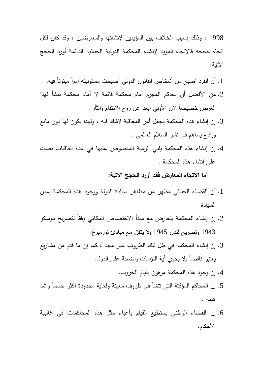1998 ، وذلك بسبب الخلاف بين المؤيدين لإنشائها والمعارضين ، وقد كان لكل اتجاه حججه فالاتجاه المؤيد لإنشاء المحكمة الدولية الجنائية الدائمة أورد الحجج الآتية :

- 1. أن الفرد اصبح من أشخاص القانون الدولي أصبحت مسئوليته امراً مبتوتاً فيه.
- .2 من الأفضل أن يحاكم المجرم أمام محكمة قائمة لا أمام محكمة تنشأ لهذا الغرض خصيصاً لان الأولى ابعد عن روح الانتقام والثأر .
- .3 إن إنشاء هذه المحكمة يجعل أمر المعاقبة لاشك فيه ، ولهذا يكون لها دور مانع ورادع يساهم في نشر السلام العالمي .
- .4 إن إنشاء هذه المحكمة يلبي الرغبة المنصوص عليها في عدة اتفاقيات نصت على إنشاء هذه المحكمة .

**أما الاتجاه المعارض فقد أورد الحجج الآتية :** 

- .1 أن القضاء الجنائي مظهر من مظاهر سيادة الدولة ووجود هذه المحكمة يمس السيادة
- .2 إن إنشاء المحكمة يتعارض مع مبدأ الاختصاص المكاني وفقاً لتصريح موسكو 1943 وتصريح لندن 1945 ولا يتفق مع مبادئ نورمبرغ .
- .3 إن إنشاء المحكمة في ظل تلك الظروف غير مجد ، كما إن ما قدم من مشاريع يعتبر ناقصاً ولا يحوي أية التزامات واضحة على الدول .
	- .4 إن وجود هذه المحكمة مرهون بقيام الحروب .
- .5 إن المحاكم المؤقتة التي تنشأ في ظروف معينة ولغاية محدودة اكثر حسماً واشد هيبة .
- .6 إن القضاء الوطني يستطيع القيام بأعباء مثل هذه المحاكمات في غالبية الأحكام .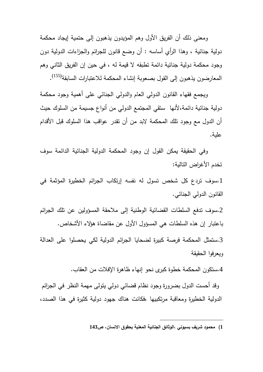ومعنى ذلك أن الفريق الأول وهم المؤيدون يذهبون إلى حتمية إيجاد محكمة دولية جنائية ، وهذا الرأي أساسه : أن وضع قانون للجرائم والجزاءات الدولية دون وجود محكمة دولية جنائية دائمة تطبقه لا قيمة له ، في حين إن الفريق الثاني وهم المعارضون يذهبون إلىي القول بصعوبة إنشاء المحكمة للاعتبارات السابقة<sup>(155)</sup>.

ويجمع فقهاء القانون الدولي العام والدولي الجنائي على أهمية وجود محكمة دولية جنائية دائمة،لأنها ستقي المجتمع الدولي من أنواع جسيمة من السلوك حيث أن الدول مع وجود تلك المحكمة لابد من أن تقدر عواقب هذا السلوك قبل الأقدام علية .

وفي الحقيقة يمكن القول إن وجود المحكمة الدولية الجنائية الدائمة سوف تخدم الأغراض التالية :

.1سوف تردع كل شخص تسول له نفسه إرتكاب الجرائم الخطيرة المؤثمة في القانون الدولي الجنائي.

.2سوف تدفع السلطات القضائية الوطنية إلى ملاحقة المسؤولين عن تلك الجرائم باعتبار إن هذه السلطات هي المسؤول الأول عن مقاضاة هؤلاء الأشخاص .

.3ستمثل المحكمة فرصة كبيرة لضحايا الجرائم الدولية لكي يحصلوا على العدالة ويعرفوا الحقيقة

.4ستكون المحكمة خطوة كبرى نحو إنهاء ظاهرة الإفلات من العقاب .

وقد أحست الدول بضرورة وجود نظام قضائي دولي يتولى مهمة النظر في الجرائم الدولية الخطيرة ومعاقبة مرتكبيها ،فكانت هناك جهود دولية كثيرة في هذا الصدد،

**1) محمود شريف بسيوني ،الوثائق الجنائية المعنية بحقوق الانسان، ص143**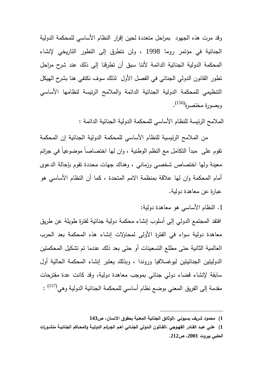وقد مرت هذه الجهود بمراحل متعددة لحين إقرار النظام الأساسي للمحكمة الدولية الجنائية في مؤتمر روما 1998 ، ولن نتطرق إلى التطور التاريخي لإنشاء المحكمة الدولية الجنائية الدائمة لأننا سبق أن تطرقنا إلى ذلك عند شرح مراحل تطور القانون الدولي الجنائي في الفصل الأول لذلك سوف نكتفي هنا بشرح الهيكل التنظيمي للمحكمة الدولية الجنائية الدائمة والملامح الرئيسة لنظامها الأساسي وبصورة مختصرة<sup>(156)</sup>.

الملامح الرئيسة للنظام الأساسي للمحكمة الدولية الجنائية الدائمة :

من الملامح الرئيسية للنظام الأساسي للمحكمة الدولية الجنائية إن المحكمة تقوم على مبدأ التكامل مع النظم الوطنية ، وان لها اختصاصاً موضوعياً في جرائم معينة ولها اختصاص شخصي وزماني ، وهناك جهات محددة تقوم بإحالة الدعوى أمام المحكمة وان لها علاقة بمنظمة الامم المتحدة ، كما أن النظام الأساسي هو عبارة عن معاهدة دولية .

.1 النظام الأساسي هو معاهدة دولية :

افتقد المجتمع الدولي إلى أسلوب إنشاء محكمة دولية جنائية لفترة طويلة عن طريق معاهدة دولية سواء في الفترة الأولى لمحاولات إنشاء هذه المحكمة بعد الحرب العالمية الثانية حتى مطلع التسعينات أو حتى بعد ذلك عندما تم تشكيل المحكمتين الدوليتين الجنائيتين ليوغسلافيا وروندا ، وبذلك يعتبر إنشاء المحكمة الحالية أول سابقة لإنشاء قضاء دولي جنائي بموجب معاهدة دولية، وقد كانت عدة مقترحات مقدمة إلى الفريق المعني بوضع نظام أساسي للمحكمة الجنائية الدولية وهي<sup>(157)</sup> :

**<sup>1</sup>) محمود شريف بسيوني ،الوثائق الجنائية المعنية بحقوق الانسان، ص143** 

**<sup>1</sup>) علـي عبــد القــادر القهـوجي ،القــانون الــدولي الجنـائي اهــم الجــرائم الدو ليـة والمحــاكم الجنائيــة منشــورات الحلبي بيروت ،2001 ص212 .**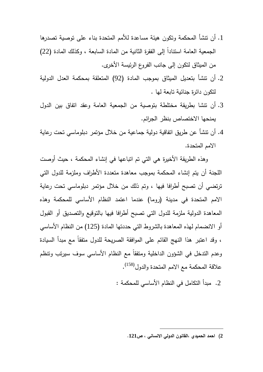- .1 أن تنشأ المحكمة وتكون هيئة مساعدة للأمم المتحدة بناء على توصية تصدرها الجمعية العامة استنادا إلى الفقرة الثانية من المادة السابعة ، وكذلك المادة (22) ً من الميثاق لتكون إلى جانب الفروع الرئيسة الأخرى .
- .2 أن تنشأ بتعديل الميثاق بموجب المادة (92) المتعلقة بمحكمة العدل الدولية لتكون دائرة جنائية تابعة لها .
- .3 أن تنشا بطريقة مختلطة بتوصية من الجمعية العامة وعقد اتفاق بين الدول يمنحها الاختصاص بنظر الجرائم .
- .4 أن تنشأ عن طريق اتفاقية دولية جماعية من خلال مؤتمر دبلوماسي تحت رعاية الامم المتحدة .

وهذه الطريقة الأخيرة هي التي تم اتباعها في إنشاء المحكمة ، حيث أوصت اللجنة أن يتم إنشاء المحكمة بموجب معاهدة متعددة الأطراف وملزمة للدول التي ترتضي أن تصبح أطرافا فيها ، وتم ذلك من خلال مؤتمر دبلوماسي تحت رعاية الامم المتحدة في مدينة (روما) عندما اعتمد النظام الأساسي للمحكمة وهذه المعاهدة الدولية ملزمة للدول التي تصبح أطرافا فيها بالتوقيع والتصديق أو القبول أو الانضمام لهذه المعاهدة بالشروط التي حددتها المادة (125) من النظام الأساسي ، وقد اعتبر هذا النهج القائم على الموافقة الصريحة للدول متفقاً مع مبدأ السيادة وعدم التدخل في الشؤون الداخلية ومتفقاً مع النظام الأساسي سوف سيرتب وتنظم علاقة المحكمة مع الامم المتحدة والدول<sup>(158)</sup>.

.2 مبدأ التكامل في النظام الأساسي للمحكمة :

**<sup>2</sup>) احمد الحميدي ،القانون الدولي الانساني ، ص121 .**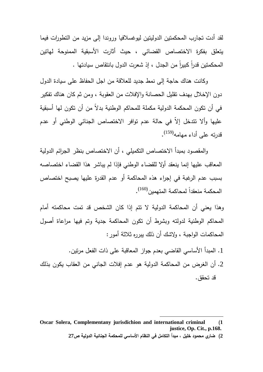لقد أدت تجارب المحكمتين الدوليتين ليوغسلافيا وروندا إلى مزيد من التطورات فيما يتعلق بفكرة الاختصاص القضائي ، حيث أثارت الأسبقية الممنوحة لهاتين المحكمتين قدرا كبيرا من الجدل ، إذ شعرت الدول بانتقاص سيادتها .

وكانت هناك حاجة إلى نمط جديد للعلاقة من اجل الحفاظ على سيادة الدول دون الإخلال بهدف تقليل الحصانة والإفلات من العقوبة ، ومن ثم كان هناك تفكير في أن تكون المحكمة الدولية مكملة للمحاكم الوطنية بدلاً من أن تكون لها أسبقية عليها وألا تتدخل إلاّ في حالة عدم توافر الاختصاص الجنائي الوطني أو عدم (159) قدرته على أداء مهامه .

والمقصود بمبدأ الاختصاص التكميلي ، أن الاختصاص بنظر الجرائم الدولية المعاقب عليها إنما ينعقد أولا للقضاء الوطني فإذا لم يباشر هذا القضاء اختصاصه بسبب عدم الرغبة في إجراء هذه المحاكمة أو عدم القدرة عليها يصبح اختصاص المحكمة منعقداً لمحاكمة المتهمين $^{(160)}.$ 

وهذا يعني أن المحاكمة الدولية لا تتم إذا كان الشخص قد تمت محاكمته أمام المحاكم الوطنية لدولته وبشرط أن تكون المحاكمة جدية وتم فيها مراعاة أصول المحاكمات الواجبة ، ولاشك أن ذلك يبرره ثلاثة أمور :

- .1 المبدأ الأساسي القاضي بعدم جواز المعاقبة على ذات الفعل مرتين .
- .2 أن الغرض من المحاكمة الدولية هو عدم إفلات الجاني من العقاب يكون بذلك قد تحقق .

**Oscar Solera, Complementany jurisdichion and international criminal (1 justice, Op. Cit., p.168.** 

**<sup>2</sup>) ضاري محمود خليل ، مبدأ التكامل في النظام الأساسي للمحكمة الجنائية الدولية ص27**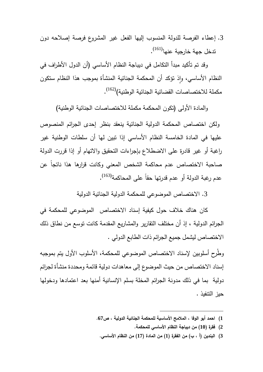.3 إعطاء الفرصة للدولة المنسوب إليها الفعل غير المشروع فرصة إصلاحه دون (161) تدخل جهة خارجية عنها .

وقد تم تأكيد مبدأ التكامل في ديباجة النظام الأساسي (أن الدول الأطراف في النظام الأساسي، وإذ نؤكد أن المحكمة الجنائية المنشأة بموجب هذا النظام ستكون مكملة للاختصاصات القضائية الجنائية الوطنية)<sup>(162)</sup>.

والمادة الأولى (تكون المحكمة مكملة للاختصاصات الجنائية الوطنية )

ولكن اختصاص المحكمة الدولية الجنائية ينعقد بنظر إحدى الجرائم المنصوص عليها في المادة الخامسة النظام الأساسي إذا تبين لها أن سلطات الوطنية غير راغبة أو غير قادرة على الاضطلاع بإجراءات التحقيق والاتهام أو إذا قررت الدولة صاحبة الاختصاص عدم محاكمة الشخص المعني وكانت قرارها هذا ناتجاً عن عدم رغبة الدولة أو عدم قدرتها حقاً على المحاكمة<sup>(163)</sup>.

.3 الاختصاص الموضوعي للمحكمة الدولية الجنائية الدولية

 كان هناك خلاف حول كيفية إسناد الاختصاص الموضوعي للمحكمة في الجرائم الدولية ، إذ أن مختلف التقارير والمشاريع المقدمة كانت توسع من نطاق ذلك الاختصاص ليشمل جميع الجرائم ذات الطابع الدولي .

وطُرح أسلوبين لإسناد الاختصاص الموضوعي للمحكمة، الأسلوب الأول يتم بموجبه إسناد الاختصاص من حيث الموضوع إلى معاهدات دولية قائمة ومحددة منشأة لجرائم دولية بما في ذلك مدونة الجرائم المخلة بسلم الإنسانية أمنها بعد اعتمادها ودخولها حيز التنفيذ .

- $\overline{a}$ **1) احمد أبو الوفا ، الملامح الأساسية للمحكمة الجنائية الدولية ، ص67 .**
	- **2) فقرة (10) من ديباجة النظام الأساسي للمحكمة .**
	- **3) البندين (أ ، ب) من الفقرة (1) من المادة (17) من النظام الأساسي .**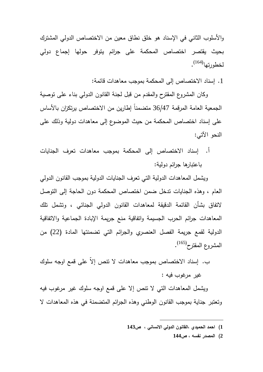والأسلوب الثاني في الإسناد هو خلق نطاق معين من الاختصاص الدولي المشترك بحيث يقتصر اختصاص المحكمة على جرائم يتوفر حولها إجماع دولي لخطورتها<sup>(164)</sup>.

.1 إسناد الاختصاص إلى المحكمة بموجب معاهدات قائمة :

وكان المشروع المقترح والمقدم من قبل لجنة القانون الدولي بناء على توصية الجمعية العامة المرقمة 36/47 متضمناً إطارين من الاختصاص يرتكزان بالأساس على إسناد اختصاص المحكمة من حيث الموضوع إلى معاهدات دولية وذلك على النحو الآتي :

. أ إسناد الاختصاص إلى المحكمة بموجب معاهدات تعرف الجنايات باعتبارها جرائم دولية :

ويشمل المعاهدات الدولية التي تعرف الجنايات الدولية بموجب القانون الدولي العام ، وهذه الجنايات تدخل ضمن اختصاص المحكمة دون الحاجة إلى التوصل لاتفاق بشأن القائمة الدقيقة لمعاهدات القانون الدولي الجنائي ، وتشمل تلك المعاهدات جرائم الحرب الجسيمة واتفاقية منع جريمة الإبادة الجماعية والاتفاقية الدولية لقمع جريمة الفصل العنصري والجرائم التي تضمنتها المادة (22) من المشروع المقترح<sup>(165)</sup>.

. ب إسناد الاختصاص بموجب معاهدات لا تنص إلاّ على قمع اوجه سلوك غير مرغوب فيه :

ويشمل المعاهدات التي لا تنص إلا على قمع اوجه سلوك غير مرغوب فيه وتعتبر جناية بموجب القانون الوطني وهذه الجرائم المتضمنة في هذه المعاهدات لا

 $\overline{a}$ 

**2) المصدر نفسه ، ص144** 

**<sup>1</sup>) احمد الحميدي ،القانون الدولي الانساني ، ص143**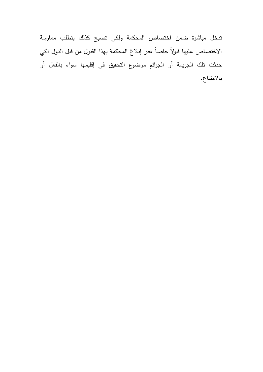تدخل مباشرة ضمن اختصاص المحكمة ولكي تصبح كذلك يتطلب ممارسة الاختصاص عليها قبولاً خاصاً عبر إبلاغ المحكمة بهذا القبول من قبل الدول التي حدثت تلك الجريمة أو الجرائم موضوع التحقيق في إقليمها سواء بالفعل أو بالامتناع .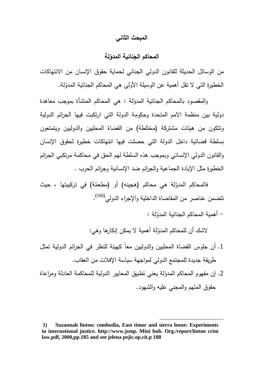#### **المبحث الثاني**

# **لة ّ المحاكم الجنائية المدو**

من الوسائل الحديثة للقانون الدولي الجنائي لحماية حقوق الإنسان من الانتهاكات الخطيرة التي لا تقل أهمية عن الوسيلة الأولى هي المحاكم الجنائية المدوّلة.

والمقصود بالمحاكم الجنائية المدوّلة : هي المحاكم المنشأة بموجب معاهدة دولية بين منظمة الامم المتحدة وحكومة الدولة التي ارتكبت فيها الجرائم الدولية وتتكون من هيئات مشتركة (مختلطة) من القضاة المحليين والدوليين ويتمتعون بسلطة قضائية داخل الدولة التي حصلت فيها انتهاكات خطيرة لحقوق الإنسان والقانون الدولي الإنساني وبموجب هذه السلطة لهم الحق في محاكمة مرتكبي الجرائم الخطيرة مثل الإبادة الجماعية والجرائم ضد الإنسانية وجرائم الحرب .

فالمحاكم المدوّلة هي محاكم (هجينه) أو (مطعمّة) في تركيبتها ، حيث تتضمن عناصر من المقاضاة الداخلية والإجراء الدولي<sup>(166)</sup>.

– أهمية المحاكم الجنائية المدوّلة :

لاشك أن للمحاكم المدوّلة أهمية لا يمكن إنكارها وهي:

- .1 أن جلوس القضاة المحليين والدوليين معاً كهيئة للنظر في الجرائم الدولية تمثل طريقة جديدة للمجتمع الدولي لمواجهة سياسة الإفلات من العقاب .
- 2. إن مفهوم المحاكم المدوّلة يعني تطبيق المعايير الدولية للمحاكمة العادلة ومراعاة حقوق المتهم والمجني عليه والشهود .

**<sup>1)</sup> Suzannah linton: combodia, East timor and sierra leone: Experiments in international justice. http://www.jsmp. Mini bub. Org./report/linton crim law.pdf, 2000,pp.185 and see jelena pejic.op.cit.p 188**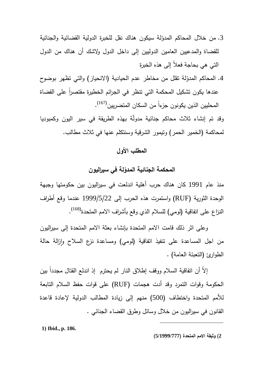- 3. من خلال المحاكم المدوّلة سيكون هناك نقل للخبرة الدولية القضائية والجنائية للقضاة والمدعيين العامين الدوليين إلى داخل الدول ولاشك أن هناك من الدول التي هي بحاجة فعلاً إلى هذه الخبرة
- 4. المحاكم المدوّلة تقلل من مخاطر عدم الحيادية (الانحياز) والتي تظهر بوضوح عندها يكون تشكيل المحكمة التي نتظر في الجرائم الخطيرة مقتصرا على القضاة المحليين الذين يكونون جزءاً من السكان المتضريين<sup>(167)</sup>.

وقد تم إنشاء ثلاث محاكم جنائية مدولة بهذه الطريقة في سير اليون وكمبوديا لمحاكمة (الخمير الحمر) وتيمور الشرقية وسنتكلم عنها في ثلاث مطالب .

# **المطلب الأول**

# **لة في سيراليون ّ المحكمة الجنائية المدو**

منذ عام 1991 كان هناك حرب أهلية اندلعت في سيراليون بين حكومتها وجبهة الوحدة الثورية (RUF (واستمرت هذه الحرب إلى 1999/5/22 عندما وقع أطراف النزاع على اتفاقية (لومي) للسلام الذي وقع بأشراف الامم المتحدة<sup>(168)</sup>.

 وعلى اثر ذلك قامت الامم المتحدة بإنشاء بعثة الامم المتحدة إلى سيراليون من اجل المساعدة على نتفيذ انفاقية (لومي) ومساعدة نزع السلاح وإزالة حالة الطوارئ (التعبئة العامة) .

إلاّ ان انفاقية السلام ووقف إطلاق النار لم يحترم ۖ إذ اندلع القتال مجدداً بين الحكومة وقوات التمرد وقد أدت هجمات (RUF (على قوات حفظ السلام التابعة للأمم المتحدة واختطاف (500) منهم إلى زيادة المطالب الدولية لإعادة قاعدة القانون في سيراليون من خلال وسائل وطرق القضاء الجنائي .

 $\overline{a}$ 

**1) Ibid., p. 186.** 

**<sup>2</sup>) وثيقة الامم المتحدة (5/1999/777 )**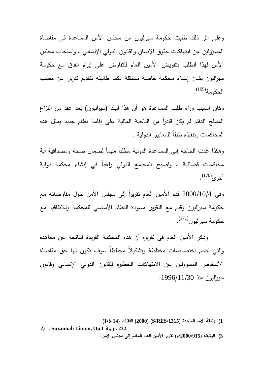وعلى اثر ذلك طلبت حكومة سيراليون من مجلس الأمن المساعدة في مقاضاة المسؤولين عن انتهاكات حقوق الإنسان والقانون الدولي الإنساني ، واستجاب مجلس الأمن لهذا الطلب بتفويض الأمين العام للتفاوض على إبرام اتفاق مع حكومة سيراليون بشان إنشاء محكمة خاصة مستقلة ،كما طالبته بتقديم تقرير عن مطلب الحكومة<sup>(169)</sup>.

وكان السبب وراء طلب المساعدة هو أن هذا البلد (سيراليون) بعد عقد من النزاع المسلح الدائم لم يكن قادرا من الناحية المالية على إقامة نظام جديد يمثل هذه المحاكمات وتنفيذه طبقاً للمعايير الدولية .

وهكذا غدت الحاجة إلى المساعدة الدولية مطلباً مهماً لضمان صحة ومصداقية أية محاكمات قضائية ، واصبح المجتمع الدولي راغباً في إنشاء محكمة دولية أخرى<sup>(170)</sup>.

وفي 2000/10/4 قدم الأمين العام تقريراً إلى مجلس الأمن حول مفاوضاته مع حكومة سيراليون وقدم مع التقرير مسودة النظام الأساسي للمحكمة وللاتفاقية مع حكومة سيراليون<sup>(171)</sup>.

 وذكر الأمين العام في تقريره أن هذه المحكمة الفريدة الناتجة عن معاهدة والتي تضم اختصاصات مختلطة وتشكيلاً مختلطاً سوف تكون لها حق مقاضاة الأشخاص المسؤولين عن الانتهاكات الخطيرة للقانون الدولي الإنساني وقانون سيراليون منذ 1996/11/30 .

 $\overline{a}$ **1) وثيقة الامم المتحدة (/1315RES/S) (2000 (الفقرات (1،6،14 ).** 

**<sup>2)</sup> : Suzannah Linton, Op.Cit., p. 232. 3) الوثيقة (/2000/915s (تقرير الأمين العام المقدم إلى مجلس الأمن .**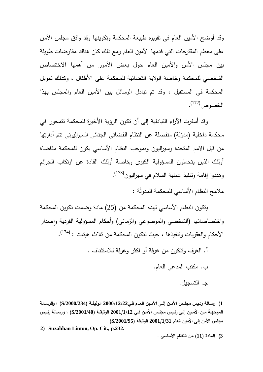وقد أوضح الأمين العام في تقريره طبيعة المحكمة وتكوينها وقد وافق مجلس الأمن على معظم المقترحات التي قدمها الأمين العام ومع ذلك كان هناك مفاوضات طويلة بين مجلس الأمن والأمين العام حول بعض الأمور من أهمها الاختصاص الشخصي للمحكمة وخاصة الولاية القضائية للمحكمة على الأطفال ، وكذلك تمويل المحكمة في المستقبل ، وقد تم تبادل الرسائل بين الأمين العام والمجلس بهذا الخصوص<sup>(172)</sup>.

وقد أسفرت الآراء التبادلية إلى أن تكون الرؤية الأخيرة للمحكمة تتمحور في محكمة داخلية (مدوّلة) منفصلة عن النظام القضائي الجنائي السيراليوني تتم أدارتها من قبل الامم المتحدة وسيراليون وبموجب النظام الأساسي يكون للمحكمة مقاضاة أولئك الذين يتحملون المسؤولية الكبرى وخاصة أولئك القادة عن ارتكاب الجرائم وهددوا إقامة ونتفيذ عملية السلام في سيراليون<sup>(173)</sup>.

ملامح النظام الأساسي للمحكمة المدولّة :

 يتكون النظام الأساسي لهذه المحكمة من (25) مادة وضمت تكوين المحكمة واختصاصاتها (الشخصي والموضوعي والزماني) وأحكام المسؤولية الفردية وإصدار الأحكام والعقوبات وتتفيذها ، حيث تتكون المحكمة من ثلاث هيئات : <sup>(174)</sup>.

> . آ الغرف وتتكون من غرفة أو اكثر وغرفة للاستئناف . ب. مكتب المدعي العام . . جـ التسجيل .

- **2) Suzahhan Linton, Op. Cit., p.232.**
- **3) المادة (11) من النظام الأساسي .**

**<sup>1</sup>) رســالة رئــيس مجلــس الأمــن إلــى الأمــين العــام فــي2000/12/22 الوثيقــة (/2000/234S ( ؛ والرســالة الموجهــة مــن الأمــين إلــى رئــيس مجلــس الأمــن فــي 2001/1/12 الوثيقــة (/2001/40S (؛ ورســالة رئــيس مجلس الأمن إلى الأمين العام 2001/1/31 الوثيقة (/2001/95S ( .**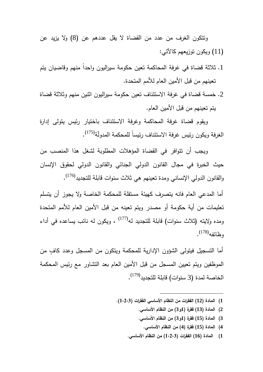وتتكون الغرف من عدد من القضاة لا يقل عددهم عن (8) ولا يزيد عن (11) ويكون توزيعهم كالآتي :

- 1. ثلاثة قضاة في غرفة المحاكمة تعين حكومة سيراليون واحداً منهم وقاضيان يتم تعينهم من قبل الأمين العام للأمم المتحدة .
- .2 خمسة قضاة في غرفة الاستئناف تعين حكومة سيراليون اثنين منهم وثلاثة قضاة يتم تعينهم من قبل الأمين العام .

ويقوم قضاة غرفة المحاكمة وغرفة الاستئناف باختيار رئيس يتولى إدارة الغرفة ويكون رئيس غرفة الاستئناف رئيساً للمحكمة المدولّة<sup>(175)</sup>.

ويجب أن تتوافر في القضاة المؤهلات المطلوبة لشغل هذا المنصب من حيث الخبرة في مجال القانون الدولي الجنائي والقانون الدولي لحقوق الإنسان والقانون الدولي الإنساني ومدة تعينهم هي ثلاث سنوات قابلة للتجديد<sup>(176)</sup>.

أما المدعي العام فانه يتصرف كهيئة مستقلة للمحكمة الخاصة ولا يجوز أن يتسلم تعليمات من أية حكومة أو مصدر ويتم تعينه من قبل الأمين العام للأمم المتحدة (177) ومده ولايته (ثلاث سنوات) قابلة للتجديد له ، ويكون له نائب يساعده في أداء وظائفه<sup>(178)</sup>.

أما التسجيل فيتولى الشؤون الإدارية للمحكمة ويتكون من المسجل وعدد كاف من الموظفين ويتم تعيين المسجل من قبل الأمين العام بعد التشاور مع رئيس المحكمة الخاصــة لمدة (3 سنوات) قابلـة للتجديد<sup>(179)</sup>.

**1) المادة (12) الفقرات من النظام الأساسي الفقرات (1،2،3 ).** 

- **2) المادة (13) فقرة (1و3) من النظام الأساسي .**
- **3) المادة (15) فقرة (1و3) من النظام الأساسي .** 
	- **4) المادة (15) فقرة (4) من النظام الأساسي .**
- **1) المادة (16) الفقرات (1،2،3) من النظام الأساسي .**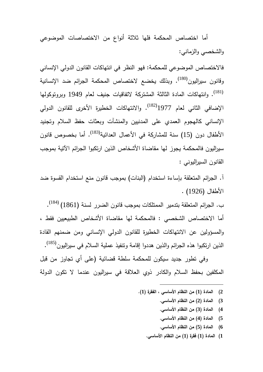أما اختصاص المحكمة فلها ثلاثة أنواع من الاختصاصات الموضوعي والشخصي والزماني :

فالاختصاص الموضوعي للمحكمة: فهو النظر في انتهاكات القانون الدولي الإنساني وقانون سيراليون<sup>(180)</sup>. وبذلك يخضع لاختصاص المحكمة الجرائم ضد الإنسانية (181) . وانتهاكات المادة الثالثة المشتركة لاتفاقيات جنيف لعام 1949 وبروتوكولها الإضافي الثاني لعام 1977<sup>(182)</sup>. والانتهاكات الخطيرة الأخرى للقانون الدولي الإنساني كالهجوم العمدي على المدنيين والمنشآت وبعثات حفظ السلام وتجنيد الأطفال دون (15) سنة للمشاركة في الأعمال العدائية<sup>(183)</sup>. أما بخصوص قانون سيراليون فالمحكمة يجوز لها مقاضاة الأشخاص الذين ارتكبوا الجرائم الآتية بموجب القانون السيراليوني :

. آ الجرائم المتعلقة بإساءة استخدام (البنات) بموجب قانون منع استخدام القسوة ضد الأطفال (1926) .

ب. الجرائم المتعلقة بتدمير الممتلكات بموجب قانون الضرر لسنة (1861) <sup>(184)</sup>. أما الاختصاص الشخصي : فالمحكمة لها مقاضاة الأشخاص الطبيعيين فقط ، والمسؤولين عن الانتهاكات الخطيرة للقانون الدولي الإنساني ومن ضمنهم القادة الذين ارتكبوا هذه الجرائم والذين هددوا إقامة ونتفيذ عملية السلام في سيراليون<sup>(185)</sup>.

 وفي تطور جديد سيكون للمحكمة سلطة قضائية (على أي تجاوز من قبل المكلفين بحفظ السلام والكادر ذوي العلاقة في سيراليون عندما لا تكون الدولة

**2) المادة (1) من النظام الأساسي ، الفقرة (1 ).**

- **3) المادة (2) من النظام الأساسي .**
- **4) المادة (3) من النظام الأساسي .**
- **5) المادة (4) من النظام الأساسي .**
- **6) المادة (5) من النظام الأساسي .**
- **1) المادة (1) فقرة (1) من النظام الأساسي .**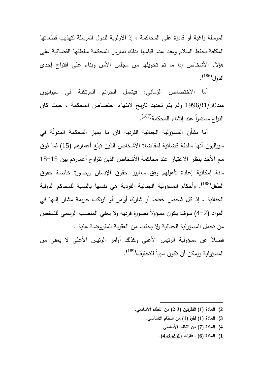المرسلة راغبة أو قادرة على المحاكمة ، إذ الأولوية للدول المرسلة لتهذيب قطعاتها المكلفة بحفظ السلام وعند عدم قيامها بذلك تمارس المحكمة سلطتها القضائية على هؤلاء الأشخاص إذا ما تم تخويلها من مجلس الأمن وبناء على اقتراح إحدى الدول<sup>(186)</sup>.

 أما الاختصاص الزماني: فيشمل الجرائم المرتكبة في سيراليون منذ1/30!1996/ ولم يتم تحديد تاريخ لانتهاء اختصاص المحكمة ، حيث كان النزاع مستمراً عند إنشاء المحكمة<sup>(187)</sup>.

أما بشأن المسؤولية الجنائية الفردية فان ما يميز المحكمة المدولة في سيراليون أنها سلطة قضائية لمقاضاة الأشخاص الذين تبلغ أعمارهم (15) فما فوق مع الأخذ بنظر الاعتبار عند محاكمة الأشخاص الذين تتراوح أعمارهم بين -15 18 سنة إمكانية إعادة تأهيلهم وفق معايير حقوق الإنسان وبصورة خاصة حقوق الطفل<sup>(188</sup>). وأحكام المسؤولية الجنائية الفردية هي نفسها بالنسبة للمحاكم الدولية الجنائية ، إذ كل شخص خطط أو شارك أوامر أو ارتكب جريمة مشار إليها في المواد (2–4) سوف يكون مسؤولاً بصورة فردية ولا يعفي المنصب الرسمي للشخص من تحمل المسؤولية الجنائية ولا يخفف من العقوبة المفروضة علية . فضلاً عن مسؤولية الرئيس الأعلى وكذلك أوامر الرئيس الأعلى لا يعفي من المسؤولية ويمكن أن تكون سبباً للتخفيف<sup>(189)</sup>.

**2) المادة (1) الفقرتين (2،3) من النظام الأساسي .**

- **3) المادة (1) فقرة (1) من النظام الأساسي .**
	- **4) المادة (7) من النظام الأساسي .**
	- **1) المادة (6) ، فقرات (1و2و3و4 ) .**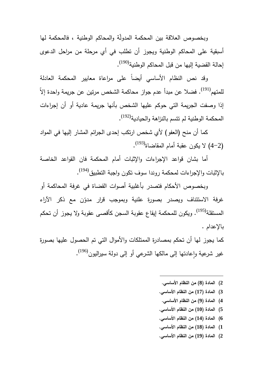وبخصوص العلاقة بين المحكمة المدولة والمحاكم الوطنية ، فالمحكمة لها أسبقية على المحاكم الوطنية ويجوز أن تطلب في أي مرحلة من مراحل الدعوى إحالة القضية إليها من قبل المحاكم الوطنية<sup>(190)</sup>.

 وقد نص النظام الأساسي أيضاً على مراعاة معايير المحكمة العادلة للمتهم<sup>(191</sup>). فضلا عن مبدأ عدم جواز محاكمة الشخص مرتين عن جريمة واحدة إلاّ إذا وصفت الجريمة التي حوكم عليها الشخص بأنها جريمة عادية أو أن إجراءات المحكمة الوطنية لم نتسم بالنزاهة والحيادية<sup>(192)</sup>.

 كما أن منح (العفو) لأي شخص ارتكب إحدى الجرائم المشار إليها في المواد (4-2) لا يكون عقبة أمام المقاضاة (193) .

 أما بشان قواعد الإجراءات والإثبات أمام المحكمة فان القواعد الخاصة (194) بالإثبات والإجراءات لمحكمة روندا سوف تكون واجبة التطبيق .

 وبخصوص الأحكام فتصدر بأغلبية أصوات القضاة في غرفة المحاكمة أو غرفة الاستئناف ويصدر بصورة علنية وبموجب قرار مدوّن مع ذكر الأراء المستقلة<sup>(195</sup>). ويكون للمحكمة إيقاع عقوبة السجن كأقصىي عقوبة ولا يجوز أن تحكم بالإعدام .

كما يجوز لها أن تحكم بمصادرة الممتلكات والأموال التي تم الحصول عليها بصورة غير شرعية وإعادتها إلى مالكها الشرعي أو إلى دولة سيراليون<sup>(196)</sup>.

**2) المادة (8) من النظام الأساسي .**

- **3) المادة (17) من النظام الأساسي .**
- **4) المادة (9) من النظام الأساسي .**
- **5) المادة (10) من النظام الأساسي .**
- **6) المادة (14) من النظام الأساسي .**
- **1) المادة (18) من النظام الأساسي .**
- **2) المادة (19) من النظام الأساسي .**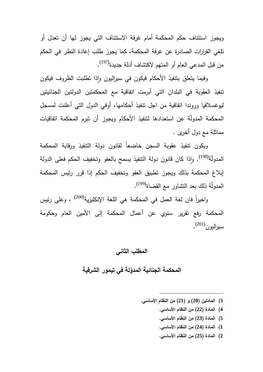ويجوز استئناف حكم المحكمة أمام غرفة الاستئناف التي يجوز لها أن تعدل أو تلغي القرارات الصادرة عن غرفة المحكمة، كما يجوز طلب إعادة النظر في الحكم من قبل المدعي العام أو المتهم لاكتشاف أدلة جديدة<sup>(197)</sup>.

وفيما يتعلق بتنفيذ الأحكام فيكون في سيراليون وإذا تطلبت الظروف فيكون تنفيذ العقوبة في البلدان التي أبرمت اتفاقية مع المحكمتين الدولتين الجنائيتين ليوغسلافيا وروندا اتفاقية من اجل تنفيذ أحكامها، أوفي الدول التي أعلنت لمسجل المحكمة المدولّة عن استعدادها لتتفيذ الأحكام ويجوز أن تبرم المحكمة اتفاقيات مماثلة مع دول أخرى .

 ويكون تنفيذ عقوبة السجن خاضعاً لقانون دولة التنفيذ ورقابة المحكمة المدولّة<sup>(198</sup>). وإذا كان قانون دولة التتفيذ يسمح بالعفو وتخفيف الحكم فعلى الدولة إبلاغ المحكمة بذلك ويجوز تطبيق العفو وتخفيف الحكم إذا قرر رئيس المحكمة المدولّة ذلك بعد التشاور مع القضاة<sup>(199)</sup>.

واخيراً فان لغة العمل في المحكمة هي اللغة الإنكليزية<sup>(200)</sup> ، وعلى رئيس المحكمة رفع تقرير سنوي عن أعمال المحكمة إلى الأمين العام وحكومة سيرالي*ون*<sup>(201)</sup>.

### **المطلب الثاني**

# المحكمة الجنائية المدوّلة ف*ي* تيمور الشرقية

**3) المادتين (20 (و ) 21) من النظام الأساسي .**

- **4) المادة (22) من النظام الأساسي .**
- **5) المادة (23) من النظام الأساسي .**
- **1) المادة (24) من النظام الأساسي .**
- **2) المادة (25) من النظام الأساسي .**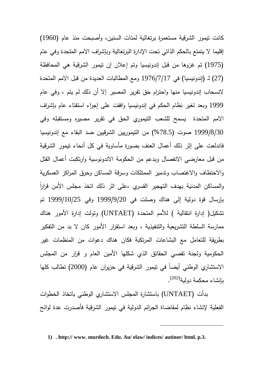كانت تيمور الشرقية مستعمرة برتغالية لمئات السنين، وأصبحت منذ عام (1960) إقليما لا يتمتع بالحكم الذاتي تحت الإدارة البرتغالية وبإشراف الامم المتحدة وفي عام (1975) تم غزوها من قبل إندونيسيا وتم إعلان إن تيمور الشرقية هي المحافظة (27 (لـ ) إندونيسيا) في 1976/7/17 ومع المطالبات العديدة من قبل الامم المتحدة لانسحاب إندونيسيا منها واحترام حق تقرير المصير إلا أن ذلك لم يتم ، وفي عام 1999 وبعد تغير نظام الحكم في إندونيسيا وافقت على إجراء استفتاء عام بإشراف الامم المتحدة يسمح للشعب التيموري الحق في تقرير مصيره ومستقبله وفي 1999/8/30 صوت (%78.5) من التيموريين الشرقيين ضد البقاء مع إندونيسيا فاندلعت على إثر ذلك أعمال العنف بصورة مأساوية في كل أنحاء تيمور الشرقية من قبل معارضي الانفصال وبدعم من الحكومة الاندونوسية وارتكبت أعمال القتل والاختطاف والاغتصاب وتدمير الممتلكات وسرقة المساكن وحرق المراكز العسكرية ً والمساكن المدنية بهدف التهجير القسري ،على اثر ذلك اتخذ مجلس الأمن قرارا بإرسال قوة دولية إلى هناك وصلت في 1999/9/20 وفي 1999/10/25 تم تشكيل( إدارة انتقالية ) للأمم المتحدة (UNTAET (وتولت إدارة الأمور هناك ممارسة السلطة التشريعية والتنفيذية ، وبعد استقرار الأمور كان لا بد من التفكير بطريقة للتعامل مع البشاعات المرتكبة فكان هناك دعوات من المنظمات غير الحكومية ولجنة تقصي الحقائق الذي شكلها الأمين العام و قرار من المجلس الاستشاري الوطني أيضاً في تيمور الشرقية في حزيران عام (2000) تطالب كلها بإنشاء محكمة دولية<sup>(202)</sup>.

 بدأت (UNTAET (باستشارة المجلس الاستشاري الوطني باتخاذ الخطوات الفعلية لإنشاء نظام لمقاضاة الجرائم الدولية في تيمور الشرقية فأصدرت عدة لوائح

**<sup>1)</sup> . http:// www. murdoch. Edu. Au/ elaw/ indices/ autinor/ html. p.3.**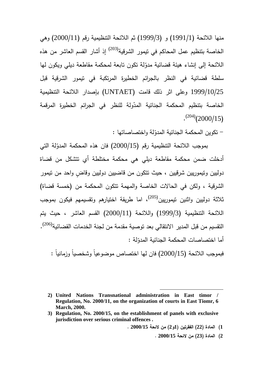منها اللائحة (1991/1) (و 1999/3) ثم اللائحة التنظيمية رقم (2000/11) وهي الخاصة بتنظيم عمل المحاكم في تيمور الشرقية<sup>(203)</sup> إذ أشار القسم العاشر من هذه اللائحة إلى إنشاء هيئة قضائية مدوّلة نكون نابعة لمحكمة مقاطعة ديلي ويكون لمها سلطة قضائية في النظر بالجرائم الخطيرة المرتكبة في تيمور الشرقية قبل 1999/10/25 وعلى اثر ذلك قامت (UNTAET (بإصدار اللائحة التنظيمية الخاصة بتنظيم المحكمة الجنائية المدّولة للنظر في الجرائم الخطيرة المرقمة  $\cdot^{(204)}$ (2000/15)

– تكوين المحكمة الجنائية المدوّلة واختصاصاتها :

بموجب اللائحة التنظيمية رقم (2000/15) فان هذه المحكمة المدوّلة التي أدخلت ضمن محكمة مقاطعة ديلي هي محكمة مختلطة أي تتشكل من قضاة دوليين وتيموريين شرقيين ، حيث تتكون من قاضيين دوليين وقاض واحد من تيمور الشرقية ، ولكن في الحالات الخاصة والمهمة تتكون المحكمة من (خمسة قضاة) ثلاثة دوليين واثنين تيموريين<sup>(205)</sup>، اما طريقة اختيارهم وتقسيمهم فيكون بموجب اللائحة التنظيمية (1999/3) واللائحة (2000/11) القسم العاشر ، حيث يتم التقسيم من قبل المدير الانتقالي بعد توصية مقدمة من لجنة الخدمات القضائية<sup>(206)</sup>. أما اختصاصات المحكمة الجنائية المدوّلة :

فبموجب اللائحة (2000/15) فان لها اختصاص موضوعياً وشخصياً وزمانياً :

**1) المادة (22) الفقرتي (ن 1و2) من لائحة 2000/15 .** 

 $\overline{a}$ 

**2) المادة (23) من لائحة 2000/15 .** 

**<sup>2)</sup> United Nations Transnational administration in East timor / Regulation, No. 2000/11, on the organization of courts in East Tiomr, 6 March, 2000.** 

**<sup>3)</sup> Regulation, No. 2000/15, on the establishment of panels with exclusive jurisdiction over serious criminal offences .**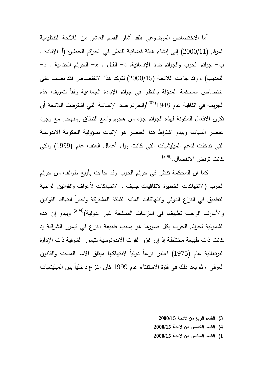أما الاختصاص الموضوعي ،فقد أشار القسم العاشر من اللائحة التنظيمية المرقم (2000/11) إلى إنشاء هيئة قضائية للنظر في الجرائم الخطيرة (أ–الإبادة . ب - جرائم الحرب والجرائم ضد الإنسانية -د. القتل -هـ. الجرائم الجنسية - د. التعذيب) ، وقد جاءت اللائحة (2000/15) لتؤكد هذا الاختصاص فقد نصت على اختصاص المحكمة المدوّلة بالنظر في جرائم الإبادة الجماعية وفقا لتعريف هذه الجريمة في اتفاقية عام 1948 $^{(207)}$ والجرائم ضد الإنسانية التي اشترطت اللائحة أن تكون الأفعال المكونة لهذه الجرائم جزء من هجوم واسع النطاق ومنهجي مع وجود عنصر السياسة ويبدو اشتراط هذا العنصر هو لإثبات مسؤولية الحكومة الاندوسية التي تدخلت لدعم الميليشيات التي كانت وراء أعمال العنف عام (1999) والتي كانت ترفض الانفصال.<sup>(208)</sup>

 كما إن المحكمة تنظر في جرائم الحرب وقد جاءت بأربع طوائف من جرائم الحرب (الانتهاكات الخطيرة لاتفاقيات جنيف ، الانتهاكات لأعراف والقوانين الواجبة التطبيق في النزاع الدولي وانتهاكات المادة الثالثة المشتركة واخيرا انتهاك القوانين والأعراف الواجب تطبيقها في النزاعات المسلحة غير الدولية)<sup>(209)</sup> ويبدو إن هذه الشمولية لجرائم الحرب بكل صورها هو بسبب طبيعة النزاع في تيمور الشرقية إذ كانت ذات طبيعة مختلطة إذ إن غزو القوات الاندونوسية لتيمور الشرقية ذات الإدارة البرتغالية عام (1975) اعتبر نزاعاً دولياً لانتهاكها ميثاق الامم المتحدة والقانون العرفي ، ثم بعد ذلك في فترة الاستفتاء عام 1999 كان النزاع داخلياً بين الميليشيات

**3) القسم الرابع من لائحة 2000/15 .** 

- **4) القسم الخامس من لائحة 2000/15 .**
- **1) القسم السادس من لائحة 2000/15 .**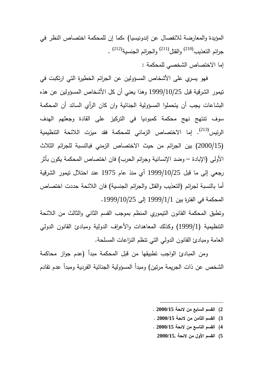المؤيدة والمعارضة للانفصال عن إندونيسيا) ،كما إن للمحكمة اختصاص النظر في جرائم النعذيب<sup>(210)</sup> والقتل<sup>(211)</sup> والجرائم الجنسية<sup>(212)</sup> . إما الاختصاص الشخصي للمحكمة :

فهو يسري على الأشخاص المسؤولين عن الجرائم الخطيرة التي ارتكبت في تيمور الشرقية قبل 1999/10/25 وهذا يعني أن كل الأشخاص المسؤولين عن هذه البشاعات يجب أن يتحملوا المسؤولية الجنائية وان كان الرأي السائد أن المحكمة سوف تنتهج نهج محكمة كمبوديا في التركيز على القادة وجعلهم الهدف الرئيس<sup>(213)</sup>. إما الاختصاص الزماني للمحكمة فقد ميزت اللائحة التنظيمية (2000/15) بين الجرائم من حيث الاختصاص الزمني فبالنسبة للجرائم الثلاث الأولى (الإبادة – وضد الإنسانية وجرائم الحرب) فان اختصاص المحكمة يكون بأثر رجعي إلى ما قبل 1999/10/25 أي منذ عام 1975 عند احتلال تيمور الشرقية أما بالنسبة لجرائم (التعذيب والقتل والجرائم الجنسية) فان اللائحة حددت اختصاص المحكمة في الفترة بين 1999/1/1 إلى 1999/10/25 .

وتطبق المحكمة القانون التيموري المنظم بموجب القسم الثاني والثالث من اللائحة التنظيمية (1999/1) وكذلك المعاهدات والأعراف الدولية ومبادئ القانون الدولي العامة ومبادئ القانون الدولي التي تنظم النزاعات المسلحة .

 ومن المبادئ الواجب تطبيقها من قبل المحكمة مبدأ (عدم جواز محاكمة الشخص عن ذات الجريمة مرتين) ومبدأ المسؤولية الجنائية الفردية ومبدأ عدم تقادم

**2) القسم السابع من لائحة 2000/15 .** 

- **3) القسم الثامن من لائحة 2000/15 .**
- **4) القسم التاسع من لائحة 2000/15 .** 
	- **5) القسم الأول من لائحة 2000/15.**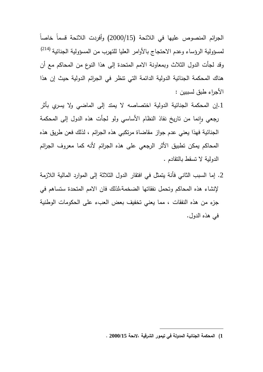الجرائم المنصوص عليها في اللائحة (2000/15) وأفردت اللائحة قسماً خاصاً لمسؤولية الرؤساء وعدم الاحتجاج بالأوامر العليا للتهرب من المسؤولية الجنائية <sup>(214)</sup> وقد لجأت الدول الثلاث وبمعاونة الامم المتحدة إلى هذا النوع من المحاكم مع أن هناك المحكمة الجنائية الدولية الدائمة التي تنظر في الجرائم الدولية حيث إن هذا الأجراء طبق لسببين :

- .1إن المحكمة الجنائية الدولية اختصاصه لا يمتد إلى الماضي ولا يسري بأثر رجعي وإنما من تاريخ نفاذ النظام الأساسي ولو لجات هذه الدول إلى المحكمة الجنائية فهذا يعني عدم جواز مقاضاة مرتكبي هذه الجرائم ، لذلك فعن طريق هذه المحاكم يمكن تطبيق الأثر الرجعي على هذه الجرائم لأنه كما معروف الجرائم الدولية لا تسقط بالتقادم .
- .2 إما السبب الثاني فأنة يتمثل في افتقار الدول الثلاثة إلى الموارد المالية اللازمة لإنشاء هذه المحاكم وتحمل نفقاتها الضخمة،لذلك فان الامم المتحدة ستساهم في جزء من هذه النفقات ، مما يعني تخفيف بعض العبء على الحكومات الوطنية في هذه الدول .

**<sup>1</sup>) المحكمة الجنائية المدولة في تيمور الشرقية ،لائحة 2000/15 .**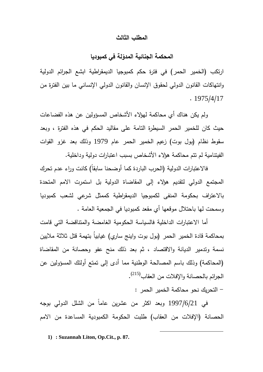### **المطلب الثالث**

# **لة في كمبوديا ّ المحكمة الجنائية المدو**

ارتكب (الخمير الحمر) في فترة حكم كمبوجيا الديمقراطية ابشع الجرائم الدولية وانتهاكات القانون الدولي لحقوق الإنسان والقانون الدولي الإنساني ما بين الفترة من . 1975/4/17

 ولم يكن هناك أي محاكمة لهؤلاء الأشخاص المسؤولين عن هذه الفضاعات حيث كان للخمير الحمر السيطرة التامة على مقاليد الحكم في هذه الفترة ، وبعد سقوط نظام (بول بوت) زعيم الخمير الحمر عام 1979 وذلك بعد غزو القوات الفيتنامية لم تتم محاكمة هؤلاء الأشخاص بسبب اعتبارات دولية وداخلية .

 فالاعتبارات الدولية (الحرب الباردة كما أوضحنا سابقاً) كانت وراء عدم تحرك المجتمع الدولي لتقديم هؤلاء إلى المقاضاة الدولية بل استمرت الامم المتحدة بالاعتراف بحكومة المنفى لكمبوجيا الديمقراطية كممثل شرعي لشعب كمبوديا وسمحت لها باحتلال موقعها أي مقعد كمبوديا في الجمعية العامة .

 أما الاعتبارات الداخلية فالسياسة الحكومية الغامضة والمتناقضة التي قامت بمحاكمة قادة الخمير الحمر (بول بوت واينج ساري) غيابياُ بتهمة قتل ثلاثة ملايين نسمة وتدمير الديانة والاقتصاد ، ثم بعد ذلك منح عفو وحصانة من المقاضاة (المحاكمة) وذلك باسم المصالحة الوطنية مما أدى إلى تمتع أولئك المسؤولين عن الجرائم بالحصانة والإفلات من العقاب<sup>(215)</sup>.

- التحريك نحو محاكمة الخمير الحمر :

 $\overline{a}$ 

 في 1997/6/21 وبعد اكثر من عشرين عاماً من الشلل الدولي بوجه الحصانة (الإفلات من العقاب) طلبت الحكومة الكمبودية المساعدة من الامم

**1) : Suzannah Liton, Op.Cit., p. 87.**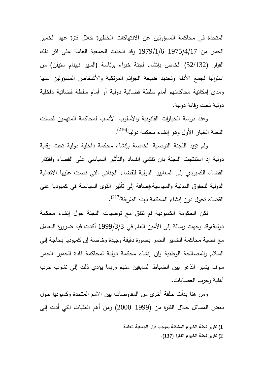المتحدة في محاكمة المسؤولين عن الانتهاكات الخطيرة خلال فترة عهد الخمير الحمر من 1979/1/6-1975/4/17 وقد اتخذت الجمعية العامة على اثر ذلك القرار (52/132) الخاص بإنشاء لجنة خبراء برئاسة (السير نيينام ستيفن) من استراليا لجمع الأدلة وتحديد طبيعة الجرائم المرتكبة والأشخاص المسؤولين عنها ومدى إمكانية محاكمتهم أمام سلطة قضائية دولية أو أمام سلطة قضائية داخلية دولية تحت رقابة دولية .

 وعند دراسة الخيارات القانونية والأسلوب الأنسب لمحاكمة المتهمين فضلت اللجنة الخيار الأول وهو إنشاء محكمة دولية<sup>(216)</sup>.

 ولم تؤيد اللجنة التوصية الخاصة بإنشاء محكمة داخلية دولية تحت رقابة دولية إذ استنتجت اللجنة بان تفشي الفساد والتأثير السياسي على القضاء وافتقار القضاء الكمبودي إلى المعايير الدولية للقضاء الجنائي التي نصت عليها الاتفاقية الدولية للحقوق المدنية والسياسية،إضافة إلى تأثير القوى السياسية في كمبوديا على القضاء تحول دون إنشاء المحكمة بهذه الطريقة<sup>(217)</sup>.

لكن الحكومة الكمبودية لم تتفق مع توصيات اللجنة حول إنشاء محكمة دولية،وقد وجهت رسالة إلى الأمين العام في 1999/3/3 أكدت فيه ضرورة التعامل مع قضية محاكمة الخمير الحمر بصورة دقيقة وجيدة وخاصة إن كمبوديا بحاجة إلى السلام والمصالحة الوطنية وان إنشاء محكمة دولية لمحاكمة قادة الخمير الحمر سوف يشير الذعر بين الضباط السابقين منهم وربما يؤدي ذلك إلى نشوب حرب أهلية وحرب العصابات .

 ومن هنا بدأت حلقة أخرى من المفاوضات بين الامم المتحدة وكمبوديا حول بعض المسائل خلال الفترة من (-1999 2000) ومن أهم العقبات التي أدت إلى

 $\overline{a}$ 

**2) تقرير لجنة الخبراء الفقرة (137 ).**

**<sup>1</sup>) تقرير لجنة الخبراء المشكلة بموجب قرار الجمعية العامة .**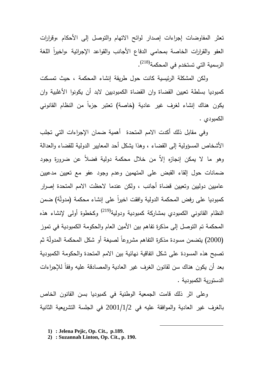تعثر المفاوضات إجراءات إصدار لوائح الاتهام والتوصل إلى الأحكام ،وقرارات العفو والقرارات الخاصة بمحامي الدفاع الأجانب والقواعد الإجرائية ،واخيرا اللغة الرسمية التي تستخدم في المحكمة<sup>(218)</sup>.

 ولكن المشكلة الرئيسية كانت حول طريقة إنشاء المحكمة ، حيث تمسكت كمبوديا بسلطة تعيين القضاة وان القضاة الكمبوديين لابد أن يكونوا الأغلبية وان ً من النظام القانوني يكون هناك إنشاء لغرف غير عادية (خاصة) تعتبر جزءا الكمبودي .

وفي مقابل ذلك أكدت الامم المتحدة أهمية ضمان الإجراءات التي تجلب الأشخاص المسؤولية إلى القضاء ، وهذا يشكل أحد المعايير الدولية للقضاء والعدالة وهو ما لا يمكن إنجازه إلاّ من خلال محكمة دولية فضلاً عن ضرورة وجود ضمانات حول إلقاء القبض على المتهمين وعدم وجود عفو مع تعيين مدعيين عاميين دوليين وتعيين قضاة أجانب ، ولكن عندما لاحظت الامم المتحدة إصرار كمبوديا على رفض المحكمة الدولية وافقت اخيرا على إنشاء محكمة (مدولة) ضمن النظام القانوني الكمبودي بمشاركة كمبودية ودولية<sup>(219)</sup> وكخطوة أولى لإنشاء هذه المحكمة تم التوصل إلى مذكرة تفاهم بين الأمين العام والحكومة الكمبودية في تموز (2000) بيتضمن مسودة مذكرة التفاهم مشروعاً لصبيغة أو شكل المحكمة المدولّة ثم تصبح هذه المسودة على شكل اتفاقية نهائية بين الامم المتحدة والحكومة الكمبودية بعد أن يكون هناك سن لقانون الغرف غير العادية والمصادقة عليه وفقاً للإجراءات الدستورية الكمبودية .

وعلى اثر ذلك قامت الجمعية الوطنية في كمبوديا بسن القانون الخاص بالغرف غير العادية والموافقة عليه في 2001/1/2 في الجلسة التشريعية الثانية

**<sup>1)</sup> : Jelena Pejic, Op. Cit., p.189.**

**<sup>2)</sup> : Suzannah Linton, Op. Cit., p. 190.**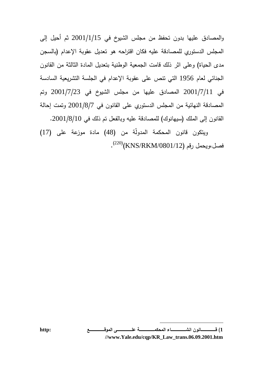والمصادق عليها بدون تحفظ من مجلس الشيوخ في 2001/1/15 ثم أحيل إلى المجلس الدستوري للمصادقة عليه فكان اقتراحه هو تعديل عقوبة الإعدام (بالسجن مدى الحياة) وعلى اثر ذلك قامت الجمعية الوطنية بتعديل المادة الثالثة من القانون الجنائي لعام 1956 التي تنص على عقوبة الإعدام في الجلسة التشريعية السادسة في 2001/7/11 المصادق عليها من مجلس الشيوخ في 2001/7/23 وتم المصادقة النهائية من المجلس الدستوري على القانون في 2001/8/7 وتمت إحالة القانون إلى الملك (سيهانوك) للمصادقة عليه وبالفعل تم ذلك في 2001/8/10 .

ويتكون قانون المحكمة المدولّة من (48) مادة موزعة على (17) فصل،ويحمل رقم (KNS/RKM/0801/12) .

**<sup>1</sup>) قـــــــــــــــــــــــــانون انشـــــــــــــــــــــــــاء المحكمـــــــــــــــــــــــــة علـــــــــــــــــــــــــى الموقـــــــــــــــــــــــــع :http //www.Yale.edu/cqp/KR\_Law\_trans.06.09.2001.htm**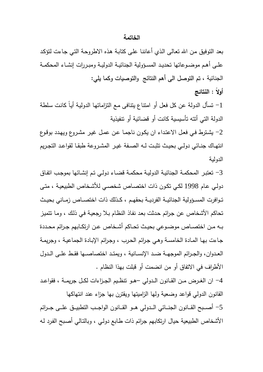### **الخاتمة**

بعد التوفيق مـن االله تعـالى الـذي أعاننـا علـى كتابـة هـذه الاطروحـة التـي جـاءت لتؤكـد علــى أهــم موضــوعاتها تحديــد المســؤولية الجنائيــة الدوليــة ومبــررات إنشــاء المحكمــة الجنائية ، تم التوصل الى أهم النتائج والتوصيات وكما يلي:

**أولاً : النتائج** 

-1 تسأل الدولة عن كل فعل أو امتناع يتنافى مـع التزاماتهـا الدوليـة أيـاً كانـت سـلطة الدولة التي أتته تأسيسية كانت أو قضائية أو تنفيذية

-2 يشـترط فـي فعـل الاعتـداء ان يكـون ناجمـا عـن عمـل غيـر مشـروع ويهـدد بوقـوع انتهــاك جنــائي دولــي بحيــث تثبــت لــه الصــفة غيــر المشــروعة طبقــا لقواعــد التجــريم الدولية

-3 تعتبـر المحكمـة الجنائيـة الدوليـة محكمـة قضـاء دولـي تـم إنشـائها بموجـب اتفـاق دولـي عـام 1998 لكـي تكـون ذات اختصـاص شخصـي للأشـخاص الطبيعيـة ، متـى تــوافرت المســؤولية الجنائيــة الفرديــة بحقهــم ، كــذلك ذات اختصــاص زمــاني بحيــث تحاكم الأشخاص عن جـرائم حـدثت بعـد نفـاذ النظـام بـلا رجعيـة فـي ذلـك ، ومـا تتميـز بــه مــن اختصــاص موضــوعي بحيــث تحــاكم أشــخاص عــن ارتكــابهم جــرائم محــددة جـاءت بهـا المـادة الخامسـة وهـي جـرائم الحـرب ، وجـرائم الإبـادة الجماعيـة ، وجريمـة العــدوان، والجــرائم الموجهــة ضــد الإنســانية ، ويمتــد اختصاصــها فقــط علــى الــدول الأطراف في الاتفاق أو من انضمت أو قبلت بهذا النظام .

-4 ان الغــرض مــن القــانون الــدولي –هــو تنظــيم الجــزاءات لكــل جريمــة ، فقواعــد القانون الدولي قواعد وضعية ولها الزاميتها ويقترن بها جزاء عند انتهاكها -5 أصـــبح القـــانون الجنـــائي الـــدولي هـــو القـــانون الواجـــب التطبيـــق علـــى جـــرائم الأشخاص الطبيعية حيال ارتكابهم جرائم ذات طـابع دولـي ، وبالتـالي أصـبح الفـرد لـه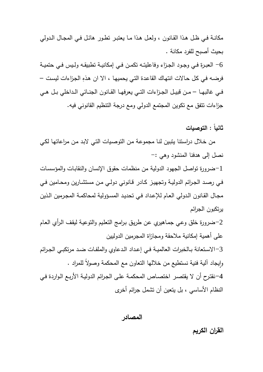مكانـة فــي ظــل هـذا القــانون ، ولعــل هــذا مـا يعتبــر تطــور هائـل فــي المجــال الــدولي بحيث أصبح للفرد مكانة .

-6 العبــرة فــي وجــود الجــزاء وفاعليتــه تكمــن فــي إمكانيــة تطبيقــه ولــيس فــي حتميــة فرضـه في كل حـالات انتهاك القاعدة التي يحميها ، الا ان هذهِ الجزاءات ليست – فــي غالبهــا – مــن قبيــل الجــزاءات التــي يعرفهــا القــانون الجنــائي الــداخلي بــل هــي جزاءات تتفق مع تكوين المجتمع الدولي ومع درجة التنظيم القانوني فيه.

**ثانياً : التوصيات** 

 من خـلال دراسـتنا يتبـين لنـا مجموعـة مـن التوصـيات التـي لابـد مـن مراعاتهـا لكـي نصل إلى هدفنا المنشود وهي :-

-1ضرورة تواصل الجهود الدولية من منظمات حقوق الإنسان والنقابـات والمؤسسـات فـي رصـد الجـرائم الدوليـة وتجهيـز كـادر قـانوني دولـي مـن مستشـارين ومحـامين فـي مجـال القـانون الـدولي العـام للإعـداد فـي تحديـد المسـؤولية لمحاكمـة المجـرمين الـذين يرتكبون الجرائم

-2ضرورة خلق وعـي جمـاهيري عـن طريـق بـرامج التعلـيم والتوعيـة ليقـف الـرأي العـام على أهمية إمكانية ملاحقة ومجازاة المجرمين الدوليين

-3الاســتعانة بــالخبرات العالميــة فــي إعــداد الــدعاوي والملفــات ضــد مرتكبــي الجــرائم وإيجاد الية فنية نستطيع من خلالها التعاون مع المحكمة وصولاً للمراد . ٕ -4 نقتـرح أن لا يقتصـر اختصـاص المحكمـة علـى الجـرائم الدوليـة الأربـع الـواردة فـي النظام الأساسي ، بل يتعين أن تشمل جرائم أخرى

**المصادر**

**القران الكريم**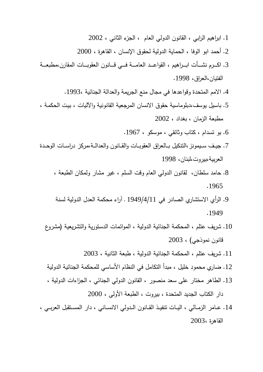- .1 ابراهيم الرابي ، القانون الدولي العام ، الجزء الثاني ، 2002
- .2 أحمد ابو الوفا ، الحماية الدولية لحقوق الإنسان ، القاهرة ، 2000
- .3 اكــــرم نشــــأت ابــــراهيم ، القواعــــد العامــــة فــــي قــــانون العقوبــــات المقارن،مطبعــــة الفتيان،العراق، 1998 .
	- .4 الامم المتحدة وقواعدها في مجال منع الجريمة والعدالة الجنائية 1993، .
- .5 باسيل يوسف،دبلوماسية حقوق الانسان المرجعية القانونية والآليات ، بيـت الحكمـة ، مطبعة الزمان ، بغداد ، 2002
	- .6 بو تسدام ، كتاب وثائقي ، موسكو ، 1967 .
- .7 جيــف ســيمونز،التنكيل بــالعراق العقوبــات والقــانون والعدالــة،مركز دراســات الوحــدة العربية،بيروت،لبنان، 1998
	- .8 حامد سلطان، لقانون الدولي العام وقت السلم ، غير مشار ولمكان الطبعة ، . 1965
	- .9 الرأي الاستشاري الصادر في 1949/4/11 ـ آراء محكمة العدل الدولية لسنة . 1949
	- .10 شريف عتلم ، المحكمة الجنائية الدولية ، الموائمات الدستورية والتشريعية (مشروع قانون نموذجي ، ) 2003
		- .11 شريف عتلم ، المحكمة الجنائية الدولية ، طبعة الثانية ، 2003
	- .12 ضاري محمود خليل ، مبدأ التكامل في النظام الأساسي للمحكمة الجنائية الدولية
	- .13 الطاهر مختار على سعد منصور ، القانون الدولي الجنائي ، الجزاءات الدولية ،

دار الكتاب الجديد المتحدة ، بيروت ، الطبعة الأولى ، 2000

.14 عــامر الزمــالي ، اليــات تنفيــذ القــانون الــدولي الانســاني ، دار المســتقبل العربــي ، القاهرة ، 2003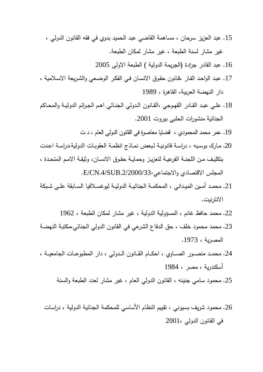.15 عبد العزيز سرحان ، مساهمة القاضي عبد الحميد بدوي في فقه القانون الدولي ، غير مشار لسنة الطبعة ، غير مشار لمكان الطبعة .

.16 عبد القادر جرادة (الجريمة الدولية ) الطبعة الاولى 2005

- .17 عبـد الواحـد الفـار ،قـانون حقـوق الانسـان فـي الفكـر الوضـعي والشـريعة الاسـلامية ، دار النهضة العربية، القاهرة ، 1989
- .18 علــي عبــد القــادر القهــوجي ،القــانون الــدولي الجنــائي اهــم الجــرائم الدوليــة والمحــاكم الجنائية منشورات الحلبي بيروت 2001 .
	- .19 عمر محمد المحمود ي ، قضايا معاصرة في القانون الدولي العام ، د ت
- .20 مـارك بوسـيه ، دراسـة قانونيـة لـبعض نمـاذج انظمـة العقوبـات الدولية،دراسـة اعـدت بتكليــف مــن اللجنــة الفرعيــة لتعزيــز وحمايــة حقــوق الانســان، وثيقــة الامــم المتحــدة ، المجلس الاقتصادي والاجتماعي.2/2000/33-SUB.4/CN/E.
- .21 محمــد أمــين الميــداني ، المحكمــة الجنائيــة الدوليــة ليوغســلافيا الســابقة علــى شــبكة الانترنيت .
	- .22 محمد حافظ غانم ، المسؤولية الدولية ، غير مشار لمكان الطبعة ، 1962
- .23 محمد محمود خلف ، حق الدفاع الشرعي في القانون الدولي الجنائي،مكتبـة النهضـة المصرية ، 1973 .
- .24 محمـــد منصـــور الصـــاوي ، احكـــام القـــانون الـــدولي ، دار المطبوعـــات الجامعيـــة ، أسكندرية ، مصر ، 1984
	- .25 محمود سامي جنينه ، القانون الدولي العام ، غير مشار لعدد الطبعة والسنة
	- .26 محمود شريف بسيوني ، تقييم النظام الأساسي للمحكمة الجنائية الدولية ، دراسات في القانون الدولي 2001،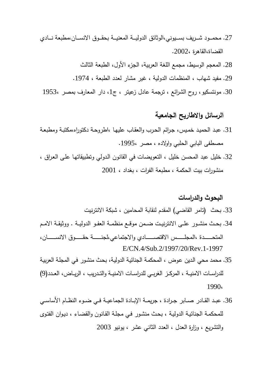- .27 محمـــود شـــريف بســـيوني،الوثائق الدوليـــة المعنيـــة بحقـــوق الانســـان،مطبعة نـــادي القضاة،القاهرة 2002، .
	- .28 المعجم الوسيط، مجمع اللغة العربية، الجزء الأول، الطبعة الثالث
	- .29 مفيد شهاب ، المنظمات الدولية ، غير مشار لعدد الطبعة ، 1974 .
	- 30. مونتسكيو، روح الشرائع ، ترجمة عادل زعيتر ، ج1، دار المعارف بمصر ،1953

## **الرسائل والاطاريح الجامعية**

- .31 عبـد الحميـد خمـيس، جـرائم الحـرب والعقـاب عليهـا ،اطروحـة دكتوراه،مكتبـة ومطبعـة مصطفى البابي الحلبي واولاده ، مصر .1995،
- .32 خليل عبد المحسن خليل ، التعويضات في القانون الـدولي وتطبيقاتهـا علـى العـراق ، منشورات بيت الحكمة ، مطبعة الفرات ، بغداد ، 2001

# **البحوث والدراسات**  .33 بحث (تامر القاضي) المقدم لنقابة المحامين ، شبكة الانترنيت .34 بحــث منشــور علــى الانترنيــت ضــمن موقــع منظمــة العفــو الدوليــة . ووثيقــة الامــم

- المتحـــــــــدة ،المجلـــــــــس الاقتصـــــــــادي والاجتماعي،لجنـــــــــة حقـــــــــوق الانســـــــــان، E/CN.4/Sub.2/1997/20/Rev.1-1997
- .35 محمد محي الـدين عـوض ، المحكمـة الجنائيـة الدوليـة، بحـث منشـور فـي المجلـة العربيـة للدراســات الامنيــة ، المركــز الغربــي للدراســـات الامنيــة والتــدريب ، الريــاض، العــدد(9) 1990،
- .36 عبــد القــادر صــابر جــرادة ، جريمــة الإبــادة الجماعيــة فــي ضــوء النظــام الأساســي للمحكمـة الجنائيـة الدوليـة ، بحـث منشـور فـي مجلـة القـانون والقضـاء ، ديـوان الفتـوى والتشريع ، وزارة العدل ، العدد الثاني عشر ، يونيو 2003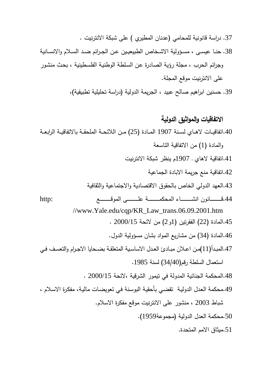.37 دراسة قانونية للمحامي (عدنان المطيري ) على شبكة الانترنيت . .38 حنــا عيســى ، مســؤولية الاشــخاص الطبيعيــين عــن الجــرائم ضــد الســلام والانســانية وجرائم الحرب ، مجلة رؤية الصادرة عـن السـلطة الوطنيـة الفلسـطينية ، بحـث منشـور على الانترنيت موقع المجلة.

39. حسنين ابراهيم صالح عبيد ، الجريمة الدولية (دراسة تحليلية تطبيقية)،

### **الاتفاقيات والمواثيق الدولية**

.40اتفاقيــات لاهــاي لســنة 1907 المــادة (25) مــن اللائحــة الملحقــة بالاتفاقيــة الرابعــة والمادة (1) من الاتفاقية التاسعة .41اتفاقية لاهاي ـ 1907م ينظر شبكة الانترنيت .42اتفاقية منع جريمة الابادة الجماعية .43العهد الدولي الخاص بالحقوق الاقتصادية والاجتماعية والثقافية .44قــــــــــــانون انشــــــــــــاء المحكمــــــــــــة علــــــــــــى الموقــــــــــــع :http //www.Yale.edu/cqp/KR\_Law\_trans.06.09.2001.htm .45المادة (22) الفقرتين (1و2) من لائحة 2000/15 . .46المادة (34 ) من مشاريع المواد بشان مسؤولية الدول . .47المبــدأ(11)مــن اعــلان مبــادئ العــدل الاساســية المتعلقــة بضــحايا الاجــرام والتعســف فــي استعمال السلطة رقم(34/40) لسنة 1985 . .48المحكمة الجنائية المدولة في تيمور الشرقية ،لائحة 2000/15 . .49محكمة العـدل الدوليـة تقضـي بأحقيـة البوسـنة فـي تعويضـات ماليـة، مفكـرة الاسـلام ، شباط 2003 ، منشور على الانترنيت موقع مفكرة الاسلام . .50محكمة العدل الدولية (مجموعة1959 ). .51ميثاق الامم المتحدة .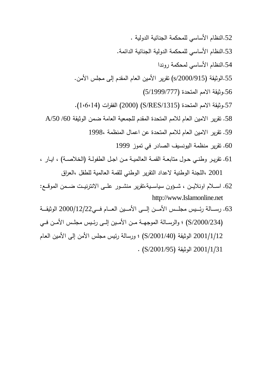- .52النظام الأساسي للمحكمة الجنائية الدولية .
- .53النظام الأساسي للمحكمة الدولية الجنائية الدائمة .
	- .54النظام الأساسي لمحكمة روندا
- 55.الوثيقة (s/2000/915) تقرير الأمين العام المقدم إلى مجلس الأمن.
	- .56وثيقة الامم المتحدة (5/1999/777 )
- .57وثيقة الامم المتحدة (/1315RES/S) (2000 (الفقرات (1،6،14).
- .58 تقرير الامين العام للامم المتحدة المقدم للجمعية العامة ضمن الوثيقة /60 /50A
	- .59 تقرير الامين العام للامم المتحدة عن اعمال المنظمة 1998،
		- .60 تقرير منظمة اليونسيف الصادر في تموز 1999
- .61 تقريــر وطنــي حــول متابعــة القمــة العالميــة مــن اجــل الطفولــة (الخلاصــة) ، ايــار ، 2001 ،اللجنة الوطنية لاعداد التقرير الوطني للقمة العالمية للطفل ،العراق
- .62 اســـلام اونلايـــن ، شـــؤون سياســـية،تقرير منشـــور علـــى الانترنيـــت ضـــمن المو قـــع: http://www.Islamonline.net
- .63 رســــالة رئــــيس مجلــــس الأمــــن إلــــى الأمــــين العــــام فــــي2000/12/22 الوثيقــــة (/2000/234S (؛ والرســالة الموجهــة مـــن الأمـــين إلـــى رئــيس مجلـــس الأمــن فـــي 2001/1/12 الوثيقة (/2001/40S (؛ ورسالة رئيس مجلس الأمن إلى الأمين العـام  $\cdot$  (S/2001/95) الوثيقة (S/2001/95)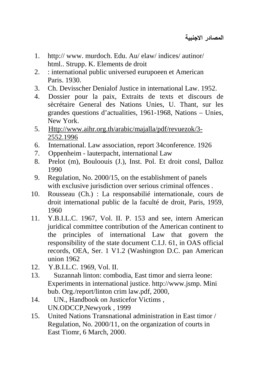- 1. http:// www. murdoch. Edu. Au/ elaw/ indices/ autinor/ html.. Strupp. K. Elements de droit
- 2. : international public universed eurupoeen et American Paris. 1930.
- 3. Ch. Devisscher Denialof Justice in international Law. 1952.
- 4. Dossier pour la paix, Extraits de texts et discours de sècrétaire General des Nations Unies, U. Thant, sur les grandes questions d'actualities, 1961-1968, Nations – Unies, New York.
- 5. Http://www.aihr.org.th/arabic/majalla/pdf/revuezok/3- 2552.1996
- 6. International. Law association, report 34conference. 1926
- 7. Oppenheim lauterpacht, international Law
- 8. Prelot (m), Bouloouis (J.), Inst. Pol. Et droit consl, Dalloz 1990
- 9. Regulation, No. 2000/15, on the establishment of panels with exclusive jurisdiction over serious criminal offences.
- 10. Rousseau (Ch.) : La responsabilié internationale, cours de droit international public de la faculté de droit, Paris, 1959, 1960
- 11. Y.B.I.L.C. 1967, Vol. II. P. 153 and see, intern American juridical committee contribution of the American continent to the principles of international Law that govern the responsibility of the state document C.I.J. 61, in OAS official records, OEA, Ser. 1 V1.2 (Washington D.C. pan American union 1962
- 12. Y.B.I.L.C. 1969, Vol. II.
- 13. Suzannah linton: combodia, East timor and sierra leone: Experiments in international justice. http://www.jsmp. Mini bub. Org./report/linton crim law.pdf, 2000,
- 14. UN., Handbook on Justicefor Victims , UN.ODCCP,Newyork , 1999
- 15. United Nations Transnational administration in East timor / Regulation, No. 2000/11, on the organization of courts in East Tiomr, 6 March, 2000.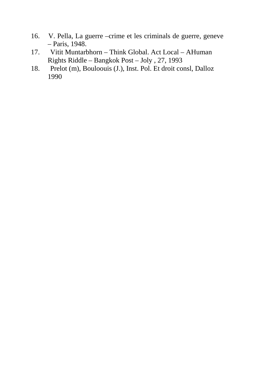- 16. V. Pella, La guerre –crime et les criminals de guerre, geneve – Paris, 1948.
- 17. Vitit Muntarbhorn Think Global. Act Local AHuman Rights Riddle – Bangkok Post – Joly , 27, 1993
- 18. Prelot (m), Bouloouis (J.), Inst. Pol. Et droit consl, Dalloz 1990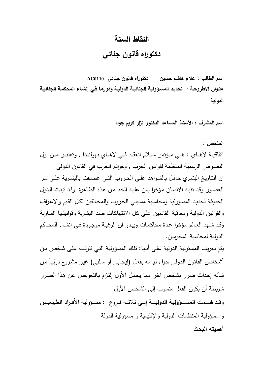### **النقاط الستة**

**دكتوراه قانون جنائي**

**اسم الطالب : علاء هاشم حسين - دكتوراه قانون جنائي 0110AC عنـوان الاطروحـة : تحديـد المسـؤولية الجنائيـة الدوليـة ودورهـا فـي إنشـاء المحكمـة الجنائيـة الدولية** 

**اسم المشرف : الأستاذ المساعد الدكتور نزار كريم جواد** 

**الملخص :** 

اتفاقيـــة لاهـــاي : هـــي مـــؤتمر ســـلام انعقـــد فـــي لاهـــاي بهولنـــدا , وتعتبـــر مـــن اول النصوص الرسمية المنظمة لقوانين الحرب , وجرائم الحرب في القانون الدولي ان التــاريخ البشــري حافــل بالشــواهد علــى الحــروب التــي عصــفت بالبشــرية علــى مــر العصـور وقـد تنبـه الانسـان مـؤخرا بـان عليـه الحـد مـن هـذه الظـاهرة وقـد تبنـت الـدول الحديثـة تحديـد المسـؤولية ومحاسـبة مسـببي الحـروب والمخـالفين لكـل القـيم والاعـراف والقوانين الدولية ومعاقبة القائمين علـى كـل الانتهاكـات ضـد البشـرية وقوانينهـا السـارية وقـد شـهد العـالم مـؤخرا عـدة محاكمـات ويبـدو ان الرغبـة موجـودة فـي انشـاء المحـاكم الدولية لمحاسبة المجرمين**.**

يتم تعريف المسئولية الدولية علـى أنها: تلك المسؤولية التـي تترتب علـى شخص من أشـخاص القانون الدولـي جراء قيامـه بفعل (إيجـابـي أو سلبـي) غير مشروع دولياً من شأنه إحداث ضرر بشخص آخر مما يحمـل الأول إلتـزام بـالتعويض عـن هـذا الضـرر شريطة أن يكون الفعل منسوب إلى الشخص الأول

وقــد قســمت **المســــؤ ولية الدوليــــة** إلــى ثلاثــة فــروع : مســؤ ولية الأفــراد الطبيعيــين و مسؤولية المنظمات الدولية والإقليمية و مسؤولية الدولة **أهميته البحث**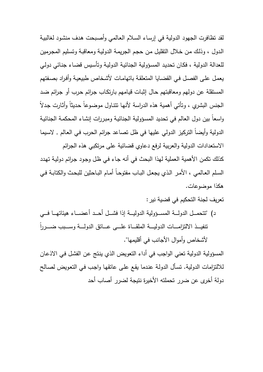لقد تظافرت الجهود الدولية في إرسـاء السـلام العـالمي وأصـبحت هـدف منشـود لغالبيـة الـدول ، وذلـك مـن خـلال التقليـل مـن حجـم الجريمـة الدوليـة ومعاقبـة وتسـليم المجـرمين للعدالة الدولية ، فكـان تحديـد المسـؤولية الجنائيـة الدوليـة وتأسـيس قضـاء جنـائي دولـي يعمـل علـى الفصـل فـي القضـايا المتعلقـة باتهامـات لأشـخاص طبيعيـة وأفـراد بصـفتهم المستقلة عن دولهم ومعاقبتهم حـال إثبـات قيـامهم بارتكـاب جـرائم حـرب أو جـرائم ضـد الـجنس البشري ، وتأتـى أهمية هذه الدراسة لأنـها تتتـاول موضـوعاً حـديثاً وأثـارت جدلاً واسعاً بين دول العالم في تحديد المسـؤولية الجنائيـة ومبـررات إنشـاء المحكمـة الجنائيـة الدولية وأيضاً التركيز الدولي عليها في ظل تصاعد جرائم الحرب في العالم , لاسيما الاستعدادات الدولية والعربية لرفع دعاوي قضائية على مرتكبي هذه الجرائم كذلك تكمن الأهمية العملية لهذا البحث في أنه جـاء فـي ظـل وجـود جـرائم دوليـة تهـدد السـلم العـالمي ، الأمـر الـذي يجعـل البـاب مفتوحـاً أمـام البـاحثين للبحـث والكتابـة فـي

هكذا موضوعات .

تعريف لجنة التحكيم في قضية نير :

د) "تتحمـــل الدولـــة المســـؤولية الدوليـــة إذا فشـــل أحــد أعضــــاء هيئاتهـــا فـــي ً تنفيـــــذ الالتزامـــــات الدوليـــــة الملقـــــاة علـــــى عـــــاتق الدولـــــة وســـــبب ضـــــررا لأشخاص وأموال الأجانب في أقليمها".

المسؤ ولية الدولية تعني الواجب في أداء التعويض الذي ينـتج عـن الفشـل فـي الاذعـان للالتزامات الدولية. تسـأل الدولـة عنـدما يقـع علـى عاتقهـا واجـب فـي التعـويض لصـالح دولة أخرى عن ضرر تحملته الأخيرة نتيجة لضرر أصاب أحد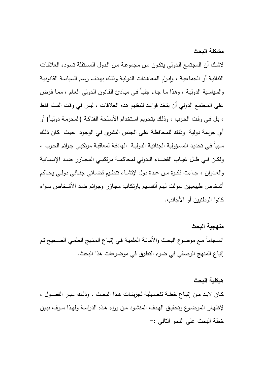**مشكلة البحث** 

لاشـك أن المجتمـع الـدولي يتكـون مـن مجموعـة مـن الـدول المسـتقلة تسـوده العلاقـات الثنائيـة أو الجماعيـة ، وإبـرام المعاهدات الدوليـة وذلك بـهدف رسم السياسـة القانونيـة والسياسـية الدوليـة ، وهـذا مـا جـاء جليـاً فـي مبـادئ القـانون الـدولي العـام ، ممـا فـرض على المجتمع الدولي أن يتخذ قواعد لتنظيم هذه العلاقات ، ليس في وقـت السـلم فقـط ، بـل فـي وقـت الحـرب ، وذلـك بتحـريم اسـتخدام الأسـلحة الفتاكـة (المحرمـة دوليـاً) أو أي جريمة دولية وذلـك للمحافظـة علـى الجـنس البشـري فـي الوجـود حيـث كـان ذلـك سـبباً فـي تحديـد المسـؤولية الجنائيـة الدوليـة الهادفـة لمعاقبـة مرتكبـي جـرائم الحـرب ، ولكــن فــي ظــل غيــاب القضــاء الــدولي لمحاكمــة مرتكبــي المجــازر ضــد الإنســانية والعــدوان ، جــاءت فكــرة مــن عــدة دول لإنشــاء تنظــيم قضــائي جنــائي دولــي يحــاكم أشـخاص طبيعيـين سـولت لهـم أنفسـهم بارتكـاب مجـازر وجـرائم ضـد الأشـخاص سـواء كانوا الوطنيين أو الأجانب .

**منهجية البحث**  انسـجاماً مـع موضـوع البحـث والأمانـة العلميـة فـي إتبـاع المـنهج العلمـي الصـحيح تـم إتباع المنهج الوصفي في ضوء التطرق في موضوعات هذا البحث .

### **هيكلية البحث**

كــان لابــد مــن إتبــاع خطــة تفصــيلية لجزيئــات هــذا البحــث ، وذلــك عبــر الفصــول ، لإظهـار الموضـوع وتحقيـق الهـدف المنشـود مـن وراء هـذه الدراسـة ولهـذا سـوف نبـين خطة البحث على النحو التالي :-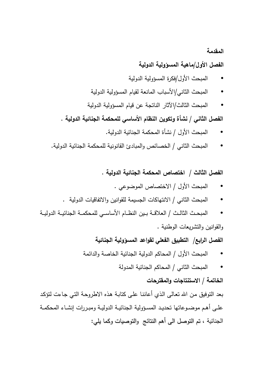### **المقدمة**

### **الفصل الأول/ماهية المسؤولية الدولية**

- المبحث الأول/فكرة المسؤولية الدولية
- المبحث الثاني/الأسباب المانعة لقيام المسؤولية الدولية
- المبحث الثالث/الآثار الناتجة عن قيام المسؤولية الدولية

الفصل الثان*ي |* نشأة وتكوين النظام الأساس*ي* للمحكمة الجنائية الدولية .

- المبحث الأول / نشأة المحكمة الجنائية الدولية .
- المبحث الثاني / الخصائص و المبادئ القانونية للمحكمة الجنائية الدولية.

**الفصل الثالث / اختصاص المحكمة الجنائية الدولية .**

- المبحث الأول / الاختصاص الموضوعي .
- المبحث الثاني / الانتهاكات الجسيمة للقوانين والاتفاقيات الدولية .
- المبحــث الثالــث / العلاقــة بــين النظــام الأساســي للمحكمــة الجنائيــة الدوليــة والقو انين والتشريعات الوطنية .

**الفصل الرابع / التطبيق الفعلي لقواعد المسؤولية الجنائية**

• المبحث الأول / المحاكم الدولية الجنائية الخاصة والدائمة

• المبحث الثاني / المحاكم الجنائية المدولة

### **الخاتمة / الاستنتاجات والمقترحات**

بعد التوفيق مـن االله تعـالى الـذي أعاننـا علـى كتابـة هـذه الاطروحـة التـي جـاءت لتؤكـد علــى أهــم موضــوعاتها تحديــد المســؤولية الجنائيــة الدوليــة ومبــررات إنشــاء المحكمــة الجنائية ، تم التوصل الى أهم النتائج والتوصيات وكما يلي: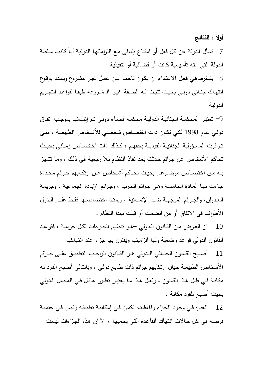**أولاً : النتائج** 

-7 تسأل الدولة عن كل فعل أو امتناع يتنافى مـع التزاماتهـا الدوليـة أيـاً كانـت سـلطة الدولة التي أتته تأسيسية كانت أو قضائية أو تنفيذية

-8 يشـترط فـي فعـل الاعتـداء ان يكـون ناجمـا عـن عمـل غيـر مشـروع ويهـدد بوقـوع انتهــاك جنــائي دولــي بحيــث تثبــت لــه الصــفة غيــر المشــروعة طبقــا لقواعــد التجــريم الدولية

-9 تعتبـر المحكمـة الجنائيـة الدوليـة محكمـة قضـاء دولـي تـم إنشـائها بموجـب اتفـاق دولـي عـام 1998 لكـي تكـون ذات اختصـاص شخصـي للأشـخاص الطبيعيـة ، متـى تــوافرت المســؤولية الجنائيــة الفرديــة بحقهــم ، كــذلك ذات اختصــاص زمــاني بحيــث تحاكم الأشخاص عن جـرائم حـدثت بعـد نفـاذ النظـام بـلا رجعيـة فـي ذلـك ، ومـا تتميـز بــه مــن اختصــاص موضــوعي بحيــث تحــاكم أشــخاص عــن ار تكــابهم جــرائم محــددة جـاءت بهـا المـادة الخامسـة وهـي جـرائم الحـرب ، وجـرائم الإبـادة الجماعيـة ، وجريمـة العــدوان، والجــرائم الموجهــة ضــد الإنســانية ، ويمتــد اختصاصــها فقــط علــى الــدول الأطراف في الاتفاق أو من انضمت أو قبلت بهذا النظام .

-10 ان الغــرض مــن القــانون الــدولي –هــو تنظــيم الجــزاءات لكــل جريمــة ، فقواعــد القانون الدولي قواعد وضعية ولها الزاميتها ويقترن بها جزاء عند انتهاكها -11 أصــبح القــانون الجنــائي الــدولي هــو القــانون الواجــب التطبيــق علــى جــرائم الأشخاص الطبيعية حيال ارتكابهم جرائم ذات طـابع دولـي ، وبالتـالي أصـبح الفـرد لـه مكانـة فــي ظــل هـذا القــانون ، ولعــل هــذا مـا يعتبــر تطــور هائـل فــي المجــال الــدولي بحيث أصبح للفرد مكانة .

-12 العبـرة فـي وجـود الجـزاء وفاعليتـه تكمـن فـي إمكانيـة تطبيقـه ولـيس فـي حتميـة فرضـه في كل حـالات انتهاك القاعدة التي يحميها ، الا ان هذهِ الجزاءات ليست –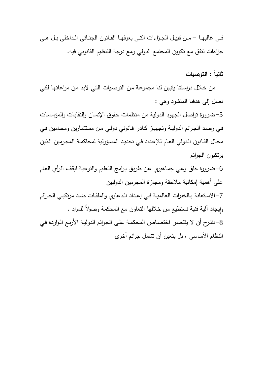فــي غالبهــا – مــن قبيــل الجــزاءات التــي يعرفهــا القــانون الجنــائي الــداخلي بــل هــي جزاءات تتفق مع تكوين المجتمع الدولي ومع درجة التنظيم القانوني فيه.

**ثانياً : التوصيات** 

 من خـلال دراسـتنا يتبـين لنـا مجموعـة مـن التوصـيات التـي لابـد مـن مراعاتهـا لكـي نصل إلى هدفنا المنشود وهي :-

-5ضرورة تواصل الجهود الدولية من منظمات حقوق الإنسان والنقابـات والمؤسسـات فـي رصـد الجـرائم الدوليـة وتجهيـز كـادر قـانوني دولـي مـن مستشـارين ومحـامين فـي مجـال القـانون الـدولي العـام للإعـداد فـي تحديـد المسـؤولية لمحاكمـة المجـرمين الـذين يرتكبون الجرائم

-6ضرورة خلق وعـي جمـاهيري عـن طريـق بـرامج التعلـيم والتوعيـة ليقـف الـرأي العـام على أهمية إمكانية ملاحقة ومجازاة المجرمين الدوليين -7الاســتعانة بــالخبرات العالميــة فــي إعــداد الــدعاوي والملفــات ضــد مرتكبــي الجــرائم

وإيجاد الية فنية نستطيع من خلالها التعاون مع المحكمة وصولاً للمراد .  $\frac{1}{2}$ -8 نقتـرح أن لا يقتصـر اختصـاص المحكمـة علـى الجـرائم الدوليـة الأربـع الـواردة فـي النظام الأساسي ، بل يتعين أن تشمل جرائم أخرى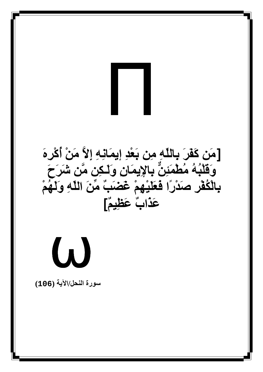# Π

[**+َ آََ'َ ِ1ِ/ّ +ِ ِ0َْ1 إِ/َِ إ,-ِ ْ+َ أُآْ'َ%ِ**  .<br>وَقَلْبُهُ مُطْمَئِنٌّ بِالإِيمَانِ وَلَـكِنِ مَّن شَرَحَ بِالْكُفْرِ صَدْرًا فَعَلَيْهِمْ غَضَبَّ مِّنَ اللَّهِ وَلَهُمْ عَ**َد**ُابٌ عَظِيمٌ]

ω

**رة اL/اN) 106(**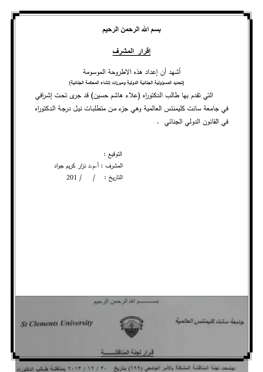**بسم الله الرحمن الرحيم** 

<u>إقرار المشرف</u>

أشهد أن إعداد هذه الاطروحة الموسومة **(تحديد المسؤولية الجنائية الدولية ومبررات إنشاء المحكمة الجنائية )** التي تقدم بها طالب الدكتوراه ( علاء هاشم حسين) قد جرى تحـت إشـرافي في جامعة سانت كليمنتس العالمية وهي جزء مـن متطلبـات نيـل درجـة الـدكتوراه في القانون الدولي الجنائي .

 التوقيع : المشرف : أ.م.د نزار كريم جواد التاريخ : / / 201



الجصعت لجلة الملاقشة المشكلة يالأمن الجامعي (٦٩٩) بتاريخ ٢٠١٣/١٣/١٣ بمنظمة طبيلي النكلوراء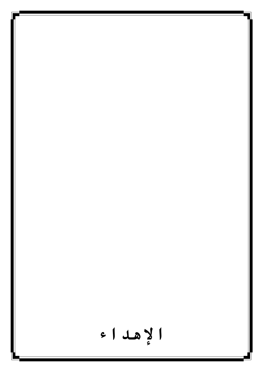**اهاء**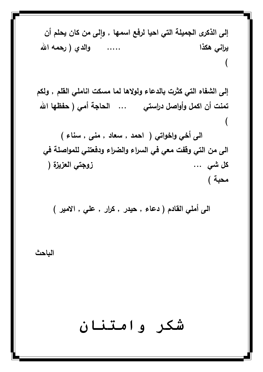**ٕ إلى الذكرى الجميلة التي احيا لرفع اسمها , لى من كان يحلم أن وا يراني هكذا ..... والدي ( رحمه االله ( إلى الشفاه التي كثرت بالدعاء ولولاها لما مسكت اناملي القلم , ولكم تمنت أن اكمل وأواصل دراستي ... الحاجة أمي ( حفظها االله ( الى أخي واخواتي ( احمد , سعاد , منى , سناء ) الى من التي وقفت معي في السراء والضراء ودفعتني للمواصلة في كل شي ... زوجتي العزيزة (** 

**محبة )** 

**الباحث** 

شکر وامتننان

**الى أملي القادم ( دعاء , حيدر , كرار , علي , الامير )**